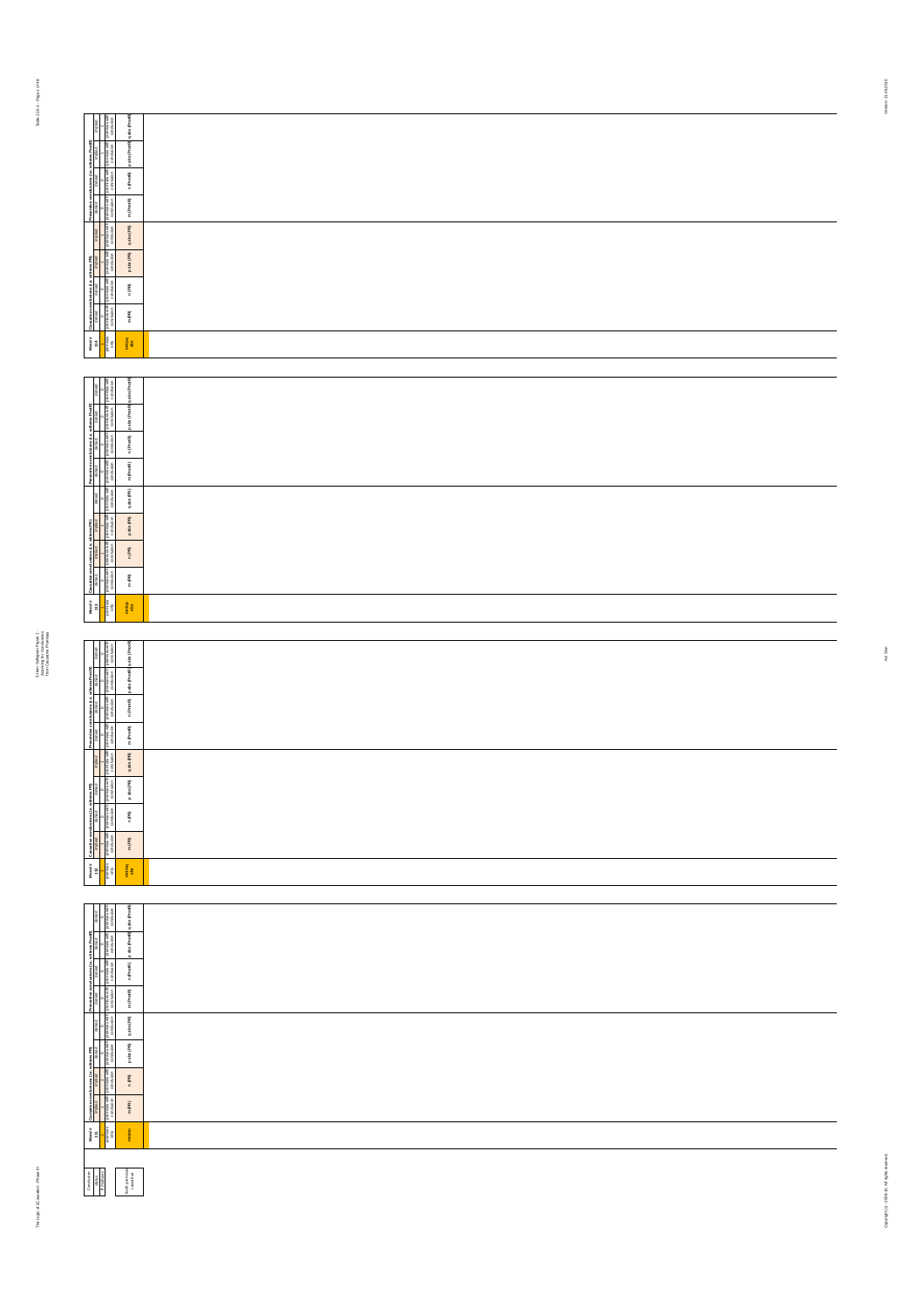|                                     | 3-tem Sytogiam Pigure 1<br>Scamling for Condusions<br>from Causative Premises |  |  |
|-------------------------------------|-------------------------------------------------------------------------------|--|--|
| The Logic of ECausation - Phase III |                                                                               |  |  |

| no istemac<br>cocchi<br>perduit                                                                                                                                                                                                                                                                                                                                                                                                       | p abs (ProtR) q abs (ProtR)               |  |
|---------------------------------------------------------------------------------------------------------------------------------------------------------------------------------------------------------------------------------------------------------------------------------------------------------------------------------------------------------------------------------------------------------------------------------------|-------------------------------------------|--|
| Causative conductions (i.e. whereas PR)<br>and the conduction of the conduction of the conduction of the conduction of the conduction of the conduction<br>possession (increased) (increased) increased possession (increased) prov                                                                                                                                                                                                   |                                           |  |
|                                                                                                                                                                                                                                                                                                                                                                                                                                       | $n$ (P notR)                              |  |
|                                                                                                                                                                                                                                                                                                                                                                                                                                       | $m(p \text{ node})$                       |  |
|                                                                                                                                                                                                                                                                                                                                                                                                                                       |                                           |  |
|                                                                                                                                                                                                                                                                                                                                                                                                                                       | $p$ abs (PR) $q$ abs (PR)                 |  |
|                                                                                                                                                                                                                                                                                                                                                                                                                                       | $_{\rm n}$ (PR)                           |  |
|                                                                                                                                                                                                                                                                                                                                                                                                                                       | $\frac{60}{10}$                           |  |
| $\begin{array}{c c} \mathbf{M} & \mathbf{M} \\ \hline \mathbf{M} & \mathbf{M} \end{array}$<br>pomissa<br>only                                                                                                                                                                                                                                                                                                                         | $\frac{5}{6}$ 8                           |  |
|                                                                                                                                                                                                                                                                                                                                                                                                                                       |                                           |  |
| denied<br>premises with<br>condusion                                                                                                                                                                                                                                                                                                                                                                                                  |                                           |  |
|                                                                                                                                                                                                                                                                                                                                                                                                                                       | p abs (Pn ofR) q abs (PnotR)              |  |
|                                                                                                                                                                                                                                                                                                                                                                                                                                       | $n$ (ProofR)                              |  |
|                                                                                                                                                                                                                                                                                                                                                                                                                                       | $m(\mathrm{Proof}\,R)$                    |  |
| $\overline{\text{Quasine}}$ conclusion (i.e. whereas PR)<br>$\overline{\text{Quasine}}$ and $\overline{\text{Quasine}}$ and $\overline{\text{Quasine}}$ and $\overline{\text{Quasine}}$ and $\overline{\text{Quasine}}$ and $\overline{\text{Quasine}}$<br>$\overline{\text{Quasine}}$ and $\overline{\text{Quasine}}$ and $\overline{\text{Quasine}}$ and $\overline{\text{Quasine}}$ and $\overline{\text{Quasine}}$                | q alos (PR)                               |  |
|                                                                                                                                                                                                                                                                                                                                                                                                                                       | p also (PR)                               |  |
|                                                                                                                                                                                                                                                                                                                                                                                                                                       | $_{\rm n}$ (PR)                           |  |
|                                                                                                                                                                                                                                                                                                                                                                                                                                       | $\mathfrak{m}$ (PR)                       |  |
|                                                                                                                                                                                                                                                                                                                                                                                                                                       |                                           |  |
| $M \propto 0.04$<br>premises<br>orly                                                                                                                                                                                                                                                                                                                                                                                                  | $\frac{8}{3}$                             |  |
| dened                                                                                                                                                                                                                                                                                                                                                                                                                                 |                                           |  |
| $\begin{tabular}{ c c } \hline \multicolumn{3}{ c }{0} & \multicolumn{3}{ c }{0} \\ \hline \multicolumn{3}{ c }{1} & \multicolumn{3}{ c }{0} & \multicolumn{3}{ c }{0} \\ \multicolumn{3}{ c }{0} & \multicolumn{3}{ c }{0} & \multicolumn{3}{ c }{0} \\ \multicolumn{3}{ c }{0} & \multicolumn{3}{ c }{0} & \multicolumn{3}{ c }{0} & \multicolumn{3}{ c }{0} \\ \multicolumn{3}{ c }{0} & \multicolumn{3}{ c }{0} & \multicolumn{3$ | p also (Proofk) q also (Proofk)           |  |
|                                                                                                                                                                                                                                                                                                                                                                                                                                       | $n$ (Pro $\theta$                         |  |
|                                                                                                                                                                                                                                                                                                                                                                                                                                       | $m(p \text{ node})$                       |  |
| <b>Provenive condustant (A. Whereast)</b><br>Compared the state of the state of the state of the state of the state of the state of the condust<br>condustor condustor condustor condustor condustor p<br>condustor condustor condustor cond                                                                                                                                                                                          |                                           |  |
|                                                                                                                                                                                                                                                                                                                                                                                                                                       | $q$ at $\left( P R \right)$               |  |
|                                                                                                                                                                                                                                                                                                                                                                                                                                       | pabs (PR)                                 |  |
|                                                                                                                                                                                                                                                                                                                                                                                                                                       | $\alpha\phi$ eg                           |  |
| $\begin{tabular}{c c c c c} \hline \textbf{No} \textbf{of} & \textbf{C} \textbf{m} \textbf{m} \textbf{0} \textbf{v} \textbf{c} \textbf{or} \textbf{N} \textbf{b} \textbf{c} \textbf{w} \textbf{b} \textbf{a} \textbf{w} \textbf{b} \textbf{m} \textbf{b} \textbf{m} \textbf{b} \textbf{b} \textbf{b} \textbf{a} \textbf{b} \textbf{b} \textbf{m} \textbf{b} \textbf{b} \textbf{b} \textbf{b} \textbf{b} \textbf{b} \text$             | $m(\theta R)$                             |  |
|                                                                                                                                                                                                                                                                                                                                                                                                                                       | $\frac{q}{\epsilon}$ 8                    |  |
|                                                                                                                                                                                                                                                                                                                                                                                                                                       |                                           |  |
|                                                                                                                                                                                                                                                                                                                                                                                                                                       | pates (ProtR) qubs (ProtR)                |  |
|                                                                                                                                                                                                                                                                                                                                                                                                                                       |                                           |  |
|                                                                                                                                                                                                                                                                                                                                                                                                                                       | $m(p \text{ mod} 8)$ $n(p \text{ mod} 8)$ |  |
|                                                                                                                                                                                                                                                                                                                                                                                                                                       |                                           |  |
|                                                                                                                                                                                                                                                                                                                                                                                                                                       | q abs (PR)                                |  |
|                                                                                                                                                                                                                                                                                                                                                                                                                                       | pats (PR)                                 |  |
|                                                                                                                                                                                                                                                                                                                                                                                                                                       | $_{\rm n}$ (PR)                           |  |
|                                                                                                                                                                                                                                                                                                                                                                                                                                       | $\frac{\partial}{\partial t}$             |  |
| $\begin{bmatrix} \mathbf{u} & \mathbf{v} \\ \mathbf{v} & \mathbf{v} \end{bmatrix}$<br>promises                                                                                                                                                                                                                                                                                                                                        | molton                                    |  |
|                                                                                                                                                                                                                                                                                                                                                                                                                                       |                                           |  |
| Conclusion<br>Status<br>Amoduses                                                                                                                                                                                                                                                                                                                                                                                                      | Both premises<br>causative                |  |

| E a                                                                                                                                                           | abs (PR)<br>$\mathbf{a}$                  |  |
|---------------------------------------------------------------------------------------------------------------------------------------------------------------|-------------------------------------------|--|
| Coussive conclude to whenes PR<br>Figure 1 december 11:00<br>Points and Postom Production<br>Points and Postom Production<br>Production Production Production | n (PR)                                    |  |
| es with                                                                                                                                                       | $\mathfrak{g}$ or                         |  |
| Mood #<br>113<br>promises                                                                                                                                     | $\frac{9}{8}$ $\frac{1}{4}$               |  |
|                                                                                                                                                               |                                           |  |
| denied<br>premises<br>contasio                                                                                                                                | qabs (Pro                                 |  |
| s with<br>ğ,                                                                                                                                                  | $\overline{\boldsymbol{x}}$<br>do a<br>ä. |  |
| conclusions (i.e. w/lears ProcR)<br>  denied   denied  <br>i<br>S<br>premise<br>condi                                                                         | n (Pro (R)                                |  |
| <b>S</b><br>Debaana.<br>Geboorte                                                                                                                              | $_{\rm mod 8}$<br>န့်                     |  |
| mpled<br>1<br>pomas wth<br>pochas m                                                                                                                           | $\mathbf{q}$ ab s $(\mathsf{PR})$         |  |
| <b>RW</b><br>a w/kems PR)<br>the promises with promises with a condition                                                                                      | pabs (PR)                                 |  |
|                                                                                                                                                               |                                           |  |

| $rac{3}{2}$                                                                                                        | ĭ                                             |  |
|--------------------------------------------------------------------------------------------------------------------|-----------------------------------------------|--|
| Mood #<br>THE PROTEST                                                                                              | $\frac{5}{8}$ 8                               |  |
|                                                                                                                    |                                               |  |
| denied<br>premises with<br>condusion                                                                               | qabs (ProtR)                                  |  |
|                                                                                                                    | $\overline{\boldsymbol{x}}$<br>ड<br>pate (Pno |  |
| molusions (Le willems PoolR)<br>- Onisid - derival<br>- premissa with promissa with pr<br>- poolbision - condusion | n (ProdR)                                     |  |
| denier - voorbiedraad (a. wikemin)<br>- pierra (b. 1975)<br>- portulation - phone -<br>- portulation - phone -     | m(Proof R)                                    |  |
|                                                                                                                    | qabs (PR)                                     |  |
| ilusions (Le, wikems PR)<br>Impies (Le Impies)<br>Pommas with promises with p<br>Concusson Concusson               | $\mathsf{p}$ atos (PR)                        |  |
|                                                                                                                    | $\mathfrak{n}$ (PR)                           |  |

|                                                                       | impled<br>Iõ.                      |                                                 |  |
|-----------------------------------------------------------------------|------------------------------------|-------------------------------------------------|--|
|                                                                       |                                    | ø<br>≂<br>$\mathbf{a}$                          |  |
|                                                                       | <b>Family</b>                      | $\tilde{v}$<br>ို                               |  |
| Preventive conclusions (Le, witems Prooft)<br>derival derival implied | prest                              | $\hat{z}$<br>s.<br>€                            |  |
|                                                                       | impled<br>$\overline{\phantom{a}}$ | <b>(PR)</b><br>$\ddot{\phantom{1}}$<br>$\sigma$ |  |
|                                                                       |                                    | Ê<br>$\mathbf{a}$                               |  |
| Causative conditations (i.e. witems PR)<br>design                     | F<br><b>Family</b>                 | œ,<br>$\mathbf{c}$                              |  |
|                                                                       |                                    | $\frac{60}{10}$                                 |  |
| $\mathbf{z}$ .                                                        | $\mathbf{g}$                       | $-$                                             |  |

Avi Sion

Version: 21.06.2010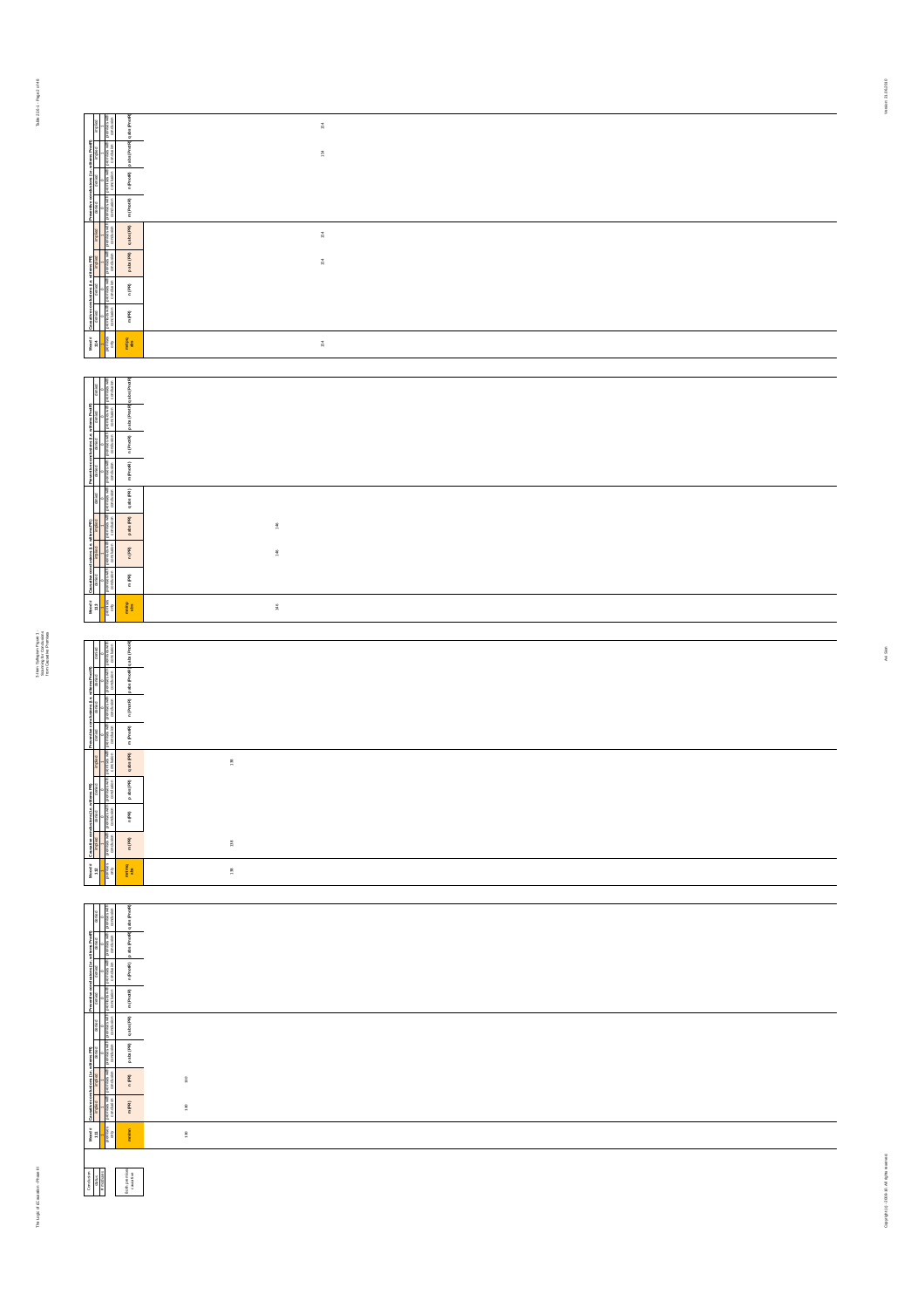|                                                | mpled   |                    | operation                                                                                                    |                                           |  |
|------------------------------------------------|---------|--------------------|--------------------------------------------------------------------------------------------------------------|-------------------------------------------|--|
|                                                | implied |                    | promision with promises with<br>oondusion                                                                    | pates (Priot R) q also (P notR)           |  |
| Preventive conclusion s (i.e., wiltems Profit) | denied  |                    | comises with premises with premises with premises with premises with premises with<br>candusion              | n (ProtR)                                 |  |
|                                                | denied  |                    | conclusion                                                                                                   | m (ProtR)                                 |  |
|                                                | implied |                    | oondusion                                                                                                    | qabs (PR)                                 |  |
|                                                | implied |                    | oondusion                                                                                                    | pabs (PR)                                 |  |
| Causative conclusions (i.e. wiltems PR)        | denied  |                    | candusion                                                                                                    | n (PR)                                    |  |
|                                                | dining  |                    | conclusion                                                                                                   | m (PR)                                    |  |
| <b>Accord</b>                                  | I       |                    | D/01/11 905<br>only                                                                                          | ă                                         |  |
|                                                |         |                    |                                                                                                              |                                           |  |
|                                                | denied  |                    | oondusion                                                                                                    | pates (Pn ofR) q alss (PnotR)             |  |
|                                                | denied  |                    | condusion                                                                                                    |                                           |  |
|                                                | denied  |                    | oorclusion                                                                                                   | n (Prooff)                                |  |
| Preventive conclusions (i.e. wiltems Phot R)   | denied  |                    | comses with promises with promises with promises with promises with promises with promises with<br>oondusion | m(Proof R)                                |  |
|                                                | denied  |                    | canduagon                                                                                                    | qabs (PR)                                 |  |
|                                                | implied |                    | conclusion                                                                                                   | p abs (PR)                                |  |
|                                                | impled  |                    | operation                                                                                                    | n (PR)                                    |  |
| Causative conclusions (i.e. witems PR)         | denied  |                    | promises with<br>oondusion                                                                                   | m (PR)                                    |  |
| Mood #                                         | 2       |                    | premises<br>ğ                                                                                                | ě                                         |  |
|                                                |         |                    |                                                                                                              |                                           |  |
|                                                | dened   |                    | DOWN 995 WITH<br>conclusion                                                                                  | n (Prio IR) patra (PriodR) qubis (PriodR) |  |
|                                                | dinind  |                    | commisses with<br>operation                                                                                  |                                           |  |
| Preventive con duslons (i.e. w/ltems P notR)   | denied  |                    | promises with premises with<br>oondusion                                                                     |                                           |  |
|                                                | denied  |                    | condusion                                                                                                    | m (ProtR)                                 |  |
|                                                | mpled   |                    | prigmises with premisies with premises with premises with<br>operation                                       | $q$ abs $(PR)$                            |  |
| (i.e. w/tems PR)                               | denied  |                    | oondusion                                                                                                    | pabs (PR)                                 |  |
|                                                | š       |                    | oondusion                                                                                                    | n@R                                       |  |
| Causative conclusions                          | impled  |                    | condusion                                                                                                    | m(PR)                                     |  |
| Mood #                                         | 112     |                    | promises<br>č                                                                                                | ma/mq<br>45                               |  |
|                                                |         |                    |                                                                                                              |                                           |  |
|                                                | dining  |                    | cremises with premises with<br>condusion                                                                     | pates (Proot R) q ab s (P notR)           |  |
| Preventive conclusions (Le. witems Prooff)     | denied  |                    | candusion                                                                                                    |                                           |  |
|                                                | denied  |                    | promises with prigmises with<br>conclusion                                                                   | n (ProtR)                                 |  |
|                                                | denied  |                    | operation                                                                                                    | m (ProfR)                                 |  |
|                                                | denied  |                    | promises with<br>oondusion                                                                                   | qabs (PR)                                 |  |
|                                                | denied  |                    | comises with premises with<br>condusion                                                                      | pate (PR)                                 |  |
| Causative conclusions (i.e. wiltems PR)        | implied |                    | conclusion                                                                                                   | n (PR)                                    |  |
|                                                | mplied  |                    | Dream sea with<br>oprobasion                                                                                 | m(PR)                                     |  |
| <b>Rood</b>                                    | Ξ       |                    | 200mlses<br>γi<br>δ                                                                                          | movimo                                    |  |
|                                                |         | status<br>#modusts |                                                                                                              | Both premises<br>CRUSHEIM                 |  |
| Condusion                                      |         |                    |                                                                                                              |                                           |  |

130 130 130

30

| Causative co<br>denied<br>promises with<br>condusion                                          | $\mathfrak{g}$ or $\mathfrak{g}$                                 |                     |  |  |
|-----------------------------------------------------------------------------------------------|------------------------------------------------------------------|---------------------|--|--|
| Mood #                                                                                        | promises<br>$\frac{1}{3} \frac{1}{3}$                            | $\frac{\omega}{26}$ |  |  |
|                                                                                               |                                                                  |                     |  |  |
|                                                                                               | promises<br>$\mathbf{r}$                                         |                     |  |  |
| lons (i.e. w/leams Prooft)<br>fenied (300 oktober                                             | promises<br>poortias<br>э.                                       |                     |  |  |
| con dust                                                                                      | wth<br>8<br>ę<br>s<br>E,<br>$\epsilon$                           |                     |  |  |
| Proventive                                                                                    | $\frac{1}{2}$<br>e.<br>promise<br>condu<br>ို                    |                     |  |  |
|                                                                                               | $\frac{1}{3}$ s<br>$\mathbf{q}$ ab s $(\mathsf{PR})$<br>promises | $\frac{33}{24}$     |  |  |
|                                                                                               | $p$ abs (PR)<br>comises                                          |                     |  |  |
|                                                                                               | fis <sup>1</sup><br>n (PR)<br>comise<br>condi                    |                     |  |  |
| pinup<br>(ba sua ayiw ang pangkang-panganang)<br>(ba sua ayiw ang pangkang-pangkang-pangkang) | $\frac{1}{3}$<br>$\mathfrak{m}(\mathsf{PR})$<br>promises         | $\frac{33}{14}$     |  |  |
| $\frac{1}{2}$                                                                                 | and and<br>and and<br>$\frac{g}{8}$ g                            | $\frac{33}{14}$     |  |  |

| ╈ | $\frac{1}{\text{norm} \cdot \text{max}}$                                                                                                                                                                                       | $\frac{5}{8}$ Å             | $_{\rm 154}$              |
|---|--------------------------------------------------------------------------------------------------------------------------------------------------------------------------------------------------------------------------------|-----------------------------|---------------------------|
|   |                                                                                                                                                                                                                                |                             |                           |
|   |                                                                                                                                                                                                                                | e<br>$\frac{8}{3}$          |                           |
|   | nga barang barang barang barang barang pang barang barang barang barang barang barang barang barang barang barang barang barang barang barang barang barang barang barang barang barang barang barang barang barang barang bar | इ<br>$\Omega$               |                           |
|   |                                                                                                                                                                                                                                | $\frac{1}{2}$<br>န္         |                           |
|   |                                                                                                                                                                                                                                | $\widehat{\mathbf{g}}$<br>ę |                           |
|   |                                                                                                                                                                                                                                | qabs (PR)                   |                           |
|   |                                                                                                                                                                                                                                | p also (PR)                 | $\widetilde{\mathcal{X}}$ |
|   |                                                                                                                                                                                                                                | $\mathfrak{n}$ (PR)         | 146                       |
|   | companies and the second and the second and the companies of the second second and the second second and the second second and the second second and the second second second second and second second and second second secon | $\mathfrak{g}$ or           |                           |
|   | $\frac{1}{\sqrt{\frac{1}{n}}}\frac{1}{\sqrt{n}}$                                                                                                                                                                               | े हैं है                    | $\frac{\varphi}{2}$       |

|                                   |                                      | ă              |  |
|-----------------------------------|--------------------------------------|----------------|--|
| æΓ<br>$rac{p}{2}$<br><b>Selve</b> | ø<br>$\Omega$                        | š              |  |
| clusions (i.<br>'n                | c                                    |                |  |
| reventive                         | ۰                                    |                |  |
|                                   | (PR)<br>÷.<br>$\sigma$               | $\frac{3}{12}$ |  |
| <b>VomsPR</b>                     | $\widehat{\alpha}$<br>s.<br>$\Omega$ | ă              |  |
| ÷                                 | æ<br>g,<br>$\epsilon$                |                |  |
| ausative                          | g<br>看                               |                |  |
| Mood #<br>i₹                      | $\frac{5}{6}$                        | z              |  |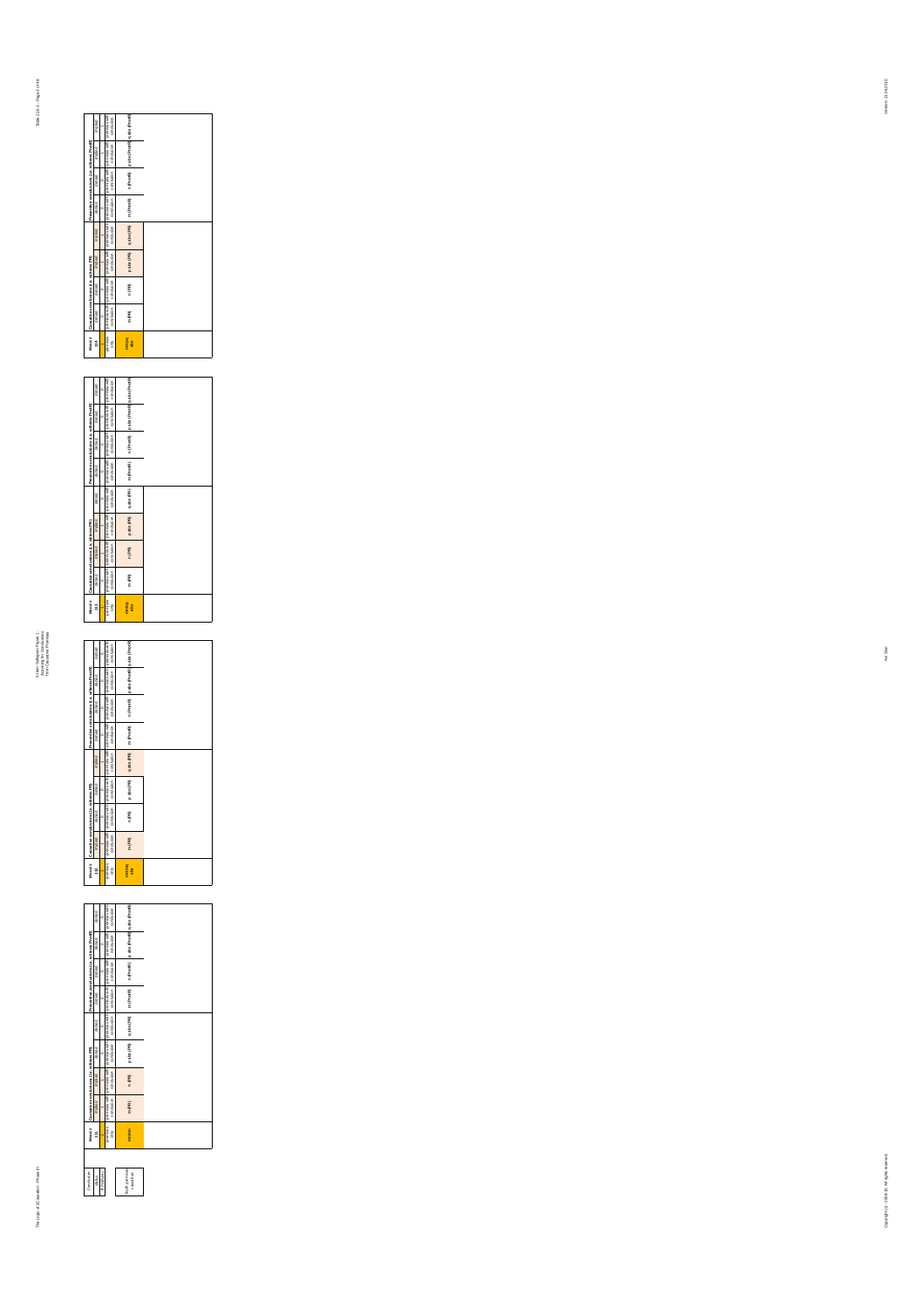| 3-ltem Syllopism Figure 1<br>$\overline{a}$                 | rer Candusces<br>Samina? | ţ |  |
|-------------------------------------------------------------|--------------------------|---|--|
|                                                             |                          |   |  |
|                                                             |                          |   |  |
|                                                             |                          |   |  |
|                                                             |                          |   |  |
|                                                             |                          |   |  |
|                                                             |                          |   |  |
|                                                             |                          |   |  |
|                                                             |                          |   |  |
|                                                             |                          |   |  |
|                                                             |                          |   |  |
|                                                             |                          |   |  |
| Phase III<br>i<br>j<br>of ECausatic<br>$\ddot{\phantom{a}}$ |                          |   |  |
| The Logic "                                                 |                          |   |  |

|                                               | impled             | promises with<br>operation                                |                                                                         |  |
|-----------------------------------------------|--------------------|-----------------------------------------------------------|-------------------------------------------------------------------------|--|
|                                               | implied            | premises with<br>oondusion                                |                                                                         |  |
| Preventive conclusions (i.e. willens Profit)  | denied             | promises with<br>candusion                                | n (PriodR) pabs (Priod R) q abs (PriodR)                                |  |
|                                               | denied             | promises with<br>conclusion                               |                                                                         |  |
|                                               | implied            | premises with<br>oondusion                                | pates (PR)   qabs (PR)   m/(PnotR)                                      |  |
|                                               | implied            | premises with<br>oondusion                                |                                                                         |  |
|                                               | denied             | pright sea with<br>canduaton                              | n (PR)                                                                  |  |
| Causative conclusions (i.e. wiltems PR)       | dinind             | 200m ses with<br>operation                                | $\frac{1}{2}$                                                           |  |
| Mood #                                        | 114                | 200 m 905<br>έ                                            | ě                                                                       |  |
|                                               |                    |                                                           |                                                                         |  |
|                                               | denied             | premises with<br>oondusion                                |                                                                         |  |
|                                               | denied             | condusion                                                 |                                                                         |  |
|                                               | denied             | promises with promises with<br>oprehasion                 | m(PriotR) n (PriotR) patis (PhotR) qabs (PriotR)                        |  |
| Preventive conclusions (i.e. wiltems Pnot R)  | denied             | premises with<br>oondusion                                |                                                                         |  |
|                                               | denied             | condusion                                                 | qabs (PR)                                                               |  |
|                                               | mpled              | promises with premises with<br>conclusion                 | p atos (PR)                                                             |  |
|                                               | mpled              | Door sea with<br>oprehasion                               | n (PR)                                                                  |  |
| Causative conclusions (Le. wiltems PR)        | denied             | premises with<br>oondusion                                | m (PR)                                                                  |  |
| Mood #                                        | 2                  | premises<br>č                                             | ł                                                                       |  |
|                                               |                    |                                                           |                                                                         |  |
|                                               | dened              | DYOTH SOS WITH<br>conclusion                              |                                                                         |  |
|                                               | dinind             | Dream ses with<br>operation                               |                                                                         |  |
| Preventive con dusions (i.e. w/ltems Prooff)  | denied             | premises with<br>oondusion                                |                                                                         |  |
|                                               | denied             | promises with<br>candusion                                |                                                                         |  |
|                                               | impled             | premises with<br>operation                                | pabs (PR)   qabs (PR)   m (PnoR)   n (PnoR)   pabs (PnoR)   qabs (PnoR) |  |
| (i.e. w/tems PR)                              | denied             | or emises with creamises with creamises with<br>oondusion |                                                                         |  |
|                                               | denied             | oondusion                                                 | n@R                                                                     |  |
| Causative conclusions                         | impled             | condusion                                                 | m(PR)                                                                   |  |
| Mood #                                        | 112                | promises<br>only                                          | mana<br>45                                                              |  |
|                                               | dicial             |                                                           |                                                                         |  |
|                                               |                    | premises with premises with<br>condusion                  |                                                                         |  |
|                                               | denied             | candusion<br>conclusion                                   |                                                                         |  |
| Preventive conclusions (i.e., willems Prooff) | denied<br>denied   | promises with promises with<br>operation                  | quites (PR)   m (P notR)   n (P notR)   pubs (PnotR)   qubs (P notR)    |  |
|                                               |                    | oondusion                                                 |                                                                         |  |
|                                               | denied             | promises with                                             |                                                                         |  |
|                                               | denied             | promises with premises with<br>condusion                  | pates (PR)                                                              |  |
| Causalve condusions (i.e. witems PR)          | mpled              | conclusion                                                | n (PR)                                                                  |  |
|                                               | mplied             | Dream sea with<br>oprobasion                              | m(PR)                                                                   |  |
| <b>Rood</b>                                   | Ξ                  | comissi<br>ă                                              | movimo                                                                  |  |
| Condusion                                     | status<br>Amoduses |                                                           | Both premises<br>causative                                              |  |

| Mood #           | Causative conclusions (i.e. witness PR) |                                                        |           |                             |                            | Preventive con duslons (i.e. w/lems PnotR) |                            |                                     |
|------------------|-----------------------------------------|--------------------------------------------------------|-----------|-----------------------------|----------------------------|--------------------------------------------|----------------------------|-------------------------------------|
| e                | impled                                  | denied                                                 | denied    | mpled                       | denied                     | denied                                     | denied                     | dened                               |
|                  |                                         | ö                                                      | ö         |                             | ö                          | ö                                          |                            |                                     |
| premises<br>enly | condusion                               | premises with premises with premises with<br>oondusion | oondusion | premises with<br>conclusion | premises with<br>candusion | premises with<br>oondusion                 | premises with<br>operation | promises with<br>conclusion         |
| maring<br>45     | m(PR)                                   | n (PR)                                                 | pabs (PR) | qabs(PR)                    | $m$ (P rooff)              |                                            |                            | n (PnotR) pais (PnotR) qabs (PnotR) |
|                  |                                         |                                                        |           |                             |                            |                                            |                            |                                     |
|                  |                                         |                                                        |           |                             |                            |                                            |                            |                                     |

| Mood #                                      | I      |   | premises<br>only                         | ěs                                            |  |
|---------------------------------------------|--------|---|------------------------------------------|-----------------------------------------------|--|
|                                             |        |   |                                          |                                               |  |
|                                             | denied |   | premises with<br>oondusion               |                                               |  |
|                                             | denied |   | promises with<br>condusion               |                                               |  |
| Preventive conclusions (i.e. wiltems ProtR) | dining | ۰ | premises with<br>conclusion              | m (ProtR) n (ProtR) pabs (PhotR) qabs (ProtR) |  |
|                                             | denied | ċ | oondusion                                |                                               |  |
|                                             | denied | ö | premises with premises with<br>candusion |                                               |  |
|                                             | mpled  |   | premises with<br>conclusion              | p ats (PR) q also (PR)                        |  |
| lusions (i.e. witems PR)                    | impled |   | comises with<br>operation                | n (PR)                                        |  |

| Mood#           | Causaive con dusions (i.e. wiltems PR) |                                                                                                  |           |             |            | Preventive conclusions (i.e. witems Prooff) |                                          |           |
|-----------------|----------------------------------------|--------------------------------------------------------------------------------------------------|-----------|-------------|------------|---------------------------------------------|------------------------------------------|-----------|
| t               | denied                                 | denied                                                                                           | impland   | implied     | dened      | dened                                       | implied                                  | mpled     |
|                 | ö                                      |                                                                                                  |           |             |            |                                             |                                          |           |
| com ses<br>only | conclusion                             | premises with premises with premises with premises with premises with premises with<br>condusion | oondusion | opriduation | conclusion | candualon                                   | premises with premises with<br>oondusion | operation |
| ě               | $\frac{m(PR)}{E}$                      | n (PR)                                                                                           | pats (PR) | qabs (PR)   | m (ProtR)  |                                             | n (Prooff) pate (Prot R) q abs (Prooff)  |           |
|                 |                                        |                                                                                                  |           |             |            |                                             |                                          |           |

 $\n 4800$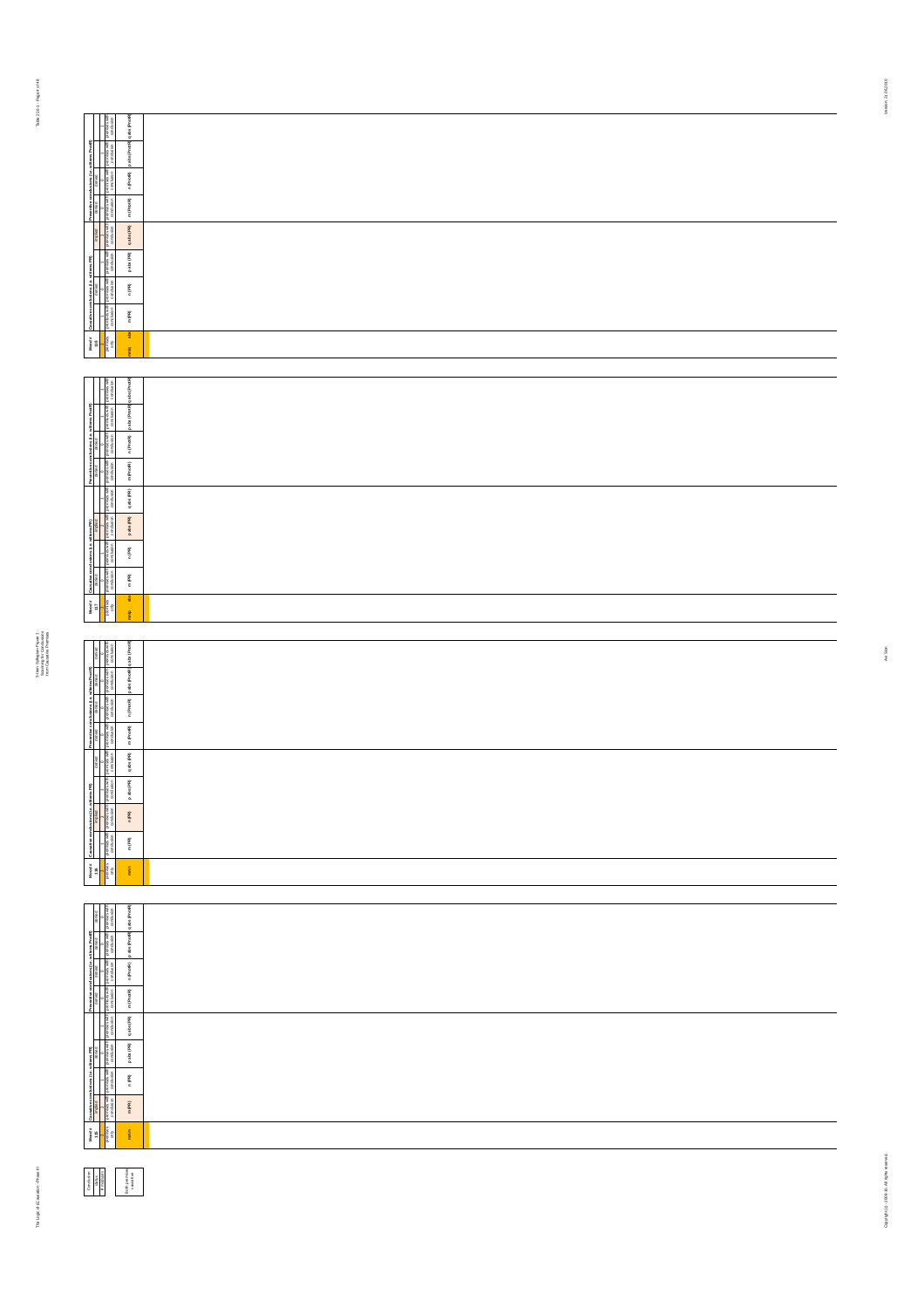| í<br>á<br>cosism <sup>-</sup><br>3-lbam Sy                               | i<br>l<br>į<br>ĺ       | dusions<br>į<br>š<br>2<br>iani | š |
|--------------------------------------------------------------------------|------------------------|--------------------------------|---|
|                                                                          |                        |                                |   |
|                                                                          |                        |                                |   |
|                                                                          |                        |                                |   |
|                                                                          |                        |                                |   |
|                                                                          |                        |                                |   |
|                                                                          |                        |                                |   |
|                                                                          |                        |                                |   |
|                                                                          |                        |                                |   |
| Ė<br><b>Sept</b><br>ć<br>$\ddot{ }$<br><b>SPORT</b><br>ׇ֘֒<br>million in | i<br><b>Contractor</b> |                                |   |

Scanning for Conclusions from Causative Premises

3-lam Syligjan Figure 1-<br>Scaming for Condusions<br>from Causative Premises

| ≖ |  |
|---|--|
|   |  |
| ı |  |
|   |  |
|   |  |
|   |  |
|   |  |

| remises with<br>conclusion                                                                                                                                             | q abs (Prooft)                                                      |  |
|------------------------------------------------------------------------------------------------------------------------------------------------------------------------|---------------------------------------------------------------------|--|
| Preventive conclusions (i.e., witterns Prooft)<br>derived derived<br>1<br>premises with<br>condusion                                                                   | p abs (ProtR)<br>$n$ (P roofR)                                      |  |
|                                                                                                                                                                        | $m$ (P rooff)                                                       |  |
|                                                                                                                                                                        | q abs (PR)                                                          |  |
|                                                                                                                                                                        | p abs (PR)                                                          |  |
|                                                                                                                                                                        | $_{\rm n}$ (e.g.                                                    |  |
| Mood #<br>promises<br>only                                                                                                                                             | $\frac{\partial}{\partial t}$<br>$\ddot{\bullet}$                   |  |
|                                                                                                                                                                        | ġ.                                                                  |  |
| a<br>premisies with<br>condusion                                                                                                                                       | p abs (PnofR) q abs (PnotR)                                         |  |
| promises with p<br>condusion                                                                                                                                           | $n$ (P notR)                                                        |  |
| Preventive conclusions (i.e. witerms ProtR)<br>General General China<br>China<br>China<br>a<br>mamias wth premises wth premises with<br>candusion condusion conclusion | $m(\mathsf{Proof}\,\mathsf{R})$                                     |  |
|                                                                                                                                                                        | $\bf q$ abs $\left( \! \! \left. \mathsf{PR} \right) \! \! \right)$ |  |
| 1<br>premises with premises with<br>conclusion conclusion                                                                                                              | $p$ abs (PR)                                                        |  |
| Causative conclusions (Le. wileems PR)<br>clerios<br>oomises with<br>condusion                                                                                         | $_{\rm n}$ (PR)<br>$\frac{1}{2}$ or $\frac{1}{2}$                   |  |
| premises<br>orly<br>$\begin{array}{c} \mathbf{M} \text{ cos} \, \mathbf{B} \\ \hline \text{ 11} \end{array}$                                                           | $\frac{1}{2}$<br>$\frac{\Phi}{4}$                                   |  |
|                                                                                                                                                                        |                                                                     |  |
|                                                                                                                                                                        |                                                                     |  |
| o<br>promises with<br>conclusion                                                                                                                                       |                                                                     |  |
|                                                                                                                                                                        | pates (Prooft) quites (Prooft                                       |  |
|                                                                                                                                                                        | $\mathfrak{n}$ (Pro $\mathfrak{M}$<br>$m$ (P rooff)                 |  |
| avuta<br>avuta energio condustante a vintema Profit<br>portasa van promiso van portua van portua van<br>portuaron condusion condusion condusion                        |                                                                     |  |
| $\begin{array}{c c}\n1 & \text{with} \\ \hline\n1 & \text{with} \\ \hline\n2 & \text{and} \\ \hline\n3 & \text{and} \\ \hline\n\end{array}$                            |                                                                     |  |
| $\frac{d\theta}{d\theta}$<br>$\frac{d\theta}{\cos\theta}$<br>$\frac{d\theta}{\cos\theta}$ $\frac{d\theta}{\cos\theta}$                                                 | n (PR) pabs(PR) qabs(PR)                                            |  |
| Cau sative conclusions<br>ramises with<br>condusion<br>Mood #<br>promises                                                                                              | $\mathfrak{m}(\mathsf{PR})$<br>$\frac{6}{3}$                        |  |
|                                                                                                                                                                        |                                                                     |  |
|                                                                                                                                                                        | gabs (Pro                                                           |  |
|                                                                                                                                                                        | n (PnotR) pabs (PnotR)                                              |  |
| Pavantive conclusions (Le. witems PnoR)<br>deviat<br>0<br>promises with premises with<br>conclusion condusion                                                          | $m$ (P rooff)                                                       |  |
| 1<br>nomises with premises with<br>condusion conclusion                                                                                                                | q alos (PR)                                                         |  |
| premises with                                                                                                                                                          | pates (PR)                                                          |  |
| promises with<br>conclusion                                                                                                                                            | $_{\rm n}$ (PR)                                                     |  |
| usative condusions (i.e. witems PR)<br>ten and with<br>$\begin{array}{c} \text{Mood } \textbf{8} \\ \text{115} \end{array}$<br>premises                                | $\mathfrak{m}(\mathsf{PR})$<br><b>Bank</b>                          |  |

|                                                   | in the                                                                                                                                                                                                                           | ø<br>abs (Pno<br>$\ddot{\sigma}$     |  |
|---------------------------------------------------|----------------------------------------------------------------------------------------------------------------------------------------------------------------------------------------------------------------------------------|--------------------------------------|--|
|                                                   | Preventive conclusions (La willems Profit)<br>closed and an official of the profit of the profit of the profit of the profit of the profit of the profit of the profit of the profit of the profit of the profit of the profit o | ξ<br>$\frac{\pi}{4}$<br>$\Omega$     |  |
|                                                   | $\frac{1}{3}$                                                                                                                                                                                                                    | $_{\rm{recon}}$<br>န္                |  |
|                                                   |                                                                                                                                                                                                                                  | m(Proot R)                           |  |
|                                                   | <b>S</b><br>nomissi                                                                                                                                                                                                              | q abs (PR)                           |  |
|                                                   | E.                                                                                                                                                                                                                               | p als (PR)                           |  |
|                                                   | with<br>premises                                                                                                                                                                                                                 | $\widehat{\mathbf{g}}$<br>$\epsilon$ |  |
| Causative conclusions (i.e. willems PR)<br>denied | ş<br>g<br>G                                                                                                                                                                                                                      | $\frac{\infty}{6}$<br>$\epsilon$     |  |
|                                                   | Mood #<br>117<br>onhice:<br>ofly                                                                                                                                                                                                 | 清<br>A                               |  |

| abs (ProfR)<br>promises with<br>conclusion<br>$\sigma$                                                    |  |
|-----------------------------------------------------------------------------------------------------------|--|
| p abs (Prot R)<br>1<br>premises with<br>condusion                                                         |  |
| Preventive conclusions (i.e. witems Prooft)<br>derived derived<br>premises with<br>candusion<br>n (ProfR) |  |
| nemises with<br>continues<br>$m(p \mod 8)$                                                                |  |
| promises with<br>condusion<br>$q$ abs $(PR)$<br>implied                                                   |  |
| 1<br>premises with<br>condusion<br>pate (PR)                                                              |  |
| con diusions (i.e. witems PR)<br>  deried<br>premises with<br>candusion<br>n (PR)                         |  |
| 1<br>promises with<br>conclusion<br>$\frac{m}{n}$<br>Causaire                                             |  |
| 暮<br>$\frac{\text{Mod } n}{118}$<br>g                                                                     |  |

2106.2010

Copyright (c) - 2008-10. All rights reserved. Avi Sion Version: 21.06.2010

Son

 $\overline{\phantom{0}}$ 

 $\overline{a}$ 

Conclusion status # moduses causative Both premises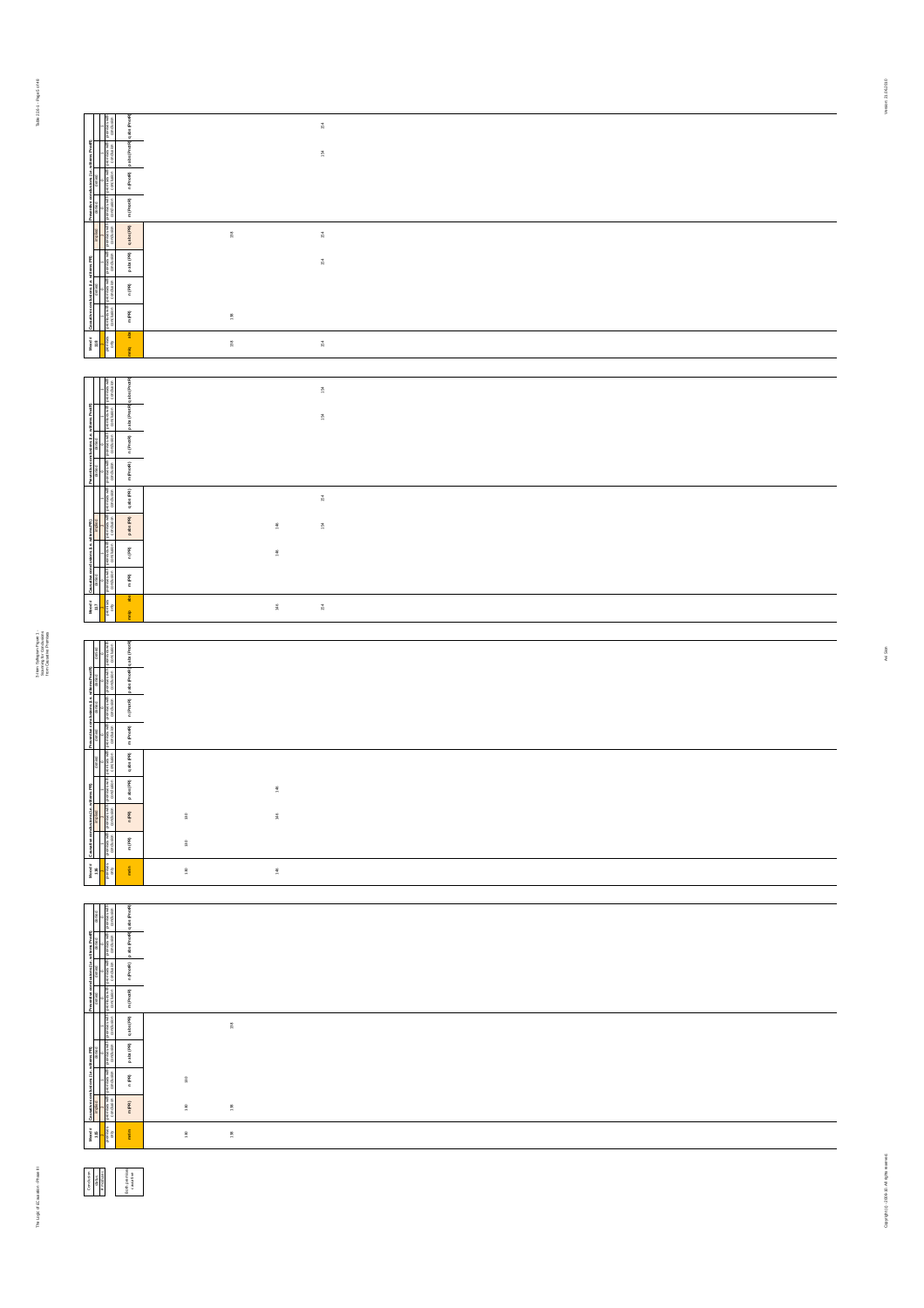| í<br>i<br>á<br>3-tem Syliasism F.<br>l<br>l<br>į | Conclusions<br>Scamina for C |
|--------------------------------------------------|------------------------------|
|                                                  |                              |
|                                                  |                              |
|                                                  |                              |
|                                                  |                              |
|                                                  |                              |
|                                                  |                              |
|                                                  |                              |
| hase<br>ć                                        |                              |
| The Logic of ECausation -                        |                              |

Conclusion status # moduses causative Both premises

| ٦<br>×. | ٦ | - |
|---------|---|---|
|         |   |   |

|                                 | no issue of                                                                                                           |                               |                                                                      |                | $_{\rm 34}^{\rm 4}$ |  |
|---------------------------------|-----------------------------------------------------------------------------------------------------------------------|-------------------------------|----------------------------------------------------------------------|----------------|---------------------|--|
|                                 | patos (Procif) quitos (Pro                                                                                            |                               |                                                                      |                | $_{\rm 34}^{\rm 4}$ |  |
| Alterns Proof                   | pomissa with promissa with promissa with promissa with<br>condusion conclusion condusion condusion                    |                               |                                                                      |                |                     |  |
| wyentive conclusions (i.e.      | $m(p \text{ mod} 2) \quad n(p \text{ mod} 2)$                                                                         |                               |                                                                      |                |                     |  |
|                                 |                                                                                                                       |                               |                                                                      |                |                     |  |
|                                 |                                                                                                                       |                               |                                                                      |                |                     |  |
|                                 | q abs (PR)                                                                                                            |                               | $^{\rm 138}$                                                         |                | $_{\rm 154}$        |  |
| msPR)                           | premises with<br>pate (PR)                                                                                            |                               |                                                                      |                | $_{\rm 34}$         |  |
|                                 | $_{\rm n}$ (e s)                                                                                                      |                               |                                                                      |                |                     |  |
|                                 | 1<br>premises with premises with<br>condusion condusion                                                               |                               |                                                                      |                |                     |  |
| Causative cono                  | $\frac{\partial}{\partial t}$                                                                                         |                               | $\frac{33}{14}$                                                      |                |                     |  |
| Mood #<br>118                   | 景<br>pomissa<br>ł.                                                                                                    |                               | $\frac{9}{13}$                                                       |                | $\frac{3}{12}$      |  |
|                                 |                                                                                                                       |                               |                                                                      |                |                     |  |
|                                 |                                                                                                                       |                               |                                                                      |                | $\vec{n}$           |  |
| Prod R)                         | p abs (Pn ofR) q abs (PnotR)<br>a<br>premises with<br>condusion                                                       |                               |                                                                      |                |                     |  |
|                                 |                                                                                                                       |                               |                                                                      |                | $\frac{35}{14}$     |  |
|                                 | $n$ (ProofR)                                                                                                          |                               |                                                                      |                |                     |  |
|                                 |                                                                                                                       |                               |                                                                      |                |                     |  |
|                                 | a<br>premias with premises with premises with premises with<br>candusion aondusion opaciusion candusion<br>$m(ProcR)$ |                               |                                                                      |                |                     |  |
|                                 | qabs (PR)                                                                                                             |                               |                                                                      |                | $\vec{n}$           |  |
| $\frac{2}{3}$                   | p abs (PR)                                                                                                            |                               |                                                                      | $\frac{9}{2}$  | $\frac{\pi}{n}$     |  |
|                                 | ammais with promises with<br>conclusion conclusion                                                                    |                               |                                                                      |                |                     |  |
|                                 | $\frac{\widehat{\mathfrak{g}}}{\mathfrak{g}}$                                                                         |                               |                                                                      | $_{\rm 146}$   |                     |  |
|                                 | semises with 1<br>$\mathfrak{g}_{\mathfrak{q}}$                                                                       |                               |                                                                      |                |                     |  |
| $\sum_{\tau \in \mathcal{T}}$   | 菁<br>pomisos<br>ody                                                                                                   |                               |                                                                      | $\frac{6}{3}$  | $\frac{\pi}{10}$    |  |
|                                 | Ť                                                                                                                     |                               |                                                                      |                |                     |  |
|                                 |                                                                                                                       |                               |                                                                      |                |                     |  |
|                                 |                                                                                                                       |                               |                                                                      |                |                     |  |
|                                 | promises with<br>conclusion<br>abs (Pnot                                                                              |                               |                                                                      |                |                     |  |
|                                 | $\frac{6}{8}$                                                                                                         |                               |                                                                      |                |                     |  |
|                                 | upweeguad<br>upweeguad                                                                                                |                               |                                                                      |                |                     |  |
| lons (i.e.w                     | $\boldsymbol{n}$ (Pro (R)                                                                                             |                               |                                                                      |                |                     |  |
| Preventive                      | premises with premises with<br>condusion condusion<br>$\mathfrak{m}$ (ProofR)                                         |                               |                                                                      |                |                     |  |
|                                 |                                                                                                                       |                               |                                                                      |                |                     |  |
|                                 | promises with<br>conclusion<br>$q$ abs $(\mathsf{PR})$                                                                |                               |                                                                      |                |                     |  |
| v/kems PR)                      | promises with<br>condusion<br>pabs (PR)                                                                               |                               |                                                                      | $_{\rm 146}$   |                     |  |
|                                 | $_{\rm n}$ $\varphi$ $\varphi$                                                                                        | $\frac{\Omega}{\Omega}$       |                                                                      | $\frac{9}{26}$ |                     |  |
|                                 | premises with                                                                                                         | $\widetilde{\Xi}$             |                                                                      |                |                     |  |
| Causative conclusions (i.e.     | premises with<br>$\frac{\rho}{m}$                                                                                     |                               |                                                                      |                |                     |  |
| Mood #<br>1%                    | pomissa<br>only<br>$\frac{\epsilon}{4}$                                                                               | $\frac{8}{n}$                 |                                                                      | $\frac{9}{2}$  |                     |  |
|                                 |                                                                                                                       |                               |                                                                      |                |                     |  |
|                                 | premises with                                                                                                         |                               |                                                                      |                |                     |  |
|                                 |                                                                                                                       |                               |                                                                      |                |                     |  |
|                                 | abs (PnotR) qabs (Pn                                                                                                  |                               |                                                                      |                |                     |  |
| usions (i.e.                    | n (Prooff)                                                                                                            |                               |                                                                      |                |                     |  |
| reventive conc                  |                                                                                                                       |                               |                                                                      |                |                     |  |
|                                 | $m$ (ProofR)                                                                                                          |                               |                                                                      |                |                     |  |
|                                 | pomisis with pomisis with promisis with pomisis with<br>conduston conclusion conclusion condusion<br>qabs (PR)        |                               | $^{\rm 138}$                                                         |                |                     |  |
| rms PR                          | premises with<br>condusion<br>pabs (PR)                                                                               |                               |                                                                      |                |                     |  |
|                                 | $_{\rm n}$ (PR)                                                                                                       | $\frac{\partial}{\partial t}$ |                                                                      |                |                     |  |
|                                 | premises with<br>conclusion                                                                                           |                               |                                                                      |                |                     |  |
| usative cond<br>$\frac{4}{115}$ | continue and<br>$\frac{60}{10}$<br>nises<br>niv<br>ł                                                                  | $\frac{9}{11}$<br>$^{\rm 30}$ | $\mathop{^{39}\mathrm{}}\nolimits$<br>$\mathop{\mathrm{m}}\nolimits$ |                |                     |  |

Copyright (c) - 2008-10. All rights reserved. Avi Sion Version: 21.06.2010

 $\overline{a}$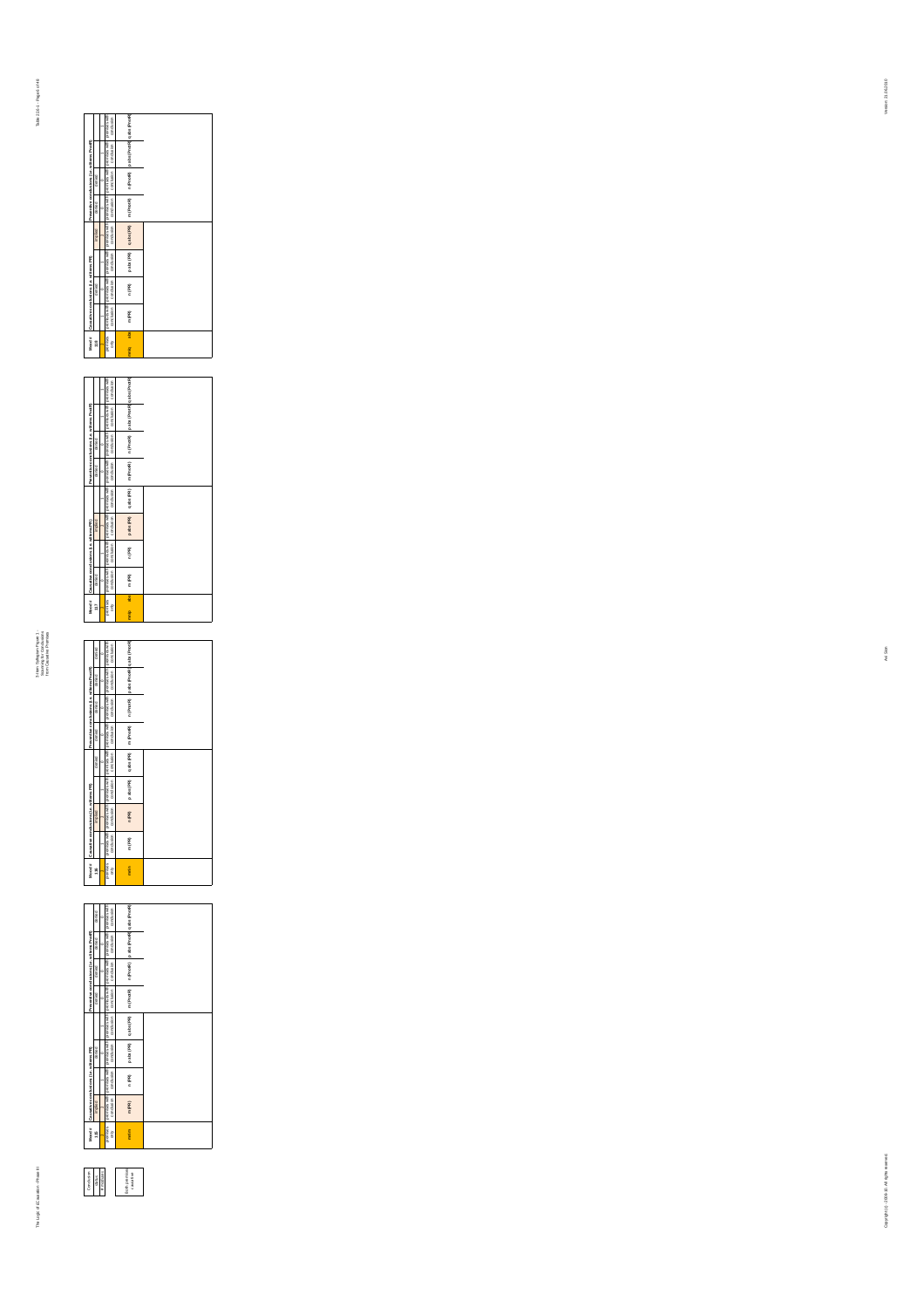nasa l The Lagic of ECausation Conclusion status # moduses causative Both premises

|                                             |         |   | premises with<br>oondusion                                           | pabs (Priot R)                                                     |  |
|---------------------------------------------|---------|---|----------------------------------------------------------------------|--------------------------------------------------------------------|--|
|                                             | dened   |   | candusion                                                            | n (ProofR)                                                         |  |
| Preventive conclusions (i.e. witems Profit) | dened   |   | conclusion                                                           | q abs (PR) m (P notR)                                              |  |
|                                             | implied |   | combas with comises with premises with<br>opricion                   |                                                                    |  |
|                                             |         |   | premises with<br>oondusion                                           | palos (PR)                                                         |  |
|                                             | denied  |   | promises with<br>candusion                                           | n (PR)                                                             |  |
| Causaive conclusions (i.e. wiltems PR)      |         |   | premises with<br>conclusion                                          | abs m(PR)                                                          |  |
| Mood#                                       | 118     |   | promises<br>č                                                        | men'q                                                              |  |
|                                             |         |   |                                                                      |                                                                    |  |
|                                             |         |   | oondusion                                                            |                                                                    |  |
|                                             |         |   | or om sea with coemises with                                         |                                                                    |  |
|                                             |         |   | condusion                                                            | n (Prooff) pates (Photff) qabs (Prot R)                            |  |
| Preventive conclusions (i.e. wiltems PnotR) | denied  | ć | Dream sea with<br>conclusion                                         |                                                                    |  |
|                                             | denied  |   | premises with premises with<br>oondusion                             | m (Proot R)                                                        |  |
|                                             |         |   | condusion                                                            | qabs (PR)                                                          |  |
|                                             | implied |   | pright sea with<br>conclusion                                        | p atos (PR)                                                        |  |
| Causative conclusions (Le. wiltems PR)      |         |   | Dream sessivery<br>operation                                         | n (PR)                                                             |  |
|                                             | denied  |   | compass with<br>oondusion                                            | m (PR)                                                             |  |
| Mood #                                      | t       |   | promises<br>orly                                                     | ă<br>e                                                             |  |
|                                             |         |   |                                                                      |                                                                    |  |
|                                             | dened   |   | Dremises with<br>conclusion                                          |                                                                    |  |
|                                             | denied  |   | Dream ses with<br>operchasion                                        |                                                                    |  |
| Preventive conclusions (i.e. w/ltems ProtR) | denied  |   | premises with<br>oondusion                                           | n (Pro IR) patra (ProfR) qubs (ProfR)                              |  |
|                                             | denied  |   | promises with<br>candusion                                           | $m(p \mod 8)$                                                      |  |
|                                             | denied  |   | Dream ses with<br>conclusion                                         | qabs(PR)                                                           |  |
|                                             |         |   | Dremlees with<br>opriduation                                         | pabs (PR)                                                          |  |
| a conclusions (i.e. w/terms PR)             | impland |   | premises with<br>oondusion                                           | n (PR)                                                             |  |
| Causative                                   |         |   | fi s<br>candualan<br>posituo zi                                      | m (PR)                                                             |  |
| Mood #                                      | x       |   | promises<br>č                                                        | month                                                              |  |
|                                             |         |   |                                                                      |                                                                    |  |
|                                             | dining  |   | oordusion                                                            |                                                                    |  |
|                                             |         |   |                                                                      |                                                                    |  |
| Preventive conclusions (Le. wiltems Prooff) | denied  |   | premises with premises with premises with premises with<br>condusion |                                                                    |  |
|                                             | denied  |   | conclusion                                                           |                                                                    |  |
|                                             | denied  |   | operation                                                            | quite (PR)   m/P notR)   n/P notR)   pulse (ProtR)   qubs (P notR) |  |
|                                             |         |   | premises with premises with<br>oondusion                             |                                                                    |  |
|                                             | denied  |   | canduagon                                                            | pate (PR)                                                          |  |
| Causalive condusions (i.e. wilterns PR)     |         |   | promises with<br>conclusion                                          | n (PR)                                                             |  |
|                                             | mplied  |   | operation<br>DYNTH SAS WITH                                          | m(pR)                                                              |  |
| Mood #                                      | 115     |   | prestribute<br>ă                                                     | movim                                                              |  |

| Mood #          |           | Causative conclusions (i.e. wittens PR)                                                                        |           |                   |            | Preventive con duslons (i.e. w/leas PnotR) |                                       |                             |
|-----------------|-----------|----------------------------------------------------------------------------------------------------------------|-----------|-------------------|------------|--------------------------------------------|---------------------------------------|-----------------------------|
| g               |           | implied                                                                                                        |           | densed            | dened      | denied                                     | denied                                | aened                       |
|                 |           |                                                                                                                |           |                   |            |                                            | ۰                                     |                             |
| positions:<br>č | condusion | premises with premises with premises with premises with premises with premises with premises with<br>oondusion | oondusion | conclusion        | candusion  | oondusion                                  | operation                             | promises with<br>conclusion |
| f               | m (PR)    | n (PR)                                                                                                         |           | pate(PR) qabs(PR) | m (Prooff) |                                            | n (Pro IR) patos (ProdR) qubs (ProdR) |                             |
|                 |           |                                                                                                                |           |                   |            |                                            |                                       |                             |
|                 |           |                                                                                                                |           |                   |            |                                            |                                       |                             |
|                 |           |                                                                                                                |           |                   |            |                                            |                                       |                             |
|                 |           |                                                                                                                |           |                   |            |                                            |                                       |                             |
|                 |           |                                                                                                                |           |                   |            |                                            |                                       |                             |
|                 |           |                                                                                                                |           |                   |            |                                            |                                       |                             |

|                                              |                 | promises with                                | operation               |                                                                           |  |
|----------------------------------------------|-----------------|----------------------------------------------|-------------------------|---------------------------------------------------------------------------|--|
|                                              |                 | premises with                                | oondusion               |                                                                           |  |
|                                              | deried          | promises with                                | candusion               |                                                                           |  |
| Preventive conclusions (i.e. witems Prooff)  | dened           | promises with                                | conclusion              | patra (PR) quite (PR) m (Prooft) n (Prooft) patra (Prot/R) quite (Prooft) |  |
|                                              | implied         | Dreamises with                               | oonduston               |                                                                           |  |
|                                              |                 | premises with                                | oondusion               |                                                                           |  |
| ausaive condusions (i.e. witems PR)          | denied          | promises with                                | canduaton               | n (PR)                                                                    |  |
|                                              |                 | onmises with                                 | operation               | abs m(PR)                                                                 |  |
| <b>Rood #</b>                                | 118             | D/01/11 905                                  | only                    | mola                                                                      |  |
|                                              |                 |                                              |                         |                                                                           |  |
|                                              |                 | premises with                                | oondusion               |                                                                           |  |
|                                              |                 |                                              | condusion               | m (Priot R) n (PriotR) pabs (PriotR) q abs (Priot R)                      |  |
| Preventive conclusions (i.e. wiltems Phot R) | denied          | Drem sea with promises with                  | operation               |                                                                           |  |
|                                              | denind          | premises with                                | oondusion               |                                                                           |  |
|                                              |                 |                                              | condusion               | qabs (PR)                                                                 |  |
|                                              | implied         |                                              | conclusion              |                                                                           |  |
|                                              |                 | cremises with premises with premises with    | oprehasion              | n (PR) patos (PR)                                                         |  |
| Causative conclusions (i.e. wiltems PR)      | denied          | vemises with                                 | oondusion               | minip abs m.(PR)                                                          |  |
| Mood #                                       | e               | premises                                     | σtγ                     |                                                                           |  |
|                                              |                 |                                              |                         |                                                                           |  |
|                                              | dened           | promises with                                | conclusion              |                                                                           |  |
| Preventive con dusions (i.e. w/leams P notR) | dinied          | DYRITTI SIG WITH                             | operchasines            |                                                                           |  |
|                                              | denied          | promises with                                | oondusion               |                                                                           |  |
|                                              | dened           | promises with                                | condusion               |                                                                           |  |
|                                              | denied          | premises with                                | operation               | pabs (PR)   qabs (PR)   m (PnoR)   n (PnoR)   pabs (PnoR)   qabs (PnoR)   |  |
| 0.e. w/tems PR)                              |                 | or emises with creamises with creamises with | oondusion               |                                                                           |  |
|                                              | imple           |                                              | oondusion               | n@R                                                                       |  |
| Causative conclusions                        |                 |                                              | condusion               | m(PR)                                                                     |  |
| Mood #                                       | ×               | promises                                     | only                    | finite                                                                    |  |
|                                              |                 |                                              |                         |                                                                           |  |
|                                              | dining          | premises with                                | condusion               |                                                                           |  |
|                                              | denied          |                                              | candusion               |                                                                           |  |
| Preventive conclusions (i.e. witems Prooft)  | dened<br>dining | premises with premises with premises with    | conclusion<br>operation | q abs (PR) = m (P notR) = n (P notR) = p abs (PnotR) q abs (P notR)       |  |
|                                              |                 |                                              | oondusion               |                                                                           |  |
|                                              |                 | promises with                                | condusion               | pate (PR)                                                                 |  |
|                                              | denied          | promises with premises with                  | conclusion              | n (PR)                                                                    |  |
| ausative condusions (i.e. witems PR)         | mplied          | DYRITTI SIG WITH                             | operchasion             | m(m)                                                                      |  |
| a pool                                       | 115             | amiceas                                      | $\frac{3}{6}$           | f                                                                         |  |
|                                              |                 |                                              |                         |                                                                           |  |

Avi Sion

Copyright (c) - 2008-10. All rights reserve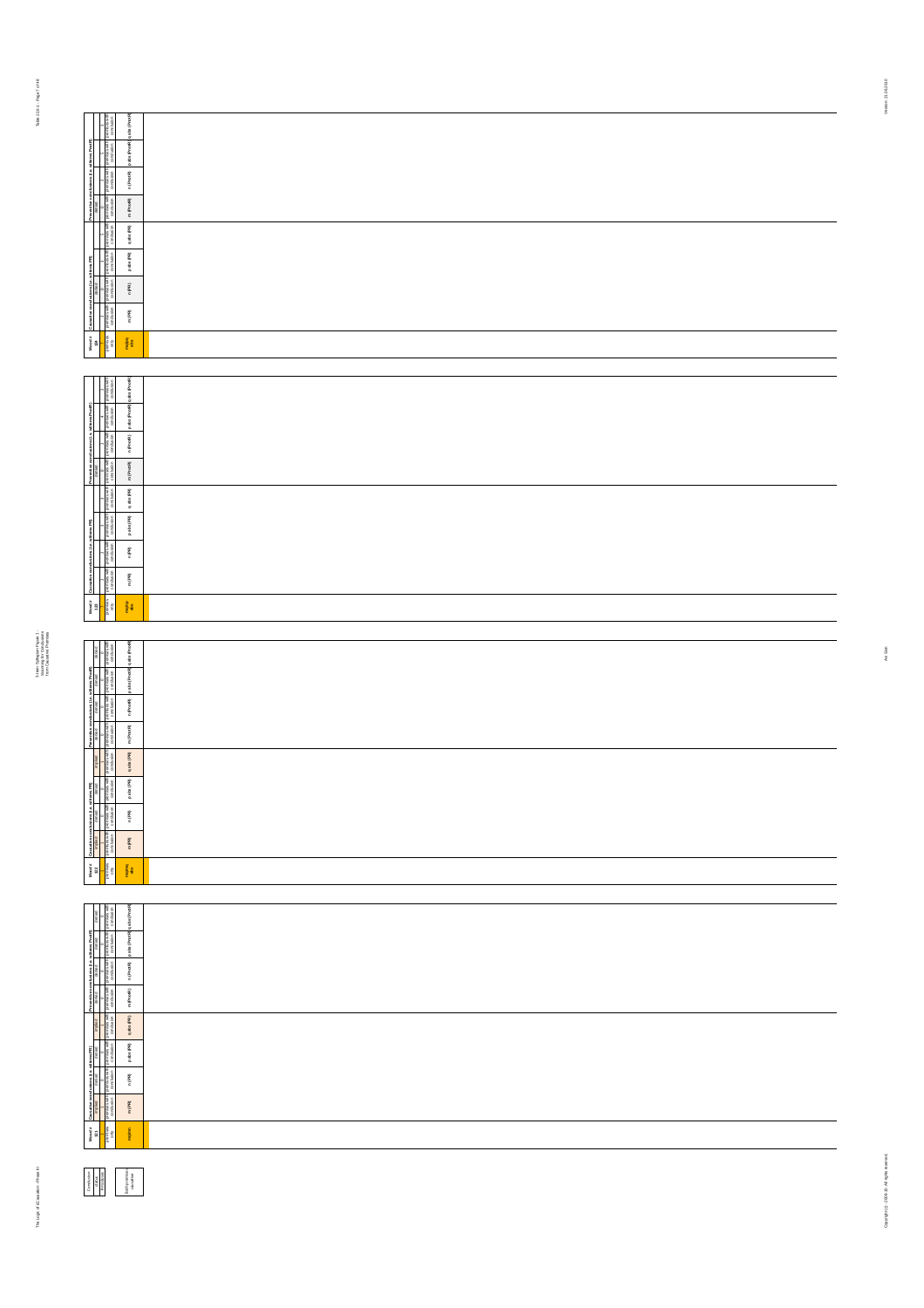| ş      |  |
|--------|--|
| Mood # |  |
|        |  |
|        |  |
|        |  |

|                           |                                                                                                                                                                             | ε<br>$\frac{8}{9}$      |  |
|---------------------------|-----------------------------------------------------------------------------------------------------------------------------------------------------------------------------|-------------------------|--|
|                           |                                                                                                                                                                             | ಕ<br>abs (P)<br>Ä.      |  |
|                           | Pevandiva conclusions (La, williams Practs)<br>- deriva<br>praniaa with jointata with jointaala with jointaala villa<br>- conclusion - conclusion - conclusion - conclusion | n (Pn ofR)              |  |
| Preventive of<br>Contains |                                                                                                                                                                             | $m$ (P rooff)           |  |
|                           |                                                                                                                                                                             | $q$ abs $(\mathsf{PR})$ |  |
|                           |                                                                                                                                                                             | pabs (PR)               |  |
|                           | Causative conclusions (i.a. w/kams PR)<br>- pramais with pointed antih pointed with pointed state.<br>- conclusion - conclusion - conclusion - conclusion                   | npR                     |  |
| ő.                        |                                                                                                                                                                             | $_{\rm m}$ $\rho$ R)    |  |
|                           | $\begin{array}{c}\n\text{Mod } n \\ \uparrow 34 \\ \text{pounds} \\ \hline\n\end{array}$                                                                                    | $\frac{8}{3}$           |  |

| $\frac{4}{12}$                         | <b>Cooline</b>                   | $\frac{9}{3}$         |  |
|----------------------------------------|----------------------------------|-----------------------|--|
|                                        | Promises with<br>condusion       | m (PR)                |  |
|                                        | Promises with<br>conclusion      | $_{\rm n}$ (PR)       |  |
| Causative conclusions (i.e. wilems PR) | premises with<br>condusion       | ε<br>Ä                |  |
|                                        | premises with<br>condusion       | q abs $(\mathsf{PR})$ |  |
|                                        | o<br>promises with<br>corclusion | wa Rij<br>ို့         |  |
|                                        | promises with<br>conclusion      | ĝ<br>통                |  |
|                                        | 4<br>premises with<br>condusion  | ō<br>pates (Pro       |  |
|                                        | premises with<br>condusion       | 흫<br>$\ddot{\sigma}$  |  |

| sabs (Proof)<br>Preventive conclusions (i.e. witerm Profit)<br>- duties<br>pates (Prooff)<br>n (Pn ofR)<br>$m$ (P roofR)<br>0<br>xemises with<br>condusion                                                                                                                                                                                                                               |
|------------------------------------------------------------------------------------------------------------------------------------------------------------------------------------------------------------------------------------------------------------------------------------------------------------------------------------------------------------------------------------------|
| $q\sin(\theta R)$<br>remises with<br>conclusion<br>Causalveconclusions & whena PR)<br>- person with person of personal person<br>- personal person overlaster personal personal per<br>$p$ abs $(PR)$<br>$\omega_{\rm d}$<br>$\mathfrak{m}(\mathsf{PR})$<br>Mood #<br><b>The Second Street</b><br>$\frac{g}{\theta}$ is                                                                  |
| qabs(PnotR<br>Pervenière conclusions (le .wikems Proof)<br>divina with premierant membrane per<br>h porchalon conclusion conclusion con<br>s abs (Proff)<br>$n$ (P rooff)<br>m (ProtR)                                                                                                                                                                                                   |
| is with<br>also<br>q abs (PR)<br>Causalive conclusions (i.e. witems PR)<br>remises with<br>condusion<br>pate (PR)<br>2<br>comises with<br>conclusion<br>$_{\rm n}$ (PR)<br>remises with<br>condusion<br>$\frac{\partial \mathbf{R}}{\partial \mathbf{r}}$<br>$\begin{array}{c} \text{Mood } \text{if} \\ \text{12} \end{array}$<br>premises<br>and a                                     |
| qabs (ProtR)<br>denied<br>Preventive conclusions (i.e. wikens Poots)<br>- denied - denied - denied<br>- framework - pompeo - pompeo - pompeo<br>- ponclusion - ponclusion - ponclusion - co<br>pates (Prooft)<br>n (ProfR)<br>$m(p_{0}$ odR)                                                                                                                                             |
| Causative conclusions (A. Whenes PR)<br>Implies and Sheet Sheet Sheet Principles<br>point as which permane with permane with permane with<br>Portfusion permanent permanent conclusion<br>$p \geqslant p(R)$ qabs $(pR)$<br>$\frac{6}{n}$<br>6640<br>Mood#<br>122<br>$\frac{g}{2}$ is                                                                                                    |
| a abs (Pro<br>patos (Prot R)<br>$m(p \text{ mod} R) = n(p \text{ mod} R)$                                                                                                                                                                                                                                                                                                                |
| Countries conclusions (i.e. When P.M.)<br>The Countries of Countries (i.e. 1999) (i.e. 1999) (i.e. 1999) (i.e. 1999) (i.e. 1999) (i.e. 1999) (i.e. 1999<br>  possible and provided in possible provided in the conclusion provided i<br>$\mathbf{q}$ abs (PR)<br>pats (PR)<br>$_{\rm n}$ (PR)<br>promises with<br>conclusion<br>$m(\mathsf{PR})$<br>$M_{\text{total}}$<br>comisos<br>chy |

Copyright (c) - 2008-10. All rights reserved. Avi Sion Version: 21.06.2010

 $rac{6}{30}$ 

0102.9012 :no layout

|                                                                                                                     | promis<br>cocci                       | s<br>$\tilde{a}$<br>$\sigma$  |  |
|---------------------------------------------------------------------------------------------------------------------|---------------------------------------|-------------------------------|--|
|                                                                                                                     | ses with<br>dusion<br>န္မွ န          | ξ<br>έ<br>$\bullet$<br>å      |  |
| Preventive conclusions (Le. witems Proces)<br>contest dentes change on the density<br>of the contest of the contest | e<br>E č                              | æ<br>$e^{\alpha}$             |  |
|                                                                                                                     | $\frac{4}{3}$ 5<br>premise<br>conclus | $\widehat{\mathbf{g}}$<br>နို |  |
|                                                                                                                     | premises with<br>conclusion           | $q$ abs (PR)                  |  |
|                                                                                                                     | 83<br>premise                         | pates (PR)                    |  |
|                                                                                                                     | Ē٥                                    | $_{\rm n}(\rho\,R)$           |  |
| Causative conclusions (Le w/Rems PR)<br>http://doi.org/causative concept inclusions                                 | premises with<br>conclusion           | $m(\mathsf{PR})$              |  |
| $M \propto 121$                                                                                                     | promises                              | ÷                             |  |

Lagic of ECausation

Conclusion status # moduses causative Both premises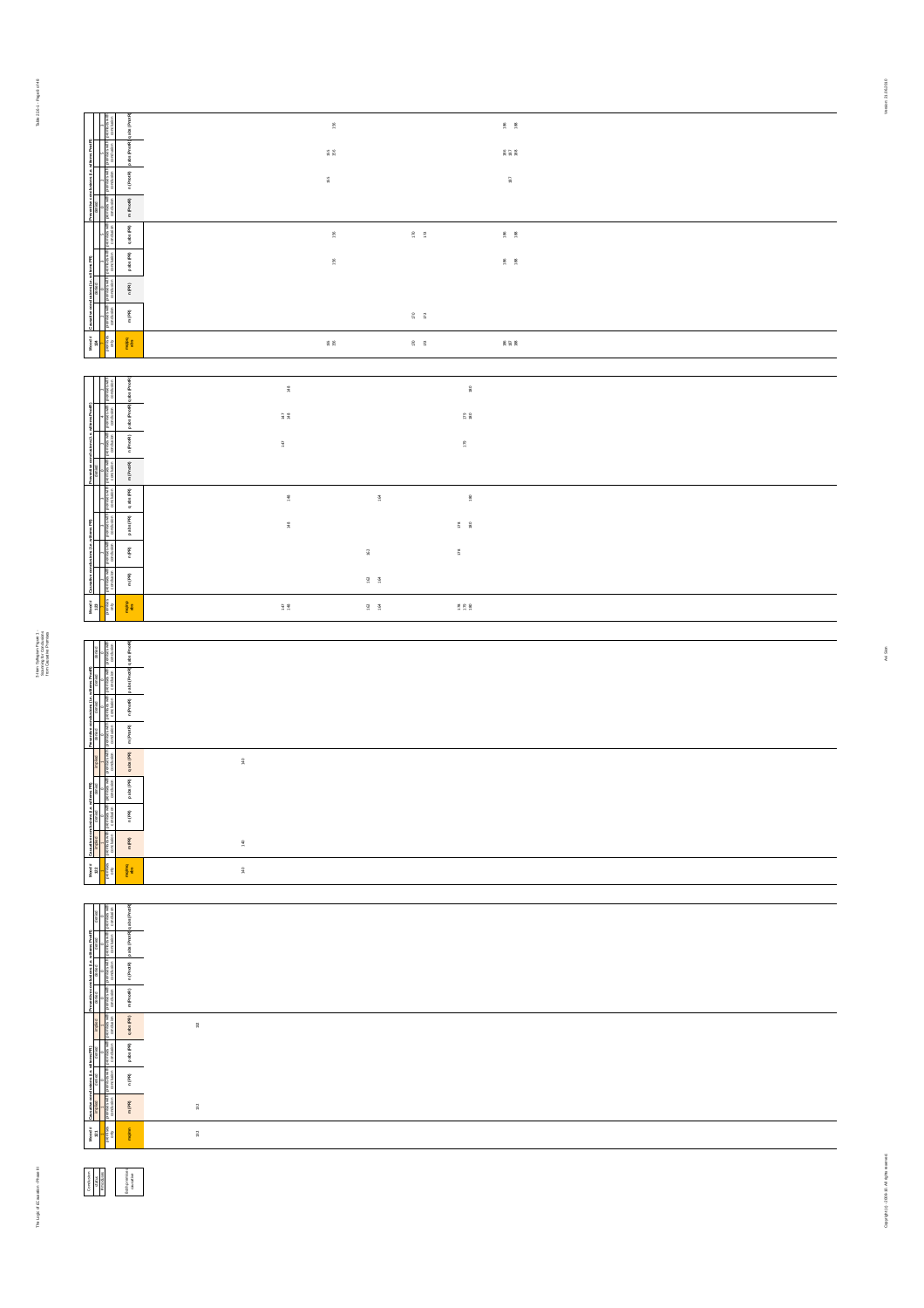|  |  | Ξ |
|--|--|---|
|  |  |   |

Table 22.6-1 - Page 8 of 48

Table 22.6-1 - Page 8 of 48

| š                                                                                                    |                |                                                                                    | $^{\rm 196}$                              |                               |                                                                                        | $\frac{8}{10}$ – $\frac{8}{10}$                           |  |  |
|------------------------------------------------------------------------------------------------------|----------------|------------------------------------------------------------------------------------|-------------------------------------------|-------------------------------|----------------------------------------------------------------------------------------|-----------------------------------------------------------|--|--|
|                                                                                                      |                |                                                                                    | $\substack{55 \\ 156}$                    |                               |                                                                                        | $\frac{8}{13}\frac{8}{13}$                                |  |  |
|                                                                                                      |                |                                                                                    |                                           |                               |                                                                                        |                                                           |  |  |
| ę                                                                                                    |                |                                                                                    | $_{155}$                                  |                               |                                                                                        | $^{\rm 187}$                                              |  |  |
| ę<br>e.                                                                                              |                |                                                                                    |                                           |                               |                                                                                        |                                                           |  |  |
| $q$ ab s $\langle \mathsf{PR} \rangle$                                                               |                |                                                                                    | $\frac{95}{14}$                           | $\frac{1}{2}$ $\frac{1}{2}$   |                                                                                        | $\frac{8}{10}$                                            |  |  |
|                                                                                                      |                |                                                                                    |                                           |                               |                                                                                        |                                                           |  |  |
| $p$ abs (PR)<br>(La w/kems PR)                                                                       |                |                                                                                    | $156\,$                                   |                               |                                                                                        | $\begin{array}{cc} 186 \\ 183 \end{array}$                |  |  |
| $\mathfrak{so}_{w}$                                                                                  |                |                                                                                    |                                           |                               |                                                                                        |                                                           |  |  |
| $\mathfrak{m}(\mathsf{PR})$                                                                          |                |                                                                                    |                                           | $\frac{1}{2}$ . $\frac{1}{2}$ |                                                                                        |                                                           |  |  |
|                                                                                                      |                |                                                                                    |                                           |                               |                                                                                        |                                                           |  |  |
| $\begin{array}{c} \frac{\pi}{2} \\ \frac{\pi}{2} \end{array}$<br>$\frac{g}{\hat{g}}\hat{a}$<br>¦ੈ    |                |                                                                                    | $\begin{array}{c} 155 \\ 156 \end{array}$ | $\frac{1}{n}$ . $\frac{n}{n}$ |                                                                                        | $\begin{array}{c} 8\,6\,8 \\ 3\,8 \\ 1\,8 \\ \end{array}$ |  |  |
|                                                                                                      |                |                                                                                    |                                           |                               |                                                                                        |                                                           |  |  |
|                                                                                                      |                | $^{\rm 143}$                                                                       |                                           |                               | $^{\rm 380}$                                                                           |                                                           |  |  |
| mot <sub>R</sub>                                                                                     |                | $\stackrel{\scriptscriptstyle \sim}{\pi}\stackrel{\scriptscriptstyle \infty}{\pi}$ |                                           |                               | $\mathop{\mathbb{R}^{\otimes}}$                                                        |                                                           |  |  |
| sile.                                                                                                |                | $\frac{m}{m}$                                                                      |                                           |                               | $\frac{2}{n}$                                                                          |                                                           |  |  |
|                                                                                                      |                |                                                                                    |                                           |                               |                                                                                        |                                                           |  |  |
| $m(p \mod R)$                                                                                        |                |                                                                                    |                                           |                               |                                                                                        |                                                           |  |  |
| $\boldsymbol{q}$ abs $(\boldsymbol{PR})$                                                             |                | $\frac{48}{3}$                                                                     |                                           | $\frac{3}{2}$                 | $^{\rm 380}$                                                                           |                                                           |  |  |
| pabs (PR)<br>$\frac{1}{2}$                                                                           |                | $\frac{\omega}{24}$                                                                |                                           |                               | $\mathbb{R}^n$ . $\mathbb{R}^n$                                                        |                                                           |  |  |
| $_{\rm n}$ (PR)                                                                                      |                |                                                                                    |                                           |                               | $\mathbb{R}$                                                                           |                                                           |  |  |
|                                                                                                      |                |                                                                                    | $\mathfrak{A}$                            |                               |                                                                                        |                                                           |  |  |
| $\underset{\mathbf{e}}{\mathbf{e}}$                                                                  |                |                                                                                    | $\begin{array}{c} 162 \\ 164 \end{array}$ |                               |                                                                                        |                                                           |  |  |
| $\begin{array}{c}\n\text{Mod } n \\ \text{mod } n\n\end{array}$<br>$\frac{9}{8}$ is<br>vinus<br>only |                | $\frac{5}{14} \frac{8}{8}$                                                         | $\frac{62}{16}$                           |                               | $\overset{18}{\phantom{1}5} \,\overset{29}{\phantom{1}5} \,\overset{19}{\phantom{1}3}$ |                                                           |  |  |
|                                                                                                      |                |                                                                                    |                                           |                               |                                                                                        |                                                           |  |  |
|                                                                                                      |                |                                                                                    |                                           |                               |                                                                                        |                                                           |  |  |
|                                                                                                      |                |                                                                                    |                                           |                               |                                                                                        |                                                           |  |  |
| qabs (Pre                                                                                            |                |                                                                                    |                                           |                               |                                                                                        |                                                           |  |  |
| 죔                                                                                                    |                |                                                                                    |                                           |                               |                                                                                        |                                                           |  |  |
| ns (i.e. witterns Pro IR)<br>n (ProotR)                                                              |                |                                                                                    |                                           |                               |                                                                                        |                                                           |  |  |
|                                                                                                      |                |                                                                                    |                                           |                               |                                                                                        |                                                           |  |  |
| $m$ (Pn ofR)                                                                                         |                |                                                                                    |                                           |                               |                                                                                        |                                                           |  |  |
| qabs (PR)                                                                                            | $\frac{9}{2}$  |                                                                                    |                                           |                               |                                                                                        |                                                           |  |  |
| $p$ abs (PR)<br>ems <sub>PR)</sub><br>remissa wa<br>oocchaidh                                        |                |                                                                                    |                                           |                               |                                                                                        |                                                           |  |  |
| lons (i.e. w                                                                                         |                |                                                                                    |                                           |                               |                                                                                        |                                                           |  |  |
| $_{\rm n}$ (PR)                                                                                      |                |                                                                                    |                                           |                               |                                                                                        |                                                           |  |  |
| Causative conclu<br><b>Expression</b><br>$\mathfrak{m} \varphi \mathfrak{K}$                         | $\frac{9}{36}$ |                                                                                    |                                           |                               |                                                                                        |                                                           |  |  |
| Mood #<br>$\frac{g}{4\pi}$<br>emis<br>Stil                                                           | $\frac{9}{2}$  |                                                                                    |                                           |                               |                                                                                        |                                                           |  |  |
|                                                                                                      |                |                                                                                    |                                           |                               |                                                                                        |                                                           |  |  |
| q abs (Pnc                                                                                           |                |                                                                                    |                                           |                               |                                                                                        |                                                           |  |  |
|                                                                                                      |                |                                                                                    |                                           |                               |                                                                                        |                                                           |  |  |
|                                                                                                      |                |                                                                                    |                                           |                               |                                                                                        |                                                           |  |  |
| n (ProtR)                                                                                            |                |                                                                                    |                                           |                               |                                                                                        |                                                           |  |  |
| Preventive conclusions (i.e. willems Prodit)<br>Giritori (control) (control)<br>m (ProdR)            |                |                                                                                    |                                           |                               |                                                                                        |                                                           |  |  |
|                                                                                                      | $^{\rm 132}$   |                                                                                    |                                           |                               |                                                                                        |                                                           |  |  |
| $q$ abs (PR)                                                                                         |                |                                                                                    |                                           |                               |                                                                                        |                                                           |  |  |
| p alos (PR)                                                                                          |                |                                                                                    |                                           |                               |                                                                                        |                                                           |  |  |
| $n(\mathsf{PR})$                                                                                     |                |                                                                                    |                                           |                               |                                                                                        |                                                           |  |  |
| ative condustors (i.e. w/terms PR)<br>194 <mark>60 -</mark> Giritid<br>$\frac{m}{m}$                 | $\Xi$          |                                                                                    |                                           |                               |                                                                                        |                                                           |  |  |
| $\sum_{\substack{123\\123}}$<br>ुँ हैं <br>इ                                                         | $^{\rm 132}$   |                                                                                    |                                           |                               |                                                                                        |                                                           |  |  |

Conclusion status # moduses causative Both premises

pylight (c) - 2008-10. All rights reserve

Avi Sion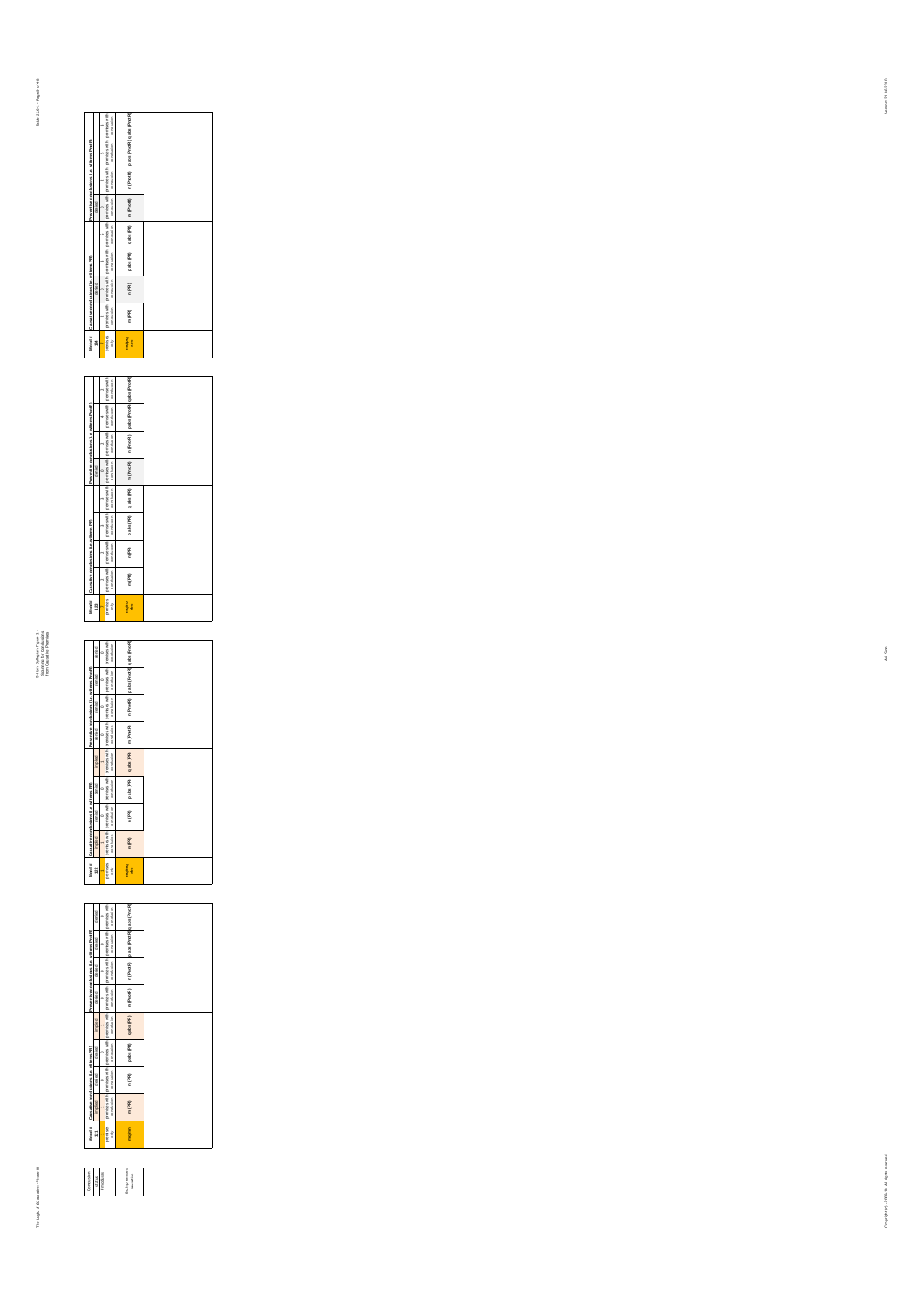| pate (Priot R) q also (PriotR)<br>premises with premises with<br>oondusion<br>denied<br>ċ<br>n (Prooff)<br>candusion<br>denied<br>ö<br>promises with<br>$m(P \text{ model})$<br>combision<br>denied<br>ċ<br>premises with premises with<br>qabs (PR)<br>operation<br>mpland<br>pabs (PR)<br>oondusion<br>denied<br>ö<br>premises with premises with<br>candusion<br>dened<br>n (PR)<br>ö<br>conclusion<br>mpled<br>m(PR)<br>promises<br>mqimn<br>121<br>only | Mood # | Causative con dusions (i.e. w/lears PR) |  | Preventive conclusions (i.e. willems Prooff) |  |                            |
|--------------------------------------------------------------------------------------------------------------------------------------------------------------------------------------------------------------------------------------------------------------------------------------------------------------------------------------------------------------------------------------------------------------------------------------------------------------|--------|-----------------------------------------|--|----------------------------------------------|--|----------------------------|
|                                                                                                                                                                                                                                                                                                                                                                                                                                                              |        |                                         |  |                                              |  | <b>ORCHE</b>               |
|                                                                                                                                                                                                                                                                                                                                                                                                                                                              |        |                                         |  |                                              |  |                            |
|                                                                                                                                                                                                                                                                                                                                                                                                                                                              |        |                                         |  |                                              |  | premises with<br>operation |
|                                                                                                                                                                                                                                                                                                                                                                                                                                                              |        |                                         |  |                                              |  |                            |
|                                                                                                                                                                                                                                                                                                                                                                                                                                                              |        |                                         |  |                                              |  |                            |
|                                                                                                                                                                                                                                                                                                                                                                                                                                                              |        |                                         |  |                                              |  |                            |
|                                                                                                                                                                                                                                                                                                                                                                                                                                                              |        |                                         |  |                                              |  |                            |
|                                                                                                                                                                                                                                                                                                                                                                                                                                                              |        |                                         |  |                                              |  |                            |

Conclusion status # moduses causative Both premises

|                                              |         | conclusion                                                                                                     |                                                                                                         |  |
|----------------------------------------------|---------|----------------------------------------------------------------------------------------------------------------|---------------------------------------------------------------------------------------------------------|--|
|                                              |         | opricion                                                                                                       |                                                                                                         |  |
|                                              |         | oondusion                                                                                                      |                                                                                                         |  |
| Preventive conclusions (i.e. wilters Profit) | dened   | candusion                                                                                                      | pabs (PR) qabs (PR)   m (ProoR)   n (PhoeR)   pabs (ProoR) qabs (ProoR)                                 |  |
|                                              |         | conclusion                                                                                                     |                                                                                                         |  |
|                                              |         | oondusion                                                                                                      |                                                                                                         |  |
| Causative conclusions (i.e. w/kems PR)       | denied  | promises with promises with promises with promises with promises with promises with promises with<br>oondusion | n (PR)                                                                                                  |  |
|                                              |         | promises with<br>candualan                                                                                     | m (PR)                                                                                                  |  |
| <b>Rood #</b>                                | ă       | 200mm 90%<br>č                                                                                                 | g<br>Sa                                                                                                 |  |
|                                              |         |                                                                                                                |                                                                                                         |  |
|                                              |         | oondusion                                                                                                      |                                                                                                         |  |
|                                              |         | candualon                                                                                                      |                                                                                                         |  |
|                                              |         | conclusion                                                                                                     |                                                                                                         |  |
| Preventive conclusions (i.e., witems Prot R) | dinind  | promises with promises with promises with promises with promises with promises with promises with<br>operation | n (PR) paba(PR) qaba(PR)   ത <i>(Proc</i> kR)   n(P <i>roc</i> kR)   paba(ProckR) qaba(P <i>roc</i> kR) |  |
|                                              |         | oondusion                                                                                                      |                                                                                                         |  |
|                                              |         | candusion                                                                                                      |                                                                                                         |  |
| Causalive conclusions (i.e. willems PR)      |         | conclusion                                                                                                     |                                                                                                         |  |
|                                              |         | premises with<br>oonduston                                                                                     | m(PR)                                                                                                   |  |
| Mood #                                       | 123     | Dreamiges<br>γiν.                                                                                              | mains                                                                                                   |  |
|                                              |         |                                                                                                                |                                                                                                         |  |
|                                              | dened   | promises with<br>candusion                                                                                     |                                                                                                         |  |
| Preventive conclusions (i.e. wittens Pro IR) | denied  | Dream sea with<br>conclusion                                                                                   |                                                                                                         |  |
|                                              | dining  | promises with<br>opriduation                                                                                   |                                                                                                         |  |
|                                              | denied  | twith promises with premises with promises with<br>oondusion                                                   | patis (PR) quite (PR) in (PhotR) in (PhotR) puts (PhotR) quite (PhotR)                                  |  |
|                                              | implied | condusion                                                                                                      |                                                                                                         |  |
| (i.e. willems PR)                            | dining  | operation                                                                                                      |                                                                                                         |  |
|                                              | ê<br>Ö  | oondusion<br>premises with premises                                                                            | n (PR)                                                                                                  |  |
| Causative conclusions                        | implied | candusion                                                                                                      | m(pR)                                                                                                   |  |
| Mooda                                        | 122     | promises<br>öπ                                                                                                 | maying<br>3.bs                                                                                          |  |
|                                              |         |                                                                                                                |                                                                                                         |  |
|                                              | dining  | DYNT 905 WITH<br>operation                                                                                     | q abs (PR) m (PnotR) n (PnotR) p abs (PnotR) q abs (PnotR)                                              |  |
| Preventive condusions (i.e. wiltems ProfR)   | denied  | promises with<br>oondusion                                                                                     |                                                                                                         |  |
|                                              | denied  | premises with premises with<br>candusion                                                                       |                                                                                                         |  |
|                                              | dened   | conclusion                                                                                                     |                                                                                                         |  |
|                                              | implied | Dream ses with<br>operation                                                                                    |                                                                                                         |  |
|                                              | denied  | premises with<br>oondusion                                                                                     | pabs (PR)                                                                                               |  |
| ausative conclusions (i.e. w/learns PR)      | dened   | promises with<br>candusion                                                                                     | n (PR)                                                                                                  |  |
|                                              | mpled   | Dream sea with<br>conclusion                                                                                   | m(PR)                                                                                                   |  |
| 10000                                        | 54      | <b>NYTH 90%</b><br>only                                                                                        | ma <sub>rta</sub>                                                                                       |  |

| Causative conclusions (i.e. w/              | denied | ċ | promises with premises with<br>oondusion | n (PR)                                                                  |  |
|---------------------------------------------|--------|---|------------------------------------------|-------------------------------------------------------------------------|--|
|                                             |        |   | condusion                                | m (PR)                                                                  |  |
| Mood #                                      | ă      |   | premises<br>cely                         | š                                                                       |  |
|                                             |        |   |                                          |                                                                         |  |
|                                             |        |   | oondusion                                |                                                                         |  |
|                                             |        |   | premises with premises with<br>condusion |                                                                         |  |
| Preventive conclusions (Le, witems Priot R) |        |   | premises with<br>conclusion              |                                                                         |  |
|                                             | dining | ó | promises with<br>operation               |                                                                         |  |
|                                             |        |   | premises with<br>oondusion               | pabs (PR) qabs (PR)   m (ProtR)   n (ProtR)   pabs (ProtR) qabs (ProtR) |  |
|                                             |        |   | promises with<br>candusion               |                                                                         |  |
| Causalve conclusion süle, wiltems PR)       |        |   | promises with<br>conclusion              | n (PR)                                                                  |  |
|                                             |        |   | premises with<br>oondusion               | m (PR)                                                                  |  |
| Mood #                                      | 123    |   | presumpos<br>γi<br>δ                     | ł                                                                       |  |

Avi Sion

Copyright (c) - 2008-10. All rights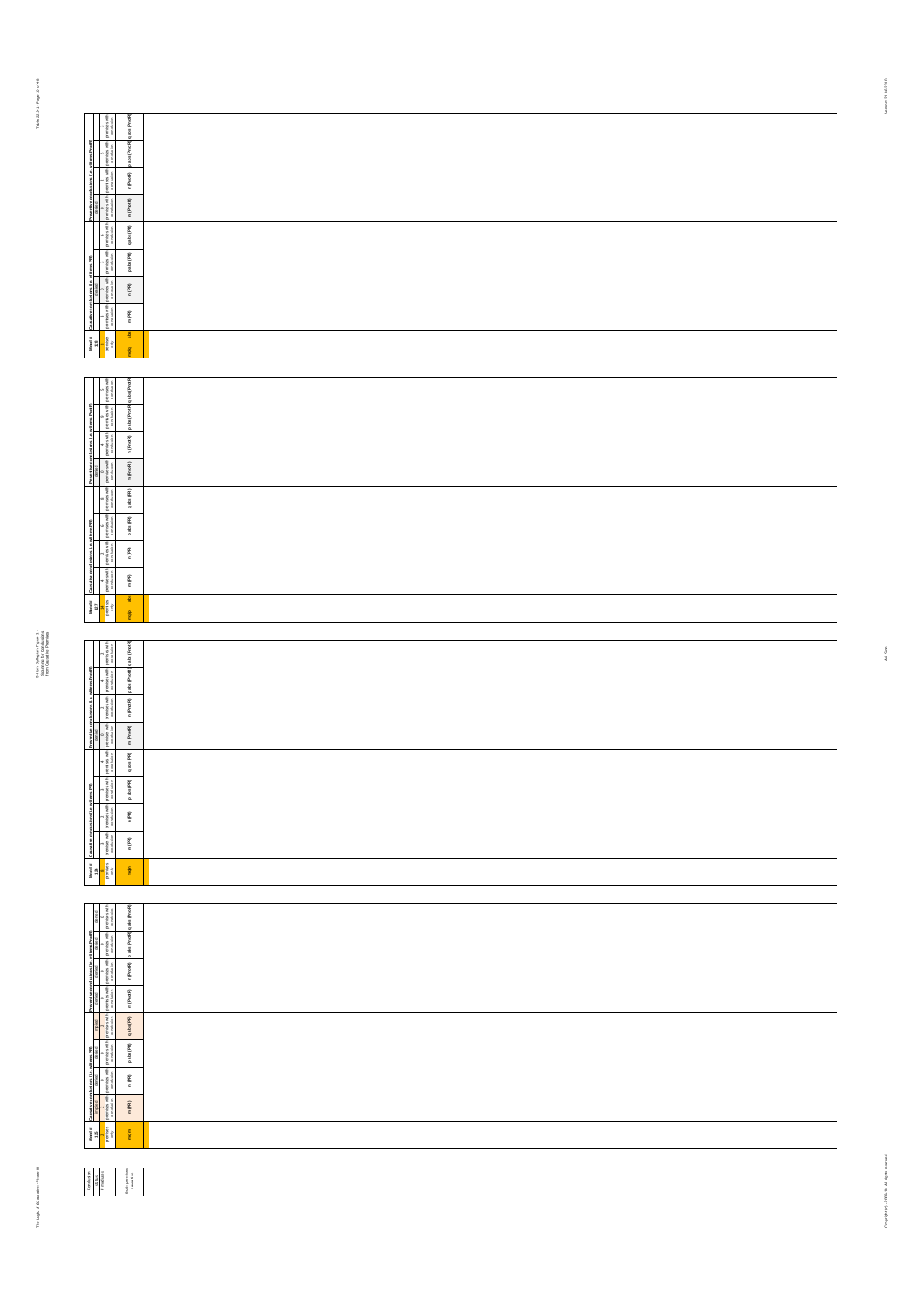Table 22.6-1 - Page 10 of 48

22.6-1 - Page 10 of 48

|        |                                                                                                                                                                                                                               | ି<br>÷.<br>$\sim$                                 |  |
|--------|-------------------------------------------------------------------------------------------------------------------------------------------------------------------------------------------------------------------------------|---------------------------------------------------|--|
|        |                                                                                                                                                                                                                               | or Ry<br>pats (Pr                                 |  |
|        | Perventive conclusions (i.e. wilcoms Proces)<br>- Cented<br>- permission - permission - permission - permission<br>- conclusion - conclusion - conclusion - conclusion<br>- conclusion - conclusion - conclusion - conclusion | $\widehat{\S}$<br>통                               |  |
|        |                                                                                                                                                                                                                               | $\widehat{\mathbf{g}}$<br>$\frac{a}{\epsilon}$    |  |
|        |                                                                                                                                                                                                                               | $q$ abs (PR)                                      |  |
|        | Causaïve condusions (e. wikens PR)<br>- pennae wih - pennae wih - pennae wih<br>- pennae wih - promise wih - pennae wih - pennae wih<br>- conclusion - conclusion - conclusion - conclusion                                   | pates (PR)                                        |  |
|        |                                                                                                                                                                                                                               | $_{\rm n}(\rho\,R)$                               |  |
|        |                                                                                                                                                                                                                               | $\frac{\partial \mathbf{R}}{\partial \mathbf{r}}$ |  |
| Mood # |                                                                                                                                                                                                                               | 澤                                                 |  |
|        |                                                                                                                                                                                                                               |                                                   |  |

|         | is with<br>$\sim$ $\approx$<br>ā.                                                                                                                                                                                    | ø<br>ε<br>$\mathbf{r}$                         |  |
|---------|----------------------------------------------------------------------------------------------------------------------------------------------------------------------------------------------------------------------|------------------------------------------------|--|
|         | Preventive conclusions (i.e. witherms ProcR)<br>- Corbid<br>- portiols on Poemison - permission - procession - pro<br>- portiols on - poemison - conclusion - pro<br>$rac{9}{100}$                                   | 5<br>s<br>$\bullet$                            |  |
|         |                                                                                                                                                                                                                      | $\hat{z}$<br>٩<br>$\epsilon$                   |  |
|         | ™ इ.                                                                                                                                                                                                                 | æ<br>٤                                         |  |
|         | $\frac{4}{3}$ g<br>$\sim$ $\frac{8}{2}$<br>E.                                                                                                                                                                        | $\widehat{\mathsf{g}}$<br>э<br>$\ddot{\sigma}$ |  |
|         | $\frac{1}{\frac{1}{2}}\frac{1}{\frac{1}{2}}\frac{1}{\frac{1}{2}}\frac{1}{\frac{1}{2}}$<br>usions (Le. wileass PR)<br>2<br>compas whippenses of the procession<br>conclusion conclusion<br>$\frac{6}{\text{prumise}}$ | $\mathop{\mathbb{E}}$<br>$\alpha$              |  |
|         | $rac{2}{\frac{2}{2}}$                                                                                                                                                                                                | Ê<br>$\epsilon$                                |  |
| ê<br>o. | 4<br>Idea with<br>Idealon<br>Ιã.                                                                                                                                                                                     | e<br>s                                         |  |
|         |                                                                                                                                                                                                                      | — — <del>— — —</del>                           |  |

| $\frac{3}{\text{norm size}}$<br>q abs (Prooft)                                                                                                                                                                                                                                                                   |  |
|------------------------------------------------------------------------------------------------------------------------------------------------------------------------------------------------------------------------------------------------------------------------------------------------------------------|--|
| Pavantie conclusions (i.e. whereas Profit)<br>- Comics - Comics and pamily permanent parties in parties of parties of parties in parties in parties in the<br>- Combine - Continues - Continues - Continues - Continues - Continues<br>p abs (ProtR)                                                             |  |
| $n$ (P roofR)                                                                                                                                                                                                                                                                                                    |  |
|                                                                                                                                                                                                                                                                                                                  |  |
| $m$ (ProofR)                                                                                                                                                                                                                                                                                                     |  |
| q abs (PR)<br>$\begin{array}{c}\n6 \\ \hline\n6\n\end{array}$                                                                                                                                                                                                                                                    |  |
| p abs (PR)<br>promises with                                                                                                                                                                                                                                                                                      |  |
| $n(\mathsf{PR})$                                                                                                                                                                                                                                                                                                 |  |
| Causative condustors (i.e. witherma PR)<br>3. Seminary - Parties (for the form of a<br>condusion - Produsion - Condusion<br>Condusion - Condusion<br>$\begin{array}{c c}\n3 & \text{with} \\ \hline\n3 & \text{with} \\ \hline\n\end{array}$<br>$m(PR)$                                                          |  |
| $\frac{1}{2}$<br>$\begin{array}{c}\n\text{Mood} \\ \text{M3}\n\end{array}$                                                                                                                                                                                                                                       |  |
| g                                                                                                                                                                                                                                                                                                                |  |
| iguv sesuuod<br>S                                                                                                                                                                                                                                                                                                |  |
| p atos (PhoeR) q atos (PhotR)                                                                                                                                                                                                                                                                                    |  |
|                                                                                                                                                                                                                                                                                                                  |  |
| Preventive conclusions (Le. witerms ProcR)<br>- Oraled - Oral - Andrea Prock<br>- Promission - Promission - Promission - Promission<br>- Promission - Promission - Promission -<br>$\begin{array}{c}\n4 \\ \hline\n1 \\ \hline\n1 \\ \hline\n1 \\ \hline\n1 \\ \hline\n1 \\ \hline\n\end{array}$<br>$n$ (ProofR) |  |
| $m(\hbox{\rm Prox\,R})$                                                                                                                                                                                                                                                                                          |  |
| $\frac{8}{\text{promisan with}}$<br>qabs (PR)                                                                                                                                                                                                                                                                    |  |
| premises with<br>$p$ ats (PR)                                                                                                                                                                                                                                                                                    |  |
| Causative conclusions (i.e. willems PR)<br>$\frac{2}{2}$ promises with<br>$_{\rm n}$ (PR)                                                                                                                                                                                                                        |  |
| $\frac{4}{\sqrt{1}}$<br>$\omega$ or $\omega$                                                                                                                                                                                                                                                                     |  |
| $\frac{1}{2}$<br>$\begin{array}{r} \text{Model } \# \\ \text{for} \\ \text{pounds} \\ \text{pounds} \\ \text{ority} \end{array}$                                                                                                                                                                                 |  |
| $\frac{\Phi}{R}$                                                                                                                                                                                                                                                                                                 |  |
|                                                                                                                                                                                                                                                                                                                  |  |
|                                                                                                                                                                                                                                                                                                                  |  |
| promises with                                                                                                                                                                                                                                                                                                    |  |
| p abs (Prooft) q abs (Prooft)                                                                                                                                                                                                                                                                                    |  |
| $n$ (Pro $\mathfrak{M}$                                                                                                                                                                                                                                                                                          |  |
| Preventive conclusions (i.e. where the most)<br>provided and provided a series of the provided provided and provided provided and provided pro<br>provided and conclusion the provided provided provided and provided provided pro<br>$\mathfrak{m}$ (ProofR)                                                    |  |
| $\begin{array}{c}\n4 \\ \hline\n\end{array}$ promises with                                                                                                                                                                                                                                                       |  |
| $\label{eq:q} \mathsf{p} \, \mathsf{abs}(\mathsf{PR}) \, \left  \, \mathsf{q} \, \mathsf{abs} \, \langle \mathsf{PR} \rangle \right.$                                                                                                                                                                            |  |
| $\mathfrak{g}_{d/\mathfrak{m}}$                                                                                                                                                                                                                                                                                  |  |
|                                                                                                                                                                                                                                                                                                                  |  |
| Causalive conclusions (A. w.W.ems PR)<br> -<br>  pensas uth points a with premises with pro<br> - cardualan   condusion   candualon  <br>$\mathfrak{m}(\mathsf{PR})$                                                                                                                                             |  |
| Mood #<br>126<br>Promises<br>$\frac{\epsilon}{2}$                                                                                                                                                                                                                                                                |  |
|                                                                                                                                                                                                                                                                                                                  |  |
| qabs(Pnot                                                                                                                                                                                                                                                                                                        |  |
|                                                                                                                                                                                                                                                                                                                  |  |
| n (ProofR) pabs (ProofR)                                                                                                                                                                                                                                                                                         |  |
| $m$ (P rooff)                                                                                                                                                                                                                                                                                                    |  |
| <b>Provides</b><br><b>Constant Constant Constant Constant Constant Constant Constant Constant Constant Constant Constant Constant Constant Constant Constant Constant Constant Constant Constant Constant Constant Constant Constant Co</b><br>q abs (PR)                                                        |  |
| $\begin{tabular}{ c c } \hline \multicolumn{1}{ c }{\hspace{-1.5ex}\textbf{m}}\end{tabular}$<br>pats (PR)                                                                                                                                                                                                        |  |
| $\frac{1}{n}$ (PR)                                                                                                                                                                                                                                                                                               |  |
| Causative condusions (Le willense PR)<br>Implied Control of Control<br>Premise with premise with permise of<br>Premise with premise with premise of<br>$\frac{\partial}{\partial t}$                                                                                                                             |  |

| alnied<br>premissa w<br>condusio                                                                                                                                                                                                                 |                                                | qabs@n                                   |  |
|--------------------------------------------------------------------------------------------------------------------------------------------------------------------------------------------------------------------------------------------------|------------------------------------------------|------------------------------------------|--|
|                                                                                                                                                                                                                                                  | pemises with<br>condusion                      | $\frac{2}{8}$<br>abs (Po<br>$\mathbf{a}$ |  |
|                                                                                                                                                                                                                                                  | )<br>aswah promises with I<br>asion conclusion | $\widehat{\mathbf{g}}$<br>통              |  |
| Preventive conclusions (Le, witems Profit)<br>- droitd - derival - derival                                                                                                                                                                       |                                                | $\widehat{\mathbf{g}}$<br>နဲ့            |  |
| ausaces (un windmastrk)<br>- derivation of derivation of <mark>implied derivation of the contract of the contract of the contract of the contract<br/>- contract of conduison of conduison over the conduison of conduison of conduison o</mark> |                                                | $\bf q$ abs $\left( \mathsf{PR}\right)$  |  |
|                                                                                                                                                                                                                                                  |                                                | $\frac{6}{6}$<br>pabs                    |  |
|                                                                                                                                                                                                                                                  |                                                | $_{\rm n}$ (PR)                          |  |
| Causative conduisions (i.e., willems PR)<br>annual ported denied                                                                                                                                                                                 | ta with<br>promises                            | $\mathfrak{m}$ (PR)                      |  |
| Mood #<br>125                                                                                                                                                                                                                                    | amises<br>only                                 | $\frac{1}{2}$                            |  |

Phase III to Logic of ECausation -

Conclusion status # moduses causative Both premises

Copyright (c) - 2008-10. All rights reserved. Avi Sion Version: 21.06.2010

Avi Sion

mim: 2106.2010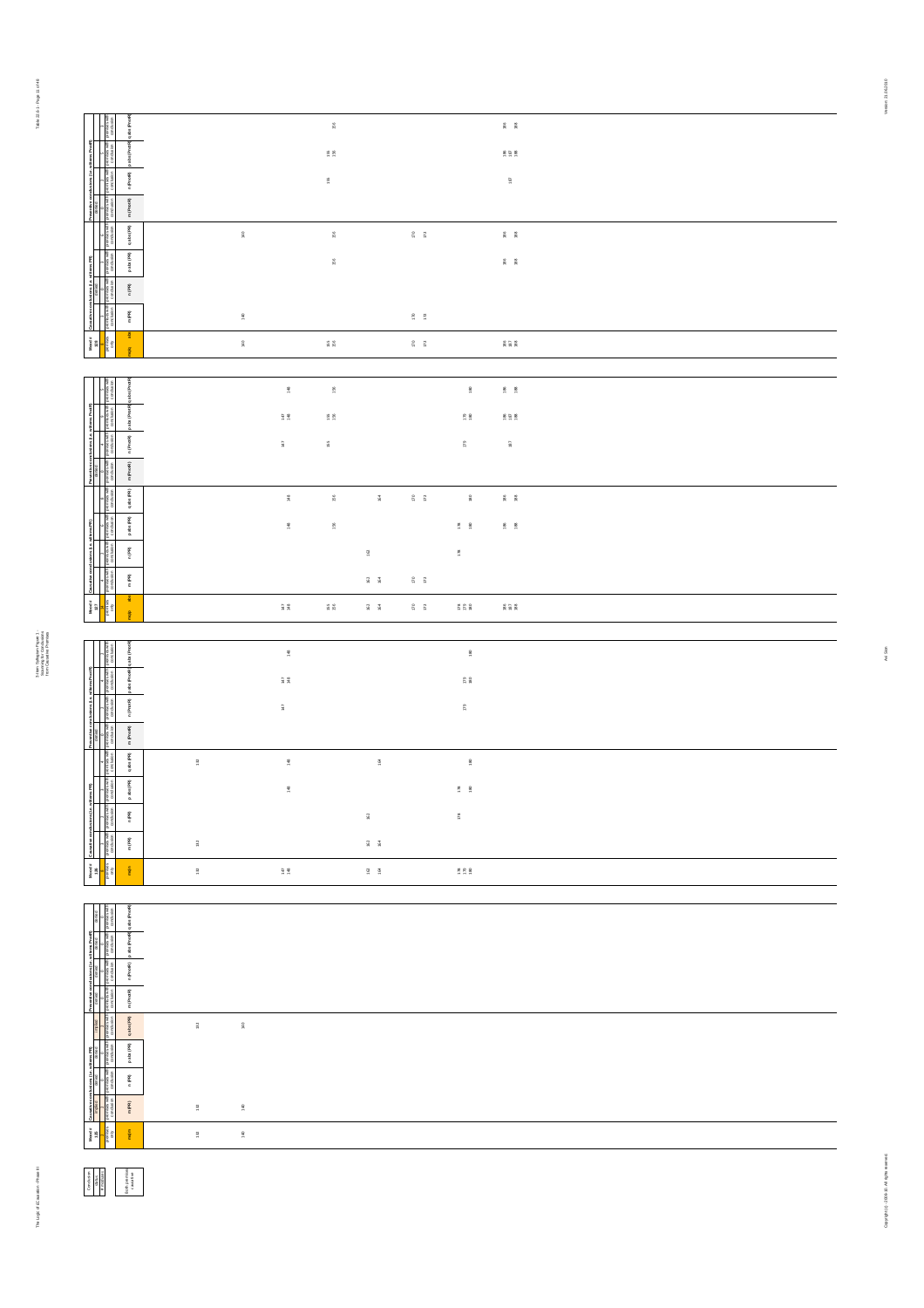|                                                                                               |                          |                 |                                                                        | $_{\rm 156}$                                                       |                                                 |                                               |                                                       | $\frac{96}{18}$                                  |  |  |  |
|-----------------------------------------------------------------------------------------------|--------------------------|-----------------|------------------------------------------------------------------------|--------------------------------------------------------------------|-------------------------------------------------|-----------------------------------------------|-------------------------------------------------------|--------------------------------------------------|--|--|--|
| š                                                                                             |                          |                 |                                                                        | $\substack{156 \\ 156}$                                            |                                                 |                                               |                                                       | $\begin{array}{c} 3.6 \\ 3.3 \\ 1.3 \end{array}$ |  |  |  |
| conclusions (i.e<br>ì                                                                         |                          |                 |                                                                        | $\mathfrak{V}$                                                     |                                                 |                                               |                                                       | $\widetilde{\mathbf{z}}$                         |  |  |  |
| $\mathfrak{m}$ (ProofR)                                                                       |                          |                 |                                                                        |                                                                    |                                                 |                                               |                                                       |                                                  |  |  |  |
|                                                                                               |                          | $\frac{9}{240}$ |                                                                        | $156\,$                                                            |                                                 |                                               |                                                       |                                                  |  |  |  |
| $q$ alos (PR)                                                                                 |                          |                 |                                                                        |                                                                    |                                                 | $\frac{8}{17}$ – $\frac{8}{17}$               |                                                       | $\frac{8}{18}$                                   |  |  |  |
| $p$ abs (PR)<br>witems PR                                                                     |                          |                 |                                                                        | 156                                                                |                                                 |                                               |                                                       | $\frac{8}{18}$                                   |  |  |  |
| $_{\rm n}(\rho\,R)$                                                                           |                          |                 |                                                                        |                                                                    |                                                 |                                               |                                                       |                                                  |  |  |  |
| $\frac{\partial}{\partial t}$                                                                 |                          | $\frac{9}{2}$   |                                                                        |                                                                    |                                                 | $\mathop{\mathbb{R}}_n=\mathop{\mathbb{R}}_n$ |                                                       |                                                  |  |  |  |
| 暑<br>$M_{\rm cool}$ #<br>g.                                                                   |                          | $\frac{9}{240}$ |                                                                        | $\substack{156 \\ 156}$                                            |                                                 | $\frac{1}{n} - \frac{n}{n}$                   |                                                       | $\begin{array}{c} 8.6 \\ 3.8 \\ 1.3 \end{array}$ |  |  |  |
|                                                                                               |                          |                 |                                                                        |                                                                    |                                                 |                                               |                                                       |                                                  |  |  |  |
| abs (ProtR)                                                                                   |                          |                 | $\frac{\infty}{24}$                                                    | $\frac{6}{10}$                                                     |                                                 |                                               | $\frac{\Omega}{20}$                                   | $\frac{9}{21}$ – $\frac{9}{21}$                  |  |  |  |
| witems ProtR)                                                                                 |                          |                 | $\frac{m}{2}$ if                                                       | $\overset{\text{\tiny{92}}}{{}} \, \overset{\text{\tiny{93}}}{{}}$ |                                                 |                                               | $\mathop{\mathbb{R}}\limits^{\infty}_{n}$             | $\frac{16}{12}\frac{52}{12}$                     |  |  |  |
| n (ProofR)                                                                                    |                          |                 | $\frac{5}{24}$                                                         | $155\,$                                                            |                                                 |                                               | $\widetilde{\Sigma}$                                  | $^{\rm 37}$                                      |  |  |  |
| m(Proot R)                                                                                    |                          |                 |                                                                        |                                                                    |                                                 |                                               |                                                       |                                                  |  |  |  |
| q abs (PR)                                                                                    |                          |                 | $\frac{\infty}{24}$                                                    | $\mathfrak{g}_0$                                                   | $\frac{\pi}{2}$                                 | $\frac{8}{10}$ – $\frac{8}{10}$               | $\frac{6}{36}$                                        | $\frac{9}{21}$ – $\frac{9}{21}$                  |  |  |  |
| p also (PR)<br>$100$ PR)                                                                      |                          |                 | $\frac{16}{24}$                                                        | $_{\rm 15}$                                                        |                                                 |                                               | $\begin{array}{cc} 28 \\ 21 \end{array}$              | $\frac{18}{10}$                                  |  |  |  |
|                                                                                               |                          |                 |                                                                        |                                                                    |                                                 |                                               |                                                       |                                                  |  |  |  |
| $\underset{e}{\mathfrak{g}}$                                                                  |                          |                 |                                                                        |                                                                    | $^{\rm 162}$                                    |                                               | $\frac{9}{11}$                                        |                                                  |  |  |  |
| $\mathfrak{g}$ of<br>abs                                                                      |                          |                 |                                                                        |                                                                    | $\frac{52}{164}$                                | $\frac{8}{17}$                                |                                                       |                                                  |  |  |  |
| $\frac{a}{a}$<br>įξ<br>흏                                                                      |                          |                 | $\stackrel{\scriptstyle \sim}{\pi}\stackrel{\scriptstyle \infty}{\pi}$ | $^{55}_{\phantom{1}56}$                                            | $\widetilde{\mathbf{g}}=\widetilde{\mathbf{g}}$ | $\mathbb{S}-\mathbb{S}$                       | $^{8}_{\Lambda}$ $^{8}_{\Lambda}$ $^{9}_{\Lambda}$    | $\frac{9}{8}$ $\frac{5}{8}$ $\frac{9}{8}$        |  |  |  |
|                                                                                               |                          |                 |                                                                        |                                                                    |                                                 |                                               |                                                       |                                                  |  |  |  |
| 喜<br>ProfR)                                                                                   |                          |                 | $\frac{m}{m}$                                                          |                                                                    |                                                 |                                               | $\frac{8}{18}$                                        |                                                  |  |  |  |
|                                                                                               |                          |                 | $\frac{55}{24}$                                                        |                                                                    |                                                 |                                               | $\substack{28\\28}$                                   |                                                  |  |  |  |
|                                                                                               |                          |                 | $\frac{m}{2}$                                                          |                                                                    |                                                 |                                               | $\frac{29}{14}$                                       |                                                  |  |  |  |
| $m$ (ProofR)                                                                                  |                          |                 |                                                                        |                                                                    |                                                 |                                               |                                                       |                                                  |  |  |  |
| $q$ at $\left( \mathsf{PR}\right)$                                                            | $\Xi$                    |                 | $\frac{m}{2}$                                                          |                                                                    | $\frac{3}{16}$                                  |                                               | $\frac{8}{18}$                                        |                                                  |  |  |  |
| $p$ abs (PR)<br>premises with<br>(Roms PR)                                                    |                          |                 | $\frac{9}{14}$                                                         |                                                                    |                                                 |                                               | $\begin{array}{c} 178 \\ 180 \end{array}$             |                                                  |  |  |  |
| conclusions (i.e.<br>$_{\rm n}$ $\rho$ es                                                     |                          |                 |                                                                        |                                                                    | $\mathbf{\hat{s}}$                              |                                               | $\overline{\rm m}$                                    |                                                  |  |  |  |
| $\mathfrak{m}(\mathsf{PR})$<br>Causaive                                                       | $\Xi$                    |                 |                                                                        |                                                                    | $\begin{array}{cc} \Xi & \Xi \end{array}$       |                                               |                                                       |                                                  |  |  |  |
| $\begin{array}{c} \text{Mod } \mathfrak{n} \\ 12 \text{ } \end{array}$<br>$\frac{6}{8}$<br>įξ | $\Xi$                    |                 | $\frac{16}{24}$                                                        |                                                                    | $\begin{array}{cc} \Xi & \Xi \end{array}$       |                                               | $\mathop{\mathbb{R}}\limits^{\infty}_{\infty}$ .<br>8 |                                                  |  |  |  |
|                                                                                               |                          |                 |                                                                        |                                                                    |                                                 |                                               |                                                       |                                                  |  |  |  |
|                                                                                               |                          |                 |                                                                        |                                                                    |                                                 |                                               |                                                       |                                                  |  |  |  |
| 횰                                                                                             |                          |                 |                                                                        |                                                                    |                                                 |                                               |                                                       |                                                  |  |  |  |
| conclusions (i.e. witems Prooft)                                                              |                          |                 |                                                                        |                                                                    |                                                 |                                               |                                                       |                                                  |  |  |  |
| reventive                                                                                     |                          |                 |                                                                        |                                                                    |                                                 |                                               |                                                       |                                                  |  |  |  |
| Ť<br>qabs $\langle \theta R \rangle$                                                          | $\overline{\bf 32}$      | $\frac{9}{140}$ |                                                                        |                                                                    |                                                 |                                               |                                                       |                                                  |  |  |  |
|                                                                                               |                          |                 |                                                                        |                                                                    |                                                 |                                               |                                                       |                                                  |  |  |  |
| pates (PR)<br>witems PR)                                                                      |                          |                 |                                                                        |                                                                    |                                                 |                                               |                                                       |                                                  |  |  |  |
| $_{\rm n}$ (PR)                                                                               |                          |                 |                                                                        |                                                                    |                                                 |                                               |                                                       |                                                  |  |  |  |
| $\mathfrak{m}(\mathsf{PR})$                                                                   | $\widetilde{\mathbf{a}}$ | $\frac{9}{140}$ |                                                                        |                                                                    |                                                 |                                               |                                                       |                                                  |  |  |  |
| Ī                                                                                             | $\overline{\bf 32}$      | $_{\rm 140}$    |                                                                        |                                                                    |                                                 |                                               |                                                       |                                                  |  |  |  |

Copyright (c) - 2008-10. All rights reserved. Avi Sion Version: 21.06.2010

 $4.8$ on

 $\equiv$ 

 $\equiv$ 

3-tem Sytogian Figure 1<br>Scaming for Conduisons<br>from Causative Premises

Table 22.6-1 - Page 11 of 48

9age 11 or 48

Scanning for Conclusions from Causative Premises

The Logic of Economic of Economic of Figure 1 - Phase III 3-Item Sylvan Figure 1 - Phase III 30-Item Sylvan Figure 1 - Phase III 30-Item Sylvan Figure 1 - Phase III 30-Item Sylvan Figure 1 - Phase III 31-Item Sylvan Figure

Conclusion status # moduses causative Both premises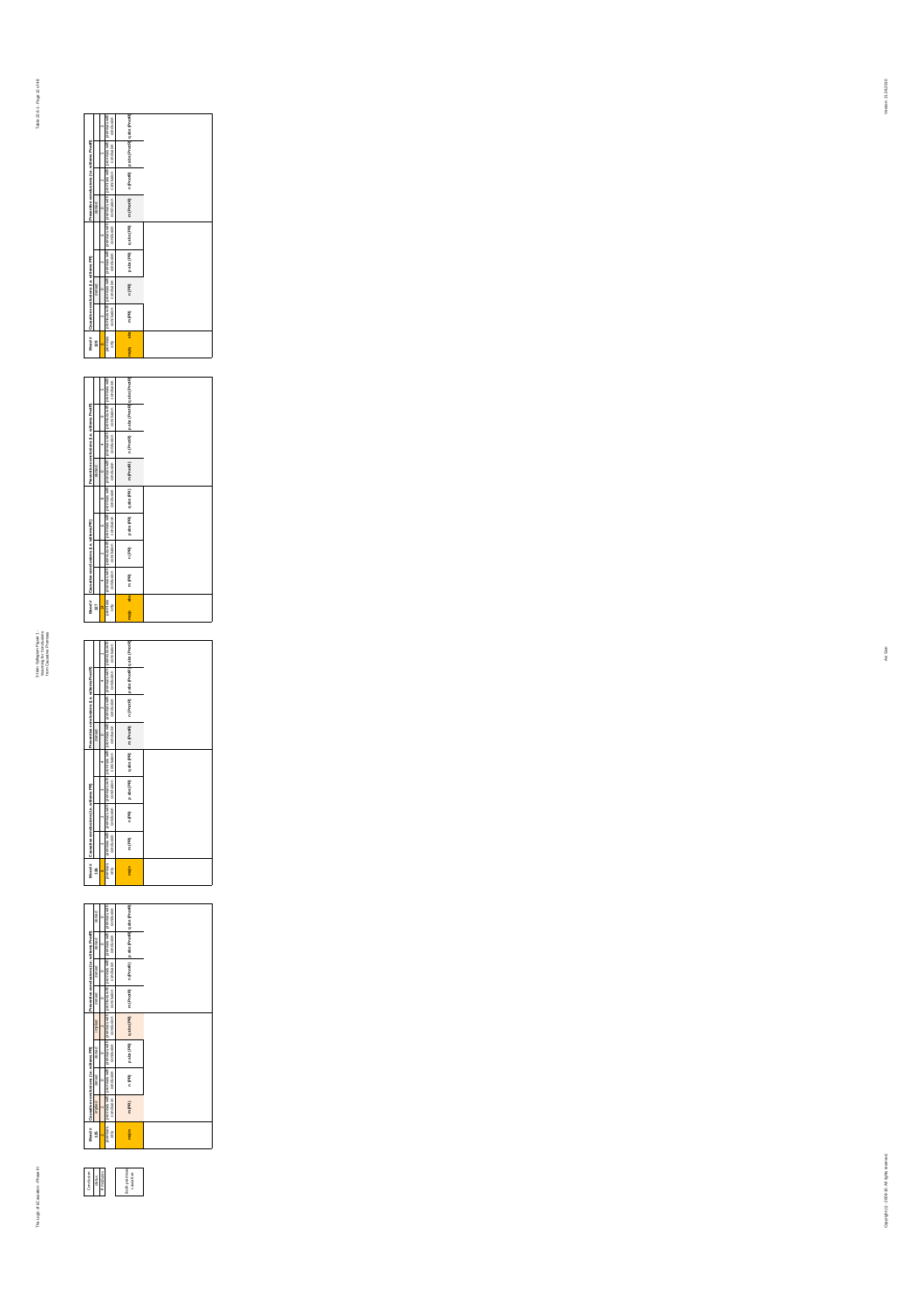Scanning for Conclusions from Causative Premises

3-lam Sylogian Figure 1-<br>Scaming for Conclusions<br>from Causals ve Premises

Conclusion status # moduses causative Both premises

The Logic of ECausation - Phase III

|                                                   |               |    | operation                                                                                   |                                                                        |  |
|---------------------------------------------------|---------------|----|---------------------------------------------------------------------------------------------|------------------------------------------------------------------------|--|
|                                                   |               |    | premises with premises with<br>oondusion                                                    |                                                                        |  |
|                                                   |               |    | premises with<br>condusion                                                                  |                                                                        |  |
| Preventive conclusions (i.e. willens Profit)      | dened         |    | promises with<br>operation                                                                  | pabs (PR) qabs (PR)   m (ProdR)   n (ProdR) pabs (ProtR) q abs (ProdR) |  |
|                                                   |               |    | Dremlees with<br>oondusion                                                                  |                                                                        |  |
|                                                   |               |    | premises with<br>oondusion                                                                  |                                                                        |  |
|                                                   | dened         |    | candusion                                                                                   | n (PR)                                                                 |  |
| Causaire conclusions (i.e. witems PR)             |               |    | compassing or emisses with<br>operation                                                     |                                                                        |  |
| <b>Rood #</b>                                     | 128           |    | 200 m 905<br>č                                                                              | abs m(PR)<br>majq                                                      |  |
|                                                   |               |    |                                                                                             |                                                                        |  |
|                                                   |               |    | oondusion                                                                                   |                                                                        |  |
|                                                   |               |    | condusion                                                                                   |                                                                        |  |
|                                                   |               |    | premises with premises with premises with<br>operation                                      |                                                                        |  |
| Preventive conclusions (i.e. wiltems Pnot R)      | denied        |    | promises with<br>oondusion                                                                  | q abs (PR)   m(PnotR)   n (PnotR)   p abs (Pn otR) q abs (PnotR)       |  |
|                                                   |               |    | condusion                                                                                   |                                                                        |  |
|                                                   |               |    | conclusion                                                                                  |                                                                        |  |
|                                                   |               |    | premises with premises with premises with<br>operation                                      | n (PR) pates (PR)                                                      |  |
| Causative conclusions (i.e. witems PR)            |               |    | ow as annoc<br>oondusion                                                                    |                                                                        |  |
| Mood #                                            | 52            | 14 | premises<br>ğ                                                                               | mate abs m.(PR)                                                        |  |
|                                                   |               |    |                                                                                             |                                                                        |  |
|                                                   |               |    | promises with<br>conclusion                                                                 |                                                                        |  |
|                                                   |               |    | Dream ses with<br>oprobasion                                                                |                                                                        |  |
|                                                   |               |    | premises with<br>oondusion                                                                  |                                                                        |  |
| Preventive conclusions (i.e. w/ltems Prooff)      | dened         |    | promises with<br>candusion                                                                  |                                                                        |  |
|                                                   |               |    | conclusion                                                                                  |                                                                        |  |
|                                                   |               |    | DOW BOB TOWN FOR THE PARTIES OF THE WAY TO BE THE REAL FOR THE REAL PARTIES OF<br>oondusion | pabs (PR) qabs (PR) = m (PnoR) = n (Pno R) pabs (PnoR) qabs (PnoR)     |  |
| (i.e. w/kems PR)                                  |               |    | oondusion                                                                                   | n@R                                                                    |  |
| Causative conclusions                             |               |    | candualan                                                                                   | m(pR)                                                                  |  |
| Mood #                                            | ×             |    | only<br>DYOTH 50%                                                                           | mon.                                                                   |  |
|                                                   |               |    |                                                                                             |                                                                        |  |
|                                                   | dicial        |    | condusion                                                                                   |                                                                        |  |
|                                                   |               |    |                                                                                             |                                                                        |  |
|                                                   | denied        |    |                                                                                             |                                                                        |  |
|                                                   | denied        |    | candusion                                                                                   |                                                                        |  |
|                                                   | dinied        |    | conclusion                                                                                  |                                                                        |  |
| Preventive conclusions (i.e., wilterns Prooff)    |               |    | promises with premises with premises with premises with<br>operation                        |                                                                        |  |
|                                                   | implied       |    | premises with<br>oondusion                                                                  | q abs (PR) = m (P notR) = n (P notR) = p abs (PnotR) q abs (P notR)    |  |
|                                                   | denied        |    | condusion                                                                                   | pats (PR)                                                              |  |
|                                                   | dened         |    | promises with premises with<br>conclusion                                                   | n (PR)                                                                 |  |
| Causative condusions (i.e. wilterns PR)<br>food # | mplied<br>125 |    | Dream sea with<br>oorclusion<br>comises<br>only                                             | m(m)<br>mont                                                           |  |

| Mood#            |                             | Causative conclusions (i.e. wiltems PR) |                                          |                            |                             | Preventive conclusions (i.e. witems Prooft) |                                |                            |
|------------------|-----------------------------|-----------------------------------------|------------------------------------------|----------------------------|-----------------------------|---------------------------------------------|--------------------------------|----------------------------|
| 128              |                             | dened                                   |                                          |                            | dened                       |                                             |                                |                            |
| $\bullet$        |                             | $\circ$                                 |                                          |                            | $\circ$                     |                                             |                                |                            |
| promises<br>only | promises with<br>conclusion | candusion                               | promises with premises with<br>oondusion | promises with<br>oondusion | promises with<br>conclusion | promises with<br>candusion                  | premises with<br>oondusion     | premises with<br>operation |
| ã<br><b>B</b>    | m(PR)                       | n (PR)                                  | pabs (PR)                                | qabs (PR)                  | m (P node R)                | n (ProofR)                                  | pates (Priot R) q abs (P notR) |                            |
|                  |                             |                                         |                                          |                            |                             |                                             |                                |                            |
|                  |                             |                                         |                                          |                            |                             |                                             |                                |                            |

Version: 21.06.2010

Avi Sion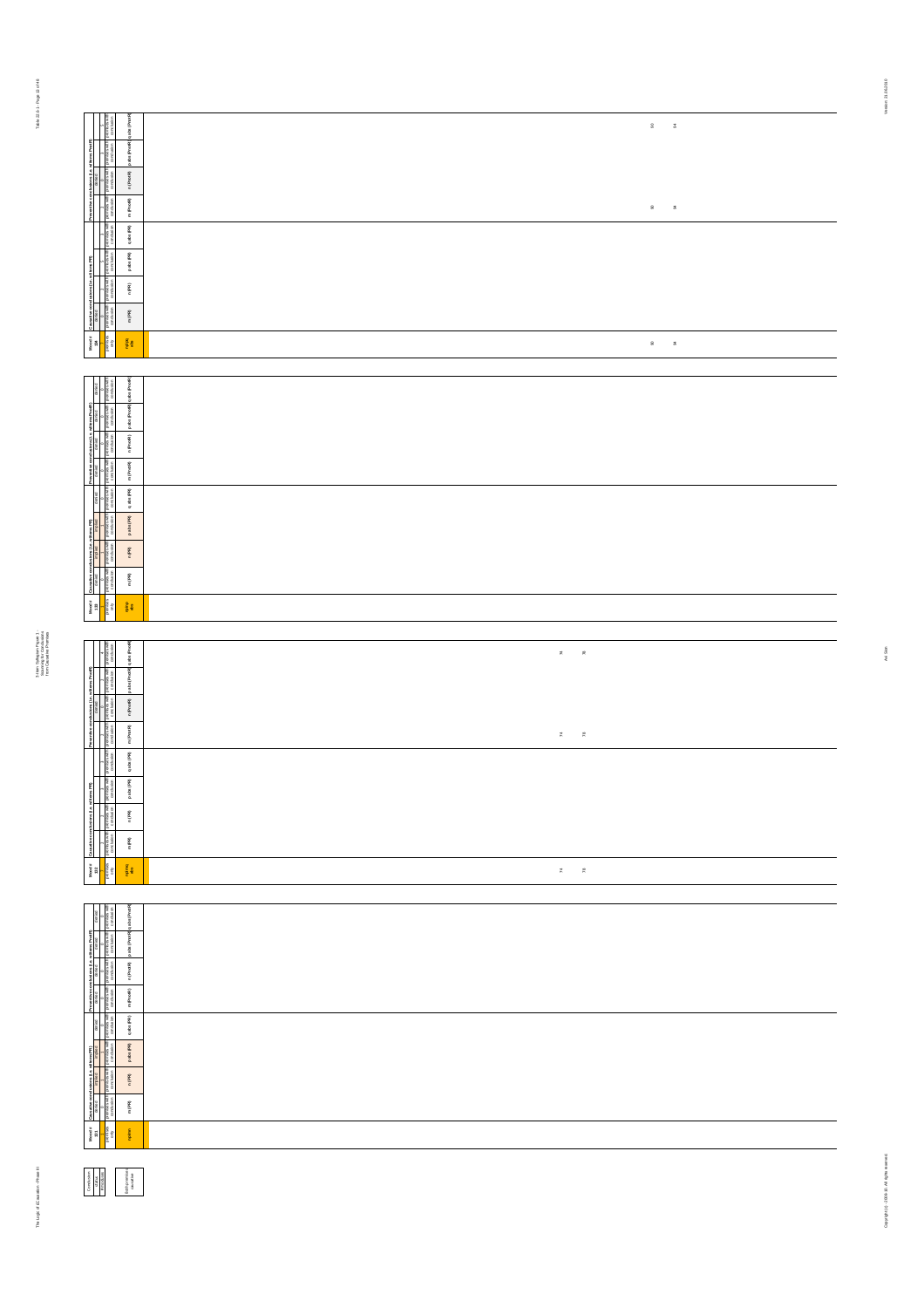| qabs (PnotR)<br>a<br>costae<br>company<br>Preventive condustors (i.e. witems Pnotif)<br>Conjust<br>p abs (Prooft)<br>n (Pn ofR)<br>remises with<br>oordusion<br>premises with<br>condusion<br>$m$ (ProofR)<br>$q$ ab s $\langle \mathsf{PR} \rangle$<br>premises with<br>conclusion<br>Causative conclusions (A. ou Memo PR)<br> -<br>  penicol adhi pointe auth premiers with pro<br>  condusion   condusion   condusion  <br>$p$ abs $(PR)$<br>$_{\rm n}$ $\varphi$ eq<br>$\mathfrak{m}(\mathsf{PR})$<br>Mood #<br>134<br>Promises<br>$\frac{g}{\frac{g}{2}}\xi$ | $\mathbb{S}$<br>$\overline{\mathcal{S}}$<br>$^{\circ}$<br>$\qquad$                     |
|--------------------------------------------------------------------------------------------------------------------------------------------------------------------------------------------------------------------------------------------------------------------------------------------------------------------------------------------------------------------------------------------------------------------------------------------------------------------------------------------------------------------------------------------------------------------|----------------------------------------------------------------------------------------|
| abs (Pro IR) q abs (P noti<br>$n$ (ProofR)<br>m (ProotR)<br>qabs $\langle \theta R \rangle$<br>Date of sqr<br>$_{n\,(\mathrm{PR})}$<br>$\frac{\partial}{\partial t}$<br>$\frac{8}{5}$                                                                                                                                                                                                                                                                                                                                                                              |                                                                                        |
| qabs (ProfR)<br>Preventive conclusions (i.e. w.hems Pno IR)<br>pabs (ProdR)<br>$n$ (Proot R)<br>$m$ (Pn ofR)<br>2<br>premises with<br>condusion<br>pramises with<br>condusion<br>qabs (PR)<br>$p$ ab s (PR)<br>s<br>premises with<br>conclusion<br>(i.e. witterms PR)<br>swth promises with<br>sion conclusion<br>$\frac{1}{n}$<br>Causative conclusions<br>$\mathfrak{so}_{\mathfrak{g}}$<br>$rac{7}{p \sin 965}$<br>$\frac{\pi}{45}$<br>$\frac{g}{\frac{g}{\alpha}}\xi$                                                                                          | $\mathbb R$<br>$\approx$<br>$\mathbb R$ – $\mathbb R$<br>$\mathbb R$<br>$\,$ $\,$ $\,$ |
| pabs(ProtR)qabs(Pro<br>Countering the state of a strength of the state of the state of the state of the state of the state of the state of the state of the state of the state of the state of the state of the state of the state of the state of t<br>n (Prooft)<br>$m(p \text{ node})$<br>$q$ abs $(\sf PR)$<br>$p$ abs $\langle \theta R \rangle$<br>$n$ (PR)<br>$\frac{\partial}{\partial t}$<br>$\frac{M \cos \theta}{131}$<br>nomises<br>nplmn                                                                                                              |                                                                                        |

Conclusion status # moduses causative Both premises

Copyright (c) - 2008-10. All rights reserved. Avi Sion Version: 21.06.2010

Avi Sion

lenion: 21.06.2010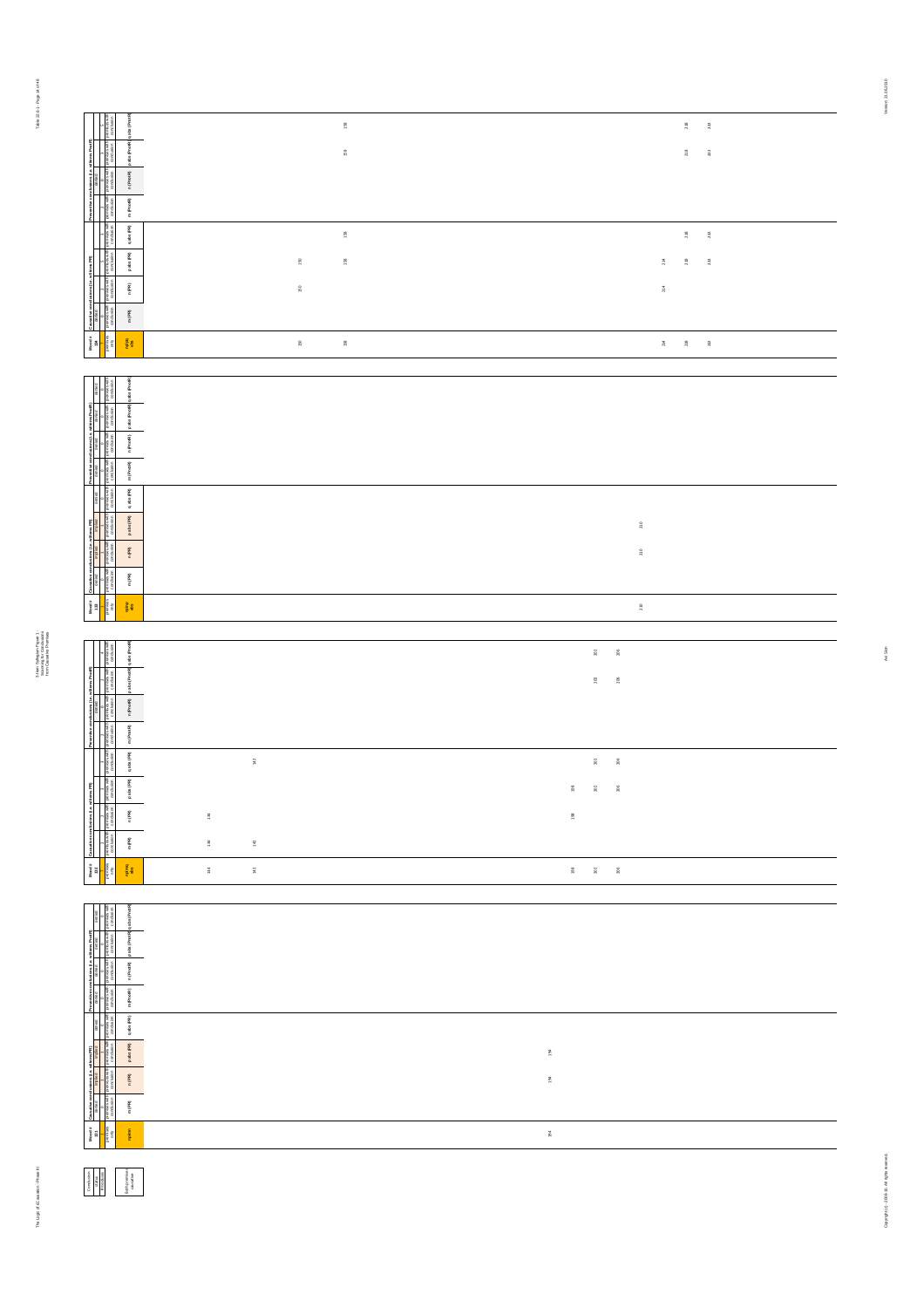| $\frac{5}{6}$                                                                                                            | $\widetilde{u}$  | $_{\rm 28}^{\rm 38}$<br>$\overline{\mathrm{m}}$                                                                        |
|--------------------------------------------------------------------------------------------------------------------------|------------------|------------------------------------------------------------------------------------------------------------------------|
| Preventive con dusions (i.e. wilsens Pnofit)                                                                             | $_{\rm 158}$     | $\overline{z}$<br>$_{\rm 22}$                                                                                          |
|                                                                                                                          |                  |                                                                                                                        |
| $m(p \text{ node})$<br>$q$ ab s $\left( \mathsf{PR}\right)$                                                              | $\frac{38}{14}$  | $\mathbf{g}^{\dagger}=\mathbf{g}$                                                                                      |
| $p$ abs (PR)<br>$_{\rm 150}$                                                                                             | $_{\rm 158}$     | $\frac{\pi}{\pi}$<br>$\frac{33}{21}$                                                                                   |
| $_{\alpha \, \rho \, R}$<br>$\mathop{\mathrm{g}}\nolimits$                                                               |                  | $\vec{n}$                                                                                                              |
| Causative conclusions (i.e. w/tems PR)<br>$\mathfrak{m}(\mathsf{PR})$                                                    |                  |                                                                                                                        |
| $\begin{array}{c}\n\text{Mod } x \\ \hline\n134\n\end{array}$<br>amises<br>only<br>$\frac{g}{\theta}$ is<br>$_{\rm 150}$ | $\frac{33}{13}$  | $\ddot{\mathbf{a}}$ , $\ddot{\mathbf{a}}$ , $\ddot{\mathbf{a}}$                                                        |
|                                                                                                                          |                  |                                                                                                                        |
| dos (Pro                                                                                                                 |                  |                                                                                                                        |
| $\widehat{\mathbf{g}}$                                                                                                   |                  |                                                                                                                        |
| Preventive conclusions (Le. witems Protif)<br>distribution - Denied - denied -<br>$m(p \mod R)$                          |                  |                                                                                                                        |
| denied<br>q abs (PR)                                                                                                     |                  |                                                                                                                        |
| p abs $\langle \mathsf{PR} \rangle$                                                                                      |                  | $_{\rm 20}$                                                                                                            |
| Causative conclusions (i.e. wileans PR)<br>General Registration<br>$_{\rm n}$ (PR)                                       |                  | $^{\rm 3}$                                                                                                             |
| $\frac{\partial \mathbf{R}}{\partial \mathbf{r}}$                                                                        |                  |                                                                                                                        |
| $M_{\rm cool}$<br>imises<br>only<br>$\frac{1}{2} \frac{1}{2}$                                                            |                  | $_{\rm 210}$                                                                                                           |
|                                                                                                                          |                  | $\widetilde{\mathbf{a}}$ , $\widetilde{\mathbf{a}}$                                                                    |
|                                                                                                                          |                  |                                                                                                                        |
|                                                                                                                          |                  | $\mathbb{S}^n$ .                                                                                                       |
| ě                                                                                                                        |                  |                                                                                                                        |
| Preventive conclusions (i.e. wittens Pho IR)<br>$m$ (Pn ofR)                                                             |                  |                                                                                                                        |
| qabs (PR)<br>$\frac{\alpha}{2}$                                                                                          |                  | $\mathbbmss{g}$ as                                                                                                     |
| $p$ abs $\langle \theta   R \rangle$                                                                                     |                  | $^{\rm 198}$<br>$\begin{matrix} 2 & 0 \\ 0 & 0 \\ 0 & 0 \end{matrix}$                                                  |
| $\frac{1}{n}$ (PR)<br>$\frac{34}{13}$                                                                                    |                  | $^{\rm 98}$                                                                                                            |
| $\mathfrak{m}$ (PR)<br>$\tilde{\Xi}$<br>$\frac{\alpha}{\alpha}$                                                          |                  |                                                                                                                        |
| $\frac{g}{\frac{3}{2}}\frac{g}{4}$<br>$\frac{\pi}{\epsilon}$<br>$\frac{\alpha}{\alpha}$                                  |                  | $\begin{matrix} \mathfrak{B} & \mathfrak{B} & \mathfrak{B} \\ \mathfrak{A} & \mathfrak{B} & \mathfrak{B} \end{matrix}$ |
| q also (Prod                                                                                                             |                  |                                                                                                                        |
|                                                                                                                          |                  |                                                                                                                        |
| $n$ (P roofR)                                                                                                            |                  |                                                                                                                        |
| Preventive condusions (i.e. witems Prooft)<br>- deriva - deriva - deriva - debia<br>$m(p \text{ node})$                  |                  |                                                                                                                        |
| $q$ abs $(PR)$<br>denied                                                                                                 | $^{\rm 194}$     |                                                                                                                        |
| $p$ abs $\langle \theta R \rangle$<br>$n$ (PR)                                                                           | $\frac{\pi}{20}$ |                                                                                                                        |
| $\frac{60}{10}$                                                                                                          |                  |                                                                                                                        |
| compa<br>compa                                                                                                           | $\frac{34}{2}$   |                                                                                                                        |

Copyright (c) - 2008-10. All rights reserved. Avi Sion Version: 21.06.2010

Avi Sion

overan anth IV 01-8002 - (c) applica

lenion: 21.06.2010

3-lam Sylogian Figure 1<br>Sauming for Conduisions<br>from Causative Premises The Logic of Economic of Economic of Figure 1 - Phase III 3-Item Sylvism Figure 1 - Phase III 30-Item Sylvism Figure 1 - Phase III 30-Item Sylvism Figure 1 - Phase III 30-Item Sylvism Figure 1 - Phase III 30-Item Sylvism F Scanning for Conclusions from Causative Premises

Conclusion status # moduses causative Both premises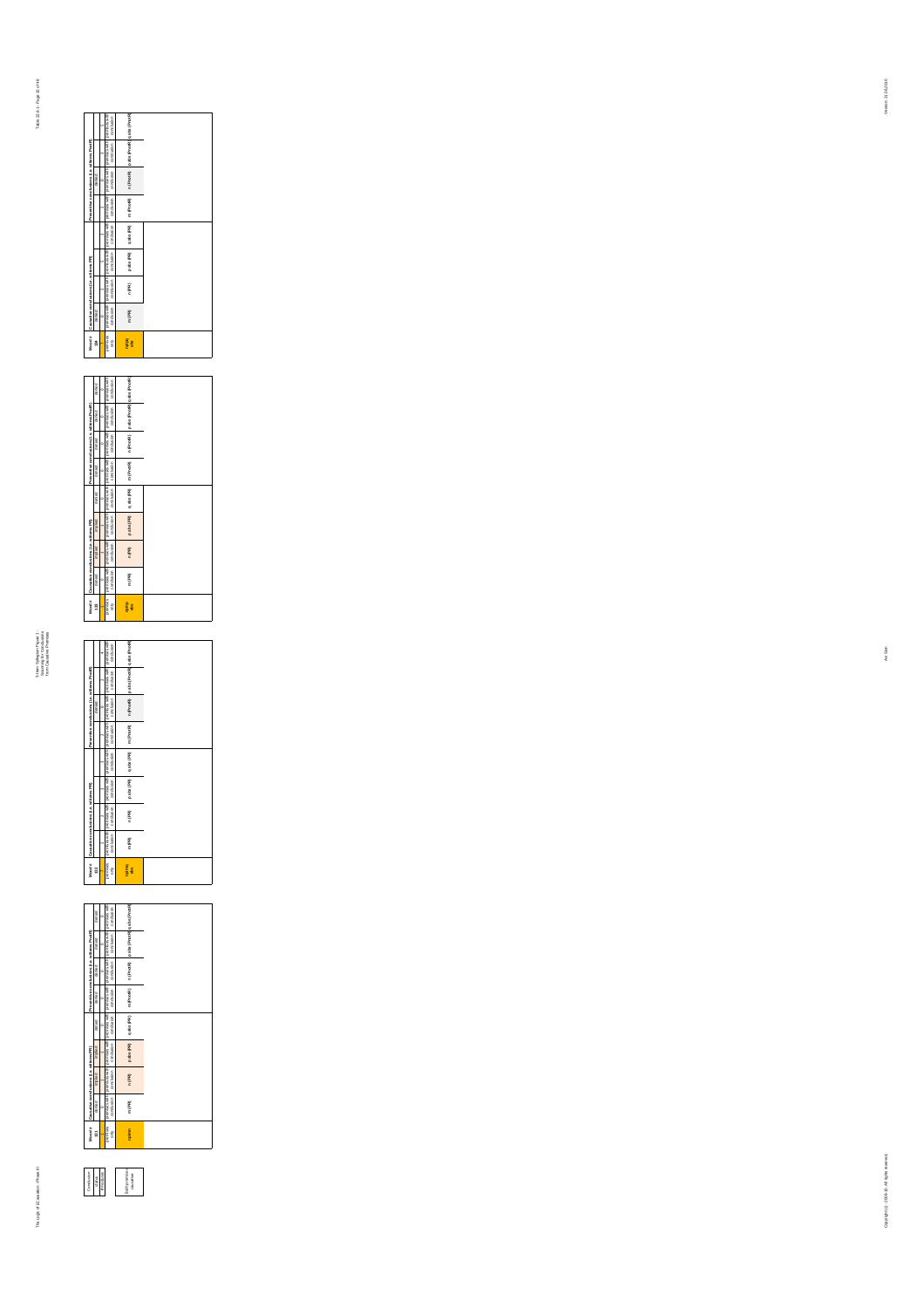The Logic of ECausation - Phase III

Conclusion status # moduses causative

|                                                 |         |                                                                 | oorcha                 |                                                                                   |  |
|-------------------------------------------------|---------|-----------------------------------------------------------------|------------------------|-----------------------------------------------------------------------------------|--|
|                                                 |         |                                                                 | oondusion              |                                                                                   |  |
|                                                 | denied  |                                                                 | oondusion              |                                                                                   |  |
| Preventive conclusions (i.e. wiltems ProfR)     |         | premises with premises with premises with premises with premise |                        | en (PR) patos(PR) qabos(PR) qabos(PR) mi(ProceR) n (PnoceR) patos(ProceR) qabos(P |  |
|                                                 |         |                                                                 | onclusion condusion    |                                                                                   |  |
|                                                 |         | premises with                                                   | oondusion              |                                                                                   |  |
| ausative conclusions (i.e. witness PR)          |         | premises with                                                   | oondusion              |                                                                                   |  |
|                                                 | dened   | promises with                                                   | condusion              |                                                                                   |  |
| Mood#                                           | ă       | premises                                                        | only                   | g<br>§ä                                                                           |  |
|                                                 |         |                                                                 |                        |                                                                                   |  |
|                                                 | denied  | promises with promises with                                     | opridualon             |                                                                                   |  |
| Preventive conclusions (i.e., willens Prot R)   | denied  |                                                                 | candusion              | n (PR) patos (PR) quite (PR) m (ProtR) n (ProtR) patos (ProtR) quite (ProtR),     |  |
|                                                 | denied  | premises with premises with                                     | conclusion             |                                                                                   |  |
|                                                 | denied  |                                                                 | condusion corclusion   |                                                                                   |  |
|                                                 | denied  | promises with promises with premises with                       |                        |                                                                                   |  |
|                                                 | implied |                                                                 | candualon              |                                                                                   |  |
| causative conclusion s (i.e., witems PR)        | mpled   |                                                                 | operation              |                                                                                   |  |
|                                                 | denied  | vermises with                                                   | oondusion              | m(m)                                                                              |  |
| Mood#                                           | 133     | premises                                                        | ă                      | nping<br>abs                                                                      |  |
|                                                 |         |                                                                 |                        |                                                                                   |  |
|                                                 |         | premises with premises with                                     | canduaion<br>operation | patis (PR)   qabs (PR)   m (PhoR)   n (PhoR)   patis (PhoR)   qabs (PhoR)         |  |
| Preventive conclusions (i.e. wittens Pno tR)    | denied  | premises with                                                   |                        |                                                                                   |  |
|                                                 |         |                                                                 | condusion condusion    |                                                                                   |  |
|                                                 |         | amises with premises with premises with premises with           |                        |                                                                                   |  |
|                                                 |         |                                                                 | occlusion condusion    |                                                                                   |  |
| tusative conclusions (i.e. wiltems PR)          |         |                                                                 | oondusion              | n(98)                                                                             |  |
|                                                 |         | premises with                                                   | candusion              |                                                                                   |  |
| Mood#                                           | ä       | D' 971 985                                                      |                        | g<br>An                                                                           |  |
|                                                 |         |                                                                 |                        |                                                                                   |  |
|                                                 | dining  | DYNT 905 WET                                                    | operation              |                                                                                   |  |
|                                                 | denied  | promises with                                                   | oondusion              |                                                                                   |  |
| Preventive condusions (i.e. witems Profit)      | denied  | promises with                                                   | candualon              | pate (PR) qate (PR) m (PnotR) n (PnotR) pate (PnotR) quite (PnotR)                |  |
|                                                 | denied  | promises with                                                   | conclusion             |                                                                                   |  |
|                                                 | dining  | DYRITTI SIG WITH                                                | oprobasion             |                                                                                   |  |
|                                                 | implied | Departments.                                                    | oondusion              |                                                                                   |  |
|                                                 | implied | premises with                                                   | condusion              | $n(pR)$ The                                                                       |  |
|                                                 |         |                                                                 |                        |                                                                                   |  |
| ausative conclusions (i.e. w/lears PR)<br>Mood# | denied  | 200m ses with<br>Vtm 505                                        | conclusion             | m(PR)<br><b>District</b>                                                          |  |

Scanning for Conclusions from Causative Premises

3-lam Sylogian Figure 1-<br>Scaming for Conclusions<br>from Causals ve Premises

| Caustin<br>Mood #                           | denie   | $\circ$ | promises<br>candus           | å                                       |  |
|---------------------------------------------|---------|---------|------------------------------|-----------------------------------------|--|
|                                             | ð       |         | premises<br>cely             | g s                                     |  |
|                                             | denied  |         | premises with<br>opedualon   |                                         |  |
|                                             | denied  | ۰       | promises with<br>candusion   | n (Prooft) pabs (Pro tit) qabs (Prooft) |  |
| Preventive conclusions (Le, witems Priot R) | dened   | $\circ$ | promises with<br>conclusion  |                                         |  |
|                                             | dining  | ö       | premises with<br>operation   | m (ProtR)                               |  |
|                                             | denied  | ö       | premises with<br>oondusion   | qabs (PR)                               |  |
| toms PR)                                    | implied |         | or amissis with<br>canausson | pates (PR)                              |  |

|                                              |         | DOWN 905 WIT<br>conclusion                                           |                                                                               |  |
|----------------------------------------------|---------|----------------------------------------------------------------------|-------------------------------------------------------------------------------|--|
|                                              |         | oondusion                                                            | n (PR) pabo(PR) qabs(PR)   നുPnofR)   n (PhocR)   pabo (PnofR)   qabs (PnofR) |  |
|                                              | denied  | oondusion                                                            |                                                                               |  |
| Preventive conclusions (i.e. willens PnotR)  |         | premises with premises with premises with premises with<br>candusion |                                                                               |  |
|                                              |         | conclusion                                                           |                                                                               |  |
|                                              |         | premises with<br>oondusion                                           |                                                                               |  |
|                                              |         | premises with<br>oondusion                                           |                                                                               |  |
| Causative conclusions (i.e. w/kems PR)       | denied  | rom ses with<br>candusian                                            | m (PR)                                                                        |  |
| Mood #                                       | ă       | DY01TTI 50%<br>č                                                     | g<br>Ga                                                                       |  |
|                                              |         |                                                                      |                                                                               |  |
|                                              | denied  | opridusion                                                           |                                                                               |  |
|                                              | denied  | premises with premises with<br>candusion                             |                                                                               |  |
|                                              | denied  | promises with<br>conclusion                                          | n (Prooff) pabs (Pro tR) qabs (Prooff)                                        |  |
| Preventive conclusions (i.e. witems Prot R)  | denied  | operchasion                                                          | m (ProtR)                                                                     |  |
|                                              | denied  | premises with premises with<br>oondusion                             |                                                                               |  |
|                                              | implied | promises with<br>condusion                                           |                                                                               |  |
|                                              | mpled   | promises with<br>conclusion                                          | n (PR) pates (PR) qabs (PR)                                                   |  |
| Causalive conclusions (i.e. willems PR)      | denied  | oromises with<br>oondusion                                           | m(PR)                                                                         |  |
| Mood #                                       | 133     | 200mlses<br>ă                                                        | nphp<br>355                                                                   |  |
|                                              |         |                                                                      |                                                                               |  |
|                                              |         | premises with<br>candusion                                           |                                                                               |  |
|                                              |         | Dream sea with<br>conclusion                                         |                                                                               |  |
|                                              | dining  | opriduation                                                          |                                                                               |  |
| Preventive conclusions (i.e. wittens Pno tR) |         | premises with Dramises with premises with premises with<br>oondusion | pabs(PR)   qabs (PR)   m (PhotR)   n (ProtR)   pabs (ProtR) qabs (ProtR)      |  |
|                                              |         | condusion                                                            |                                                                               |  |
| Alterns PR)                                  |         | conclusion                                                           |                                                                               |  |
|                                              |         | premises with<br>opriduation                                         | n (PR)                                                                        |  |
| Causative conclusions (i.e. w                |         | promises with<br>candusion                                           | m (PR)                                                                        |  |
| Mood#                                        | ä       | promises<br>ğ                                                        | រ្តិ៍ ឆ្ន                                                                     |  |
|                                              |         |                                                                      |                                                                               |  |
|                                              | diciero | DYNT 905 WET<br>operation                                            |                                                                               |  |
|                                              | denied  | comises with<br>oondusion                                            |                                                                               |  |
|                                              | denied  | premises with<br>candusion                                           |                                                                               |  |
| reventive condusions (i.e. witems Profit)    | denied  | promises with<br>corchasion                                          | m (ProdR) n (ProdR) pubs (ProtR) quite (ProdR)                                |  |
|                                              | dining  | Dream ses with<br>operation                                          | qabs (PR)                                                                     |  |
|                                              | implied | premises with<br>oondusion                                           | pabs (PR)                                                                     |  |
|                                              | implied | promises with<br>candusion                                           | n (PR)                                                                        |  |
| Causative conclusions (i.e. w/lears PR)      | denied  | premises with<br>oprobasion                                          | $\frac{m(PR)}{E}$                                                             |  |
| <b>Tool</b>                                  | 5       | 1m ses<br>ğ                                                          | pimn                                                                          |  |

Avi Sion

Copyright (c) - 2008-10. All rights reserved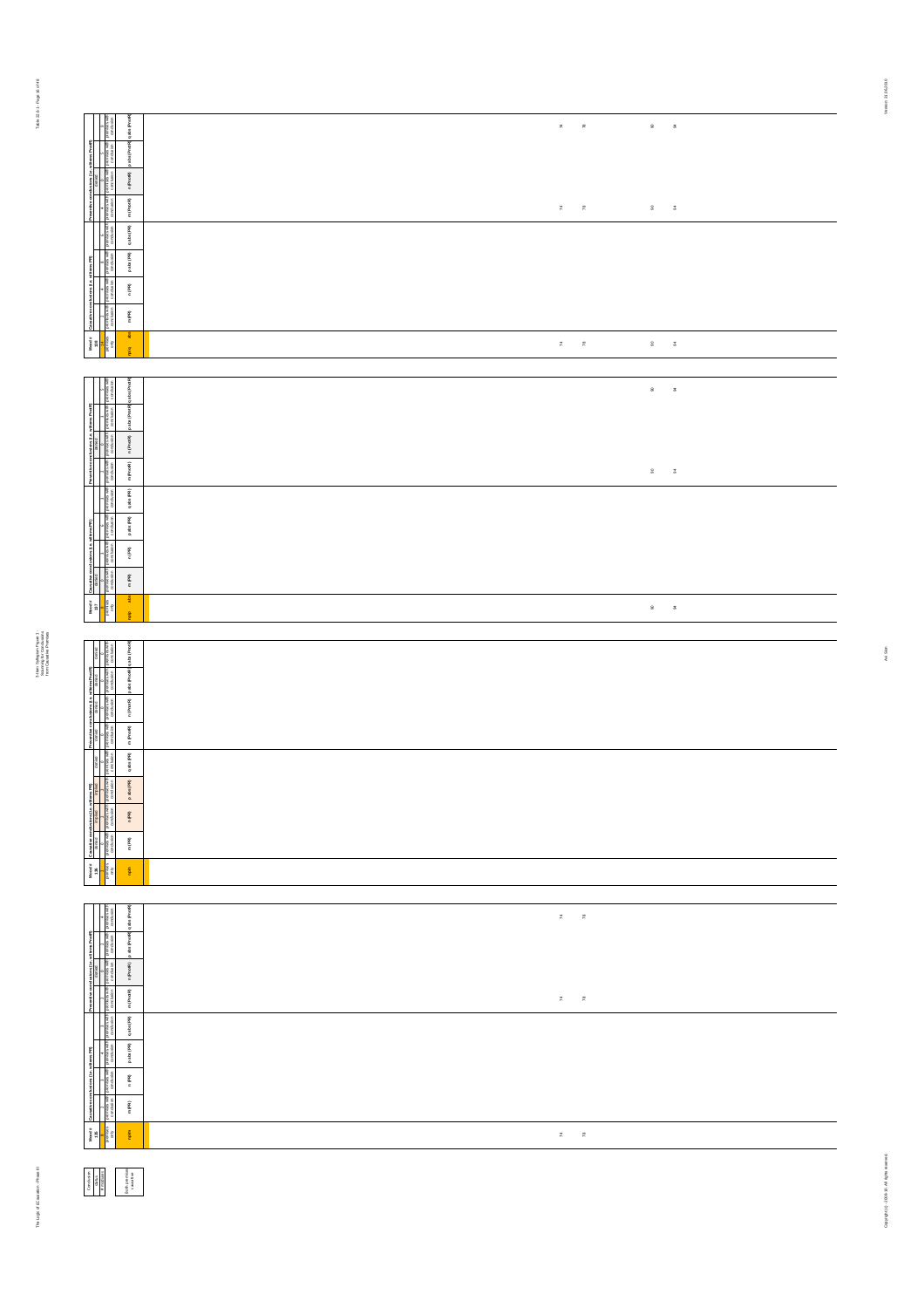| 9<br>remises with<br>conclusion<br>a abs (Proof)                                                                                                                                                                                                                                                                                                                                                                                                             | $\overline{\kappa}$                 | $\mathbb R$ | $\mathbin{\mathbb S}$                                                            | $\overline{\sigma}$ |
|--------------------------------------------------------------------------------------------------------------------------------------------------------------------------------------------------------------------------------------------------------------------------------------------------------------------------------------------------------------------------------------------------------------------------------------------------------------|-------------------------------------|-------------|----------------------------------------------------------------------------------|---------------------|
| p abs (ProtR)                                                                                                                                                                                                                                                                                                                                                                                                                                                |                                     |             |                                                                                  |                     |
| $n$ (ProofR)                                                                                                                                                                                                                                                                                                                                                                                                                                                 |                                     |             |                                                                                  |                     |
| Preventive conclusion s (i.e., witems Prooft)<br>$m$ (P rooff)                                                                                                                                                                                                                                                                                                                                                                                               | $\mathbb{R}^n$ , $\mathbb{R}^n$     |             | $\begin{matrix} 0 & \cdots & 0 \\ 0 & \cdots & 0 \\ 0 & \cdots & 0 \end{matrix}$ |                     |
| 4 permissa utb. permissa valla permissa utb. permissa utb.<br>2001-1994 permissa utb. permissa utb. permissa utb. permissa utb.<br>2001-1996 permissa permissa permissa permissa permissa permissa.                                                                                                                                                                                                                                                          |                                     |             |                                                                                  |                     |
| $\mathbf{q}$ abs (PR)                                                                                                                                                                                                                                                                                                                                                                                                                                        |                                     |             |                                                                                  |                     |
| p alsa (PR)                                                                                                                                                                                                                                                                                                                                                                                                                                                  |                                     |             |                                                                                  |                     |
| $n$ (PR)                                                                                                                                                                                                                                                                                                                                                                                                                                                     |                                     |             |                                                                                  |                     |
| Causaive conclusions (i.e. witems PR)<br>xemises with<br>conclusion<br>$\frac{6}{6}$                                                                                                                                                                                                                                                                                                                                                                         |                                     |             |                                                                                  |                     |
| $\ddot{\bullet}$<br>$M_{\rm cool}$<br><b>Exercise</b><br>$\frac{g}{2}$                                                                                                                                                                                                                                                                                                                                                                                       | $\mathbb{R}^n$ , $\mathbb{R}^n$     |             |                                                                                  |                     |
|                                                                                                                                                                                                                                                                                                                                                                                                                                                              |                                     |             |                                                                                  |                     |
| abs (Pn ofR) q abs (PnotR)<br>remises with<br>oondusion                                                                                                                                                                                                                                                                                                                                                                                                      |                                     |             | $\begin{matrix} 0 & 0 \\ 0 & 0 \\ 0 & 0 \end{matrix}$                            |                     |
| promise<br>condu                                                                                                                                                                                                                                                                                                                                                                                                                                             |                                     |             |                                                                                  |                     |
| $n$ (P rooff)                                                                                                                                                                                                                                                                                                                                                                                                                                                |                                     |             |                                                                                  |                     |
| Preventive conclusions (i.e. witems PhotR)<br> <br>  010kd<br>m(Proot R)                                                                                                                                                                                                                                                                                                                                                                                     |                                     |             | $\begin{array}{cc} \circ & \circ \\ \circ & \circ \end{array}$                   |                     |
| a<br>pemias wih pemias wih pemias wih<br>condusion ondusion oonbusion<br>qabs $\langle \theta R \rangle$                                                                                                                                                                                                                                                                                                                                                     |                                     |             |                                                                                  |                     |
| promises with<br>conclusion<br>p abs $\langle \mathsf{PR} \rangle$                                                                                                                                                                                                                                                                                                                                                                                           |                                     |             |                                                                                  |                     |
| Causative conclusions (i.e. witems PR)<br>deviat<br>nomises with<br>operation                                                                                                                                                                                                                                                                                                                                                                                |                                     |             |                                                                                  |                     |
| $_{\rm n}$ (PR)                                                                                                                                                                                                                                                                                                                                                                                                                                              |                                     |             |                                                                                  |                     |
| remises with<br>oondusion<br>$\frac{6}{5}$<br>$\frac{3}{4}$                                                                                                                                                                                                                                                                                                                                                                                                  |                                     |             |                                                                                  |                     |
| pomises<br>$\frac{8}{8}$                                                                                                                                                                                                                                                                                                                                                                                                                                     |                                     |             | $\,$ 8 $\,$ $\,$ 3.                                                              |                     |
|                                                                                                                                                                                                                                                                                                                                                                                                                                                              |                                     |             |                                                                                  |                     |
| qabs (ProfR)                                                                                                                                                                                                                                                                                                                                                                                                                                                 |                                     |             |                                                                                  |                     |
| pates (ProofR)<br>oomises with<br>conclusion                                                                                                                                                                                                                                                                                                                                                                                                                 |                                     |             |                                                                                  |                     |
| Preventive con dustors (i.e. w/leans Prodit)<br>dended deviad<br>$n$ (Pro $\mathfrak{M}$                                                                                                                                                                                                                                                                                                                                                                     |                                     |             |                                                                                  |                     |
| debiad<br>pomissa with promissa with pomissa with<br>contissa of promissa mometa with<br>conclusion conclusion<br>$m$ (ProofR)                                                                                                                                                                                                                                                                                                                               |                                     |             |                                                                                  |                     |
| $\begin{array}{ c c }\hline \texttt{q} & \texttt{a} & \texttt{p} & \texttt{p}\end{array}$                                                                                                                                                                                                                                                                                                                                                                    |                                     |             |                                                                                  |                     |
| $p$ abs (PR)<br>$\begin{tabular}{ c c c c } \hline \textbf{Ca} is also coechable on Whom & \textbf{Pb} \\\hline \textbf{C} & \textbf{D} & \textbf{D} & \textbf{D} & \textbf{D} & \textbf{D} \\ \hline \textbf{D} & \textbf{D} & \textbf{D} & \textbf{D} & \textbf{D} & \textbf{D} & \textbf{D} \\ \hline \textbf{D} & \textbf{D} & \textbf{D} & \textbf{D} & \textbf{D} & \textbf{D} & \textbf{D} & \textbf{D} & \textbf{D} \\ \hline \textbf{D} & \textbf{$ |                                     |             |                                                                                  |                     |
| $n \left( P R \right)$                                                                                                                                                                                                                                                                                                                                                                                                                                       |                                     |             |                                                                                  |                     |
| $\mathfrak{m}(\mathsf{PR})$                                                                                                                                                                                                                                                                                                                                                                                                                                  |                                     |             |                                                                                  |                     |
| $\begin{array}{c} \text{Mod } \pi \\ 13 \end{array}$<br>pomises<br>$\frac{1}{2}$                                                                                                                                                                                                                                                                                                                                                                             |                                     |             |                                                                                  |                     |
|                                                                                                                                                                                                                                                                                                                                                                                                                                                              |                                     |             |                                                                                  |                     |
|                                                                                                                                                                                                                                                                                                                                                                                                                                                              | $\overline{\kappa}$                 | $\mathbb R$ |                                                                                  |                     |
| p abs (PnotR) q abs (PnotR)                                                                                                                                                                                                                                                                                                                                                                                                                                  |                                     |             |                                                                                  |                     |
| reventive conclusions (i.e. witems PnoR)<br>premises with<br>conclusion<br>$n$ (P rooff)                                                                                                                                                                                                                                                                                                                                                                     |                                     |             |                                                                                  |                     |
| $m(p \bmod 8)$                                                                                                                                                                                                                                                                                                                                                                                                                                               |                                     |             |                                                                                  |                     |
| promises with<br>conclusion                                                                                                                                                                                                                                                                                                                                                                                                                                  | $\mathbb{R}^n \subset \mathbb{R}^n$ |             |                                                                                  |                     |
| premises with p<br>condusion<br>qabs $\langle \theta R \rangle$                                                                                                                                                                                                                                                                                                                                                                                              |                                     |             |                                                                                  |                     |
| premises with<br>pats (PR)<br>rusative condiu sions (i.e. willens PR)                                                                                                                                                                                                                                                                                                                                                                                        |                                     |             |                                                                                  |                     |
| xemises with<br>conclusion<br>$_{\rm n}$ (PR)                                                                                                                                                                                                                                                                                                                                                                                                                |                                     |             |                                                                                  |                     |
|                                                                                                                                                                                                                                                                                                                                                                                                                                                              |                                     |             |                                                                                  |                     |
| remises with<br>conclusion<br>$\frac{\partial \mathbf{R}}{\partial t}$                                                                                                                                                                                                                                                                                                                                                                                       |                                     |             |                                                                                  |                     |

|                                       | promises with<br>conclusion                                                                                                                                                                                                                                                                                         |                             | $\mathbb{R}$              | $\mathbb{R}$ | $\frac{8}{2}$                                                                                                                                                                                                                                                                              | ್ಲಿ |
|---------------------------------------|---------------------------------------------------------------------------------------------------------------------------------------------------------------------------------------------------------------------------------------------------------------------------------------------------------------------|-----------------------------|---------------------------|--------------|--------------------------------------------------------------------------------------------------------------------------------------------------------------------------------------------------------------------------------------------------------------------------------------------|-----|
|                                       |                                                                                                                                                                                                                                                                                                                     | e                           |                           |              |                                                                                                                                                                                                                                                                                            |     |
|                                       | <b>Paventie conclusions (a. wikensa Pnott)</b><br>a pamada with premies in pamada pamada pamada pamada pamada pamada pamada pamada pamada pamada pamada pamada p<br>conclusion conclusion conclusion (c                                                                                                             | $\tilde{v}$<br>$\mathbf{c}$ |                           |              |                                                                                                                                                                                                                                                                                            |     |
|                                       | promit<br>cocc                                                                                                                                                                                                                                                                                                      | ÷                           | $\mathbb R$ – $\mathbb R$ |              | $9 - 7$                                                                                                                                                                                                                                                                                    |     |
|                                       | Fremisia with<br>Condusion                                                                                                                                                                                                                                                                                          | Ê<br>$\sigma$               |                           |              |                                                                                                                                                                                                                                                                                            |     |
|                                       | 8<br>premises with<br>oordusion                                                                                                                                                                                                                                                                                     | ā.<br>$\mathbf{a}$          |                           |              |                                                                                                                                                                                                                                                                                            |     |
|                                       | promises<br>condui                                                                                                                                                                                                                                                                                                  | æ<br>s<br>$\epsilon$        |                           |              |                                                                                                                                                                                                                                                                                            |     |
| Causative condusions (i.e. witems PR) | Exercise                                                                                                                                                                                                                                                                                                            |                             |                           |              |                                                                                                                                                                                                                                                                                            |     |
|                                       | $\frac{1}{2}$ $\frac{1}{2}$ $\frac{1}{2}$ $\frac{1}{2}$ $\frac{1}{2}$ $\frac{1}{2}$ $\frac{1}{2}$ $\frac{1}{2}$ $\frac{1}{2}$ $\frac{1}{2}$ $\frac{1}{2}$ $\frac{1}{2}$ $\frac{1}{2}$ $\frac{1}{2}$ $\frac{1}{2}$ $\frac{1}{2}$ $\frac{1}{2}$ $\frac{1}{2}$ $\frac{1}{2}$ $\frac{1}{2}$ $\frac{1}{2}$ $\frac{1}{2}$ | 14,                         | $\mathbb{R}$ $\mathbb{R}$ |              | $2 x 7 x 7 x 7 x 7 x 7 x 7 x 7 x 8 x 7 x 7 x 8 x 7 x 7 x 8 x 7 x 7 x 8 x 7 x 8 x 9 x 10 x 11 x 12 x 13 x 14 x 15 x 16 x 17 x 18 x 19 x 10 x 10 x 11 x 12 x 13 x 14 x 15 x 16 x 17 x 18 x 19 x 10 x 10 x 11 x 12 x 13 x 14 x 15 x 16 x 17 x 18 x 19 x 10 x 10 x 10 x 11 x 10 x 10 x 11 x 1$ |     |

Conclusion status # moduses causative Both premises

 $\begin{array}{c} \n\text{Mod } x \quad \text{C} \\
135 \quad \text{D} \\
\end{array}$ 

Copyright (c) - 2008-10. All rights reserved. Avi Sion Version: 21.06.2010

Avi Sion

micr: 21.06.2010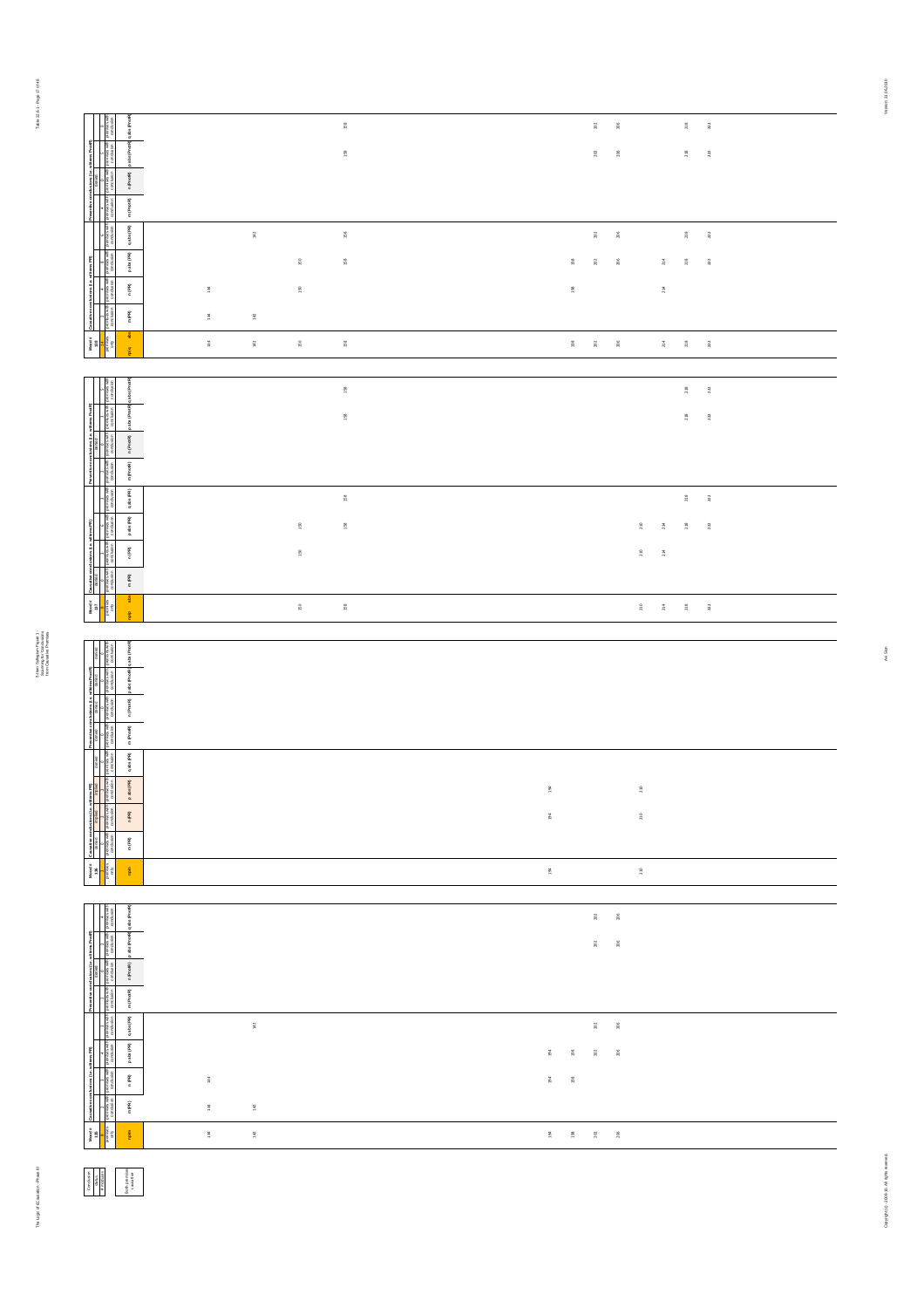premises with conclusion premises with conclusion

Table 22.6-1 - Page 17 of 48

Page 17 of 48

|               |                                                                                                                                                                                                                                     |                                    |                                   |                                               |                                                                                                                                                                                                                                                                                                                                 | $\substack{+0.08 \\ -0.08}$     |                  |                         |                                             | $\begin{matrix} 2 & 3 & 2 \\ 3 & 2 & 3 \\ 2 & 3 & 2 \end{matrix} \qquad \qquad \begin{matrix} 2 & 3 & 2 \\ 2 & 2 & 2 \\ 3 & 2 & 2 \end{matrix}$                                                                                                                                                                                                                                                                                                                                         |               |                                                                                                                                                              |                                                     |  |  |
|---------------|-------------------------------------------------------------------------------------------------------------------------------------------------------------------------------------------------------------------------------------|------------------------------------|-----------------------------------|-----------------------------------------------|---------------------------------------------------------------------------------------------------------------------------------------------------------------------------------------------------------------------------------------------------------------------------------------------------------------------------------|---------------------------------|------------------|-------------------------|---------------------------------------------|-----------------------------------------------------------------------------------------------------------------------------------------------------------------------------------------------------------------------------------------------------------------------------------------------------------------------------------------------------------------------------------------------------------------------------------------------------------------------------------------|---------------|--------------------------------------------------------------------------------------------------------------------------------------------------------------|-----------------------------------------------------|--|--|
|               |                                                                                                                                                                                                                                     |                                    |                                   |                                               |                                                                                                                                                                                                                                                                                                                                 | $\frac{99}{12}$                 |                  |                         |                                             | $\begin{matrix} \mathfrak{A} & \mathfrak{A} & \mathfrak{A} & \mathfrak{A} & \mathfrak{A} \\ \mathfrak{A} & \mathfrak{A} & \mathfrak{A} & \mathfrak{A} & \mathfrak{A} \end{matrix}$                                                                                                                                                                                                                                                                                                      |               |                                                                                                                                                              |                                                     |  |  |
|               |                                                                                                                                                                                                                                     |                                    |                                   |                                               |                                                                                                                                                                                                                                                                                                                                 |                                 |                  |                         |                                             |                                                                                                                                                                                                                                                                                                                                                                                                                                                                                         |               |                                                                                                                                                              |                                                     |  |  |
|               |                                                                                                                                                                                                                                     |                                    |                                   |                                               |                                                                                                                                                                                                                                                                                                                                 |                                 |                  |                         |                                             |                                                                                                                                                                                                                                                                                                                                                                                                                                                                                         |               |                                                                                                                                                              |                                                     |  |  |
|               |                                                                                                                                                                                                                                     |                                    |                                   |                                               |                                                                                                                                                                                                                                                                                                                                 |                                 |                  |                         |                                             |                                                                                                                                                                                                                                                                                                                                                                                                                                                                                         |               |                                                                                                                                                              |                                                     |  |  |
|               |                                                                                                                                                                                                                                     | $\mathbf{q}$ alos (PR)             |                                   | $\frac{1}{2}$                                 |                                                                                                                                                                                                                                                                                                                                 | $\sim 10^6$                     |                  |                         |                                             | $\qquad \qquad \text{as} \qquad \qquad \text{as} \qquad \qquad \text{as} \qquad \text{as} \qquad \text{as} \qquad \text{as} \qquad \text{as} \qquad \text{as} \qquad \text{as} \qquad \text{as} \qquad \text{as} \qquad \text{as} \qquad \text{as} \qquad \text{as} \qquad \text{as} \qquad \text{as} \qquad \text{as} \qquad \text{as} \qquad \text{as} \qquad \text{as} \qquad \text{as} \qquad \text{as} \qquad \text{as} \qquad \text{as} \qquad \text{as} \qquad \text{as} \qquad$ |               |                                                                                                                                                              |                                                     |  |  |
|               |                                                                                                                                                                                                                                     | Ê<br>pats                          |                                   |                                               | $\begin{array}{ccc} 150 & & 158 \\ 150 & & 158 \end{array}$                                                                                                                                                                                                                                                                     |                                 |                  |                         |                                             |                                                                                                                                                                                                                                                                                                                                                                                                                                                                                         |               |                                                                                                                                                              |                                                     |  |  |
|               |                                                                                                                                                                                                                                     | n (PR)                             | $\frac{\pi}{m}$                   |                                               | $\frac{\Omega}{10}$                                                                                                                                                                                                                                                                                                             |                                 |                  |                         |                                             | $\frac{1}{24}$                                                                                                                                                                                                                                                                                                                                                                                                                                                                          |               |                                                                                                                                                              |                                                     |  |  |
|               |                                                                                                                                                                                                                                     | $\frac{m(98)}{8}$                  | $\frac{\pi}{\epsilon^2}$          | $\frac{\Omega}{\Omega}$                       |                                                                                                                                                                                                                                                                                                                                 |                                 |                  |                         |                                             |                                                                                                                                                                                                                                                                                                                                                                                                                                                                                         |               |                                                                                                                                                              |                                                     |  |  |
|               |                                                                                                                                                                                                                                     | ÷                                  | $\frac{\pi}{2}$                   | $\frac{2}{3}$                                 | $\begin{array}{ccc}\n\text{S1} & \text{S2} & \text{S3} \\ \text{S1} & \text{S2} & \text{S3} \\ \text{S2} & \text{S3} & \text{S4}\n\end{array}$                                                                                                                                                                                  |                                 |                  |                         |                                             | $\begin{array}{ccccccccccccc} \mathbb{R}^3 & \mathbb{R}^3 & \mathbb{R}^3 & \mathbb{R}^3 & \mathbb{R}^3 & \mathbb{R}^3 & \mathbb{R}^3 & \mathbb{R}^3 & \mathbb{R}^3 & \mathbb{R}^3 & \mathbb{R}^3 & \mathbb{R}^3 & \mathbb{R}^3 & \mathbb{R}^3 & \mathbb{R}^3 & \mathbb{R}^3 & \mathbb{R}^3 & \mathbb{R}^3 & \mathbb{R}^3 & \mathbb{R}^3 & \mathbb{R}^3 & \mathbb{R}^3 & \mathbb{R}^3 & \mathbb$                                                                                         |               |                                                                                                                                                              |                                                     |  |  |
|               |                                                                                                                                                                                                                                     |                                    |                                   |                                               |                                                                                                                                                                                                                                                                                                                                 |                                 |                  |                         |                                             |                                                                                                                                                                                                                                                                                                                                                                                                                                                                                         |               |                                                                                                                                                              |                                                     |  |  |
|               |                                                                                                                                                                                                                                     |                                    |                                   |                                               |                                                                                                                                                                                                                                                                                                                                 | $\frac{m}{10}$                  |                  |                         |                                             |                                                                                                                                                                                                                                                                                                                                                                                                                                                                                         |               |                                                                                                                                                              | $\begin{matrix} 3 & 1 \\ 2 & 3 \end{matrix}$        |  |  |
|               |                                                                                                                                                                                                                                     |                                    |                                   |                                               |                                                                                                                                                                                                                                                                                                                                 |                                 |                  |                         |                                             |                                                                                                                                                                                                                                                                                                                                                                                                                                                                                         |               |                                                                                                                                                              |                                                     |  |  |
|               |                                                                                                                                                                                                                                     |                                    |                                   |                                               |                                                                                                                                                                                                                                                                                                                                 | $\frac{\partial S}{\partial t}$ |                  |                         |                                             |                                                                                                                                                                                                                                                                                                                                                                                                                                                                                         |               |                                                                                                                                                              | $\mathbb{R}^3$ , $\mathbb{R}^3$                     |  |  |
|               |                                                                                                                                                                                                                                     |                                    |                                   |                                               |                                                                                                                                                                                                                                                                                                                                 |                                 |                  |                         |                                             |                                                                                                                                                                                                                                                                                                                                                                                                                                                                                         |               |                                                                                                                                                              |                                                     |  |  |
|               |                                                                                                                                                                                                                                     | ĭ                                  |                                   |                                               |                                                                                                                                                                                                                                                                                                                                 |                                 |                  |                         |                                             |                                                                                                                                                                                                                                                                                                                                                                                                                                                                                         |               |                                                                                                                                                              |                                                     |  |  |
|               |                                                                                                                                                                                                                                     | qabs (PR)                          |                                   |                                               |                                                                                                                                                                                                                                                                                                                                 | $\frac{m}{10}$                  |                  |                         |                                             |                                                                                                                                                                                                                                                                                                                                                                                                                                                                                         |               |                                                                                                                                                              | $\overline{\mathbf{a}}$ and $\overline{\mathbf{a}}$ |  |  |
|               |                                                                                                                                                                                                                                     | p als (PR)                         |                                   |                                               | $\begin{matrix} 0 & 0 & 0 \\ 0 & 0 & 0 \\ 0 & 0 & 0 \\ 0 & 0 & 0 \\ 0 & 0 & 0 \\ 0 & 0 & 0 \\ 0 & 0 & 0 \\ 0 & 0 & 0 \\ 0 & 0 & 0 & 0 \\ 0 & 0 & 0 & 0 \\ 0 & 0 & 0 & 0 \\ 0 & 0 & 0 & 0 \\ 0 & 0 & 0 & 0 & 0 \\ 0 & 0 & 0 & 0 & 0 \\ 0 & 0 & 0 & 0 & 0 \\ 0 & 0 & 0 & 0 & 0 & 0 \\ 0 & 0 & 0 & 0 & 0 & 0 \\ 0 & 0 & 0 & 0 & 0$ |                                 |                  |                         |                                             |                                                                                                                                                                                                                                                                                                                                                                                                                                                                                         |               | $\begin{array}{cccccccccc} \mathbb{R} & & \mathbb{R} & & \mathbb{R} & & \mathbb{R} \\ & \mathbb{R} & & \mathbb{R} & & \mathbb{R} & & \mathbb{R} \end{array}$ |                                                     |  |  |
|               |                                                                                                                                                                                                                                     | $\frac{1}{n}$ (PR)                 |                                   |                                               | $\frac{9}{250}$                                                                                                                                                                                                                                                                                                                 |                                 |                  |                         |                                             |                                                                                                                                                                                                                                                                                                                                                                                                                                                                                         |               | $23 - 34$                                                                                                                                                    |                                                     |  |  |
|               |                                                                                                                                                                                                                                     |                                    |                                   |                                               |                                                                                                                                                                                                                                                                                                                                 |                                 |                  |                         |                                             |                                                                                                                                                                                                                                                                                                                                                                                                                                                                                         |               |                                                                                                                                                              |                                                     |  |  |
|               |                                                                                                                                                                                                                                     | $\omega$ or $\omega$<br>普          |                                   |                                               |                                                                                                                                                                                                                                                                                                                                 |                                 |                  |                         |                                             |                                                                                                                                                                                                                                                                                                                                                                                                                                                                                         |               |                                                                                                                                                              |                                                     |  |  |
|               |                                                                                                                                                                                                                                     |                                    |                                   |                                               | $\begin{matrix} 0 \\ 0 \\ 0 \end{matrix}$                                                                                                                                                                                                                                                                                       |                                 |                  |                         |                                             |                                                                                                                                                                                                                                                                                                                                                                                                                                                                                         |               |                                                                                                                                                              |                                                     |  |  |
|               |                                                                                                                                                                                                                                     |                                    |                                   |                                               |                                                                                                                                                                                                                                                                                                                                 |                                 |                  |                         |                                             |                                                                                                                                                                                                                                                                                                                                                                                                                                                                                         |               |                                                                                                                                                              |                                                     |  |  |
|               |                                                                                                                                                                                                                                     |                                    |                                   |                                               |                                                                                                                                                                                                                                                                                                                                 |                                 |                  |                         |                                             |                                                                                                                                                                                                                                                                                                                                                                                                                                                                                         |               |                                                                                                                                                              |                                                     |  |  |
|               |                                                                                                                                                                                                                                     |                                    |                                   |                                               |                                                                                                                                                                                                                                                                                                                                 |                                 |                  |                         |                                             |                                                                                                                                                                                                                                                                                                                                                                                                                                                                                         |               |                                                                                                                                                              |                                                     |  |  |
|               |                                                                                                                                                                                                                                     |                                    |                                   |                                               |                                                                                                                                                                                                                                                                                                                                 |                                 |                  |                         |                                             |                                                                                                                                                                                                                                                                                                                                                                                                                                                                                         |               |                                                                                                                                                              |                                                     |  |  |
|               |                                                                                                                                                                                                                                     |                                    |                                   |                                               |                                                                                                                                                                                                                                                                                                                                 |                                 |                  |                         |                                             |                                                                                                                                                                                                                                                                                                                                                                                                                                                                                         |               |                                                                                                                                                              |                                                     |  |  |
|               |                                                                                                                                                                                                                                     | $q$ at $\mathfrak{g}$ (PR)         |                                   |                                               |                                                                                                                                                                                                                                                                                                                                 |                                 |                  |                         |                                             |                                                                                                                                                                                                                                                                                                                                                                                                                                                                                         |               |                                                                                                                                                              |                                                     |  |  |
|               |                                                                                                                                                                                                                                     |                                    |                                   |                                               |                                                                                                                                                                                                                                                                                                                                 |                                 |                  |                         |                                             |                                                                                                                                                                                                                                                                                                                                                                                                                                                                                         |               |                                                                                                                                                              |                                                     |  |  |
|               |                                                                                                                                                                                                                                     |                                    |                                   |                                               |                                                                                                                                                                                                                                                                                                                                 |                                 |                  |                         |                                             |                                                                                                                                                                                                                                                                                                                                                                                                                                                                                         |               |                                                                                                                                                              |                                                     |  |  |
|               |                                                                                                                                                                                                                                     | $p$ abs (PR)                       |                                   |                                               |                                                                                                                                                                                                                                                                                                                                 |                                 | $\frac{3}{2}$    |                         |                                             |                                                                                                                                                                                                                                                                                                                                                                                                                                                                                         |               |                                                                                                                                                              |                                                     |  |  |
|               |                                                                                                                                                                                                                                     | n (PR)                             |                                   |                                               |                                                                                                                                                                                                                                                                                                                                 |                                 | $\frac{\pi}{20}$ |                         |                                             |                                                                                                                                                                                                                                                                                                                                                                                                                                                                                         | $_{\rm 210}$  |                                                                                                                                                              |                                                     |  |  |
|               | Lau beneve standing<br>definition of the control of the control of the control of the control of the control of the control of the co<br>and the control of the control of the control of the control of the control of the control | $\mathfrak{m}(\mathsf{PR})$        |                                   |                                               |                                                                                                                                                                                                                                                                                                                                 |                                 |                  |                         |                                             |                                                                                                                                                                                                                                                                                                                                                                                                                                                                                         |               |                                                                                                                                                              |                                                     |  |  |
|               |                                                                                                                                                                                                                                     | ÷                                  |                                   |                                               |                                                                                                                                                                                                                                                                                                                                 |                                 | $\frac{3}{2}$    |                         |                                             |                                                                                                                                                                                                                                                                                                                                                                                                                                                                                         | $\frac{9}{8}$ |                                                                                                                                                              |                                                     |  |  |
|               | promises                                                                                                                                                                                                                            |                                    |                                   |                                               |                                                                                                                                                                                                                                                                                                                                 |                                 |                  |                         |                                             |                                                                                                                                                                                                                                                                                                                                                                                                                                                                                         |               |                                                                                                                                                              |                                                     |  |  |
|               |                                                                                                                                                                                                                                     |                                    |                                   |                                               |                                                                                                                                                                                                                                                                                                                                 |                                 |                  |                         | $\frac{1}{2}$                               | $_{\rm 206}$                                                                                                                                                                                                                                                                                                                                                                                                                                                                            |               |                                                                                                                                                              |                                                     |  |  |
|               |                                                                                                                                                                                                                                     |                                    |                                   |                                               |                                                                                                                                                                                                                                                                                                                                 |                                 |                  |                         |                                             |                                                                                                                                                                                                                                                                                                                                                                                                                                                                                         |               |                                                                                                                                                              |                                                     |  |  |
|               |                                                                                                                                                                                                                                     |                                    |                                   |                                               |                                                                                                                                                                                                                                                                                                                                 |                                 |                  |                         | $\approx$ $\approx$                         |                                                                                                                                                                                                                                                                                                                                                                                                                                                                                         |               |                                                                                                                                                              |                                                     |  |  |
|               |                                                                                                                                                                                                                                     |                                    |                                   |                                               |                                                                                                                                                                                                                                                                                                                                 |                                 |                  |                         |                                             |                                                                                                                                                                                                                                                                                                                                                                                                                                                                                         |               |                                                                                                                                                              |                                                     |  |  |
|               |                                                                                                                                                                                                                                     | ို့                                |                                   |                                               |                                                                                                                                                                                                                                                                                                                                 |                                 |                  |                         |                                             |                                                                                                                                                                                                                                                                                                                                                                                                                                                                                         |               |                                                                                                                                                              |                                                     |  |  |
|               |                                                                                                                                                                                                                                     | qabs $\langle \mathsf{PR} \rangle$ |                                   | $\widetilde{\pi}$                             |                                                                                                                                                                                                                                                                                                                                 |                                 |                  |                         | $\mathbb{S}^1$ , $\mathbb{S}^1$             |                                                                                                                                                                                                                                                                                                                                                                                                                                                                                         |               |                                                                                                                                                              |                                                     |  |  |
|               |                                                                                                                                                                                                                                     | pata (PR)                          |                                   |                                               |                                                                                                                                                                                                                                                                                                                                 |                                 | $\frac{\pi}{20}$ | $\mathbbmss{S}$         | $\tilde{\mathbf{a}}$ , $\tilde{\mathbf{a}}$ |                                                                                                                                                                                                                                                                                                                                                                                                                                                                                         |               |                                                                                                                                                              |                                                     |  |  |
| Mood #<br>136 |                                                                                                                                                                                                                                     |                                    | $\frac{3}{14}$                    |                                               |                                                                                                                                                                                                                                                                                                                                 |                                 | $\frac{3}{2}$    | $\overline{\mathbf{g}}$ |                                             |                                                                                                                                                                                                                                                                                                                                                                                                                                                                                         |               |                                                                                                                                                              |                                                     |  |  |
|               |                                                                                                                                                                                                                                     | $_{\rm n}$ (PR)                    |                                   |                                               |                                                                                                                                                                                                                                                                                                                                 |                                 |                  |                         |                                             |                                                                                                                                                                                                                                                                                                                                                                                                                                                                                         |               |                                                                                                                                                              |                                                     |  |  |
|               | xemses<br>only                                                                                                                                                                                                                      | $\frac{1}{n}$ (FR)                 | $\frac{4}{13}$<br>$\frac{\pi}{m}$ | $\frac{\Omega}{\Omega}$<br>$\frac{\alpha}{2}$ |                                                                                                                                                                                                                                                                                                                                 |                                 |                  |                         |                                             |                                                                                                                                                                                                                                                                                                                                                                                                                                                                                         |               |                                                                                                                                                              |                                                     |  |  |

Conclusion status # moduses causative Both premises

Copyright (c) - 2008-10. All rights reserved. Avi Sion Version: 21.06.2010

 $\frac{3}{3}$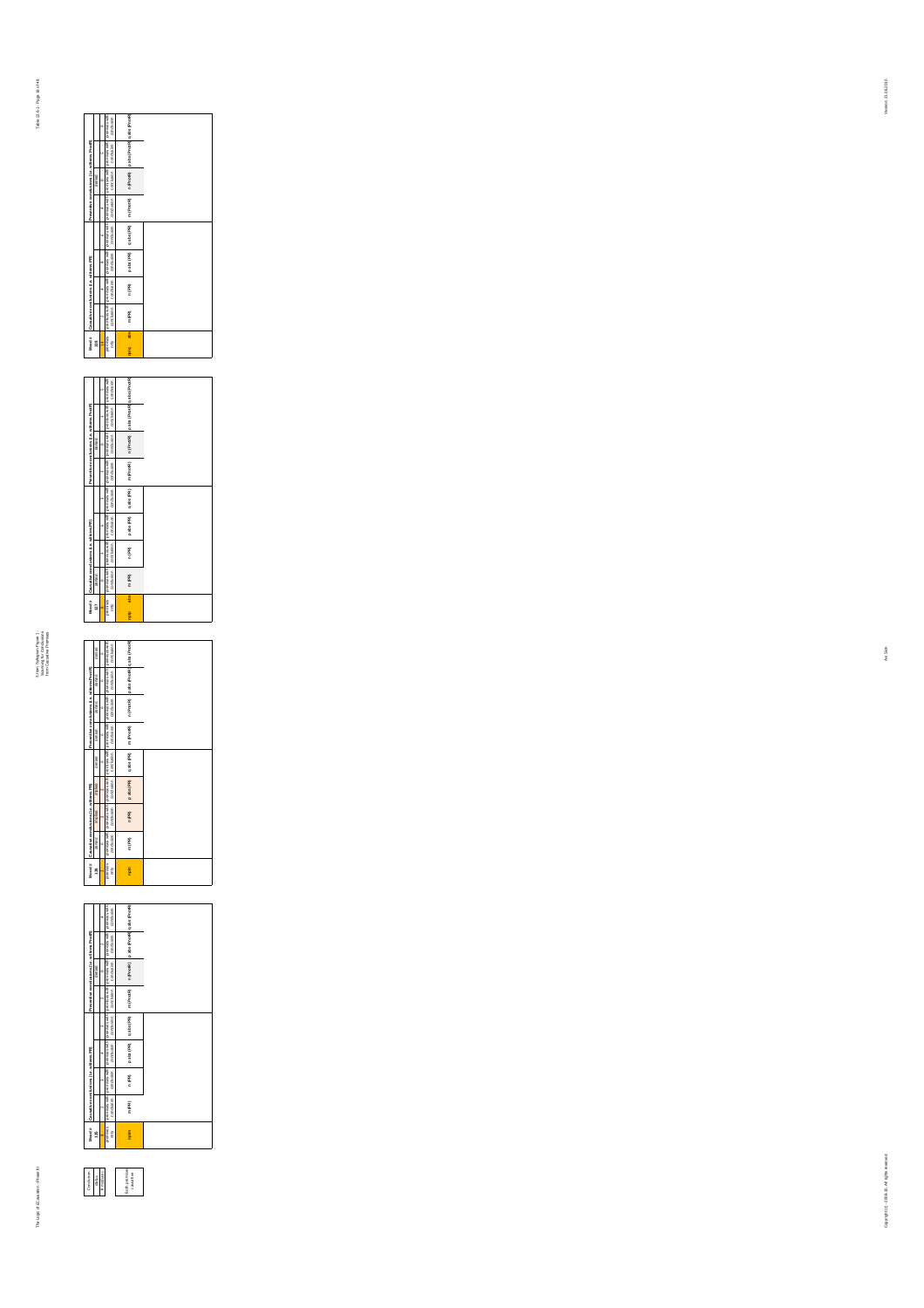The Logic of ECausation - Phase III

Both premises

|                                              |         |   | oorclusion                                                                                         |                                                                     |  |
|----------------------------------------------|---------|---|----------------------------------------------------------------------------------------------------|---------------------------------------------------------------------|--|
|                                              |         |   | premises with premises with<br>oondusion                                                           |                                                                     |  |
|                                              | dened   |   | premises with<br>candusion                                                                         | n (PnotR) pabs (PnotR) q abs (PnotR)                                |  |
| Preventive conclusions (i.e. willens Profit) |         |   | promises with<br>conclusion                                                                        |                                                                     |  |
|                                              |         |   | condusion                                                                                          |                                                                     |  |
|                                              |         |   | oondusion                                                                                          | pabs (PR) qabs (PR) m (PnoR)                                        |  |
|                                              |         |   | promises with promision with promises with<br>candusion                                            | n (PR)                                                              |  |
| Causative con dusions (i.e. wiltems PR)      |         |   | 200m ses with<br>oorchasion                                                                        | m(PR)                                                               |  |
| Mood#                                        | 3       | ă | premises<br>only                                                                                   | ê<br>ę                                                              |  |
|                                              |         |   |                                                                                                    |                                                                     |  |
|                                              |         |   | premises with<br>oondusion                                                                         | m(ProtR) n(ProofR) pabs (ProofR) qabs (ProtR)                       |  |
|                                              |         |   | condusion                                                                                          |                                                                     |  |
|                                              | dining  |   | conclusion                                                                                         |                                                                     |  |
| Preventive conclusions (i.e. wiltems Phot R) |         |   | promises with promises with premises with premises with promises with promises with<br>opriduation |                                                                     |  |
|                                              |         |   | condusion                                                                                          | qabs (PR)                                                           |  |
|                                              |         |   | conclusion                                                                                         |                                                                     |  |
|                                              |         |   | operation                                                                                          | n (PR) patos (PR)                                                   |  |
| Causative conclusions (i.e. wiltems PR)      | denied  |   | premises with<br>oondusion                                                                         | m(pR)                                                               |  |
| Mood #                                       | ä       |   | premises<br>οtγ                                                                                    | abs<br>e/e                                                          |  |
|                                              |         |   |                                                                                                    |                                                                     |  |
|                                              | dened   |   | DOWN 995 WITH<br>oorclusion                                                                        |                                                                     |  |
|                                              | dinind  |   | Dream ses with<br>operation                                                                        |                                                                     |  |
| Preventive con dusions (i.e. w/leams P notR) | denied  |   | premises with<br>oondusion                                                                         |                                                                     |  |
|                                              | denied  |   | promises with<br>candusion                                                                         |                                                                     |  |
|                                              | denied  |   | premises with<br>conclusion                                                                        | pabs (PR) qabs (PR) im (PnotR) in (PhotR) pabs (PnotR) qabs (PnotR) |  |
| (i.e. w/tems PR)                             | implied |   | or emisses with Loremis es with Loremises with<br>oondusion                                        |                                                                     |  |
|                                              | imple   |   | oondusion                                                                                          | n@R                                                                 |  |
| Causative conclusions                        | denied  |   | condusion                                                                                          | m(PR)                                                               |  |
| Mood #                                       | ð       |   | promises<br>only                                                                                   | š                                                                   |  |
|                                              |         |   |                                                                                                    |                                                                     |  |
|                                              |         |   | premises with premises with<br>condusion                                                           | q abs (PR) in (P notR) in (P notR) pabs (ProtR) q abs (P notR)      |  |
| Preventive conclusions (Le. wiltems Prooff)  |         |   | candusion                                                                                          |                                                                     |  |
|                                              | dened   |   | promises with<br>canclusian                                                                        |                                                                     |  |
|                                              |         |   | promises with promises with<br>operation                                                           |                                                                     |  |
|                                              |         |   | oondusion                                                                                          |                                                                     |  |
|                                              |         |   | promises with premises with<br>canduaton                                                           | pats (PR)                                                           |  |
| Causative condusions (i.e. wiltems PR)       |         |   | corclusion                                                                                         | n (PR)                                                              |  |
|                                              |         |   | DYRITTI SIG WITH<br>operation                                                                      | e<br>M                                                              |  |
| tood #                                       | 135     |   | remises<br>only                                                                                    | rom<br>G                                                            |  |

| Preventive conclusions (i.e. witems Prooft) | dened | $\circ$ | premises with<br>operation<br>promises with premises with<br>oondusion<br>candusion<br>promises with<br>conclusion | pate (PnotR) q also (PnotR)<br>n (Prooff)<br>$m(P \text{ model})$ |  |
|---------------------------------------------|-------|---------|--------------------------------------------------------------------------------------------------------------------|-------------------------------------------------------------------|--|
|                                             |       | ó       | premises with<br>oondusion                                                                                         | qabs (PR)                                                         |  |
|                                             |       | w       | oondusion                                                                                                          | pabs (PR)                                                         |  |
| Causative conclusions (i.e. witems PR)      |       |         | promises with premises with<br>candusion                                                                           | n (PR)                                                            |  |
|                                             |       |         | premises with<br>conclusion                                                                                        | m(PR)                                                             |  |
| Mood #                                      | 138   | ă       | premises<br>cely                                                                                                   | ã<br>š                                                            |  |

Avi Sion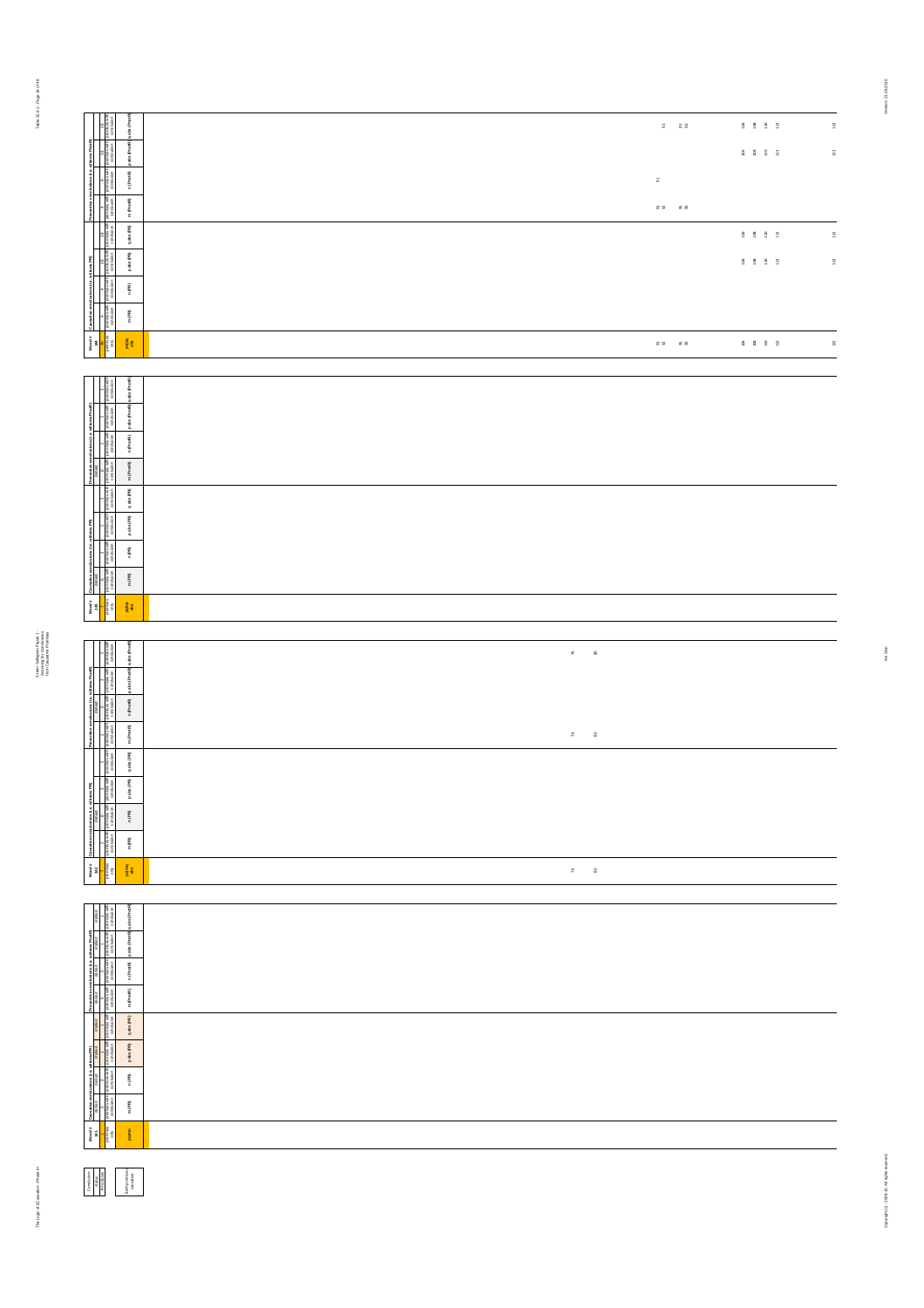|                                                                                                                                                                                                                         | qabs (Prooft)                                          | $\mathfrak{S}$ |
|-------------------------------------------------------------------------------------------------------------------------------------------------------------------------------------------------------------------------|--------------------------------------------------------|----------------|
|                                                                                                                                                                                                                         | pates (Prooft)                                         |                |
|                                                                                                                                                                                                                         | n (Pn ofR)                                             | $5^\circ$      |
| première utiliseme de un promiére information de la ministra de la ministra de la ministra de la ministra un c<br>Conclusion de conclusion conclusion conclusion conclusion conclusion conclusion conclusion conclusion | $m(p \text{ node})$                                    | s s            |
|                                                                                                                                                                                                                         | $\mathbf{q}$ at $\boldsymbol{\theta} \in \mathbf{R}$ ) |                |
|                                                                                                                                                                                                                         | p abs (PR)                                             |                |
|                                                                                                                                                                                                                         | n@R                                                    |                |
|                                                                                                                                                                                                                         | $\mathfrak{m}(\mathsf{PR})$                            |                |
| ay<br>pomses                                                                                                                                                                                                            | $\frac{g}{2}$ i                                        |                |

|                     | premises with<br>condusion                                                                 | 言<br>å                      |  |
|---------------------|--------------------------------------------------------------------------------------------|-----------------------------|--|
| $\frac{P}{E}$       | 5<br>promises with<br>condusion                                                            | ି<br>pate (Pr               |  |
| ons (Le. wilte<br>, | ts with                                                                                    | $\widehat{\mathbf{g}}$<br>ু |  |
|                     | Prevensive conclusions<br>- Ginkid<br>- premission - conclusion<br>- conclusion - conclusi | mot Ry<br>s<br>$\epsilon$   |  |
|                     | $\frac{3}{2}$ promis as with                                                               | Ê<br>qabs                   |  |
| Ħ<br>5<br>T l       | premises with<br>condusion                                                                 | ε<br>pabs                   |  |
| 180080.6            | promises with<br>promises with<br>conclusion                                               | $_{\rm n}$ (PR)             |  |
|                     |                                                                                            | $\mathfrak{m}$ (PR)         |  |
|                     | Mood #<br>143<br>comissa                                                                   | $\frac{8}{2}$ is            |  |

 $\frac{3}{2}$ 

Copyright (c) - 2008-10. All rights reserved. Avi Sion Version: 21.06.2010

 $M$  Sion

|                |                                         | $x = 8$                       |
|----------------|-----------------------------------------|-------------------------------|
|                | $\overline{\phantom{a}}$<br>$\sim$      |                               |
|                | $\epsilon$                              |                               |
|                | $\sim$                                  | $\mathfrak{g}$ $\mathfrak{g}$ |
|                | e<br>$\frac{12}{3}$ 8<br>ē.<br>$\sigma$ |                               |
|                | $\mathbf{g}$<br>$\Omega$                |                               |
|                | $\tilde{z}$<br>s<br>$\mathbf{c}$        |                               |
| - 61           | e<br>ē.                                 |                               |
| $\frac{3}{10}$ | promises<br>$\frac{g}{2}$ is            | ×.<br>$^{\circ}$              |

| 38<br>promises with<br>conclusion<br>l qubs (Prooft)                                                                                                                                                                                                                                                                                                         |                                                                                    |                                                                                                                     | $\Xi$                   |
|--------------------------------------------------------------------------------------------------------------------------------------------------------------------------------------------------------------------------------------------------------------------------------------------------------------------------------------------------------------|------------------------------------------------------------------------------------|---------------------------------------------------------------------------------------------------------------------|-------------------------|
| 38<br>premises with<br>condusion<br>pates (Prooff)                                                                                                                                                                                                                                                                                                           |                                                                                    | $\begin{array}{cccccccccc} \mathbf{g} & & \mathbf{g} & & \mathbf{g} & & \mathbf{g} & & \mathbf{g} \\ \end{array}$   | $\frac{\Omega}{\Omega}$ |
| 4<br>comises with<br>condusion<br>$n$ (PhoofR)                                                                                                                                                                                                                                                                                                               | $\overline{\circ}$                                                                 |                                                                                                                     |                         |
| Preventive conclusions (i.e. witems Prooft)<br>$m$ (ProofR)                                                                                                                                                                                                                                                                                                  | $\begin{array}{ccc} \texttt{S} & \texttt{S} & \texttt{S} & \texttt{S} \end{array}$ |                                                                                                                     |                         |
| pemias with promias with p<br>contasion condusion<br>qabs(PR)                                                                                                                                                                                                                                                                                                |                                                                                    | $\begin{array}{cccccccccc} \texttt{8} & \texttt{8} & \texttt{8} & \texttt{8} & \texttt{8} & \texttt{8} \end{array}$ | $\frac{3}{2}$           |
| pabs (PR)                                                                                                                                                                                                                                                                                                                                                    |                                                                                    | $\begin{array}{cccccccccc} \mathbf{g} & & \mathbf{g} & & \mathbf{g} & & \mathbf{g} & & \mathbf{g} \\ \end{array}$   | $\frac{\Omega}{\Omega}$ |
| $\mathfrak{so}_{\mathfrak{g}}$                                                                                                                                                                                                                                                                                                                               |                                                                                    |                                                                                                                     |                         |
| Causaline conclusions (i.e. w/kems PR)<br> -<br>  penisa with jointule with pointains with point<br>  conclusion   conclusion   conclusion   con                                                                                                                                                                                                             |                                                                                    |                                                                                                                     |                         |
| $\mathfrak{g}_{\mathfrak{g}}$<br>$\begin{array}{c}\n\text{Mod } n \\ \text{mod } n\n\end{array}$                                                                                                                                                                                                                                                             |                                                                                    |                                                                                                                     |                         |
| promises<br>$\frac{g}{2} \xi$                                                                                                                                                                                                                                                                                                                                |                                                                                    |                                                                                                                     | $\frac{2}{3}$           |
| 3<br>comiass with<br>condusion                                                                                                                                                                                                                                                                                                                               |                                                                                    |                                                                                                                     |                         |
| patis (Pro R) q abs (PriceR)                                                                                                                                                                                                                                                                                                                                 |                                                                                    |                                                                                                                     |                         |
| $n$ (P rooff)                                                                                                                                                                                                                                                                                                                                                |                                                                                    |                                                                                                                     |                         |
| Pavanska conclusions(la wikens PnotR)<br>- Santian - Santian province un province in province<br>- Frantian - Conclusion - Conclusion - Conclusion - Co                                                                                                                                                                                                      |                                                                                    |                                                                                                                     |                         |
| $m$ (Proot R)                                                                                                                                                                                                                                                                                                                                                |                                                                                    |                                                                                                                     |                         |
| Causative conclusions (i.e. withmse PR)<br>- German<br>- permane anti-permane utin promise units permane units  <br>- conclusion   conclusion   conclusion   conclusion  <br>qabs (PR)                                                                                                                                                                       |                                                                                    |                                                                                                                     |                         |
| pabs (PR)                                                                                                                                                                                                                                                                                                                                                    |                                                                                    |                                                                                                                     |                         |
| $\frac{\widehat{\mathbf{g}}}{\mathbf{g}}$                                                                                                                                                                                                                                                                                                                    |                                                                                    |                                                                                                                     |                         |
| $\frac{\partial \mathbf{R}}{\partial \mathbf{r}}$                                                                                                                                                                                                                                                                                                            |                                                                                    |                                                                                                                     |                         |
| $\begin{array}{c} \frac{1}{2} \text{ mod } 2 \\ \text{ mod } 2 \end{array}$<br>promises<br>$\frac{3}{2} \frac{1}{4}$                                                                                                                                                                                                                                         |                                                                                    |                                                                                                                     |                         |
|                                                                                                                                                                                                                                                                                                                                                              |                                                                                    |                                                                                                                     |                         |
| qabs (ProfR)<br>promises with<br>condusion<br>$\kappa$ – $\kappa$                                                                                                                                                                                                                                                                                            |                                                                                    |                                                                                                                     |                         |
| n (ProtR) pate (ProtR)                                                                                                                                                                                                                                                                                                                                       |                                                                                    |                                                                                                                     |                         |
|                                                                                                                                                                                                                                                                                                                                                              |                                                                                    |                                                                                                                     |                         |
| $m$ (Ph cdR)<br>$\mathbb R$ – $\mathbb R$                                                                                                                                                                                                                                                                                                                    |                                                                                    |                                                                                                                     |                         |
| qabs (PR)                                                                                                                                                                                                                                                                                                                                                    |                                                                                    |                                                                                                                     |                         |
|                                                                                                                                                                                                                                                                                                                                                              |                                                                                    |                                                                                                                     |                         |
| $\begin{tabular}{ c c } \hline n & p & \mbox{abs (PR)} \\ \hline \end{tabular}$                                                                                                                                                                                                                                                                              |                                                                                    |                                                                                                                     |                         |
| $\mathfrak{m}\neq\mathfrak{N}$                                                                                                                                                                                                                                                                                                                               |                                                                                    |                                                                                                                     |                         |
| $\frac{g}{2}g$<br>$\mathcal{R}$<br>$^{\circ}$                                                                                                                                                                                                                                                                                                                |                                                                                    |                                                                                                                     |                         |
|                                                                                                                                                                                                                                                                                                                                                              |                                                                                    |                                                                                                                     |                         |
| n (PnoR) pas (PnoR) q als (PnoR                                                                                                                                                                                                                                                                                                                              |                                                                                    |                                                                                                                     |                         |
|                                                                                                                                                                                                                                                                                                                                                              |                                                                                    |                                                                                                                     |                         |
|                                                                                                                                                                                                                                                                                                                                                              |                                                                                    |                                                                                                                     |                         |
|                                                                                                                                                                                                                                                                                                                                                              |                                                                                    |                                                                                                                     |                         |
|                                                                                                                                                                                                                                                                                                                                                              |                                                                                    |                                                                                                                     |                         |
| $p$ alos (PR) $q$ alos (PR) $m$ (P notR)                                                                                                                                                                                                                                                                                                                     |                                                                                    |                                                                                                                     |                         |
| $_{\rm n}$ (PR)                                                                                                                                                                                                                                                                                                                                              |                                                                                    |                                                                                                                     |                         |
|                                                                                                                                                                                                                                                                                                                                                              |                                                                                    |                                                                                                                     |                         |
| labout Conserved concludes (i.e. where $P(\mathbf{q})$ . Preventive concludes (i.e. where $P(\mathbf{q})$ . $\mathbf{q}$ . $\mathbf{q}$ . $\mathbf{q}$ . $\mathbf{q}$ . $\mathbf{q}$ . $\mathbf{q}$ . $\mathbf{q}$ . $\mathbf{q}$ . $\mathbf{q}$ . $\mathbf{q}$ . $\mathbf{q}$ . $\mathbf$<br>$\frac{\widehat{\mathbf{g}}}{\mathbf{g}}$<br>premises<br>power |                                                                                    |                                                                                                                     |                         |
|                                                                                                                                                                                                                                                                                                                                                              |                                                                                    |                                                                                                                     |                         |

Table 22.6-1 - Page 19 of 48

fatle 22.6-1 - Page 19 of 48

Conclusion status # moduses causative Both premises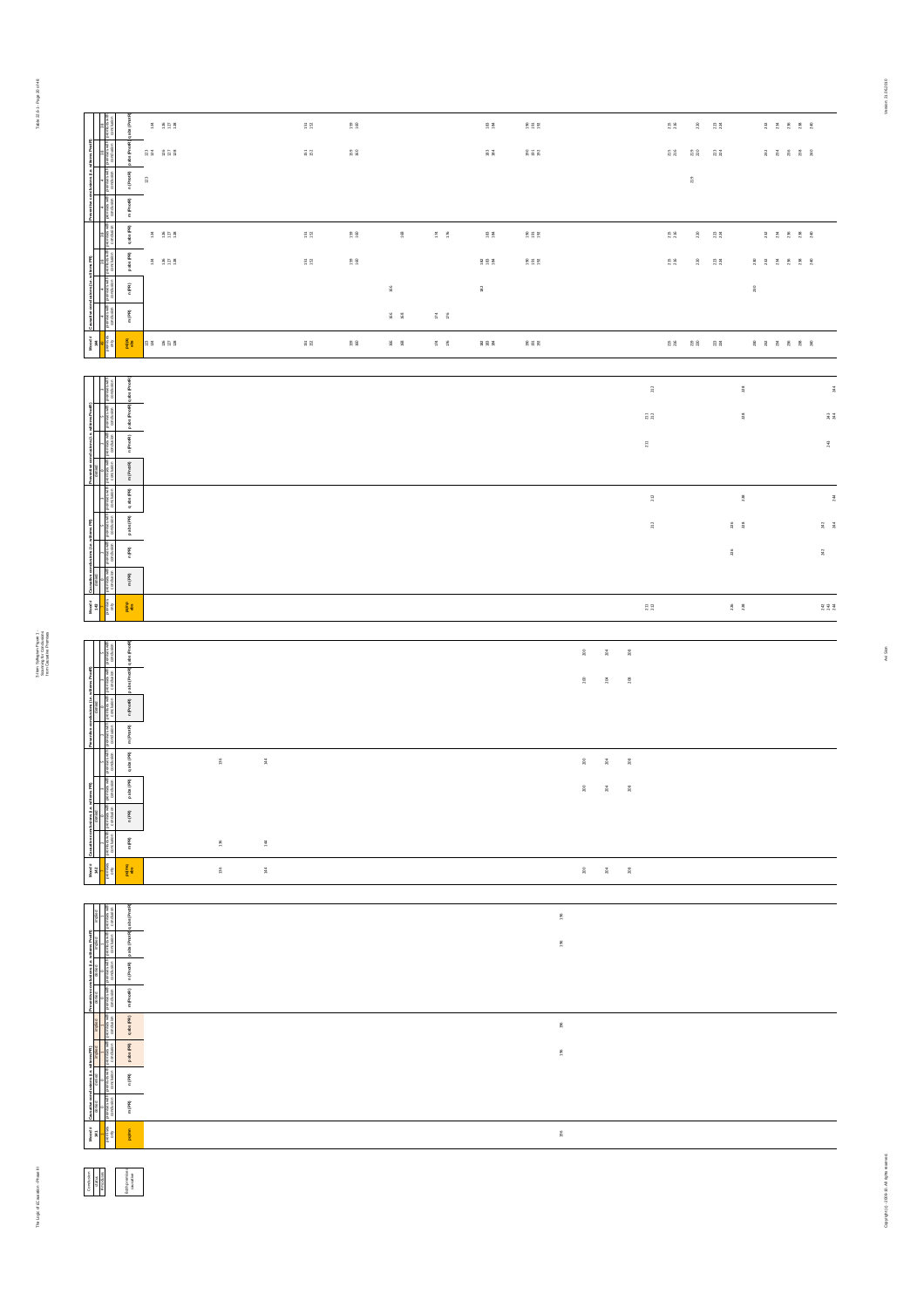|                                                                           | abs (Pnot                          |              | 3.333                                                            |                 |                |                      | 151                             | $\frac{33}{14}$                                     |      |                                                                                                               |                               | $\frac{28}{13}$                                  | $\mathop{\mathbb{R}}\nolimits$ $\mathop{\mathbb{R}}\nolimits$ |              |              |                                                                                                           |                         |                 |                 | $2.15\,$ $2.16\,$       |                                                                                                                                                                                                                                                                                                                                                 | $\begin{matrix} 23 \\ 23 \\ 24 \end{matrix}$                                            |
|---------------------------------------------------------------------------|------------------------------------|--------------|------------------------------------------------------------------|-----------------|----------------|----------------------|---------------------------------|-----------------------------------------------------|------|---------------------------------------------------------------------------------------------------------------|-------------------------------|--------------------------------------------------|---------------------------------------------------------------|--------------|--------------|-----------------------------------------------------------------------------------------------------------|-------------------------|-----------------|-----------------|-------------------------|-------------------------------------------------------------------------------------------------------------------------------------------------------------------------------------------------------------------------------------------------------------------------------------------------------------------------------------------------|-----------------------------------------------------------------------------------------|
|                                                                           |                                    |              | 33 32                                                            |                 |                |                      | $\substack{51\\152}$            | 359                                                 |      |                                                                                                               |                               | $\Xi$ $\Xi$                                      | $\frac{8}{3} \frac{5}{3} \frac{3}{2}$                         |              |              |                                                                                                           |                         |                 |                 | $\substack{215 \\ 216}$ | $\begin{matrix} 2 & 3 & 3 \\ 3 & 2 & 3 \\ 1 & 2 & 3 \end{matrix}$                                                                                                                                                                                                                                                                               |                                                                                         |
|                                                                           | n (Pn ofR)                         | $^{\rm 123}$ |                                                                  |                 |                |                      |                                 |                                                     |      |                                                                                                               |                               |                                                  |                                                               |              |              |                                                                                                           |                         |                 |                 |                         | $_{\rm 219}$                                                                                                                                                                                                                                                                                                                                    |                                                                                         |
|                                                                           | $m(p \text{ node})$                |              |                                                                  |                 |                |                      |                                 |                                                     |      |                                                                                                               |                               |                                                  |                                                               |              |              |                                                                                                           |                         |                 |                 |                         |                                                                                                                                                                                                                                                                                                                                                 |                                                                                         |
|                                                                           | $q$ at $\theta$ (PR)               |              | $\begin{array}{cc} \Xi & \Xi \; \Xi \; \Xi \end{array}$          |                 |                |                      | $\frac{53}{12}$ $\frac{53}{12}$ | $\begin{smallmatrix} 8 \\ 2 \\ 1 \end{smallmatrix}$ |      | $\begin{array}{ccc} \mathbb{R} & \mathbb{R} & \mathbb{R} \\ \mathbb{R} & \mathbb{R} & \mathbb{R} \end{array}$ |                               | $\begin{array}{c} 88 \\ 24 \\ 34 \end{array}$    | $\frac{8}{11}$ is $\frac{81}{11}$                             |              |              |                                                                                                           |                         |                 |                 | $\substack{25 \\ 2.35}$ |                                                                                                                                                                                                                                                                                                                                                 | $\begin{matrix} 8 \\ 3 \\ 1 \end{matrix} \quad \begin{matrix} 8 \\ 3 \\ 1 \end{matrix}$ |
|                                                                           | $p$ abs $(PR)$                     |              | $\overline{\mathfrak{A}}=\mathfrak{A} \mathfrak{A} \mathfrak{A}$ |                 |                |                      | $\frac{51}{152}$                | 359                                                 |      |                                                                                                               |                               | $\begin{array}{c} 23 \\ 23 \\ 34 \\ \end{array}$ | $\frac{9}{19}$ $\frac{5}{19}$                                 |              |              |                                                                                                           |                         |                 |                 | $\substack{215 \\ 216}$ |                                                                                                                                                                                                                                                                                                                                                 | $\begin{array}{cc} 3 & 3 \\ 3 & 3 \end{array}$                                          |
| ns (i.e. w/kems PR)                                                       |                                    |              |                                                                  |                 |                |                      |                                 |                                                     |      |                                                                                                               |                               |                                                  |                                                               |              |              |                                                                                                           |                         |                 |                 |                         |                                                                                                                                                                                                                                                                                                                                                 |                                                                                         |
|                                                                           | in (PR)                            |              |                                                                  |                 |                |                      |                                 |                                                     | $\%$ |                                                                                                               |                               | $\widetilde{\mathbf{m}}$                         |                                                               |              |              |                                                                                                           |                         |                 |                 |                         |                                                                                                                                                                                                                                                                                                                                                 |                                                                                         |
|                                                                           | $\mathfrak{m}(\mathsf{PR})$        |              |                                                                  |                 |                |                      |                                 |                                                     |      | $\frac{8}{10}$ $\frac{8}{10}$                                                                                 | $\mathbb{R}=\mathbb{R}$       |                                                  |                                                               |              |              |                                                                                                           |                         |                 |                 |                         |                                                                                                                                                                                                                                                                                                                                                 |                                                                                         |
| Mood #<br>ema<br>S                                                        | 폴                                  |              | BA BAR                                                           |                 |                |                      | 151                             | 359                                                 |      | $\begin{array}{c} 166 \\ 168 \end{array}$                                                                     | $\frac{1}{2}$ – $\frac{1}{2}$ | 222                                              | $\frac{9}{191}$                                               |              |              |                                                                                                           |                         |                 |                 |                         | $\begin{tabular}{llllll} \bf 3.3 & \bf 3.3 & \bf 3.3 \\ \bf 3.3 & \bf 3.3 & \bf 3.3 \\ \bf 3.4 & \bf 3.3 & \bf 3.3 \\ \bf 3.5 & \bf 3.3 & \bf 3.3 \\ \bf 3.6 & \bf 3.3 & \bf 3.3 \\ \bf 3.4 & \bf 3.3 & \bf 3.3 \\ \bf 3.5 & \bf 3.3 & \bf 3.3 \\ \bf 3.6 & \bf 3.3 & \bf 3.3 \\ \bf 3.6 & \bf 3.3 & \bf 3.3 \\ \bf 3.4 & \bf 3.3 & \bf 3.3 \\$ |                                                                                         |
|                                                                           |                                    |              |                                                                  |                 |                |                      |                                 |                                                     |      |                                                                                                               |                               |                                                  |                                                               |              |              |                                                                                                           |                         |                 | $_{\rm 21}$     |                         |                                                                                                                                                                                                                                                                                                                                                 |                                                                                         |
|                                                                           | gas (Prot                          |              |                                                                  |                 |                |                      |                                 |                                                     |      |                                                                                                               |                               |                                                  |                                                               |              |              |                                                                                                           |                         |                 |                 |                         |                                                                                                                                                                                                                                                                                                                                                 |                                                                                         |
|                                                                           | abs (Proff                         |              |                                                                  |                 |                |                      |                                 |                                                     |      |                                                                                                               |                               |                                                  |                                                               |              |              |                                                                                                           |                         |                 | $\Xi$ $\Xi$     |                         |                                                                                                                                                                                                                                                                                                                                                 |                                                                                         |
|                                                                           | n (ProfR)                          |              |                                                                  |                 |                |                      |                                 |                                                     |      |                                                                                                               |                               |                                                  |                                                               |              |              |                                                                                                           |                         |                 | $\Xi$           |                         |                                                                                                                                                                                                                                                                                                                                                 |                                                                                         |
|                                                                           | $m(p \cos \theta)$                 |              |                                                                  |                 |                |                      |                                 |                                                     |      |                                                                                                               |                               |                                                  |                                                               |              |              |                                                                                                           |                         |                 |                 |                         |                                                                                                                                                                                                                                                                                                                                                 |                                                                                         |
|                                                                           | qabs $\langle \mathsf{PR} \rangle$ |              |                                                                  |                 |                |                      |                                 |                                                     |      |                                                                                                               |                               |                                                  |                                                               |              |              |                                                                                                           |                         |                 | $_{\rm 212}$    |                         |                                                                                                                                                                                                                                                                                                                                                 |                                                                                         |
| s PR)                                                                     | pates (PR)                         |              |                                                                  |                 |                |                      |                                 |                                                     |      |                                                                                                               |                               |                                                  |                                                               |              |              |                                                                                                           |                         |                 | $\widetilde{n}$ |                         |                                                                                                                                                                                                                                                                                                                                                 |                                                                                         |
|                                                                           | n (PR)                             |              |                                                                  |                 |                |                      |                                 |                                                     |      |                                                                                                               |                               |                                                  |                                                               |              |              |                                                                                                           |                         |                 |                 |                         |                                                                                                                                                                                                                                                                                                                                                 |                                                                                         |
|                                                                           | $\frac{60}{6}$                     |              |                                                                  |                 |                |                      |                                 |                                                     |      |                                                                                                               |                               |                                                  |                                                               |              |              |                                                                                                           |                         |                 |                 |                         |                                                                                                                                                                                                                                                                                                                                                 |                                                                                         |
| $\begin{array}{c} \texttt{Mood} \\ \texttt{14} \end{array}$<br>anian<br>T | $\frac{3}{2}$ is                   |              |                                                                  |                 |                |                      |                                 |                                                     |      |                                                                                                               |                               |                                                  |                                                               |              |              |                                                                                                           |                         |                 | $\Xi$ $\Xi$     |                         |                                                                                                                                                                                                                                                                                                                                                 |                                                                                         |
|                                                                           |                                    |              |                                                                  |                 |                |                      |                                 |                                                     |      |                                                                                                               |                               |                                                  |                                                               |              |              |                                                                                                           |                         |                 |                 |                         |                                                                                                                                                                                                                                                                                                                                                 |                                                                                         |
|                                                                           | qabs (ProfR)                       |              |                                                                  |                 |                |                      |                                 |                                                     |      |                                                                                                               |                               |                                                  |                                                               |              | $_{\rm 20}$  | $\tilde{\mathbf{a}}$                                                                                      |                         | $\mathbbmss{z}$ |                 |                         |                                                                                                                                                                                                                                                                                                                                                 |                                                                                         |
| <b>S</b>                                                                  | 흨                                  |              |                                                                  |                 |                |                      |                                 |                                                     |      |                                                                                                               |                               |                                                  |                                                               |              | $_{\rm 200}$ | $\overline{\mathbf{a}}$                                                                                   |                         | $_{\rm 20}$     |                 |                         |                                                                                                                                                                                                                                                                                                                                                 |                                                                                         |
| ms 0.a. wit                                                               | n (Prot R)                         |              |                                                                  |                 |                |                      |                                 |                                                     |      |                                                                                                               |                               |                                                  |                                                               |              |              |                                                                                                           |                         |                 |                 |                         |                                                                                                                                                                                                                                                                                                                                                 |                                                                                         |
|                                                                           | $m$ (Pn ofR)                       |              |                                                                  |                 |                |                      |                                 |                                                     |      |                                                                                                               |                               |                                                  |                                                               |              |              |                                                                                                           |                         |                 |                 |                         |                                                                                                                                                                                                                                                                                                                                                 |                                                                                         |
|                                                                           | qabs (PR)                          |              |                                                                  | $136\,$         | $\sim 10^{11}$ |                      |                                 |                                                     |      |                                                                                                               |                               |                                                  |                                                               |              | $_{\rm 200}$ |                                                                                                           | $\overline{\mathbf{a}}$ | $\frac{8}{n}$   |                 |                         |                                                                                                                                                                                                                                                                                                                                                 |                                                                                         |
| premises with<br>conclusion<br>Vitems <sub>PR)</sub>                      | $p$ at $s$ (PR)                    |              |                                                                  |                 |                |                      |                                 |                                                     |      |                                                                                                               |                               |                                                  |                                                               |              | $_{\rm 200}$ | $_{\rm 201}$                                                                                              |                         | $_{\rm 20}$     |                 |                         |                                                                                                                                                                                                                                                                                                                                                 |                                                                                         |
|                                                                           | $n$ (PR)                           |              |                                                                  |                 |                |                      |                                 |                                                     |      |                                                                                                               |                               |                                                  |                                                               |              |              |                                                                                                           |                         |                 |                 |                         |                                                                                                                                                                                                                                                                                                                                                 |                                                                                         |
|                                                                           | $m \varphi R$                      |              |                                                                  | $\mathbbmss{3}$ |                | $\sim$ $\frac{4}{3}$ |                                 |                                                     |      |                                                                                                               |                               |                                                  |                                                               |              |              |                                                                                                           |                         |                 |                 |                         |                                                                                                                                                                                                                                                                                                                                                 |                                                                                         |
| Mood#<br>142<br>Îξ                                                        | $\frac{g}{\hbar}$ is               |              |                                                                  | $^{\rm 38}$     |                | $\frac{3}{14}$       |                                 |                                                     |      |                                                                                                               |                               |                                                  |                                                               |              |              | $\begin{matrix} \mathfrak{g} & \mathfrak{g} & \mathfrak{g} \\ & \mathfrak{g} & \mathfrak{g} \end{matrix}$ |                         |                 |                 |                         |                                                                                                                                                                                                                                                                                                                                                 |                                                                                         |
|                                                                           |                                    |              |                                                                  |                 |                |                      |                                 |                                                     |      |                                                                                                               |                               |                                                  |                                                               |              |              |                                                                                                           |                         |                 |                 |                         |                                                                                                                                                                                                                                                                                                                                                 |                                                                                         |
|                                                                           | 1 abs (Pro                         |              |                                                                  |                 |                |                      |                                 |                                                     |      |                                                                                                               |                               |                                                  |                                                               | $^{\rm 196}$ |              |                                                                                                           |                         |                 |                 |                         |                                                                                                                                                                                                                                                                                                                                                 |                                                                                         |
|                                                                           |                                    |              |                                                                  |                 |                |                      |                                 |                                                     |      |                                                                                                               |                               |                                                  |                                                               | $^{\rm 196}$ |              |                                                                                                           |                         |                 |                 |                         |                                                                                                                                                                                                                                                                                                                                                 |                                                                                         |
|                                                                           | n (ProfR)                          |              |                                                                  |                 |                |                      |                                 |                                                     |      |                                                                                                               |                               |                                                  |                                                               |              |              |                                                                                                           |                         |                 |                 |                         |                                                                                                                                                                                                                                                                                                                                                 |                                                                                         |
|                                                                           | $m$ (ProofR)                       |              |                                                                  |                 |                |                      |                                 |                                                     |      |                                                                                                               |                               |                                                  |                                                               |              |              |                                                                                                           |                         |                 |                 |                         |                                                                                                                                                                                                                                                                                                                                                 |                                                                                         |
|                                                                           | $q$ abs ( $PR$ )                   |              |                                                                  |                 |                |                      |                                 |                                                     |      |                                                                                                               |                               |                                                  |                                                               | $^{\rm 196}$ |              |                                                                                                           |                         |                 |                 |                         |                                                                                                                                                                                                                                                                                                                                                 |                                                                                         |
| <b>R</b>                                                                  |                                    |              |                                                                  |                 |                |                      |                                 |                                                     |      |                                                                                                               |                               |                                                  |                                                               | $^{\rm 196}$ |              |                                                                                                           |                         |                 |                 |                         |                                                                                                                                                                                                                                                                                                                                                 |                                                                                         |
|                                                                           | pats (PR)                          |              |                                                                  |                 |                |                      |                                 |                                                     |      |                                                                                                               |                               |                                                  |                                                               |              |              |                                                                                                           |                         |                 |                 |                         |                                                                                                                                                                                                                                                                                                                                                 |                                                                                         |
|                                                                           | n (PR)                             |              |                                                                  |                 |                |                      |                                 |                                                     |      |                                                                                                               |                               |                                                  |                                                               |              |              |                                                                                                           |                         |                 |                 |                         |                                                                                                                                                                                                                                                                                                                                                 |                                                                                         |
|                                                                           | $\frac{60}{10}$                    |              |                                                                  |                 |                |                      |                                 |                                                     |      |                                                                                                               |                               |                                                  |                                                               |              |              |                                                                                                           |                         |                 |                 |                         |                                                                                                                                                                                                                                                                                                                                                 |                                                                                         |
|                                                                           |                                    |              |                                                                  |                 |                |                      |                                 |                                                     |      |                                                                                                               |                               |                                                  |                                                               | $_{\rm 196}$ |              |                                                                                                           |                         |                 |                 |                         |                                                                                                                                                                                                                                                                                                                                                 |                                                                                         |

|              |                 |                 | $\begin{matrix} \mathbb{R} & \mathbb{R} & \mathbb{R} \\ \mathbb{R} & \mathbb{R} & \mathbb{R} \end{matrix}$             |               |
|--------------|-----------------|-----------------|------------------------------------------------------------------------------------------------------------------------|---------------|
|              |                 |                 | $\begin{matrix} \mathbf{g} & \mathbf{g} & \mathbf{g} \\ \mathbf{g} & \mathbf{g} & \mathbf{g} \end{matrix}$             |               |
|              |                 |                 |                                                                                                                        |               |
| Æ            |                 |                 |                                                                                                                        |               |
|              | $_{135}$        | $\frac{3}{2}$   | $\begin{matrix} \mathfrak{g} & \mathfrak{g} & \mathfrak{g} \\ \mathfrak{g} & \mathfrak{g} & \mathfrak{g} \end{matrix}$ |               |
| ĝ            |                 |                 | $\begin{matrix} \mathbf{g} & \mathbf{g} & \mathbf{g} \\ \mathbf{g} & \mathbf{g} & \mathbf{g} \end{matrix}$             |               |
| $\epsilon$   |                 |                 |                                                                                                                        |               |
| ି            | $_{\rm B}$      | $\frac{\pi}{2}$ |                                                                                                                        |               |
| Mood#<br>142 | $\frac{35}{25}$ | $\frac{3}{2}$   | $\frac{3}{2}$ $\frac{3}{2}$                                                                                            | $\frac{3}{2}$ |

| <b>BS</b>                                                             | 196      |
|-----------------------------------------------------------------------|----------|
| æΓ<br>Ę<br>٤I<br>witter<br>E <sup>8</sup>                             | 196      |
| Ę<br>å<br>conduste<br>E 3<br>$\mathbf{c}$                             |          |
| $\frac{4}{3}$ 6<br>쵧<br><b>Prove</b><br>promi                         |          |
| i with<br>g<br>E<br>premise<br>conta<br>÷                             | 196      |
| $\frac{1}{2}$<br>ē<br>w/learns PR<br>premise<br>condu<br>$\mathbf{a}$ | 196      |
| ş<br>dusions (i.e<br>promise<br>$\mathbf{c}$                          |          |
| ş<br>with<br>8<br>Causative<br>promise                                |          |
| $M_{\text{total}}$<br>E                                               | $_{196}$ |

Conclusion status # moduses causative

Both premises

Version: 21.08.2010

242 242 242

 $\begin{array}{c} 24 \\ 34 \\ 24 \\ \end{array}$ 

 $_{\rm 20}$ 

 $\begin{array}{cc} \widetilde{\mathbf{g}} & \widetilde{\mathbf{g}} \end{array}$ 

 $\frac{1}{2}$ 

 $\frac{1}{3}$ 

 $\ddot{x}$  $_{\rm 24}$ 

226 226 226

 $236\,$ 

 $\begin{array}{c} 226 \\ 23 \end{array}$ 

 $^{223}\,$ 

 $\frac{25}{23}$ 

 $_{\rm 228}$ 

 $_{\rm 23}$ 

230 230 230

 $_{\rm 20}$ 

 $\begin{array}{cccccccccc} \mathbb{H} & \mathbb{H} & \mathbb{H} & \mathbb{H} & \mathbb{H} & \mathbb{H} \end{array}$ 

 $\begin{array}{cccccccccc} \mathbf{a} & \mathbf{a} & \mathbf{a} & \mathbf{a} & \mathbf{a} & \mathbf{a} & \mathbf{a} \\ \mathbf{a} & \mathbf{a} & \mathbf{a} & \mathbf{a} & \mathbf{a} & \mathbf{a} & \mathbf{a} \end{array}$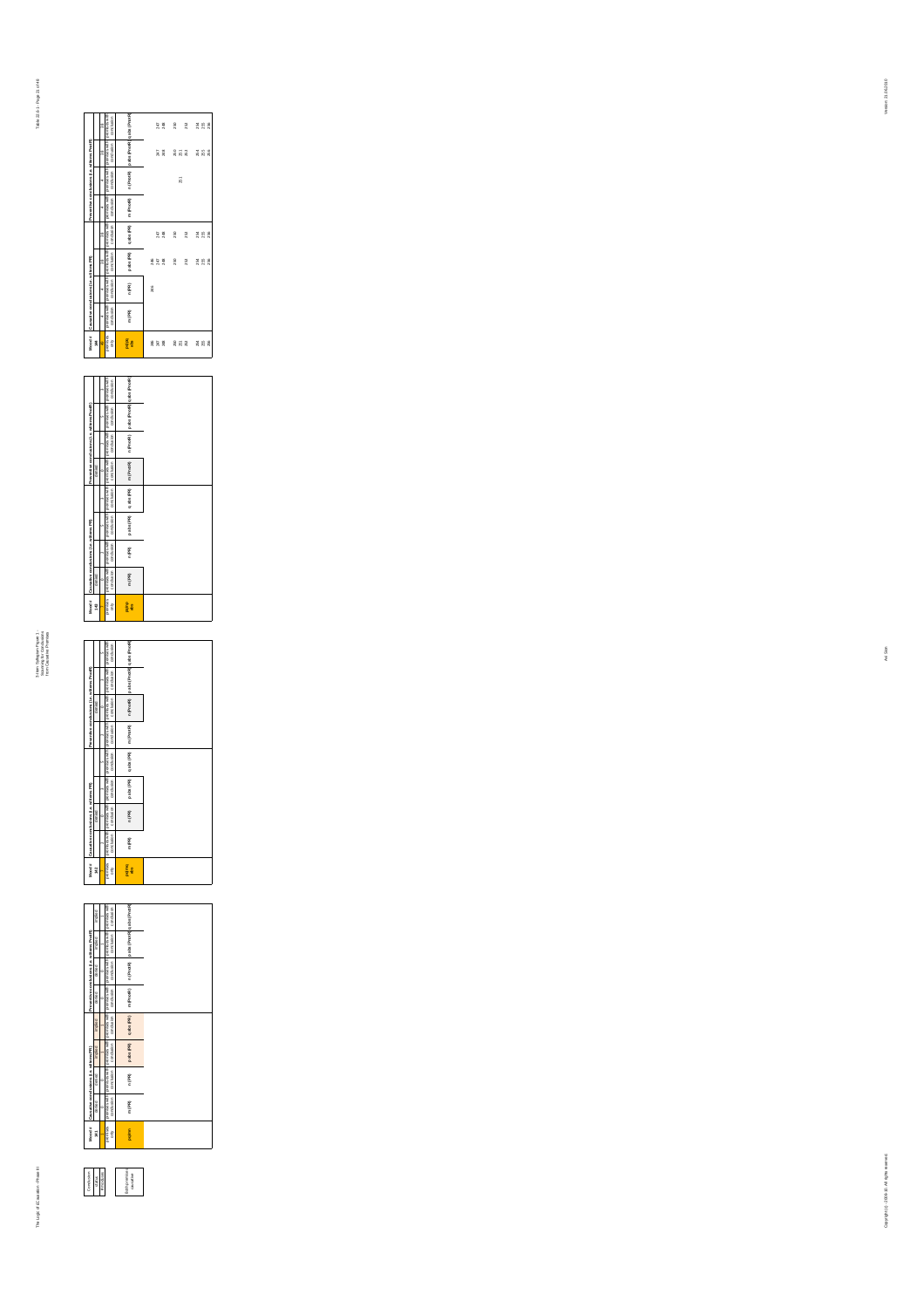| Mood #          |                            | Causative conclusions (i.e. witems PR) |                            |                             |                            | Preventive con dusions (i.e. wiltems Prooft) |                               |                             |
|-----------------|----------------------------|----------------------------------------|----------------------------|-----------------------------|----------------------------|----------------------------------------------|-------------------------------|-----------------------------|
| ¥               |                            |                                        |                            |                             |                            |                                              |                               |                             |
| ę               |                            | ۰                                      | æ,                         | æ                           |                            |                                              | æ,                            | æ                           |
| 300 m 00<br>ğ   | promises with<br>condusion | premises with<br>oondusion             | premises with<br>oondusion | premises with<br>conclusion | promises with<br>candusion | premises with<br>oondusion                   | premises with<br>opricion     | promises with<br>conclusion |
| g g             | m (PR)                     | n (PR)                                 | pabs (PR)                  | $q$ abs $(PR)$              | m (ProtR)                  | n (PhotP)                                    | patos (ProofR) q abs (ProofR) |                             |
| 222             |                            | g                                      | 245                        |                             |                            |                                              |                               |                             |
|                 |                            |                                        |                            | 247                         |                            |                                              | 247                           | 247                         |
|                 |                            |                                        | 248                        | 248                         |                            |                                              | 248                           | $\frac{3}{2}$               |
| 250             |                            |                                        | 30                         | 290                         |                            |                                              | 250                           | 290                         |
| 25 <sub>2</sub> |                            |                                        |                            |                             |                            | 51                                           | $\overline{25}$               |                             |
|                 |                            |                                        | 252                        | 32                          |                            |                                              | 32                            | 32                          |
| 254             |                            |                                        | 254                        | 254                         |                            |                                              | 254                           | 254                         |
| 3               |                            |                                        | 255                        | $^{58}$                     |                            |                                              | 255                           | 3                           |
|                 |                            |                                        |                            |                             |                            |                                              |                               |                             |

|                                                |         | æ,      | 06 HARACI                                 | oorch      | 9                                       |     | ă          | Ã | ă   |     | 9   | Ř              |  |
|------------------------------------------------|---------|---------|-------------------------------------------|------------|-----------------------------------------|-----|------------|---|-----|-----|-----|----------------|--|
|                                                |         | 38      | premises with                             | opnousion  | pates (PriodR) quites (                 |     | 247<br>248 |   |     | 853 |     | 3 <sub>5</sub> |  |
|                                                |         |         |                                           | oondusion  | n (Pn ofR)                              |     |            |   |     | 31  |     |                |  |
| Preventive conclusions (i.e. wiltems Profit)   |         |         | or emises with locemises with             | candusion  | m (ProtR)                               |     |            |   |     |     |     |                |  |
|                                                |         | R       | Dream ses with                            | conclusion | $q$ abs $(PR)$                          |     | 舞器         |   | 290 |     | 32  | 3 8            |  |
|                                                |         | 38      | premises with                             | oondusion  | pabs (PR)                               |     | <b>AR</b>  |   | 250 |     | 252 | 35<br>25       |  |
| Causative conclusions (i.e. witness PR)        |         |         | premises with                             | oondusion  | n (PR)                                  | 346 |            |   |     |     |     |                |  |
|                                                |         |         | promises with                             | condusion  | m (PR)                                  |     |            |   |     |     |     |                |  |
| Mood #                                         | ¥       | ę       | DON'T SOS                                 | only       | ş                                       |     | <b>AR</b>  |   |     | 353 |     | I i i          |  |
|                                                |         |         |                                           |            |                                         |     |            |   |     |     |     |                |  |
|                                                |         |         | promises with                             | opridusion | pates (Pro tR) q ab s (P notR)          |     |            |   |     |     |     |                |  |
| Preventive conclusions (i.e., witems Prot R)   |         |         | premises with                             | candusion  |                                         |     |            |   |     |     |     |                |  |
|                                                |         |         | promises with promises with               | conclusion | n (ProtR)                               |     |            |   |     |     |     |                |  |
|                                                | dining  | 0       |                                           | operation  | m (ProtR)                               |     |            |   |     |     |     |                |  |
|                                                |         |         | or om sea with coemises with              | oondusion  | qabs (PR)                               |     |            |   |     |     |     |                |  |
|                                                |         |         |                                           | candusion  | pate (PR)                               |     |            |   |     |     |     |                |  |
| Causalve conclusions (i.e. wiltems PR)         |         |         | DY97115935 With                           | conclusion | n (PR)                                  |     |            |   |     |     |     |                |  |
|                                                | diciald |         | comises with                              | opricion   | m (PR)                                  |     |            |   |     |     |     |                |  |
| Mood #                                         | 743     |         | prestribute                               | only       | pake<br>355                             |     |            |   |     |     |     |                |  |
|                                                |         |         |                                           |            |                                         |     |            |   |     |     |     |                |  |
|                                                |         |         | promises with                             | candualon  |                                         |     |            |   |     |     |     |                |  |
|                                                |         |         | Dream ses with                            | conclusion | pates (Prooff) qates (Prooff)           |     |            |   |     |     |     |                |  |
| Preventive conclusions (i.e. wittens Pro (R)   | dinied  | $\circ$ | premises with                             | oondusion  | n (Proot R)                             |     |            |   |     |     |     |                |  |
|                                                |         |         |                                           | oondusion  | m (Pn ofR)                              |     |            |   |     |     |     |                |  |
|                                                |         |         | premises with premises with premises with | condusion  | qabs (PR)                               |     |            |   |     |     |     |                |  |
|                                                |         |         |                                           | conclusion | $p$ abs $(PR)$                          |     |            |   |     |     |     |                |  |
| Causative conclusions (i.e. witems PR)         | annie   |         | Imises with                               | oondusion  | n (PR)                                  |     |            |   |     |     |     |                |  |
|                                                |         |         | promises with                             | candusion  | m (PR)                                  |     |            |   |     |     |     |                |  |
| Mooda                                          | 142     |         | promises                                  | ğ          | g<br>A                                  |     |            |   |     |     |     |                |  |
|                                                |         |         |                                           |            |                                         |     |            |   |     |     |     |                |  |
|                                                | mpled   |         | DYNT 905 WITH                             | operation  | n (Prooff) pubs (Prooff) quite (Prooff) |     |            |   |     |     |     |                |  |
|                                                | implied |         | promises with                             | oondusion  |                                         |     |            |   |     |     |     |                |  |
| Preventive coinclu sions (i.e. willems Prooff) | denied  |         | promises with                             | candusion  |                                         |     |            |   |     |     |     |                |  |
|                                                | dened   |         | Drem sea with promises with               | conclusion | m (Prooff)                              |     |            |   |     |     |     |                |  |
|                                                | implied |         |                                           | oprehasion | qabs (PR)                               |     |            |   |     |     |     |                |  |
|                                                | implied |         | promises with premises with               | oondusion  | pabs (PR)                               |     |            |   |     |     |     |                |  |
| ausative condusions (i.e. w/lease PR)          | dened   |         |                                           | condusion  | n (PR)                                  |     |            |   |     |     |     |                |  |
|                                                | denied  |         | DYNTH 505 With                            | conclusion | $\frac{m(PR)}{E}$                       |     |            |   |     |     |     |                |  |
| 륯                                              |         |         | 1985                                      |            |                                         |     |            |   |     |     |     |                |  |

|                                              |         | B  | DOWN 995 WITH<br>conclusion          |                                     | 51 R             | 8<br>32          |
|----------------------------------------------|---------|----|--------------------------------------|-------------------------------------|------------------|------------------|
|                                              |         | 38 | compass with<br>opricion             | pates (PriceR) quites (PriceR)      | 248<br>ã         | 250<br>51<br>252 |
|                                              |         |    | DYNTIME ON WITH<br>oondusion         | n (Pn ofR)                          |                  | 31               |
| Preventive conclusions (i.e. wiltems Profit) |         |    | promises with<br>candusion           | m (ProtR)                           |                  |                  |
|                                              |         | æ  | DYNTH SAS WITH<br>conclusion         | $q$ abs $(PR)$                      | 2.48             | 290<br>32        |
|                                              |         | 38 | comments with<br>opridusion          | pabs (PR)                           | 245<br>248       | 250<br>252       |
|                                              |         |    | <b>NW BD MODES</b><br>oondusion      | n (PR)                              | 346              |                  |
| Causative conclusions (i.e. w/kems PR)       |         |    | y omi ses with<br>condusion          | m (PR)                              |                  |                  |
| who od #                                     | 로       | ę  | 200 m 905<br>έ                       | g<br>ga                             | <b>g &amp; g</b> | <b>SSS</b>       |
|                                              |         |    |                                      |                                     |                  |                  |
|                                              |         |    | promises with<br>opridusion          | pates (Pro R) q abs (ProfR)         |                  |                  |
|                                              |         |    | promises with<br>candusion           |                                     |                  |                  |
| Preventive conclusions (i.e. willens Prot R) |         |    | promises with<br>conclusion          | n (ProtR)                           |                  |                  |
|                                              | dinind  | c  | promises with<br>operation           | m (Prot <sub>R)</sub>               |                  |                  |
|                                              |         |    | promises with<br>oondusion           | qabs (PR)                           |                  |                  |
|                                              |         |    | promises with<br>candusion           | pates (PR)                          |                  |                  |
| Causalve conclusions (i.e. witems PR)        |         |    | promises with<br>conclusion          | n (PR)                              |                  |                  |
|                                              | diciald |    | historic with<br>opricion            | m(m)                                |                  |                  |
| Mood#                                        | 7       |    | commons<br>ă                         | pake<br>35                          |                  |                  |
|                                              |         |    |                                      |                                     |                  |                  |
|                                              |         |    | promises with<br>candusion           | n (ProtR) pabs (ProtR) qabs (ProtR) |                  |                  |
| Preventive conclusions (i.e. wittens Pno tR) |         |    | DYNTH SAS WITH<br>conclusion         |                                     |                  |                  |
|                                              | dining  |    | comises with<br>opriduation          |                                     |                  |                  |
|                                              |         |    | <b>GSS GSSSS</b><br>oondusion        | m (Pn ofR)                          |                  |                  |
|                                              |         |    | promises with<br>condusion           | qabs (PR)                           |                  |                  |
| witness PR)                                  |         |    | Dream ses with<br>conclusion<br>with | $p$ abs $(PR)$                      |                  |                  |
| Causative conclusions                        | anas    |    | oordusion<br>DRED CONTROL            | n (PR)                              |                  |                  |
|                                              |         |    | candusion                            | m (PR)                              |                  |                  |
| Mood#                                        | ä       |    | promises<br>ğ                        | panes<br>8                          |                  |                  |
|                                              | mpled   |    | DON'T SAS WITH<br>operation          |                                     |                  |                  |
|                                              | implied |    | premises with<br>oondusion           | patos (Proot R) q abs (ProofR)      |                  |                  |
|                                              | denied  |    | promises with<br>candusion           | n (ProfR)                           |                  |                  |
| Preventive condusions (i.e. willems Profit)  | denied  |    | promises with<br>conclusion          | m (ProofR)                          |                  |                  |
|                                              | mplied  |    | premises with<br>operation           | qabs (PR)                           |                  |                  |
|                                              | implied |    | premises with<br>oondusion           | pats (PR)                           |                  |                  |
|                                              | dened   |    | promises with<br>candusion           | n (PR)                              |                  |                  |
| ausative conclusions (i.e. w/lears PR)       | densed  |    | promises with<br>operation           | m (PR)                              |                  |                  |
| food #                                       | ş       |    | 200 mosc<br>č                        | politics                            |                  |                  |
|                                              |         |    |                                      |                                     |                  |                  |

Conclusion status # moduses causative Both premises

Copyright (c) - 2008-10. All rights reserved. Avi Sion Version: 21.06.2010.<br>2pyright (c) - 2008-10. All rights reserv-

Avi Sion

nsion: 21.06.2010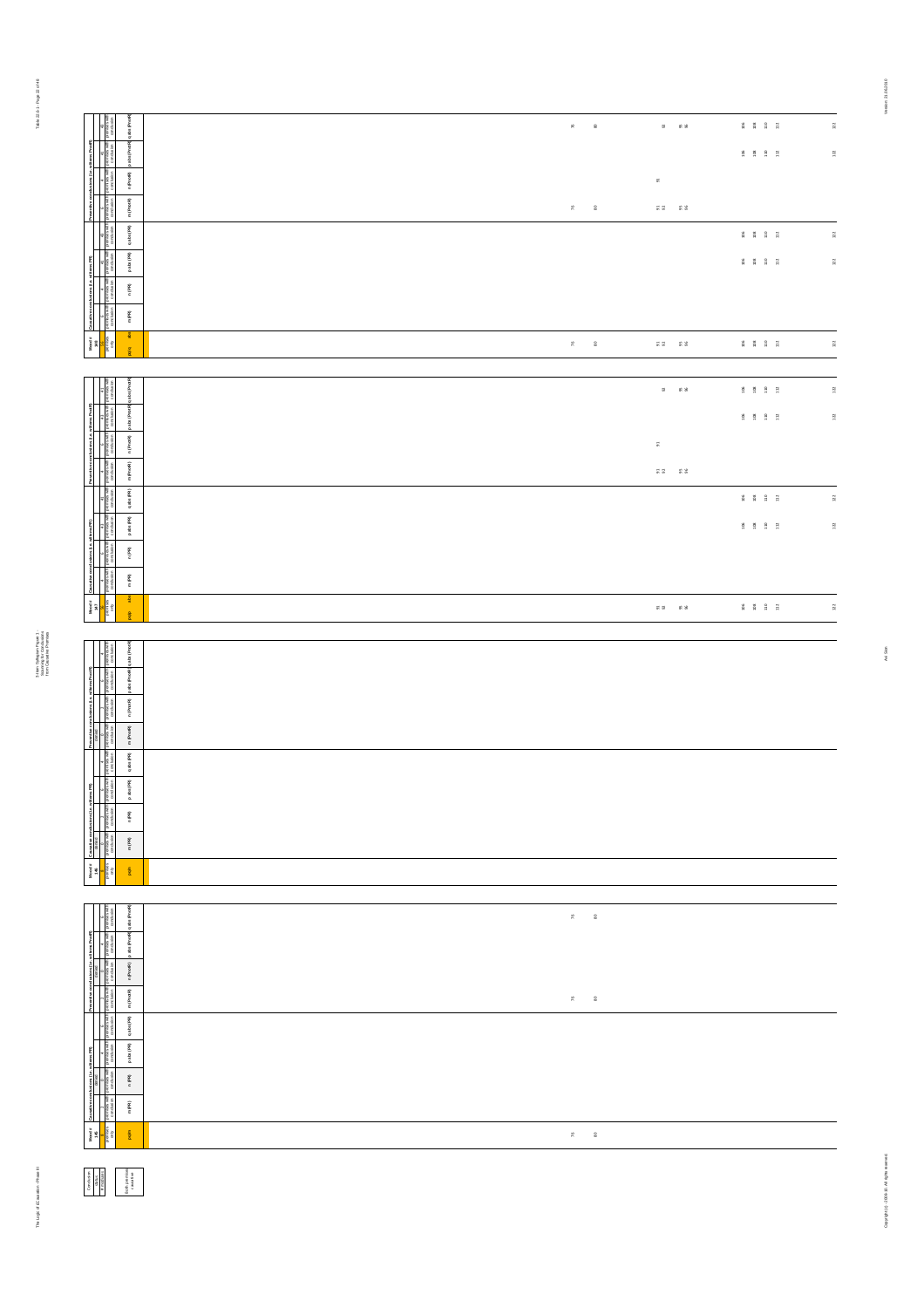|                                                                                                                                                                                                                          | p abs (PnotR) q abs (PnotR)                       | R. | $\mathbbm{S}$ |
|--------------------------------------------------------------------------------------------------------------------------------------------------------------------------------------------------------------------------|---------------------------------------------------|----|---------------|
|                                                                                                                                                                                                                          |                                                   |    |               |
|                                                                                                                                                                                                                          | n (ProfR)                                         |    |               |
| xemises wth promises with permises with permises with promises with promises with premises with premises with<br>conclusion — conclusion — conclusion — conclusion — conclusion — conclusion — conclusion — conclusion — | $m(p \text{ node})$                               | χğ | $\mathbb{S}$  |
|                                                                                                                                                                                                                          | $q$ alss (PR)                                     |    |               |
|                                                                                                                                                                                                                          | pats (PR)                                         |    |               |
|                                                                                                                                                                                                                          | n (PR)                                            |    |               |
|                                                                                                                                                                                                                          | $\frac{\partial \mathbf{R}}{\partial \mathbf{r}}$ |    |               |

|              | 43<br>comises with<br>conclusion                                                                                              | abs (Prooft                          |                                      |                                                                                                                                                                                                                                                                                                                                  |                                                                                                                                                                                                                                                                                                                                                                                                                                         |                                                                                                                                                                                                                                                                                                                                                                                                                                     |                                                                                                                                                                                                                                                                                                                                                                                                                                     |
|--------------|-------------------------------------------------------------------------------------------------------------------------------|--------------------------------------|--------------------------------------|----------------------------------------------------------------------------------------------------------------------------------------------------------------------------------------------------------------------------------------------------------------------------------------------------------------------------------|-----------------------------------------------------------------------------------------------------------------------------------------------------------------------------------------------------------------------------------------------------------------------------------------------------------------------------------------------------------------------------------------------------------------------------------------|-------------------------------------------------------------------------------------------------------------------------------------------------------------------------------------------------------------------------------------------------------------------------------------------------------------------------------------------------------------------------------------------------------------------------------------|-------------------------------------------------------------------------------------------------------------------------------------------------------------------------------------------------------------------------------------------------------------------------------------------------------------------------------------------------------------------------------------------------------------------------------------|
|              | $41$<br>omises with<br>pordusion                                                                                              | abs (ProtR)                          |                                      |                                                                                                                                                                                                                                                                                                                                  |                                                                                                                                                                                                                                                                                                                                                                                                                                         |                                                                                                                                                                                                                                                                                                                                                                                                                                     | $\begin{array}{cccccccccc} \mathbf{8} & \mathbf{8} & \mathbf{9} & \mathbf{1} & \mathbf{1} & \mathbf{1} & \mathbf{1} & \mathbf{1} & \mathbf{1} & \mathbf{1} & \mathbf{1} & \mathbf{1} & \mathbf{1} & \mathbf{1} & \mathbf{1} & \mathbf{1} & \mathbf{1} & \mathbf{1} & \mathbf{1} & \mathbf{1} & \mathbf{1} & \mathbf{1} & \mathbf{1} & \mathbf{1} & \mathbf{1} & \mathbf{1} & \mathbf{1} & \mathbf{1} & \mathbf{1} & \mathbf{1} & \$ |
|              | $\frac{1}{3}$                                                                                                                 |                                      |                                      |                                                                                                                                                                                                                                                                                                                                  |                                                                                                                                                                                                                                                                                                                                                                                                                                         |                                                                                                                                                                                                                                                                                                                                                                                                                                     |                                                                                                                                                                                                                                                                                                                                                                                                                                     |
|              |                                                                                                                               | n (ProdR)                            |                                      |                                                                                                                                                                                                                                                                                                                                  | $\mathbbm{S}$                                                                                                                                                                                                                                                                                                                                                                                                                           |                                                                                                                                                                                                                                                                                                                                                                                                                                     |                                                                                                                                                                                                                                                                                                                                                                                                                                     |
|              | writaes<br>conclus                                                                                                            | $m$ (Prooff)                         |                                      | $\begin{matrix} 1 & 0 & 0 \\ 0 & 0 & 0 \\ 0 & 0 & 0 \\ 0 & 0 & 0 \\ 0 & 0 & 0 \\ 0 & 0 & 0 \\ 0 & 0 & 0 \\ 0 & 0 & 0 \\ 0 & 0 & 0 \\ 0 & 0 & 0 & 0 \\ 0 & 0 & 0 & 0 \\ 0 & 0 & 0 & 0 \\ 0 & 0 & 0 & 0 \\ 0 & 0 & 0 & 0 & 0 \\ 0 & 0 & 0 & 0 & 0 \\ 0 & 0 & 0 & 0 & 0 \\ 0 & 0 & 0 & 0 & 0 & 0 \\ 0 & 0 & 0 & 0 & 0 & 0 \\ 0 & 0$ | $53 - 33$                                                                                                                                                                                                                                                                                                                                                                                                                               |                                                                                                                                                                                                                                                                                                                                                                                                                                     |                                                                                                                                                                                                                                                                                                                                                                                                                                     |
|              | $rac{4}{3}$ $rac{5}{9}$<br>43<br>wmiters                                                                                      | $q$ abs (PR)                         |                                      |                                                                                                                                                                                                                                                                                                                                  |                                                                                                                                                                                                                                                                                                                                                                                                                                         | $\begin{array}{cccccccccc} 8 & 8 & 9 & 9 & 3 \\ 10 & 10 & 10 & 10 \\ 11 & 11 & 10 & 10 \\ 11 & 11 & 11 & 10 \\ 12 & 12 & 12 & 10 \\ 13 & 13 & 13 & 10 \\ 14 & 15 & 12 & 10 \\ 15 & 16 & 10 & 10 \\ 16 & 10 & 10 & 10 \\ 17 & 10 & 10 & 10 \\ 18 & 10 & 10 & 10 \\ 19 & 10 & 10 & 10 \\ 19 & 10 & 10 & 10 \\ 19 &$                                                                                                                   | $\mathbb{R}^2$                                                                                                                                                                                                                                                                                                                                                                                                                      |
|              | $41$<br>nomises with<br>condusion                                                                                             | pates (PR)                           |                                      |                                                                                                                                                                                                                                                                                                                                  |                                                                                                                                                                                                                                                                                                                                                                                                                                         | $\begin{array}{cccccccccc} 8 & 8 & 9 & 1 & 1 \\ 10 & 10 & 1 & 1 & 1 \\ 11 & 10 & 11 & 1 & 1 \\ 12 & 10 & 11 & 11 & 1 \\ 13 & 11 & 11 & 11 & 1 \\ 14 & 12 & 11 & 11 & 1 \\ 15 & 13 & 12 & 11 & 11 \\ 16 & 13 & 12 & 11 & 11 \\ 17 & 13 & 13 & 11 & 11 \\ 18 & 14 & 13 & 11 & 11 \\ 19 & 15 & 12 & 11 & 11 \\ 11 &$                                                                                                                   | $\mathbb{R}^2$                                                                                                                                                                                                                                                                                                                                                                                                                      |
|              | 4<br>mises with<br>and usion                                                                                                  | $_{\rm n}$ (kg $_{\rm n}$            |                                      |                                                                                                                                                                                                                                                                                                                                  |                                                                                                                                                                                                                                                                                                                                                                                                                                         |                                                                                                                                                                                                                                                                                                                                                                                                                                     |                                                                                                                                                                                                                                                                                                                                                                                                                                     |
|              |                                                                                                                               |                                      |                                      |                                                                                                                                                                                                                                                                                                                                  |                                                                                                                                                                                                                                                                                                                                                                                                                                         |                                                                                                                                                                                                                                                                                                                                                                                                                                     |                                                                                                                                                                                                                                                                                                                                                                                                                                     |
|              |                                                                                                                               | $\mathfrak{m}(\mathsf{PR})$<br>÷     |                                      |                                                                                                                                                                                                                                                                                                                                  |                                                                                                                                                                                                                                                                                                                                                                                                                                         |                                                                                                                                                                                                                                                                                                                                                                                                                                     |                                                                                                                                                                                                                                                                                                                                                                                                                                     |
| Mood#<br>148 | kuo<br>Luottaa                                                                                                                |                                      |                                      |                                                                                                                                                                                                                                                                                                                                  |                                                                                                                                                                                                                                                                                                                                                                                                                                         |                                                                                                                                                                                                                                                                                                                                                                                                                                     |                                                                                                                                                                                                                                                                                                                                                                                                                                     |
|              |                                                                                                                               |                                      |                                      |                                                                                                                                                                                                                                                                                                                                  |                                                                                                                                                                                                                                                                                                                                                                                                                                         |                                                                                                                                                                                                                                                                                                                                                                                                                                     |                                                                                                                                                                                                                                                                                                                                                                                                                                     |
|              |                                                                                                                               | abs (ProtR)                          |                                      |                                                                                                                                                                                                                                                                                                                                  | $\begin{array}{cccccccccccccc} \mathbb{R} & & \mathbb{R} & \mathbb{R} & & \mathbb{R} & & \mathbb{R} & \mathbb{R} & \mathbb{R} & \mathbb{R} & \mathbb{R} & \mathbb{R} & \mathbb{R} & \mathbb{R} & \mathbb{R} & \mathbb{R} & \mathbb{R} & \mathbb{R} & \mathbb{R} & \mathbb{R} & \mathbb{R} & \mathbb{R} & \mathbb{R} & \mathbb{R} & \mathbb{R} & \mathbb{R} & \mathbb{R} & \mathbb{R} & \mathbb{R} & \mathbb{R} & \mathbb{R} & \mathbb{$ |                                                                                                                                                                                                                                                                                                                                                                                                                                     | $\qquad \qquad \mathbb{R}$                                                                                                                                                                                                                                                                                                                                                                                                          |
|              |                                                                                                                               | 죸                                    |                                      |                                                                                                                                                                                                                                                                                                                                  |                                                                                                                                                                                                                                                                                                                                                                                                                                         |                                                                                                                                                                                                                                                                                                                                                                                                                                     | $\begin{array}{cccccccccccccc} \mathcal{B} & \mathcal{B} & \mathcal{B} & \mathcal{B} & \cdots & \cdots & \cdots & \mathcal{B} \end{array}$                                                                                                                                                                                                                                                                                          |
|              |                                                                                                                               | $n$ (P rooff)                        |                                      |                                                                                                                                                                                                                                                                                                                                  | 91                                                                                                                                                                                                                                                                                                                                                                                                                                      |                                                                                                                                                                                                                                                                                                                                                                                                                                     |                                                                                                                                                                                                                                                                                                                                                                                                                                     |
|              |                                                                                                                               | m(Proof R)                           |                                      |                                                                                                                                                                                                                                                                                                                                  | $53 - 32$                                                                                                                                                                                                                                                                                                                                                                                                                               |                                                                                                                                                                                                                                                                                                                                                                                                                                     |                                                                                                                                                                                                                                                                                                                                                                                                                                     |
|              |                                                                                                                               |                                      |                                      |                                                                                                                                                                                                                                                                                                                                  |                                                                                                                                                                                                                                                                                                                                                                                                                                         |                                                                                                                                                                                                                                                                                                                                                                                                                                     |                                                                                                                                                                                                                                                                                                                                                                                                                                     |
|              | 41<br>promises with<br>condusion                                                                                              | qabs $\langle \mathsf{PR} \rangle$   |                                      |                                                                                                                                                                                                                                                                                                                                  |                                                                                                                                                                                                                                                                                                                                                                                                                                         | $\begin{array}{cccccccccc} \mathbf{g} & \mathbf{g} & \mathbf{g} & \mathbf{g} & \mathbf{g} & \mathbf{g} & \mathbf{g} & \mathbf{g} & \mathbf{g} & \mathbf{g} & \mathbf{g} & \mathbf{g} & \mathbf{g} & \mathbf{g} & \mathbf{g} & \mathbf{g} & \mathbf{g} & \mathbf{g} & \mathbf{g} & \mathbf{g} & \mathbf{g} & \mathbf{g} & \mathbf{g} & \mathbf{g} & \mathbf{g} & \mathbf{g} & \mathbf{g} & \mathbf{g} & \mathbf{g} & \mathbf{g} & \$ | $\widetilde{\mathbf{u}}$                                                                                                                                                                                                                                                                                                                                                                                                            |
|              | 43<br>promises with<br>conclusion                                                                                             | $p$ abs (PR)                         |                                      |                                                                                                                                                                                                                                                                                                                                  |                                                                                                                                                                                                                                                                                                                                                                                                                                         | $\begin{array}{cccccccccccccc} \mathbf{g} & & \mathbf{g} & & \mathbf{g} & & \mathbf{g} & & & \\ \end{array}$                                                                                                                                                                                                                                                                                                                        | $\mathbb{R}^n$                                                                                                                                                                                                                                                                                                                                                                                                                      |
|              |                                                                                                                               | $_{\rm n}$ (PR)                      |                                      |                                                                                                                                                                                                                                                                                                                                  |                                                                                                                                                                                                                                                                                                                                                                                                                                         |                                                                                                                                                                                                                                                                                                                                                                                                                                     |                                                                                                                                                                                                                                                                                                                                                                                                                                     |
|              |                                                                                                                               | $\omega$                             |                                      |                                                                                                                                                                                                                                                                                                                                  |                                                                                                                                                                                                                                                                                                                                                                                                                                         |                                                                                                                                                                                                                                                                                                                                                                                                                                     |                                                                                                                                                                                                                                                                                                                                                                                                                                     |
|              | ¦<br>⊽                                                                                                                        | 普                                    |                                      |                                                                                                                                                                                                                                                                                                                                  | $\begin{array}{ccc} 81 & 8 & 8 \\ 8 & 8 & 8 \\ \end{array}$                                                                                                                                                                                                                                                                                                                                                                             | $\begin{array}{cccccccccccccc} 8 & 8 & 8 & 8 & 8 & \end{array}$                                                                                                                                                                                                                                                                                                                                                                     | $\qquad \qquad \mathbb{R}$                                                                                                                                                                                                                                                                                                                                                                                                          |
|              |                                                                                                                               |                                      |                                      |                                                                                                                                                                                                                                                                                                                                  |                                                                                                                                                                                                                                                                                                                                                                                                                                         |                                                                                                                                                                                                                                                                                                                                                                                                                                     |                                                                                                                                                                                                                                                                                                                                                                                                                                     |
|              |                                                                                                                               |                                      |                                      |                                                                                                                                                                                                                                                                                                                                  |                                                                                                                                                                                                                                                                                                                                                                                                                                         |                                                                                                                                                                                                                                                                                                                                                                                                                                     |                                                                                                                                                                                                                                                                                                                                                                                                                                     |
|              |                                                                                                                               |                                      |                                      |                                                                                                                                                                                                                                                                                                                                  |                                                                                                                                                                                                                                                                                                                                                                                                                                         |                                                                                                                                                                                                                                                                                                                                                                                                                                     |                                                                                                                                                                                                                                                                                                                                                                                                                                     |
|              |                                                                                                                               |                                      |                                      |                                                                                                                                                                                                                                                                                                                                  |                                                                                                                                                                                                                                                                                                                                                                                                                                         |                                                                                                                                                                                                                                                                                                                                                                                                                                     |                                                                                                                                                                                                                                                                                                                                                                                                                                     |
|              |                                                                                                                               |                                      |                                      |                                                                                                                                                                                                                                                                                                                                  |                                                                                                                                                                                                                                                                                                                                                                                                                                         |                                                                                                                                                                                                                                                                                                                                                                                                                                     |                                                                                                                                                                                                                                                                                                                                                                                                                                     |
|              |                                                                                                                               | $n$ (Pro $\theta$ )                  |                                      |                                                                                                                                                                                                                                                                                                                                  |                                                                                                                                                                                                                                                                                                                                                                                                                                         |                                                                                                                                                                                                                                                                                                                                                                                                                                     |                                                                                                                                                                                                                                                                                                                                                                                                                                     |
|              |                                                                                                                               |                                      |                                      |                                                                                                                                                                                                                                                                                                                                  |                                                                                                                                                                                                                                                                                                                                                                                                                                         |                                                                                                                                                                                                                                                                                                                                                                                                                                     |                                                                                                                                                                                                                                                                                                                                                                                                                                     |
|              |                                                                                                                               | $m$ (Prooff)                         |                                      |                                                                                                                                                                                                                                                                                                                                  |                                                                                                                                                                                                                                                                                                                                                                                                                                         |                                                                                                                                                                                                                                                                                                                                                                                                                                     |                                                                                                                                                                                                                                                                                                                                                                                                                                     |
|              | $4$ ormains with<br>corolusion                                                                                                | $q$ ab s $\left( \mathsf{PR}\right)$ |                                      |                                                                                                                                                                                                                                                                                                                                  |                                                                                                                                                                                                                                                                                                                                                                                                                                         |                                                                                                                                                                                                                                                                                                                                                                                                                                     |                                                                                                                                                                                                                                                                                                                                                                                                                                     |
|              |                                                                                                                               | $p$ abs (PR)                         |                                      |                                                                                                                                                                                                                                                                                                                                  |                                                                                                                                                                                                                                                                                                                                                                                                                                         |                                                                                                                                                                                                                                                                                                                                                                                                                                     |                                                                                                                                                                                                                                                                                                                                                                                                                                     |
|              |                                                                                                                               | a de la                              |                                      |                                                                                                                                                                                                                                                                                                                                  |                                                                                                                                                                                                                                                                                                                                                                                                                                         |                                                                                                                                                                                                                                                                                                                                                                                                                                     |                                                                                                                                                                                                                                                                                                                                                                                                                                     |
|              |                                                                                                                               | $\mathfrak{m}(\mathsf{PR})$          |                                      |                                                                                                                                                                                                                                                                                                                                  |                                                                                                                                                                                                                                                                                                                                                                                                                                         |                                                                                                                                                                                                                                                                                                                                                                                                                                     |                                                                                                                                                                                                                                                                                                                                                                                                                                     |
| <b>Mood</b>  | Causative conclusions (i.e. w/ker<br>- General<br>- pamasa with premises with pre<br>- condusion - condusion - co<br>promises | $\frac{\epsilon}{R}$                 |                                      |                                                                                                                                                                                                                                                                                                                                  |                                                                                                                                                                                                                                                                                                                                                                                                                                         |                                                                                                                                                                                                                                                                                                                                                                                                                                     |                                                                                                                                                                                                                                                                                                                                                                                                                                     |
|              |                                                                                                                               |                                      |                                      |                                                                                                                                                                                                                                                                                                                                  |                                                                                                                                                                                                                                                                                                                                                                                                                                         |                                                                                                                                                                                                                                                                                                                                                                                                                                     |                                                                                                                                                                                                                                                                                                                                                                                                                                     |
|              | e<br>winters                                                                                                                  | abs (Pro                             | $\mathcal{R}$                        | $\mathbf{S}$                                                                                                                                                                                                                                                                                                                     |                                                                                                                                                                                                                                                                                                                                                                                                                                         |                                                                                                                                                                                                                                                                                                                                                                                                                                     |                                                                                                                                                                                                                                                                                                                                                                                                                                     |
|              |                                                                                                                               |                                      |                                      |                                                                                                                                                                                                                                                                                                                                  |                                                                                                                                                                                                                                                                                                                                                                                                                                         |                                                                                                                                                                                                                                                                                                                                                                                                                                     |                                                                                                                                                                                                                                                                                                                                                                                                                                     |
|              | a<br>ventions<br>condusto                                                                                                     | abs (ProtR)                          |                                      |                                                                                                                                                                                                                                                                                                                                  |                                                                                                                                                                                                                                                                                                                                                                                                                                         |                                                                                                                                                                                                                                                                                                                                                                                                                                     |                                                                                                                                                                                                                                                                                                                                                                                                                                     |
|              | promises with<br>conclusion<br>denied                                                                                         | $n$ (ProofR)                         |                                      |                                                                                                                                                                                                                                                                                                                                  |                                                                                                                                                                                                                                                                                                                                                                                                                                         |                                                                                                                                                                                                                                                                                                                                                                                                                                     |                                                                                                                                                                                                                                                                                                                                                                                                                                     |
|              | comises with<br>conclusion                                                                                                    | $m$ (P rooff)                        | $\mathbb R$ $\qquad \quad \mathbb R$ |                                                                                                                                                                                                                                                                                                                                  |                                                                                                                                                                                                                                                                                                                                                                                                                                         |                                                                                                                                                                                                                                                                                                                                                                                                                                     |                                                                                                                                                                                                                                                                                                                                                                                                                                     |
|              | e<br>mises with<br>condusion                                                                                                  | qabs (PR)                            |                                      |                                                                                                                                                                                                                                                                                                                                  |                                                                                                                                                                                                                                                                                                                                                                                                                                         |                                                                                                                                                                                                                                                                                                                                                                                                                                     |                                                                                                                                                                                                                                                                                                                                                                                                                                     |
|              |                                                                                                                               |                                      |                                      |                                                                                                                                                                                                                                                                                                                                  |                                                                                                                                                                                                                                                                                                                                                                                                                                         |                                                                                                                                                                                                                                                                                                                                                                                                                                     |                                                                                                                                                                                                                                                                                                                                                                                                                                     |
|              |                                                                                                                               | pates (PR)                           |                                      |                                                                                                                                                                                                                                                                                                                                  |                                                                                                                                                                                                                                                                                                                                                                                                                                         |                                                                                                                                                                                                                                                                                                                                                                                                                                     |                                                                                                                                                                                                                                                                                                                                                                                                                                     |
|              |                                                                                                                               | $_{\rm n}$ (PR)                      |                                      |                                                                                                                                                                                                                                                                                                                                  |                                                                                                                                                                                                                                                                                                                                                                                                                                         |                                                                                                                                                                                                                                                                                                                                                                                                                                     |                                                                                                                                                                                                                                                                                                                                                                                                                                     |
|              | nemises<br>only                                                                                                               | $\frac{1}{n}$                        |                                      |                                                                                                                                                                                                                                                                                                                                  |                                                                                                                                                                                                                                                                                                                                                                                                                                         |                                                                                                                                                                                                                                                                                                                                                                                                                                     |                                                                                                                                                                                                                                                                                                                                                                                                                                     |

|               | ŧ<br>pomit                                    | $\ddot{\sigma}$                              |  |
|---------------|-----------------------------------------------|----------------------------------------------|--|
| ÷             | 5<br>promises with<br>conclusion              | ō<br>$\sim$                                  |  |
| ತ             | premisies with<br>oondusion                   | $\widehat{\mathbf{g}}$<br>×.<br>$\mathbf{c}$ |  |
| a a           | $\frac{6}{3}$<br>promi                        | $\tilde{v}$<br>×.<br>看                       |  |
|               | is with<br>isl on<br>A<br>promises<br>conclus | œ,<br>$\ddot{\sigma}$                        |  |
|               | 6<br>promises with<br>condusion               | $\widehat{\mathbf{g}}$<br>$\mathbf{a}$       |  |
| ₹<br>- 4      | premises with<br>condusion                    | ε<br>$\overline{a}$                          |  |
| - 31          | $\frac{5}{2}$ 6<br>$P$ one                    | Ê<br>€                                       |  |
| $\frac{1}{2}$ | <b>Resident</b>                               | å                                            |  |

|                                                                                | 호                                 | $\ddot{\sigma}$                         | $\,$ 33<br>$\frac{1}{2}$ |
|--------------------------------------------------------------------------------|-----------------------------------|-----------------------------------------|--------------------------|
|                                                                                | $\frac{6}{3}$ s<br>E SI           | æ<br>န္<br>$\Omega$                     |                          |
|                                                                                | ta with<br>통의                     | $\widehat{\mathbf{g}}$<br>ို            |                          |
| Preventive conclusions (Le. witems Prooft)<br> -<br> -                         | promi                             | ĝ<br>ို့                                |                          |
|                                                                                | ises with<br>dusion<br>peeri<br>8 | $\bf q$ abs $\left( \mathrm{PR}\right)$ |                          |
|                                                                                | premises with<br>condusion        | pats (PR)                               |                          |
|                                                                                | promise<br>contiu                 | $_{\rm n}$ (PR)                         |                          |
| Causalie condusions (i.e. wileans PR)<br>Causalie condusions (i.e. wileans PR) | premises with<br>conclusion       | $\frac{1}{6}$                           |                          |
| $M \propto 46$                                                                 |                                   |                                         |                          |

he Lagic of ECausation

Conclusion status # moduses causative Both premises

 $\frac{1}{148}$ 

Copyright (c) - 2008-10. All rights reserved. Avi Sion Version: 21.06.2010

 $M$  Sion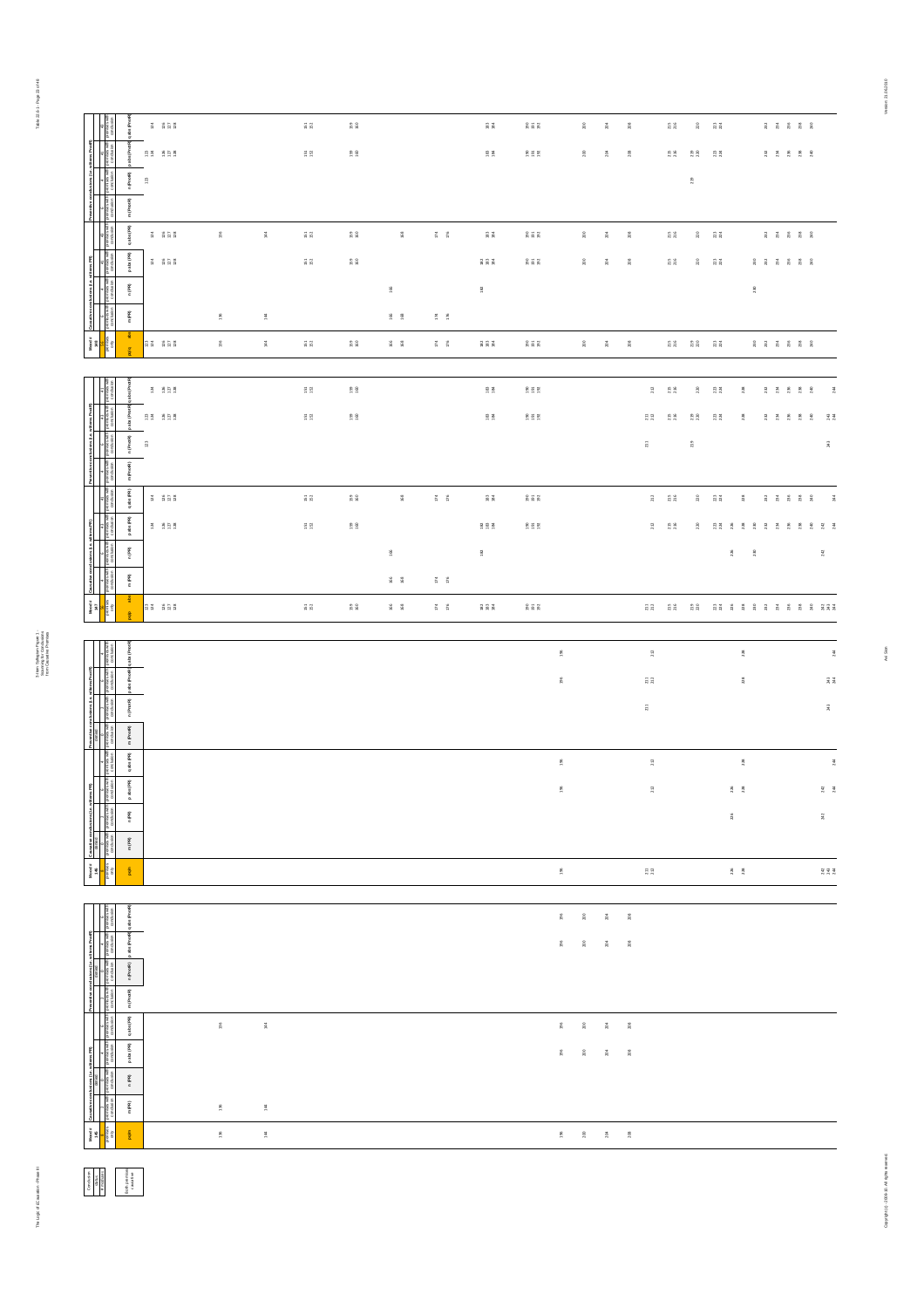|                                       |                             |                         | $\begin{array}{cc} \mathbb{R} & \mathbb{R} & \mathbb{R} \\ \mathbb{R} & \mathbb{R} & \mathbb{R} \\ \mathbb{R} & \mathbb{R} & \mathbb{R} \end{array}$                                                                                                                                                                                                                                                                                       |                                       |                 | $\frac{51}{152}$                                                                                                                                                        | <b>59</b><br>160                                       |                                                |                                           | $\substack{23 \\ 23}$                                                          | $\frac{8}{3}$ $\frac{5}{3}$ $\frac{8}{3}$                                   |                |                                                                                                                                                                                                                                                                                                                                   | $\begin{matrix} 2 & 3 & 3 \\ 2 & 3 & 3 \\ 3 & 3 & 3 \\ 3 & 3 & 3 \\ 3 & 3 & 3 \\ 3 & 3 & 3 \\ 3 & 3 & 3 \\ 3 & 3 & 3 \\ 3 & 3 & 3 \\ 3 & 3 & 3 \\ 3 & 3 & 3 \\ 3 & 3 & 3 \\ 3 & 3 & 3 \\ 3 & 3 & 3 \\ 3 & 3 & 3 & 3 \\ 3 & 3 & 3 & 3 \\ 3 & 3 & 3 & 3 \\ 3 & 3 & 3 & 3 \\ 3 & 3 & 3 & 3 \\ 3 & 3 & 3 & 3 \\ 3 & 3 & 3 & 3 \\ 3 & 3$   |                                                                                |                      | $\substack{215 \\ 216}$                                       |                   | $\begin{array}{cc} 20 & 23 \\ 23 & 24 \end{array}$                                                        |                                          |                                                                                                                                                                                                                                                                                                                                                                                                                                     | $\begin{array}{cccccccccc} \Xi & \Xi & \Xi & \Xi & \Xi & \Xi \end{array}$ |                                                                                                                                                                                                                                                                                                                                                                                                                                                               |
|---------------------------------------|-----------------------------|-------------------------|--------------------------------------------------------------------------------------------------------------------------------------------------------------------------------------------------------------------------------------------------------------------------------------------------------------------------------------------------------------------------------------------------------------------------------------------|---------------------------------------|-----------------|-------------------------------------------------------------------------------------------------------------------------------------------------------------------------|--------------------------------------------------------|------------------------------------------------|-------------------------------------------|--------------------------------------------------------------------------------|-----------------------------------------------------------------------------|----------------|-----------------------------------------------------------------------------------------------------------------------------------------------------------------------------------------------------------------------------------------------------------------------------------------------------------------------------------|---------------------------------------------------------------------------------------------------------------------------------------------------------------------------------------------------------------------------------------------------------------------------------------------------------------------------------------|--------------------------------------------------------------------------------|----------------------|---------------------------------------------------------------|-------------------|-----------------------------------------------------------------------------------------------------------|------------------------------------------|-------------------------------------------------------------------------------------------------------------------------------------------------------------------------------------------------------------------------------------------------------------------------------------------------------------------------------------------------------------------------------------------------------------------------------------|---------------------------------------------------------------------------|---------------------------------------------------------------------------------------------------------------------------------------------------------------------------------------------------------------------------------------------------------------------------------------------------------------------------------------------------------------------------------------------------------------------------------------------------------------|
|                                       |                             |                         | $33 - 333$                                                                                                                                                                                                                                                                                                                                                                                                                                 |                                       |                 | 151                                                                                                                                                                     | <b>SS</b><br>160                                       |                                                |                                           | $\substack{23 \\ 23}$                                                          | $\frac{5}{2}$ $\frac{5}{2}$ $\frac{3}{2}$                                   |                |                                                                                                                                                                                                                                                                                                                                   | $\begin{matrix} 0 & \cdots & 0 \\ 0 & \cdots & 0 \\ 0 & \cdots & 0 \end{matrix}$                                                                                                                                                                                                                                                      |                                                                                |                      |                                                               |                   | $\begin{array}{ccc}\n\text{11} & \text{12} & \text{13} \\ \text{14} & \text{15} & \text{16}\n\end{array}$ |                                          |                                                                                                                                                                                                                                                                                                                                                                                                                                     | $\begin{array}{cccccccccc} \Xi & \Xi & \Xi & \Xi & \Xi & \Xi \end{array}$ |                                                                                                                                                                                                                                                                                                                                                                                                                                                               |
|                                       |                             | $\overline{\mathbf{u}}$ |                                                                                                                                                                                                                                                                                                                                                                                                                                            |                                       |                 |                                                                                                                                                                         |                                                        |                                                |                                           |                                                                                |                                                                             |                |                                                                                                                                                                                                                                                                                                                                   |                                                                                                                                                                                                                                                                                                                                       |                                                                                |                      |                                                               | $_{\rm 219}$      |                                                                                                           |                                          |                                                                                                                                                                                                                                                                                                                                                                                                                                     |                                                                           |                                                                                                                                                                                                                                                                                                                                                                                                                                                               |
|                                       |                             |                         |                                                                                                                                                                                                                                                                                                                                                                                                                                            |                                       |                 |                                                                                                                                                                         |                                                        |                                                |                                           |                                                                                |                                                                             |                |                                                                                                                                                                                                                                                                                                                                   |                                                                                                                                                                                                                                                                                                                                       |                                                                                |                      |                                                               |                   |                                                                                                           |                                          |                                                                                                                                                                                                                                                                                                                                                                                                                                     |                                                                           |                                                                                                                                                                                                                                                                                                                                                                                                                                                               |
|                                       | 1ab6(PR)                    |                         | $\begin{array}{cc} \mathbf{3} & \mathbf{3} & \mathbf{5} \\ \mathbf{2} & \mathbf{3} & \mathbf{3} \\ \end{array}$                                                                                                                                                                                                                                                                                                                            | $_{136}$                              | $\frac{4}{3}$   | $\substack{+5.1\\-1.52}$                                                                                                                                                | 359                                                    |                                                | $168$ $174$                               | $\frac{23}{18}$                                                                | $\begin{smallmatrix} 0 & 0 & 0 \\ 0 & 0 & 0 \\ 0 & 0 & 0 \end{smallmatrix}$ |                |                                                                                                                                                                                                                                                                                                                                   | $\begin{matrix} 2 & 3 \\ 2 & 3 \\ 3 & 4 \end{matrix}$                                                                                                                                                                                                                                                                                 |                                                                                |                      | $\substack{25 \\ 216}$                                        |                   | $\begin{array}{cc} 23 \\ 23 \\ 24 \end{array}$                                                            |                                          |                                                                                                                                                                                                                                                                                                                                                                                                                                     |                                                                           |                                                                                                                                                                                                                                                                                                                                                                                                                                                               |
|                                       | Ê                           |                         | $\frac{3}{2}$ $\frac{3}{2}$ $\frac{5}{2}$ $\frac{3}{2}$ $\frac{3}{2}$                                                                                                                                                                                                                                                                                                                                                                      |                                       |                 | $\substack{51\\52}$                                                                                                                                                     | 359                                                    |                                                |                                           | $\begin{array}{c} 23 \\ 23 \\ 24 \\ \end{array}$                               | $\frac{8}{3}$ $\frac{5}{3}$ $\frac{8}{3}$                                   |                |                                                                                                                                                                                                                                                                                                                                   | $\begin{matrix} 2 & 3 & 3 \\ 2 & 3 & 3 \\ 3 & 3 & 3 \\ 3 & 3 & 3 \\ 3 & 3 & 3 \\ 3 & 3 & 3 \\ 3 & 3 & 3 \\ 3 & 3 & 3 \\ 3 & 3 & 3 \\ 3 & 3 & 3 \\ 3 & 3 & 3 \\ 3 & 3 & 3 \\ 3 & 3 & 3 \\ 3 & 3 & 3 \\ 3 & 3 & 3 \\ 3 & 3 & 3 \\ 3 & 3 & 3 \\ 3 & 3 & 3 \\ 3 & 3 & 3 \\ 3 & 3 & 3 \\ 3 & 3 & 3 \\ 3 & 3 & 3 \\ 3 & 3 & 3 \\ 3 & 3 & 3$ |                                                                                |                      | $\substack{215 \\ 216}$                                       |                   | $\begin{matrix} 3 & \phantom{-}3\,3 \\ \phantom{-}3 & \phantom{-}3 \end{matrix}$                          |                                          | $\begin{array}{cccccccccc} \mathbf{S} & \mathbf{H} & \mathbf{H} & \mathbf{H} & \mathbf{H} & \mathbf{H} & \mathbf{H} & \mathbf{H} \end{array}$                                                                                                                                                                                                                                                                                       |                                                                           |                                                                                                                                                                                                                                                                                                                                                                                                                                                               |
|                                       | n (PR)                      |                         |                                                                                                                                                                                                                                                                                                                                                                                                                                            |                                       |                 |                                                                                                                                                                         |                                                        | $366\,$                                        |                                           | $\widetilde{\mathfrak{M}}$                                                     |                                                                             |                |                                                                                                                                                                                                                                                                                                                                   |                                                                                                                                                                                                                                                                                                                                       |                                                                                |                      |                                                               |                   |                                                                                                           |                                          | $_{\rm 20}$                                                                                                                                                                                                                                                                                                                                                                                                                         |                                                                           |                                                                                                                                                                                                                                                                                                                                                                                                                                                               |
|                                       | $\frac{m}{n}$               |                         |                                                                                                                                                                                                                                                                                                                                                                                                                                            | $\frac{35}{2}$                        | $\frac{3}{2}$   |                                                                                                                                                                         |                                                        | 98.98                                          | $\begin{array}{cc} \Xi & \Xi \end{array}$ |                                                                                |                                                                             |                |                                                                                                                                                                                                                                                                                                                                   |                                                                                                                                                                                                                                                                                                                                       |                                                                                |                      |                                                               |                   |                                                                                                           |                                          |                                                                                                                                                                                                                                                                                                                                                                                                                                     |                                                                           |                                                                                                                                                                                                                                                                                                                                                                                                                                                               |
| §∄                                    |                             |                         | na ana                                                                                                                                                                                                                                                                                                                                                                                                                                     | $^{136}\,$                            | $\frac{\pi}{2}$ | 151                                                                                                                                                                     | S9<br>160                                              | $\frac{9}{2}$ $\frac{3}{2}$                    | $\frac{74}{176}$                          | $\begin{array}{c} 23 \\ 23 \\ 24 \\ \end{array}$                               | $\frac{5}{2}$ $\frac{5}{2}$ $\frac{3}{2}$                                   |                |                                                                                                                                                                                                                                                                                                                                   |                                                                                                                                                                                                                                                                                                                                       | $\begin{matrix} 2 & 3 & 3 \\ 2 & 3 & 3 \\ 3 & 3 & 3 \\ 3 & 3 & 3 \end{matrix}$ |                      |                                                               | <b>A 32 33 33</b> |                                                                                                           |                                          | $\begin{array}{cccccccccc} \mathbb{S} & \mathbb{S} & \mathbb{S} & \mathbb{S} & \mathbb{S} & \mathbb{S} & \mathbb{S} & \mathbb{S} & \mathbb{S} & \mathbb{S} & \mathbb{S} & \mathbb{S} & \mathbb{S} & \mathbb{S} & \mathbb{S} & \mathbb{S} & \mathbb{S} & \mathbb{S} & \mathbb{S} & \mathbb{S} & \mathbb{S} & \mathbb{S} & \mathbb{S} & \mathbb{S} & \mathbb{S} & \mathbb{S} & \mathbb{S} & \mathbb{S} & \mathbb{S} & \mathbb{S} & \$ |                                                                           |                                                                                                                                                                                                                                                                                                                                                                                                                                                               |
|                                       |                             |                         |                                                                                                                                                                                                                                                                                                                                                                                                                                            |                                       |                 |                                                                                                                                                                         |                                                        |                                                |                                           |                                                                                |                                                                             |                |                                                                                                                                                                                                                                                                                                                                   |                                                                                                                                                                                                                                                                                                                                       |                                                                                |                      |                                                               |                   |                                                                                                           |                                          |                                                                                                                                                                                                                                                                                                                                                                                                                                     |                                                                           |                                                                                                                                                                                                                                                                                                                                                                                                                                                               |
|                                       |                             |                         | $\begin{array}{cc} \overline{\Omega} & \quad \  \  \, \Omega & \quad \  \  \, \Omega \\ \quad \  \  \, \Omega & \quad \  \  \, \Omega \end{array}$                                                                                                                                                                                                                                                                                         |                                       |                 | $\stackrel{\scriptscriptstyle{1}}{\scriptscriptstyle{2}}\stackrel{\scriptscriptstyle{2}}{\scriptscriptstyle{3}}\stackrel{\scriptscriptstyle{3}}{\scriptscriptstyle{3}}$ | $\substack{9\\56}$                                     |                                                |                                           | $\stackrel{\leftrightarrow}{\approx} \; \stackrel{\leftrightarrow}{\approx}$   | $\begin{smallmatrix} 0 & \pi & \pi \\ \pi & \pi & \pi \end{smallmatrix}$    |                |                                                                                                                                                                                                                                                                                                                                   |                                                                                                                                                                                                                                                                                                                                       |                                                                                |                      | $\begin{array}{cc} 22 \\ 21 \\ 21 \\ 21 \\ 21 \\ \end{array}$ |                   | $\begin{matrix} 2 & 3 \\ 3 & 4 \end{matrix}$                                                              | $_{\rm 23}$                              |                                                                                                                                                                                                                                                                                                                                                                                                                                     |                                                                           |                                                                                                                                                                                                                                                                                                                                                                                                                                                               |
|                                       |                             |                         | 88 888                                                                                                                                                                                                                                                                                                                                                                                                                                     |                                       |                 | 55 BS                                                                                                                                                                   | 33.8                                                   |                                                |                                           | $\frac{23}{11}$                                                                | 858                                                                         |                |                                                                                                                                                                                                                                                                                                                                   |                                                                                                                                                                                                                                                                                                                                       |                                                                                |                      | <b>HH HH HA HA</b>                                            |                   |                                                                                                           | 223                                      |                                                                                                                                                                                                                                                                                                                                                                                                                                     |                                                                           |                                                                                                                                                                                                                                                                                                                                                                                                                                                               |
|                                       |                             | $_{\rm 123}$            |                                                                                                                                                                                                                                                                                                                                                                                                                                            |                                       |                 |                                                                                                                                                                         |                                                        |                                                |                                           |                                                                                |                                                                             |                |                                                                                                                                                                                                                                                                                                                                   |                                                                                                                                                                                                                                                                                                                                       |                                                                                |                      | $\frac{1}{2}$                                                 |                   |                                                                                                           |                                          |                                                                                                                                                                                                                                                                                                                                                                                                                                     |                                                                           | $\vec{z}$                                                                                                                                                                                                                                                                                                                                                                                                                                                     |
|                                       |                             |                         |                                                                                                                                                                                                                                                                                                                                                                                                                                            |                                       |                 |                                                                                                                                                                         |                                                        |                                                |                                           |                                                                                |                                                                             |                |                                                                                                                                                                                                                                                                                                                                   |                                                                                                                                                                                                                                                                                                                                       |                                                                                |                      |                                                               |                   |                                                                                                           |                                          |                                                                                                                                                                                                                                                                                                                                                                                                                                     |                                                                           |                                                                                                                                                                                                                                                                                                                                                                                                                                                               |
|                                       | $\widehat{\mathsf{g}}$      |                         | $\begin{smallmatrix} 3 & \hspace{-2mm} & \hspace{-2mm} 8 & \hspace{-2mm} & \hspace{-2mm} 8 & \hspace{-2mm} & \hspace{-2mm} 8 & \hspace{-2mm} & \hspace{-2mm} 8 & \hspace{-2mm} & \hspace{-2mm} 8 & \hspace{-2mm} & \hspace{-2mm} 8 & \hspace{-2mm} & \hspace{-2mm} 8 & \hspace{-2mm} & \hspace{-2mm} 8 & \hspace{-2mm} & \hspace{-2mm} 8 & \hspace{-2mm} & \hspace{-2mm} 8 & \hspace{-2mm} & \hspace{-2mm} 8 & \hspace{-2mm} & \hspace{-2$ |                                       |                 | $\stackrel{\leftrightarrow}{\textrm{5B}}$                                                                                                                               | $\substack{9\\56}$                                     | $\mathbb{S}^2$                                 | $$\mathbbmss{5}$$                         | $\frac{m}{16}$ is                                                              | 853                                                                         |                |                                                                                                                                                                                                                                                                                                                                   |                                                                                                                                                                                                                                                                                                                                       |                                                                                |                      | $\begin{array}{cc} 22 \\ 21 \\ 21 \\ 21 \\ 21 \\ \end{array}$ |                   |                                                                                                           |                                          |                                                                                                                                                                                                                                                                                                                                                                                                                                     |                                                                           | $\begin{matrix} \mathbf{R} & \mathbf{R} \mathbf{R} & \mathbf{R} \\ \mathbf{R} & \mathbf{R} \mathbf{R} & \mathbf{R} \\ \mathbf{R} & \mathbf{R} \end{matrix} \quad \begin{matrix} \mathbf{R} & \mathbf{R} & \mathbf{R} \\ \mathbf{R} & \mathbf{R} & \mathbf{R} \\ \mathbf{R} & \mathbf{R} & \mathbf{R} \\ \mathbf{R} & \mathbf{R} & \mathbf{R} \end{matrix} \quad \begin{matrix} \mathbf{R} & \mathbf{R} \\ \mathbf{R} & \mathbf{R} \\ \mathbf{R} & \mathbf{R}$ |
|                                       | 흥<br>@                      |                         | 3.333                                                                                                                                                                                                                                                                                                                                                                                                                                      |                                       |                 | S1 51                                                                                                                                                                   | $\frac{8}{14}$                                         |                                                |                                           | $\begin{array}{c} 8 \\ 8 \\ 1 \end{array} \begin{array}{c} 8 \\ 1 \end{array}$ | 553                                                                         |                |                                                                                                                                                                                                                                                                                                                                   |                                                                                                                                                                                                                                                                                                                                       |                                                                                |                      | 22.58                                                         |                   |                                                                                                           |                                          |                                                                                                                                                                                                                                                                                                                                                                                                                                     |                                                                           | 8 8 8 8 8 8 8 8 8 8 8 8                                                                                                                                                                                                                                                                                                                                                                                                                                       |
|                                       | å<br>e (PR)                 |                         |                                                                                                                                                                                                                                                                                                                                                                                                                                            |                                       |                 |                                                                                                                                                                         |                                                        | $166\,$                                        |                                           | $182\,$                                                                        |                                                                             |                |                                                                                                                                                                                                                                                                                                                                   |                                                                                                                                                                                                                                                                                                                                       |                                                                                |                      |                                                               |                   |                                                                                                           | $\frac{256}{230}$                        |                                                                                                                                                                                                                                                                                                                                                                                                                                     |                                                                           | $_{\rm 24}$                                                                                                                                                                                                                                                                                                                                                                                                                                                   |
|                                       | mpn                         |                         |                                                                                                                                                                                                                                                                                                                                                                                                                                            |                                       |                 |                                                                                                                                                                         |                                                        | $166$<br>$163$                                 | $\frac{74}{176}$                          |                                                                                |                                                                             |                |                                                                                                                                                                                                                                                                                                                                   |                                                                                                                                                                                                                                                                                                                                       |                                                                                |                      |                                                               |                   |                                                                                                           |                                          |                                                                                                                                                                                                                                                                                                                                                                                                                                     |                                                                           |                                                                                                                                                                                                                                                                                                                                                                                                                                                               |
|                                       |                             |                         | ដឹង ដឹង                                                                                                                                                                                                                                                                                                                                                                                                                                    |                                       |                 | $\stackrel{\scriptscriptstyle{1}}{\scriptscriptstyle{2}}\stackrel{\scriptscriptstyle{2}}{\scriptscriptstyle{3}}\stackrel{\scriptscriptstyle{3}}{\scriptscriptstyle{3}}$ | $\begin{smallmatrix} 0 & 0 \\ 0 & 0 \end{smallmatrix}$ | $\begin{array}{cc} 8 & 3 \\ 8 & 3 \end{array}$ | $\overline{\rm D}$ $\overline{\rm D}$     | នន្ត                                                                           | $\begin{smallmatrix} 0 & \pi & \pi \\ \pi & \pi & \pi \end{smallmatrix}$    |                |                                                                                                                                                                                                                                                                                                                                   |                                                                                                                                                                                                                                                                                                                                       |                                                                                |                      |                                                               |                   |                                                                                                           |                                          |                                                                                                                                                                                                                                                                                                                                                                                                                                     |                                                                           | aa aa aa aa aa aa aa aa aaa                                                                                                                                                                                                                                                                                                                                                                                                                                   |
|                                       |                             |                         |                                                                                                                                                                                                                                                                                                                                                                                                                                            |                                       |                 |                                                                                                                                                                         |                                                        |                                                |                                           |                                                                                |                                                                             |                |                                                                                                                                                                                                                                                                                                                                   |                                                                                                                                                                                                                                                                                                                                       |                                                                                |                      |                                                               |                   |                                                                                                           |                                          |                                                                                                                                                                                                                                                                                                                                                                                                                                     |                                                                           |                                                                                                                                                                                                                                                                                                                                                                                                                                                               |
|                                       |                             |                         |                                                                                                                                                                                                                                                                                                                                                                                                                                            |                                       |                 |                                                                                                                                                                         |                                                        |                                                |                                           |                                                                                |                                                                             | $\frac{8}{24}$ |                                                                                                                                                                                                                                                                                                                                   |                                                                                                                                                                                                                                                                                                                                       |                                                                                | $_{\rm 21}$          |                                                               |                   |                                                                                                           | $228\,$                                  |                                                                                                                                                                                                                                                                                                                                                                                                                                     |                                                                           | $\frac{3}{2}$                                                                                                                                                                                                                                                                                                                                                                                                                                                 |
|                                       |                             |                         |                                                                                                                                                                                                                                                                                                                                                                                                                                            |                                       |                 |                                                                                                                                                                         |                                                        |                                                |                                           |                                                                                |                                                                             | $_{\rm 196}$   |                                                                                                                                                                                                                                                                                                                                   |                                                                                                                                                                                                                                                                                                                                       |                                                                                | $\Xi$ $\Xi$          |                                                               |                   |                                                                                                           | $_{\rm 23}$                              |                                                                                                                                                                                                                                                                                                                                                                                                                                     |                                                                           | $\frac{24}{244}$                                                                                                                                                                                                                                                                                                                                                                                                                                              |
|                                       |                             |                         |                                                                                                                                                                                                                                                                                                                                                                                                                                            |                                       |                 |                                                                                                                                                                         |                                                        |                                                |                                           |                                                                                |                                                                             |                |                                                                                                                                                                                                                                                                                                                                   |                                                                                                                                                                                                                                                                                                                                       |                                                                                | $\tilde{\mathbf{z}}$ |                                                               |                   |                                                                                                           |                                          |                                                                                                                                                                                                                                                                                                                                                                                                                                     |                                                                           | $\frac{243}{4}$                                                                                                                                                                                                                                                                                                                                                                                                                                               |
|                                       |                             |                         |                                                                                                                                                                                                                                                                                                                                                                                                                                            |                                       |                 |                                                                                                                                                                         |                                                        |                                                |                                           |                                                                                |                                                                             |                |                                                                                                                                                                                                                                                                                                                                   |                                                                                                                                                                                                                                                                                                                                       |                                                                                |                      |                                                               |                   |                                                                                                           |                                          |                                                                                                                                                                                                                                                                                                                                                                                                                                     |                                                                           |                                                                                                                                                                                                                                                                                                                                                                                                                                                               |
|                                       | i (PR)                      |                         |                                                                                                                                                                                                                                                                                                                                                                                                                                            |                                       |                 |                                                                                                                                                                         |                                                        |                                                |                                           |                                                                                |                                                                             | $\frac{8}{13}$ |                                                                                                                                                                                                                                                                                                                                   |                                                                                                                                                                                                                                                                                                                                       |                                                                                | $_{\rm 22}$          |                                                               |                   |                                                                                                           | $\qquad \qquad 23$                       |                                                                                                                                                                                                                                                                                                                                                                                                                                     |                                                                           | $\frac{3}{2}$                                                                                                                                                                                                                                                                                                                                                                                                                                                 |
|                                       | į<br>pabs (PR)              |                         |                                                                                                                                                                                                                                                                                                                                                                                                                                            |                                       |                 |                                                                                                                                                                         |                                                        |                                                |                                           |                                                                                |                                                                             | $_{\rm 196}$   |                                                                                                                                                                                                                                                                                                                                   |                                                                                                                                                                                                                                                                                                                                       |                                                                                | $_{\rm 212}$         |                                                               |                   |                                                                                                           | $\begin{array}{c} 226 \\ 23 \end{array}$ |                                                                                                                                                                                                                                                                                                                                                                                                                                     |                                                                           | $\frac{24}{244}$                                                                                                                                                                                                                                                                                                                                                                                                                                              |
|                                       |                             |                         |                                                                                                                                                                                                                                                                                                                                                                                                                                            |                                       |                 |                                                                                                                                                                         |                                                        |                                                |                                           |                                                                                |                                                                             |                |                                                                                                                                                                                                                                                                                                                                   |                                                                                                                                                                                                                                                                                                                                       |                                                                                |                      |                                                               |                   |                                                                                                           |                                          |                                                                                                                                                                                                                                                                                                                                                                                                                                     |                                                                           |                                                                                                                                                                                                                                                                                                                                                                                                                                                               |
|                                       | n@R                         |                         |                                                                                                                                                                                                                                                                                                                                                                                                                                            |                                       |                 |                                                                                                                                                                         |                                                        |                                                |                                           |                                                                                |                                                                             |                |                                                                                                                                                                                                                                                                                                                                   |                                                                                                                                                                                                                                                                                                                                       |                                                                                |                      |                                                               |                   |                                                                                                           | $_{\rm 25}$                              |                                                                                                                                                                                                                                                                                                                                                                                                                                     |                                                                           | $\widetilde{\mathbf{z}}$                                                                                                                                                                                                                                                                                                                                                                                                                                      |
|                                       | $\mathfrak{m}(\mathsf{PR})$ |                         |                                                                                                                                                                                                                                                                                                                                                                                                                                            |                                       |                 |                                                                                                                                                                         |                                                        |                                                |                                           |                                                                                |                                                                             |                |                                                                                                                                                                                                                                                                                                                                   |                                                                                                                                                                                                                                                                                                                                       |                                                                                |                      |                                                               |                   |                                                                                                           |                                          |                                                                                                                                                                                                                                                                                                                                                                                                                                     |                                                                           |                                                                                                                                                                                                                                                                                                                                                                                                                                                               |
| Mood #                                |                             |                         |                                                                                                                                                                                                                                                                                                                                                                                                                                            |                                       |                 |                                                                                                                                                                         |                                                        |                                                |                                           |                                                                                |                                                                             | $^{\rm 96}$    |                                                                                                                                                                                                                                                                                                                                   |                                                                                                                                                                                                                                                                                                                                       |                                                                                | $\frac{1}{2}$        |                                                               |                   |                                                                                                           | $\frac{2.35}{2.28}$                      |                                                                                                                                                                                                                                                                                                                                                                                                                                     |                                                                           | 224                                                                                                                                                                                                                                                                                                                                                                                                                                                           |
|                                       |                             |                         |                                                                                                                                                                                                                                                                                                                                                                                                                                            |                                       |                 |                                                                                                                                                                         |                                                        |                                                |                                           |                                                                                |                                                                             |                |                                                                                                                                                                                                                                                                                                                                   |                                                                                                                                                                                                                                                                                                                                       |                                                                                |                      |                                                               |                   |                                                                                                           |                                          |                                                                                                                                                                                                                                                                                                                                                                                                                                     |                                                                           |                                                                                                                                                                                                                                                                                                                                                                                                                                                               |
|                                       |                             |                         |                                                                                                                                                                                                                                                                                                                                                                                                                                            |                                       |                 |                                                                                                                                                                         |                                                        |                                                |                                           |                                                                                |                                                                             |                | $\begin{matrix} \hat{\mathbf{g}} & \hat{\mathbf{g}} & \hat{\mathbf{g}} & \hat{\mathbf{g}} \\ \hat{\mathbf{g}} & \hat{\mathbf{g}} & \hat{\mathbf{g}} & \hat{\mathbf{g}} \end{matrix}$                                                                                                                                              |                                                                                                                                                                                                                                                                                                                                       |                                                                                |                      |                                                               |                   |                                                                                                           |                                          |                                                                                                                                                                                                                                                                                                                                                                                                                                     |                                                                           |                                                                                                                                                                                                                                                                                                                                                                                                                                                               |
| usions (Le. witems Proof?             |                             |                         |                                                                                                                                                                                                                                                                                                                                                                                                                                            |                                       |                 |                                                                                                                                                                         |                                                        |                                                |                                           |                                                                                |                                                                             |                |                                                                                                                                                                                                                                                                                                                                   |                                                                                                                                                                                                                                                                                                                                       |                                                                                |                      |                                                               |                   |                                                                                                           |                                          |                                                                                                                                                                                                                                                                                                                                                                                                                                     |                                                                           |                                                                                                                                                                                                                                                                                                                                                                                                                                                               |
|                                       |                             |                         |                                                                                                                                                                                                                                                                                                                                                                                                                                            |                                       |                 |                                                                                                                                                                         |                                                        |                                                |                                           |                                                                                |                                                                             |                |                                                                                                                                                                                                                                                                                                                                   |                                                                                                                                                                                                                                                                                                                                       |                                                                                |                      |                                                               |                   |                                                                                                           |                                          |                                                                                                                                                                                                                                                                                                                                                                                                                                     |                                                                           |                                                                                                                                                                                                                                                                                                                                                                                                                                                               |
| avignova <sup>c</sup>                 | $m(p \text{ node})$         |                         |                                                                                                                                                                                                                                                                                                                                                                                                                                            |                                       |                 |                                                                                                                                                                         |                                                        |                                                |                                           |                                                                                |                                                                             |                |                                                                                                                                                                                                                                                                                                                                   |                                                                                                                                                                                                                                                                                                                                       |                                                                                |                      |                                                               |                   |                                                                                                           |                                          |                                                                                                                                                                                                                                                                                                                                                                                                                                     |                                                                           |                                                                                                                                                                                                                                                                                                                                                                                                                                                               |
|                                       | qabs (PR)                   |                         |                                                                                                                                                                                                                                                                                                                                                                                                                                            | $\overline{\phantom{0}}\phantom{0}36$ | $\frac{3}{2}$   |                                                                                                                                                                         |                                                        |                                                |                                           |                                                                                |                                                                             |                | $\begin{matrix} 0 & 0 & 0 \\ 0 & 0 & 0 \\ 0 & 0 & 0 \\ 0 & 0 & 0 \\ 0 & 0 & 0 \\ 0 & 0 & 0 \\ 0 & 0 & 0 \\ 0 & 0 & 0 \\ 0 & 0 & 0 \\ 0 & 0 & 0 & 0 \\ 0 & 0 & 0 & 0 \\ 0 & 0 & 0 & 0 \\ 0 & 0 & 0 & 0 \\ 0 & 0 & 0 & 0 & 0 \\ 0 & 0 & 0 & 0 & 0 \\ 0 & 0 & 0 & 0 & 0 \\ 0 & 0 & 0 & 0 & 0 & 0 \\ 0 & 0 & 0 & 0 & 0 & 0 \\ 0 & 0$  |                                                                                                                                                                                                                                                                                                                                       |                                                                                |                      |                                                               |                   |                                                                                                           |                                          |                                                                                                                                                                                                                                                                                                                                                                                                                                     |                                                                           |                                                                                                                                                                                                                                                                                                                                                                                                                                                               |
| usative conductions (i.e. willems PR) | pates (PR)                  |                         |                                                                                                                                                                                                                                                                                                                                                                                                                                            |                                       |                 |                                                                                                                                                                         |                                                        |                                                |                                           |                                                                                |                                                                             | $\mathbb{S}^6$ |                                                                                                                                                                                                                                                                                                                                   | $\begin{matrix} \mathbf{g} & \mathbf{g} & \mathbf{g} \\ \mathbf{h} & \mathbf{g} & \mathbf{g} \end{matrix}$                                                                                                                                                                                                                            |                                                                                |                      |                                                               |                   |                                                                                                           |                                          |                                                                                                                                                                                                                                                                                                                                                                                                                                     |                                                                           |                                                                                                                                                                                                                                                                                                                                                                                                                                                               |
|                                       | $_{\rm n}$ (PR)             |                         |                                                                                                                                                                                                                                                                                                                                                                                                                                            |                                       |                 |                                                                                                                                                                         |                                                        |                                                |                                           |                                                                                |                                                                             |                |                                                                                                                                                                                                                                                                                                                                   |                                                                                                                                                                                                                                                                                                                                       |                                                                                |                      |                                                               |                   |                                                                                                           |                                          |                                                                                                                                                                                                                                                                                                                                                                                                                                     |                                                                           |                                                                                                                                                                                                                                                                                                                                                                                                                                                               |
|                                       | $\frac{1}{n}$ (PR)          |                         |                                                                                                                                                                                                                                                                                                                                                                                                                                            | $136$                                 | $\sim 10$       |                                                                                                                                                                         |                                                        |                                                |                                           |                                                                                |                                                                             |                |                                                                                                                                                                                                                                                                                                                                   |                                                                                                                                                                                                                                                                                                                                       |                                                                                |                      |                                                               |                   |                                                                                                           |                                          |                                                                                                                                                                                                                                                                                                                                                                                                                                     |                                                                           |                                                                                                                                                                                                                                                                                                                                                                                                                                                               |
|                                       |                             |                         |                                                                                                                                                                                                                                                                                                                                                                                                                                            | $_{\rm 136}$                          | $\frac{3}{2}$   |                                                                                                                                                                         |                                                        |                                                |                                           |                                                                                |                                                                             |                | $\begin{matrix} 0 & 0 & 0 \\ 0 & 0 & 0 \\ 0 & 0 & 0 \\ 0 & 0 & 0 \\ 0 & 0 & 0 \\ 0 & 0 & 0 \\ 0 & 0 & 0 \\ 0 & 0 & 0 \\ 0 & 0 & 0 \\ 0 & 0 & 0 \\ 0 & 0 & 0 \\ 0 & 0 & 0 \\ 0 & 0 & 0 \\ 0 & 0 & 0 & 0 \\ 0 & 0 & 0 & 0 \\ 0 & 0 & 0 & 0 & 0 \\ 0 & 0 & 0 & 0 & 0 \\ 0 & 0 & 0 & 0 & 0 \\ 0 & 0 & 0 & 0 & 0 \\ 0 & 0 & 0 & 0 & 0$ |                                                                                                                                                                                                                                                                                                                                       |                                                                                |                      |                                                               |                   |                                                                                                           |                                          |                                                                                                                                                                                                                                                                                                                                                                                                                                     |                                                                           |                                                                                                                                                                                                                                                                                                                                                                                                                                                               |

 $\begin{matrix} 0 & 0 & 0 \\ 0 & 0 & 0 \\ 0 & 0 & 0 \\ 0 & 0 & 0 \\ 0 & 0 & 0 \\ 0 & 0 & 0 \\ 0 & 0 & 0 \\ 0 & 0 & 0 \\ 0 & 0 & 0 \\ 0 & 0 & 0 \\ 0 & 0 & 0 \\ 0 & 0 & 0 \\ 0 & 0 & 0 \\ 0 & 0 & 0 \\ 0 & 0 & 0 & 0 \\ 0 & 0 & 0 & 0 \\ 0 & 0 & 0 & 0 \\ 0 & 0 & 0 & 0 & 0 \\ 0 & 0 & 0 & 0 & 0 \\ 0 & 0 & 0 & 0 & 0 \\ 0 & 0 & 0$ 

Copyright (c) - 2008-10. All rights reserved. Avi Sion Version: 21.06.2010

 $M$  Sion

Conclusion status # moduses causative Both premises

premises only  $\frac{g}{R}$ 

 $\frac{136}{2}$ 

 $\frac{4}{3}$ 

3-ltem Syltogism Figure 1-<br>Scaming for Conclusions<br>from Causative Premises The Logic of Economic of Economic of Figure 1 - Phase III 3-Item Sylvism Figure 1 - Phase III 30-Item Sylvism Figure 1 - Phase III 30-Item Sylvism Figure 1 - Phase III 30-Item Sylvism Figure 1 - Phase III 30-Item Sylvism F Scanning for Conclusions from Causative Premises

Table 22.6-1 - Page 23 of 48

Page 23 of 48 Table 22.6 1-

The Lagic of ECausation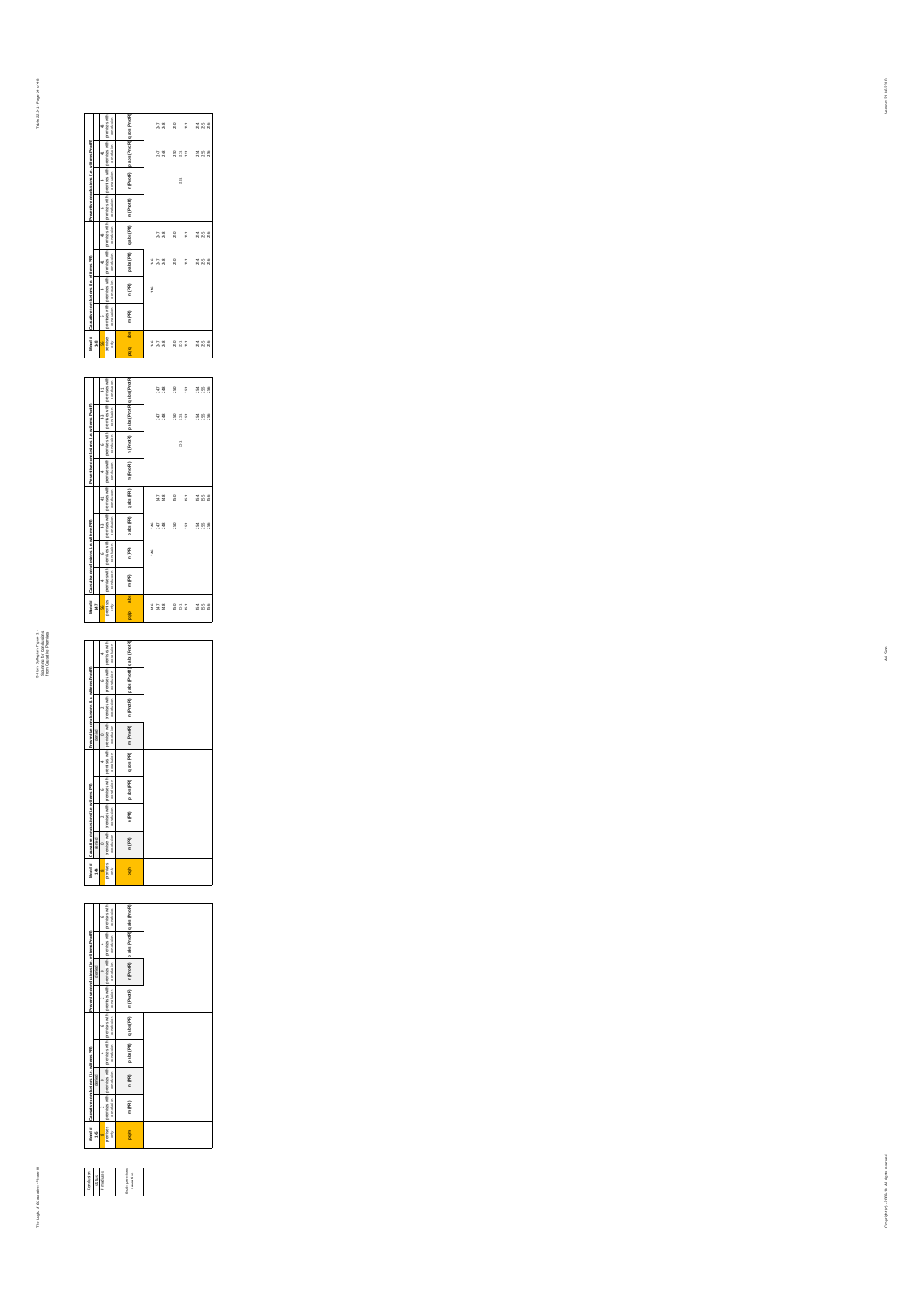Conclusion status # moduses causative Both premises

|                                                |       | 9  | DYN DRITTI SIDS WITH<br>operation                                      | (Proot R) a abs (P notR)                           | 3 R                          | 250<br>252        |
|------------------------------------------------|-------|----|------------------------------------------------------------------------|----------------------------------------------------|------------------------------|-------------------|
|                                                |       | ş  | premises with<br>oondusion                                             | pated                                              | ã<br>248                     | 250<br>251<br>252 |
|                                                |       |    | promises with<br>candusion                                             | n (ProtR)                                          |                              | ä                 |
| Preventive conclusion s (i.e., wiltems Profit) |       |    | promises with<br>conclusion                                            | m (ProtR)                                          |                              |                   |
|                                                |       | ş  | premises with<br>opridualon                                            | qabs (PR)                                          | 247<br>248                   | 250<br>252        |
|                                                |       | ş  | premises with<br>oondusion                                             | pabs (PR)                                          | 245<br>248                   | 250<br>252        |
|                                                |       |    | promises with<br>candusion                                             | n (PR)                                             | 346                          |                   |
| Causaive conclusions (i.e. wiltems PR)         |       |    | 200m ses with<br>conclusion                                            | $\frac{m(PR)}{E}$                                  |                              |                   |
| Mood                                           | 2     | 36 | DON'T SOS<br>έ                                                         | a da<br>ga                                         | <b>g &amp; g</b>             | <b>SS3</b>        |
|                                                |       |    |                                                                        |                                                    |                              |                   |
|                                                |       | ş  | promises with<br>oondusion                                             | pates (Pn ofR) q alss (PnotR)                      | à g                          | 20<br>32          |
|                                                |       | ş  | promises with<br>candusian                                             |                                                    | 24P                          | 29<br>251<br>252  |
| Preventive conclusions (i.e. wiltems PnotR)    |       |    | DYRITTI SIG WITH<br>conclusion                                         | n (ProtR)                                          |                              | 31                |
|                                                |       |    | premises with<br>oondusion                                             | m (PriotR)                                         |                              |                   |
|                                                |       | ş  | promises with<br>candusion                                             | qabs (PR)                                          | à g                          | 30<br>32          |
|                                                |       | ş  | promises with<br>canchusian                                            | p abs (PR)                                         | $\frac{1}{2}$<br>246<br>2.48 | 290<br>32         |
| Causative conclusions (i.e. witems PR)         |       |    | Dream ses with<br>operation                                            | n (PR)                                             | 246                          |                   |
|                                                |       |    | premises with<br>oondusion                                             | m (PR)                                             |                              |                   |
| Mood#                                          | à     | 56 | DY07716405<br>ğ                                                        | 855<br>å                                           | 222                          | និងី              |
|                                                |       |    |                                                                        |                                                    |                              |                   |
|                                                |       |    | own ses with<br>oorclusion                                             | pates (Prooff) q also (Prooff)                     |                              |                   |
|                                                |       |    | com sea with<br>operation                                              |                                                    |                              |                   |
| Preventive con dusions (i.e. w/lears Profit)   |       |    | <b>Kember with</b><br>oondusion                                        | n (Pro IR)                                         |                              |                   |
|                                                | dened |    | promises with<br>candusion                                             | m (ProtR)                                          |                              |                   |
|                                                |       |    | promises with<br>conclusion                                            | $q$ abs $(PR)$                                     |                              |                   |
| (i.e. w/tems PR)                               |       |    | promises with<br>oondusion                                             | (PR)<br>pabs                                       |                              |                   |
|                                                |       |    | premises with premises with<br>oondusion                               | n@R                                                |                              |                   |
| Causative conclusions                          | dened |    | condusion                                                              | m(PR)                                              |                              |                   |
| Mood #                                         | ¥     |    | DYNAMI 50%<br>č                                                        | å                                                  |                              |                   |
|                                                |       |    |                                                                        |                                                    |                              |                   |
|                                                |       |    | premises with<br>condusion                                             |                                                    |                              |                   |
| Preventive conclusions (Le. witems ProfR)      | dened |    | premises with promises with premises with p<br>candusion<br>conclusion | m (ProofR) n (ProofR) pabs (ProofR) q abs (ProofR) |                              |                   |
|                                                |       |    | operation                                                              |                                                    |                              |                   |
|                                                |       |    | premises with<br>oondusion                                             | qabs (PR)                                          |                              |                   |
|                                                |       |    |                                                                        |                                                    |                              |                   |
|                                                |       |    | promises with premises with<br>condusion                               | pate (PR)                                          |                              |                   |
| Causative condusions (i.e. wiltems PR)         | dened |    | conclusion                                                             | n (PR)                                             |                              |                   |
|                                                |       |    |                                                                        |                                                    |                              |                   |
| food #                                         |       |    | commission with<br>operation<br>comedia                                | m (PR)                                             |                              |                   |

| Mood#         |                            | Causative conclusions (i.e. will ems PR) |           |                             |                            | Preventive conclusions (i.e. w/ltems ProtR) |                                         |                             |
|---------------|----------------------------|------------------------------------------|-----------|-----------------------------|----------------------------|---------------------------------------------|-----------------------------------------|-----------------------------|
| ¥             | dened                      |                                          |           |                             | dened                      |                                             |                                         |                             |
| $\bullet$     |                            |                                          |           |                             |                            |                                             |                                         |                             |
| promises<br>č | promises with<br>condusion | premises with premises with<br>oondusion | oondusion | promises with<br>conclusion | promises with<br>candusion | premises with<br>oondusion                  | operation                               | promises with<br>conclusion |
| å             | m (PR)                     | n (PR)                                   | pabs (PR) |                             | qabs(PR) m(PnofR)          |                                             | n (PhotR) patra (P notR) q abs (P notR) |                             |
|               |                            |                                          |           |                             |                            |                                             |                                         |                             |
|               |                            |                                          |           |                             |                            |                                             |                                         |                             |
|               |                            |                                          |           |                             |                            |                                             |                                         |                             |
|               |                            |                                          |           |                             |                            |                                             |                                         |                             |

\*\*\* \*\*\* \*\*

Scanning for Conclusions from Causative Premises

3-lam Sylogian Figure 1<br>Scaming for Conduisons<br>from Causalé Remises

| Preventive conclusions (i.e. wilterns Prooff) |   | ş<br>ş | premises<br>oorclus<br>premises with<br>oondusion<br>promises with promises with<br>canduaion | pates (Proctit) quites (P)<br>n (Prooft) | 异类<br>243<br>248 | ă<br>និងី<br>ä | $\frac{5}{2}$ | ដឹង៖<br>55 |  |
|-----------------------------------------------|---|--------|-----------------------------------------------------------------------------------------------|------------------------------------------|------------------|----------------|---------------|------------|--|
|                                               |   | v<br>ş | operation<br>promises with<br>oondusion                                                       | m (ProtR)                                | 243              | 30             | 32            | 38         |  |
|                                               |   | ş      | premises with<br>oondusion                                                                    | qabs (PR)<br>pabs (PR)                   | 222              | 30             | 32            | 55         |  |
| Causaire conclusions (i.e. wiltems PR)        |   |        | promises with<br>candusion                                                                    | n (PR)                                   | g                |                |               |            |  |
|                                               |   | v      | premises with<br>oprehasion                                                                   | m(PR)                                    |                  |                |               |            |  |
| Mood #                                        | ¥ | \$6    | promises<br>ğ                                                                                 | ã<br>å                                   | 222              | និងី           |               | 55         |  |
|                                               |   |        |                                                                                               |                                          |                  |                |               |            |  |
|                                               |   | 4      | premises with<br>oondusion                                                                    |                                          | à g              | 20             | 32            | នីនី៖      |  |
| Preventive conclusions (i.e. witems Pnot R)   |   | ą      | promises with<br>candusian                                                                    | pats (PnotR) qabs (PnotR)                | 2 8              | 858            |               | 38         |  |
|                                               |   | v      | promises with<br>operation                                                                    | n (Prooft)                               |                  | 51             |               |            |  |
|                                               |   |        | premises with<br>oondusion                                                                    | m (Proot R)                              |                  |                |               |            |  |
|                                               |   | ş      | premises with<br>candusion                                                                    | qabs (PR)                                | 异翼               | g              | S             | ងីដឹ       |  |
|                                               |   | ş      | premises with<br>conclusion                                                                   | p als (PR)                               | 黑黑黑              | 290            | 32            | 388        |  |
| Causative conclusions (i.e., willems PR)      |   |        | Dream ses with<br>oorchasion                                                                  | n (PR)                                   | 246              |                |               |            |  |
|                                               |   |        |                                                                                               |                                          |                  |                |               |            |  |
|                                               |   |        | premises with<br>oondusion                                                                    | m (PR)<br>Ŗ                              |                  |                |               |            |  |

| ă       |                             | Causative conclusions (i.e. witems PR) |                            |                            |                             | Preventive conclusions (i.e. wilterns Prooff) |                                |                            |  |
|---------|-----------------------------|----------------------------------------|----------------------------|----------------------------|-----------------------------|-----------------------------------------------|--------------------------------|----------------------------|--|
|         |                             |                                        |                            |                            |                             |                                               |                                |                            |  |
|         | é                           |                                        | ş                          | ş                          | é                           |                                               | ş                              | ş                          |  |
| k<br>×. | premises with<br>conclusion | premises with<br>canausson             | premises with<br>oondusion | premises with<br>oondusion | promises with<br>conclusion | promises with<br>candusion                    | premises with<br>oondusion     | premises with<br>operation |  |
| š       | m(PR)                       | n (PR)                                 | palos (PR)                 | qabs (PR)                  | $m(p \text{ node})$         | n (Prooff)                                    | pates (Priot R) q abs (P notR) |                            |  |
|         |                             | g                                      | 246<br>$\frac{1}{2}$       |                            |                             |                                               |                                |                            |  |
|         |                             |                                        | 248                        | 243                        |                             |                                               | 243<br>248                     | 243                        |  |
|         |                             |                                        | 250                        | 250                        |                             |                                               |                                | 250                        |  |
| --      |                             |                                        | 252                        | 252                        |                             | ä                                             | និងី                           | 252                        |  |
|         |                             |                                        | 254                        |                            |                             |                                               |                                |                            |  |
|         |                             |                                        | 255                        | 254<br>255                 |                             |                                               | 254<br>255                     | 254<br>255                 |  |
|         |                             |                                        | <b>TEG</b>                 | <b>TELE</b>                |                             |                                               | <b>TELE</b>                    | <b>TELE</b>                |  |

Table 22.6-1 - Page 24 of 48

Table 22.6-1 - Page 24 of 48

Avi Sion

Copyright (c) - 2008-10. All rights reserved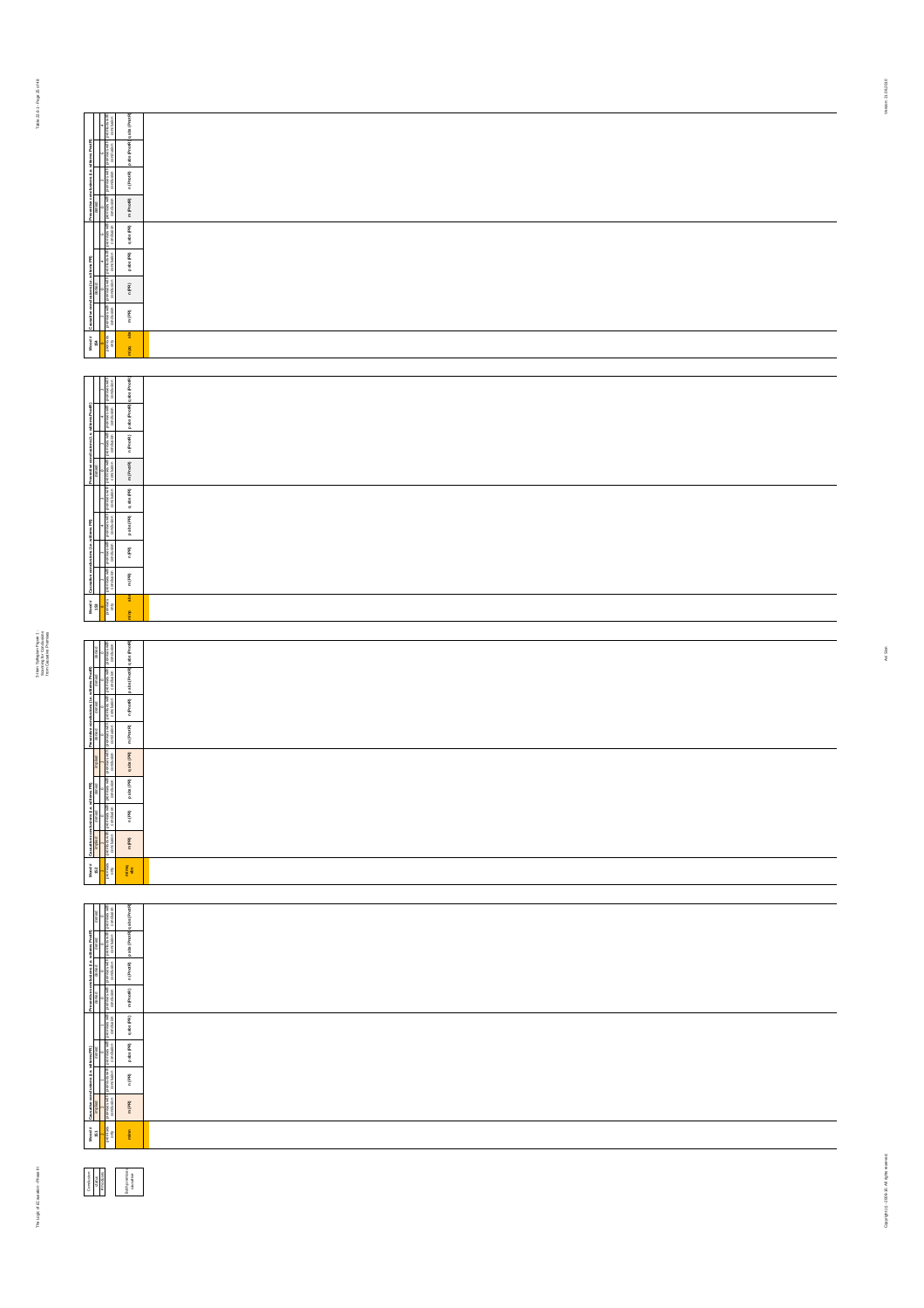| a.                                     |        |         |                             |                           |  |
|----------------------------------------|--------|---------|-----------------------------|---------------------------|--|
|                                        |        | ø       | premises with<br>oonclusion | $q$ abs (PR)              |  |
|                                        |        | ۰       | premises with<br>oondusion  | $p$ abs $(PR)$            |  |
| Causative conclusions (i.e. w/kens PR) | denied | $\circ$ | premises with<br>oondusion  | n (PR)                    |  |
|                                        |        | ó       | premises with<br>candualan  | m(p R)                    |  |
| Mood #                                 | 151    | 88      | premises<br>ğ               | abs.<br>g                 |  |
|                                        |        |         |                             |                           |  |
|                                        |        |         | premises with<br>oondusion  |                           |  |
| ins (i.e., wilterns Priot R)           |        | ٠       | premises with<br>canduaion  | pate (ProfR) qabs (ProfR) |  |
|                                        |        | $\sim$  | ses with<br>thusion         | 'nodR)                    |  |

|                                                                |                                                                                                                                                                                                                                                                                                                                                                                                                                                           | iqates (Prooft                                                                                                                                                              |  |
|----------------------------------------------------------------|-----------------------------------------------------------------------------------------------------------------------------------------------------------------------------------------------------------------------------------------------------------------------------------------------------------------------------------------------------------------------------------------------------------------------------------------------------------|-----------------------------------------------------------------------------------------------------------------------------------------------------------------------------|--|
|                                                                |                                                                                                                                                                                                                                                                                                                                                                                                                                                           |                                                                                                                                                                             |  |
|                                                                |                                                                                                                                                                                                                                                                                                                                                                                                                                                           |                                                                                                                                                                             |  |
|                                                                |                                                                                                                                                                                                                                                                                                                                                                                                                                                           |                                                                                                                                                                             |  |
| Preventive conclusions (i.e. witters Profit)                   |                                                                                                                                                                                                                                                                                                                                                                                                                                                           | $p\text{ abs}\left(\text{PR}\right) = q\text{ abs}\left(\text{PR}\right) = m\left(\text{ProdB}\right) = n\left(\text{ProdB}\right) = p\text{ abs}\left(\text{ProdB}\right)$ |  |
|                                                                |                                                                                                                                                                                                                                                                                                                                                                                                                                                           |                                                                                                                                                                             |  |
|                                                                |                                                                                                                                                                                                                                                                                                                                                                                                                                                           |                                                                                                                                                                             |  |
|                                                                |                                                                                                                                                                                                                                                                                                                                                                                                                                                           |                                                                                                                                                                             |  |
|                                                                |                                                                                                                                                                                                                                                                                                                                                                                                                                                           | $n \in \mathbb{N}$                                                                                                                                                          |  |
|                                                                |                                                                                                                                                                                                                                                                                                                                                                                                                                                           |                                                                                                                                                                             |  |
|                                                                |                                                                                                                                                                                                                                                                                                                                                                                                                                                           | $m\left( \mathsf{PR}\right)$                                                                                                                                                |  |
| Mood # Causative conclusions (i.e. w/terms PR)<br>154<br>- 154 | $\frac{1}{\cosh\theta}=\frac{1}{\cosh\theta}+\frac{1}{\cosh\theta}+\frac{1}{\cosh\theta}+\frac{1}{\cosh\theta}+\frac{1}{\cosh\theta}+\frac{1}{\cosh\theta}+\frac{1}{\cosh\theta}+\frac{1}{\cosh\theta}+\frac{1}{\cosh\theta}+\frac{1}{\cosh\theta}+\frac{1}{\cosh\theta}+\frac{1}{\cosh\theta}+\frac{1}{\cosh\theta}+\frac{1}{\cosh\theta}+\frac{1}{\cosh\theta}+\frac{1}{\cosh\theta}+\frac{1}{\cosh\theta}+\frac{1}{\cosh\theta}+\frac{1}{\cosh\theta}$ | $\frac{1}{2}$                                                                                                                                                               |  |
|                                                                |                                                                                                                                                                                                                                                                                                                                                                                                                                                           | ş                                                                                                                                                                           |  |
|                                                                |                                                                                                                                                                                                                                                                                                                                                                                                                                                           |                                                                                                                                                                             |  |
|                                                                |                                                                                                                                                                                                                                                                                                                                                                                                                                                           | n (PnotR) pates (PnotR) qubs (PnotR)                                                                                                                                        |  |
|                                                                |                                                                                                                                                                                                                                                                                                                                                                                                                                                           |                                                                                                                                                                             |  |
|                                                                |                                                                                                                                                                                                                                                                                                                                                                                                                                                           |                                                                                                                                                                             |  |
|                                                                |                                                                                                                                                                                                                                                                                                                                                                                                                                                           |                                                                                                                                                                             |  |
|                                                                |                                                                                                                                                                                                                                                                                                                                                                                                                                                           | m $(p \text{ root } R)$                                                                                                                                                     |  |
|                                                                | clusions (i.e. whose PR)<br>permain processing the clusing of the conclusions (i.e. white in Processing Company)<br>permain permain permain permain contains the permain permain permain permain permain permain<br>constant in permain                                                                                                                                                                                                                   | q abs (PR)                                                                                                                                                                  |  |
|                                                                |                                                                                                                                                                                                                                                                                                                                                                                                                                                           | pats (PR)                                                                                                                                                                   |  |
|                                                                |                                                                                                                                                                                                                                                                                                                                                                                                                                                           |                                                                                                                                                                             |  |
|                                                                |                                                                                                                                                                                                                                                                                                                                                                                                                                                           | $\frac{1}{n}$                                                                                                                                                               |  |
|                                                                | promises with<br>oonduston                                                                                                                                                                                                                                                                                                                                                                                                                                | $\frac{\partial}{\partial t}$                                                                                                                                               |  |
| Mood # Causative conclusions (i.e. willems PR)<br>153          | kp<br>Budunad<br>Sa                                                                                                                                                                                                                                                                                                                                                                                                                                       | $\ddot{\bullet}$                                                                                                                                                            |  |
|                                                                |                                                                                                                                                                                                                                                                                                                                                                                                                                                           | ł                                                                                                                                                                           |  |
|                                                                |                                                                                                                                                                                                                                                                                                                                                                                                                                                           |                                                                                                                                                                             |  |
|                                                                |                                                                                                                                                                                                                                                                                                                                                                                                                                                           | n (PhotR) pais (PhotR) qalas (PhotR)                                                                                                                                        |  |
|                                                                |                                                                                                                                                                                                                                                                                                                                                                                                                                                           |                                                                                                                                                                             |  |
|                                                                |                                                                                                                                                                                                                                                                                                                                                                                                                                                           |                                                                                                                                                                             |  |
|                                                                |                                                                                                                                                                                                                                                                                                                                                                                                                                                           |                                                                                                                                                                             |  |
|                                                                |                                                                                                                                                                                                                                                                                                                                                                                                                                                           | $m$ (Ph ofR)                                                                                                                                                                |  |
|                                                                |                                                                                                                                                                                                                                                                                                                                                                                                                                                           | pass(PR) qabs (PR)                                                                                                                                                          |  |
|                                                                |                                                                                                                                                                                                                                                                                                                                                                                                                                                           |                                                                                                                                                                             |  |
|                                                                | Mood a Canadian conclusions (a whereas PR)<br>$\frac{1}{2}$ and $\frac{1}{2}$ and $\frac{1}{2}$ and $\frac{1}{2}$ and $\frac{1}{2}$ and $\frac{1}{2}$ and $\frac{1}{2}$ and $\frac{1}{2}$ and $\frac{1}{2}$ and $\frac{1}{2}$ and $\frac{1}{2}$ and $\frac{1}{2}$ and $\frac{1}{2}$                                                                                                                                                                       |                                                                                                                                                                             |  |
|                                                                |                                                                                                                                                                                                                                                                                                                                                                                                                                                           | $\frac{6}{n}$                                                                                                                                                               |  |
|                                                                |                                                                                                                                                                                                                                                                                                                                                                                                                                                           | $\omega$ di                                                                                                                                                                 |  |
|                                                                |                                                                                                                                                                                                                                                                                                                                                                                                                                                           | $\frac{g}{4}$ a                                                                                                                                                             |  |
|                                                                |                                                                                                                                                                                                                                                                                                                                                                                                                                                           |                                                                                                                                                                             |  |
|                                                                |                                                                                                                                                                                                                                                                                                                                                                                                                                                           |                                                                                                                                                                             |  |
|                                                                |                                                                                                                                                                                                                                                                                                                                                                                                                                                           |                                                                                                                                                                             |  |
|                                                                |                                                                                                                                                                                                                                                                                                                                                                                                                                                           |                                                                                                                                                                             |  |
|                                                                |                                                                                                                                                                                                                                                                                                                                                                                                                                                           |                                                                                                                                                                             |  |
|                                                                |                                                                                                                                                                                                                                                                                                                                                                                                                                                           |                                                                                                                                                                             |  |
|                                                                |                                                                                                                                                                                                                                                                                                                                                                                                                                                           | pates (PR)   q abs (PR)   m (P notR)   n (P notR)   pates (P notR) q abs (P notR)                                                                                           |  |
|                                                                |                                                                                                                                                                                                                                                                                                                                                                                                                                                           |                                                                                                                                                                             |  |
|                                                                |                                                                                                                                                                                                                                                                                                                                                                                                                                                           |                                                                                                                                                                             |  |
|                                                                |                                                                                                                                                                                                                                                                                                                                                                                                                                                           |                                                                                                                                                                             |  |
|                                                                |                                                                                                                                                                                                                                                                                                                                                                                                                                                           | $n(\theta R)$                                                                                                                                                               |  |
|                                                                | noot Casanina oo daaloota (a. a.Warna Pig<br>1990 - Paris II ama ah oo dadka waxaa laga ah oo dadka waxaa laga dadka waxaa laga dadka waxaa laga dadka<br>2008 - Carataan Branslaw, Doorland poolaan (poolaan iyootaan Branslaw, Doo                                                                                                                                                                                                                      | $\frac{1}{m}$ (PR)                                                                                                                                                          |  |
|                                                                |                                                                                                                                                                                                                                                                                                                                                                                                                                                           |                                                                                                                                                                             |  |
|                                                                |                                                                                                                                                                                                                                                                                                                                                                                                                                                           |                                                                                                                                                                             |  |

| ∣ ≍ ∣                 | å.                               |  |
|-----------------------|----------------------------------|--|
|                       |                                  |  |
|                       | $\mathbf{r}$                     |  |
| аh<br><b>Big</b><br>@ | $\sim$                           |  |
| 화                     | έŝ.<br>$\overline{a}$            |  |
| 面                     | $\tilde{z}$<br>s<br>$\epsilon$   |  |
|                       | œω<br>÷                          |  |
| 副                     | œ,<br>$\mathbf{a}$               |  |
|                       | Ê<br>$\mathbf{c}$                |  |
| श<br>- 61             | $\infty$<br>e.<br>$\epsilon$     |  |
| Mood #                | $\frac{1}{2}$ is<br><b>Ferry</b> |  |

Copyright (c) - 2008-10. All rights reserved. Avi Sion Version: 21.06.2010

 $4.8$ on

 $\frac{1}{\sqrt{1-\frac{1}{2}}}$ 

| Preventive conclusions (i.e. witems Prooft)<br>derival                                                                                                                                                                                                                                      |  |
|---------------------------------------------------------------------------------------------------------------------------------------------------------------------------------------------------------------------------------------------------------------------------------------------|--|
|                                                                                                                                                                                                                                                                                             |  |
|                                                                                                                                                                                                                                                                                             |  |
|                                                                                                                                                                                                                                                                                             |  |
|                                                                                                                                                                                                                                                                                             |  |
| Causaline conclusions (i.e. w/kens PR)                                                                                                                                                                                                                                                      |  |
| $\begin{array}{c c}\n\hline\n\text{mod } n \\ \hline\n\text{151}\n\end{array}$                                                                                                                                                                                                              |  |
|                                                                                                                                                                                                                                                                                             |  |
|                                                                                                                                                                                                                                                                                             |  |
|                                                                                                                                                                                                                                                                                             |  |
|                                                                                                                                                                                                                                                                                             |  |
|                                                                                                                                                                                                                                                                                             |  |
| ingari Damatan coolahasatan dimamatiki<br>1930 - Panadaran Panadaran Panadaran Panadaran Panadaran Panadaran Panadaran Ana akan pendadaran Panadaran<br>1990ko - Panadaran Panadaran Panadaran Panadaran Panadaran Panadaran Panadar                                                        |  |
|                                                                                                                                                                                                                                                                                             |  |
|                                                                                                                                                                                                                                                                                             |  |
|                                                                                                                                                                                                                                                                                             |  |
|                                                                                                                                                                                                                                                                                             |  |
|                                                                                                                                                                                                                                                                                             |  |
|                                                                                                                                                                                                                                                                                             |  |
|                                                                                                                                                                                                                                                                                             |  |
|                                                                                                                                                                                                                                                                                             |  |
|                                                                                                                                                                                                                                                                                             |  |
|                                                                                                                                                                                                                                                                                             |  |
|                                                                                                                                                                                                                                                                                             |  |
|                                                                                                                                                                                                                                                                                             |  |
|                                                                                                                                                                                                                                                                                             |  |
|                                                                                                                                                                                                                                                                                             |  |
|                                                                                                                                                                                                                                                                                             |  |
| Mood Description (secondarion de articular de la model de Presidente de La Mondard de Articular (m. 1994)<br>1994 - Paris II personal de President de President de President de President de President (m. 1994)<br>1994 - Paris II<br>i s                                                  |  |
|                                                                                                                                                                                                                                                                                             |  |
|                                                                                                                                                                                                                                                                                             |  |
|                                                                                                                                                                                                                                                                                             |  |
|                                                                                                                                                                                                                                                                                             |  |
|                                                                                                                                                                                                                                                                                             |  |
|                                                                                                                                                                                                                                                                                             |  |
|                                                                                                                                                                                                                                                                                             |  |
|                                                                                                                                                                                                                                                                                             |  |
|                                                                                                                                                                                                                                                                                             |  |
| Mood Paraménto conclusion da without PR<br>The Company of the Company of the Company of the Company of the Company of the Company of the Company of the<br>Parameter percentation (Parameter (Parameters) (percentation) (conclusio<br>$\begin{array}{c} \text{Mood } 8 \\ 151 \end{array}$ |  |

Conclusion status # moduses causative

**BLogic of ECausation** 

Both premises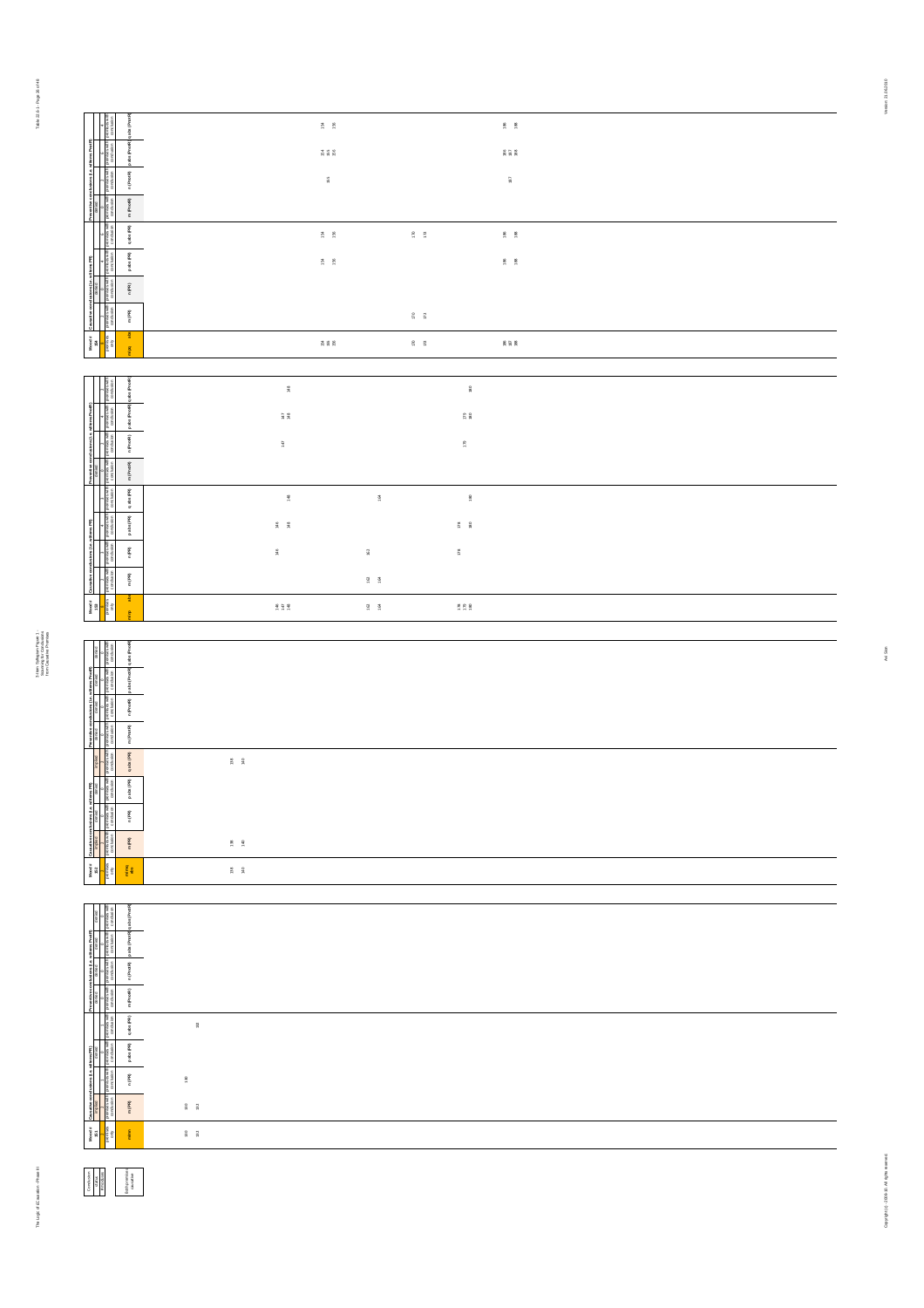|                                                 |               |         | uojentauco<br>yaw.ete.juutod                                                  |                                |               |         |    |                         |               | ă<br>1%    |               |     |  |
|-------------------------------------------------|---------------|---------|-------------------------------------------------------------------------------|--------------------------------|---------------|---------|----|-------------------------|---------------|------------|---------------|-----|--|
|                                                 |               |         | nojenske                                                                      | pates (ProdR) q alss (ProdR)   |               |         |    |                         |               | 558        |               |     |  |
|                                                 |               |         | premises with<br>condusion                                                    | n (Pn ofR)                     |               |         |    |                         |               | 155        |               |     |  |
| Preventive conclusions (i.e. willens Prooff)    | dened         | $\circ$ | uosinpuo<br>un sesuusud                                                       | $m(p \mod 8)$                  |               |         |    |                         |               |            |               |     |  |
|                                                 |               |         | premises with                                                                 | $q$ ab s $(PR)$                |               |         |    |                         |               | ă<br>1%    |               |     |  |
|                                                 |               |         | premises with<br>oondusion                                                    | $p$ abs $(PR)$                 |               |         |    |                         |               | 154<br>156 |               |     |  |
|                                                 | denied        | $\circ$ | oondusion<br>premises with                                                    | n (PR)                         |               |         |    |                         |               |            |               |     |  |
| Causative conclusions (i.e. w/tems PR)          |               |         | wenpup<br>I upweteruaud                                                       |                                |               |         |    |                         |               |            |               |     |  |
|                                                 |               |         |                                                                               | m(PR)<br>Ą                     |               |         |    |                         |               |            |               |     |  |
| Mood #<br>154                                   |               |         | promises<br>only                                                              | m/pq                           |               |         |    |                         |               | 555        |               |     |  |
|                                                 |               |         | promises with<br>condusion                                                    |                                |               |         |    |                         | 148           |            |               |     |  |
|                                                 |               | t       | up assumed<br>candusion                                                       | pats (Proff) qabs (Proff)      |               |         |    |                         | $\frac{5}{3}$ |            |               |     |  |
|                                                 |               |         | premises with<br>conclusion                                                   | n (ProtR)                      |               |         |    |                         | ă             |            |               |     |  |
| Preventive conclusions (i.e. witems Prot R)     | dinid         |         | premises with<br>conclusion                                                   | $m(p \mod R)$                  |               |         |    |                         |               |            |               |     |  |
|                                                 |               |         | premises with<br>oondusion                                                    | qabs (PR)                      |               |         |    |                         | 148           |            |               | 164 |  |
|                                                 |               |         | neurons<br>Anteriora                                                          | pates (PR)                     |               |         |    |                         | 38<br>346     |            |               |     |  |
|                                                 |               |         |                                                                               |                                |               |         |    |                         |               |            |               |     |  |
| Causative conclusions (i.e. witems PR)          |               |         | Linestato<br>un sestuad                                                       | $_{\rm n}$ (PR)                |               |         |    |                         | 146           |            | $\frac{1}{2}$ |     |  |
|                                                 |               |         | premises with<br>oondusion                                                    | m (PR)<br>å                    |               |         |    |                         |               |            | 162           | 164 |  |
| Mood #<br>153                                   |               |         | premises<br>only                                                              | ę                              |               |         |    |                         | 222           |            | 162           | 164 |  |
|                                                 | dened         | ö       | premises with<br>condusion                                                    |                                |               |         |    |                         |               |            |               |     |  |
|                                                 | denied        | $\circ$ | premises with                                                                 | pates (Prooft) qabs (Prooft)   |               |         |    |                         |               |            |               |     |  |
|                                                 | denied        | $\circ$ | premises with<br>oondusion                                                    | n (ProofR)                     |               |         |    |                         |               |            |               |     |  |
| Preventive conclusions (i.e. wittens Pro IR)    | denied        |         | poemises with<br>comises with                                                 | $m(p_{\text{no}}q_{\text{R}})$ |               |         |    |                         |               |            |               |     |  |
|                                                 | impled<br>2   |         |                                                                               | qabs (PR)                      |               |         | 38 | $\frac{9}{2}$           |               |            |               |     |  |
|                                                 |               |         | missa wth<br>condusion                                                        |                                |               |         |    |                         |               |            |               |     |  |
| (La witems PR)                                  | <b>Olivie</b> | $\circ$ |                                                                               | $p$ at $\theta$ (PR)           |               |         |    |                         |               |            |               |     |  |
| Causative conclusions (i.<br>Implied directors) |               |         | premises with premises with premises with<br>conduision conduision conclusion | n (PR)                         |               |         |    |                         |               |            |               |     |  |
|                                                 |               |         |                                                                               | $\omega$ or $\omega$           |               |         | 38 | $\frac{\Omega}{\Omega}$ |               |            |               |     |  |
| Mood #<br>152                                   |               |         | premises<br>orly                                                              | Į                              |               |         | 38 | $\frac{9}{2}$           |               |            |               |     |  |
|                                                 | denied        |         | premises with<br>conclusion                                                   |                                |               |         |    |                         |               |            |               |     |  |
|                                                 | denied        | $\circ$ | <b>UN sequent</b>                                                             | pabs (ProtR) q abs (ProtR)     |               |         |    |                         |               |            |               |     |  |
|                                                 | dened         | $\circ$ | condusion condusion                                                           | $n$ (P rooff)                  |               |         |    |                         |               |            |               |     |  |
| Preventive conclusions (i.e. witems Prooft)     |               |         | upm see upd                                                                   |                                |               |         |    |                         |               |            |               |     |  |
|                                                 | dened         | $\circ$ | premises with premises with<br>conclusion conclusion                          | $m$ (P rooff)                  |               |         |    |                         |               |            |               |     |  |
|                                                 |               |         | premises with                                                                 | $q$ abs $(PR)$                 |               | $13\,$  |    |                         |               |            |               |     |  |
| Causative condustions (i.e. w/leams PR)         | denied        | $\circ$ | premises with<br>oondusion                                                    | pates (PR)                     |               |         |    |                         |               |            |               |     |  |
|                                                 |               |         | neurons<br>Anteriora                                                          | n (PR)                         | 90            |         |    |                         |               |            |               |     |  |
|                                                 | mpled         |         | <b>LEW BBS WAS</b><br>oorclusion                                              | $m(PR)$                        | $\frac{3}{2}$ | $13\,$  |    |                         |               |            |               |     |  |
| Mood #                                          |               |         | com ses<br>only                                                               | minn                           | 30            | $132\,$ |    |                         |               |            |               |     |  |

| romises<br>concilus                                                               | abs (P)                                           |                                                                              | $\frac{3}{21}$ – $\frac{9}{21}$                                  |                                               | 第 章                                                           |  |  |
|-----------------------------------------------------------------------------------|---------------------------------------------------|------------------------------------------------------------------------------|------------------------------------------------------------------|-----------------------------------------------|---------------------------------------------------------------|--|--|
|                                                                                   |                                                   |                                                                              | $\begin{smallmatrix} 3 & 3 & 8 \\ 21 & 23 & 8 \end{smallmatrix}$ |                                               | $\frac{8}{11}\,\frac{5}{11}\,\frac{8}{11}$                    |  |  |
|                                                                                   | n (Pn ofR)                                        |                                                                              | $_{\rm 155}$                                                     |                                               | $187\,$                                                       |  |  |
|                                                                                   | $m(p \mod 8)$                                     |                                                                              |                                                                  |                                               |                                                               |  |  |
|                                                                                   | $q$ abs $\langle \mathsf{PR} \rangle$             |                                                                              | $\mathbbmss{R} = \mathbbmss{R}$                                  | $\mathop{\mathbb{R}}_n=\mathop{\mathbb{R}}_n$ | $\mathbb{R}^n$                                                |  |  |
| £                                                                                 | pabs (PR)                                         |                                                                              | $\frac{3}{21}$ – $\frac{9}{21}$                                  |                                               | $\begin{array}{cc} 386 \\ 388 \end{array}$                    |  |  |
|                                                                                   | n (PR)                                            |                                                                              |                                                                  |                                               |                                                               |  |  |
| <b>G</b>                                                                          | $\frac{\partial \mathbf{R}}{\partial \mathbf{r}}$ |                                                                              |                                                                  | $\mathop{\mathbb{R}}_n=\mathop{\mathbb{R}}_n$ |                                                               |  |  |
| Mood #<br>¦ ≹                                                                     | 普<br>ğ.                                           |                                                                              | $\frac{3}{2} \frac{35}{25} \frac{6}{25}$                         | $\frac{p}{m}-\frac{p}{m}$                     | $\begin{array}{c} 8.6 \\ 3.8 \\ 13.8 \end{array}$             |  |  |
|                                                                                   |                                                   |                                                                              |                                                                  |                                               |                                                               |  |  |
|                                                                                   |                                                   | $\frac{9}{148}$                                                              |                                                                  |                                               | $_{\rm 180}$                                                  |  |  |
| 륑                                                                                 |                                                   | $\stackrel{\scriptstyle \text{m}}{\pi}\stackrel{\scriptstyle \text{m}}{\pi}$ |                                                                  |                                               | $\mathop{\mathbb{S}}\nolimits$ $\mathop{\mathbb{S}}\nolimits$ |  |  |
|                                                                                   | န္                                                | $\frac{\Omega}{\Omega}$                                                      |                                                                  |                                               | $\frac{2}{n}$                                                 |  |  |
|                                                                                   | $m(p \mod R)$                                     |                                                                              |                                                                  |                                               |                                                               |  |  |
|                                                                                   | q abs (PR)                                        | $^{\rm 143}$                                                                 | $_{\rm 164}$                                                     |                                               |                                                               |  |  |
|                                                                                   |                                                   |                                                                              |                                                                  |                                               | $^{\rm 180}$                                                  |  |  |
| E                                                                                 | pata (PR)                                         | $\frac{\omega}{26}=\frac{\omega}{26}$                                        |                                                                  |                                               | $\mathbb{S}^n$ . $\mathbb{S}^n$                               |  |  |
|                                                                                   | $_{\rm n}$ (PR)                                   | $\frac{16}{14}$                                                              | $\overline{\omega}$                                              | $\mathbb{R}$                                  |                                                               |  |  |
|                                                                                   | $\frac{1}{n}$                                     |                                                                              | $\frac{52}{164}$                                                 |                                               |                                                               |  |  |
| $\begin{array}{c}\n\bullet \\ \bullet \\ \bullet \\ \bullet\n\end{array}$<br>in 2 |                                                   | $\begin{smallmatrix} 4 & 6 \\ 3 & 4 \\ 14 & 3 \end{smallmatrix}$             | $\frac{52}{164}$                                                 |                                               | $\substack{78\\179}$                                          |  |  |

 $\begin{array}{cc} \mathbf{g} & \mathbf{g} \\ \mathbf{f} & \mathbf{f} \end{array}$ 

|                                                                       | 1£               |                                   |                                                                                           |  |
|-----------------------------------------------------------------------|------------------|-----------------------------------|-------------------------------------------------------------------------------------------|--|
| हो<br>s (i.e. wittems Pro                                             |                  |                                   |                                                                                           |  |
| clusion                                                               |                  | $\epsilon$                        |                                                                                           |  |
| š.<br>š<br>š                                                          |                  |                                   |                                                                                           |  |
|                                                                       | ı۳               | æ<br>$\bullet$<br>$\ddot{\sigma}$ | $\begin{matrix} 33 & \phantom{1}3 \\ \phantom{1}2 & \phantom{1}3 \end{matrix}$            |  |
|                                                                       |                  | э.<br>$\mathbf{a}$                |                                                                                           |  |
| lusions (i.e. witems PR)                                              |                  | ĝ<br>$\mathbf{c}$                 |                                                                                           |  |
| ã                                                                     | IE.              |                                   | $\overset{\text{\tiny{8}}}{\text{\tiny{2}}}$ $\overset{\text{\tiny{9}}}{\text{\tiny{3}}}$ |  |
| $\begin{array}{c} \text{Mod } \mathfrak{n} \\ \text{152} \end{array}$ | promises<br>orly | Į                                 | $\begin{matrix} 33 & \phantom{1}5 \\ 21 & \phantom{1}5 \end{matrix}$                      |  |

Copyright (c) - 2008-10. All rights reserved. Avi Sion Version: 21.06.2010

Avi Sion

spylight (c) - 2008-10. All rights reserves

lenion: 21.06.2010

 $\equiv$ 

|                                                                            | lä.                                     |                                      |                                               |  |  |  |
|----------------------------------------------------------------------------|-----------------------------------------|--------------------------------------|-----------------------------------------------|--|--|--|
|                                                                            | Iă.                                     | $\Omega$                             |                                               |  |  |  |
| Preventive conductions (i.e., willettes Prodit)<br>derived derived derived | IE.                                     | $\epsilon$                           |                                               |  |  |  |
|                                                                            | lΣε<br>68                               |                                      |                                               |  |  |  |
|                                                                            | $rac{3}{8}$                             | Ê,<br>$\ddot{\sigma}$                | $_{\rm 132}$                                  |  |  |  |
| sions (i.e. w/leams PR)<br>denied                                          |                                         | $\ddot{\phantom{1}}$<br>$\mathbf{a}$ |                                               |  |  |  |
|                                                                            | ıз<br>L                                 | n (PR)                               | $\mathop{\mathrm{ss}}$                        |  |  |  |
| Causative condus                                                           | E,<br>降る<br>$\frac{1}{2}$ $\frac{1}{2}$ | $\mathfrak{m}(\mathsf{PR})$          | $\frac{8}{11}$ – $\frac{81}{11}$              |  |  |  |
| $M_{\text{cool}}$                                                          | e in                                    | Į                                    | $\begin{array}{cc} \Xi^- & \Xi^- \end{array}$ |  |  |  |

Conclusion status # moduses causative

Both premises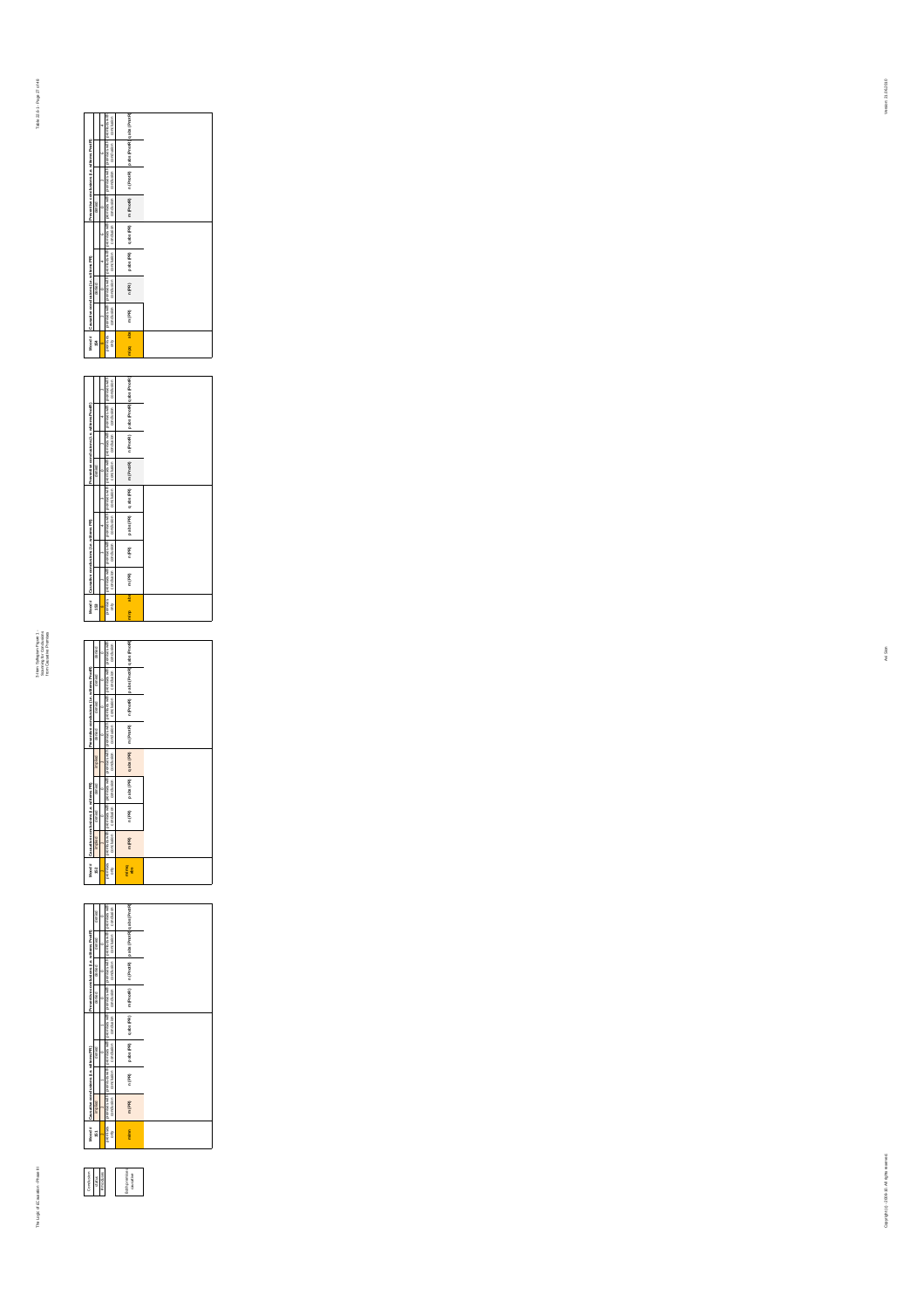The Logic of ECausation - Phase III

Both premises

|                                             |         |   | Dremises with<br>operation                |                                                            |  |
|---------------------------------------------|---------|---|-------------------------------------------|------------------------------------------------------------|--|
|                                             |         |   | Dream beau with<br>oondusion              | n (Pn ofR) patra (PnotR) q abs (PnotR)                     |  |
| Preventive con dusions (i.e. wiltems PnotR) |         |   | oondusion                                 |                                                            |  |
|                                             | dened   | c | or om sea with coemises with<br>candusion |                                                            |  |
|                                             |         |   | Dream ses with<br>oorclusion              | qabs(PR) m (ProdR)                                         |  |
|                                             |         |   | premises with<br>oondusion                | pabs (PR)                                                  |  |
|                                             | denied  |   | promises with<br>oondusion                | n (PR)                                                     |  |
| ausative conclusions (i.e. witness PR)      |         |   | comments with<br>candualan                | m (PR)                                                     |  |
| <b>Aboot</b> #                              | 58      |   | 200 m 905<br>only                         | ă                                                          |  |
|                                             |         |   |                                           | g                                                          |  |
|                                             |         |   | DYNTHERS WITH<br>oondusion                |                                                            |  |
|                                             |         |   | promises with<br>canduagon                | n (ProofR) pabs (Pro tR) qabs (ProofR)                     |  |
|                                             |         |   | promises with<br>conclusion               |                                                            |  |
| Preventive conclusions (i.e. witems Prot R) | dinind  |   | Dream sea with<br>oprehasion              | m (Proot R)                                                |  |
|                                             |         |   | premises with<br>oondusion                | qabs (PR)                                                  |  |
|                                             |         |   | promises with<br>candusion                | pate (PR)                                                  |  |
|                                             |         |   | Dreams sees with<br>conclusion            |                                                            |  |
| Causative conclusions (i.e. willems PR)     |         |   | nises with<br>oondusion                   | n(PR)                                                      |  |
| Mood #                                      | g       |   | only                                      | abs m (PR)                                                 |  |
|                                             |         |   | commons                                   | ę                                                          |  |
|                                             | denied  |   | promises with<br>candusion                |                                                            |  |
|                                             | denied  |   | promises with<br>operation                |                                                            |  |
|                                             | dining  |   | premises with<br>oondusion                |                                                            |  |
| treventive conclusions (i.e. wittens PnotR) | denied  |   | oondusion                                 | q abs (PR) m (PhotR) n (ProtR) p abs (ProtR) q abs (ProtR) |  |
|                                             | implied |   | or omises with coemises with<br>candualan |                                                            |  |
| uniforms <sub>PR)</sub>                     | dining  |   | Dream sea with<br>conclusion              | $p$ ab $s$ $(PR)$                                          |  |
|                                             | dinie   |   | with<br>oondusion                         | n (PR)                                                     |  |
| Causative conclusions                       | implied |   | premises with premises<br>condusion       | $\omega$ or $\omega$                                       |  |
| Mooda                                       | 192     |   | promises<br>ğ                             | E <sub>35</sub>                                            |  |
|                                             |         |   |                                           |                                                            |  |
|                                             | dining  |   | DON'T SO 5 WITH<br>operation              |                                                            |  |
|                                             | denied  |   | premises with<br>oondusion                | patron (Pinot R) q abs (PinotR)                            |  |
|                                             | denied  |   | premises with<br>candusion                |                                                            |  |
| Preventive condusions (i.e. wiltems Profit) | denied  |   | promises with<br>conclusion               | m (ProofR) n (ProofR)                                      |  |
|                                             |         |   | premises with<br>oprobasion               | qabs (PR)                                                  |  |
|                                             | denied  |   | premises with<br>oondusion                | pabs (PR)                                                  |  |
|                                             |         |   | promises with<br>candusion                | n (PR)                                                     |  |
| ausative conclusions (i.e. w/ltems PR)      | mpled   |   | DYRITTI SIG WITH<br>conclusion            | m(PR)                                                      |  |
|                                             |         |   | <b>NYTH 90%</b>                           | minn                                                       |  |

|               | ausative conclusions (i.e. wiltems PR) |               |               |            |                             | Preventive conclusions (Le. witems Prot R) |               |
|---------------|----------------------------------------|---------------|---------------|------------|-----------------------------|--------------------------------------------|---------------|
|               |                                        |               |               | dining     |                             |                                            |               |
|               |                                        |               |               |            |                             |                                            |               |
| oromises with | promises with                          | premises with | promises with |            | premises with premises with | promises with                              | premises with |
| oondusion     | oorchasion                             | candusion     | oondusion     | operation  | conclusion                  | candualon                                  | oondusion     |
| m (PR)        | n (PR)                                 | pates (PR)    | qabs (PR)     | m (Prot R) |                             | n (PnotR)   pabs (PnotR) qabs (PnotR)      |               |
|               |                                        |               |               |            |                             |                                            |               |
|               |                                        |               |               |            |                             |                                            |               |
|               |                                        |               |               |            |                             |                                            |               |
|               |                                        |               |               |            |                             |                                            |               |
|               |                                        |               |               |            |                             |                                            |               |
|               |                                        |               |               |            |                             |                                            |               |
|               |                                        |               |               |            |                             |                                            |               |
|               |                                        |               |               |            |                             |                                            |               |
|               |                                        |               |               |            |                             |                                            |               |

| Mood#        |           | Causative conclusions (i.e. witness PR)  |                            |            |                                          | Preventive conclusions (i.e. willens ProfR) |                                      |                             |
|--------------|-----------|------------------------------------------|----------------------------|------------|------------------------------------------|---------------------------------------------|--------------------------------------|-----------------------------|
| š            |           | denied                                   |                            |            | dened                                    |                                             |                                      |                             |
| 88           |           | $\circ$                                  |                            |            |                                          |                                             |                                      |                             |
| com ses<br>č | condusion | premises with premises with<br>oondusion | premises with<br>oondusion | conclusion | premises with premises with<br>candusion | premises with<br>oondusion                  | promissis with<br>oondusion          | promises with<br>conclusion |
| <b>Right</b> | m (PR)    | nopRy                                    |                            |            | patrs (PR)   qabs (PR) m (ProofR)        |                                             | n (PnotR) patos (PnotR) qabs (PnotR) |                             |
|              |           |                                          |                            |            |                                          |                                             |                                      |                             |
|              |           |                                          |                            |            |                                          |                                             |                                      |                             |
|              |           |                                          |                            |            |                                          |                                             |                                      |                             |

Avi Sion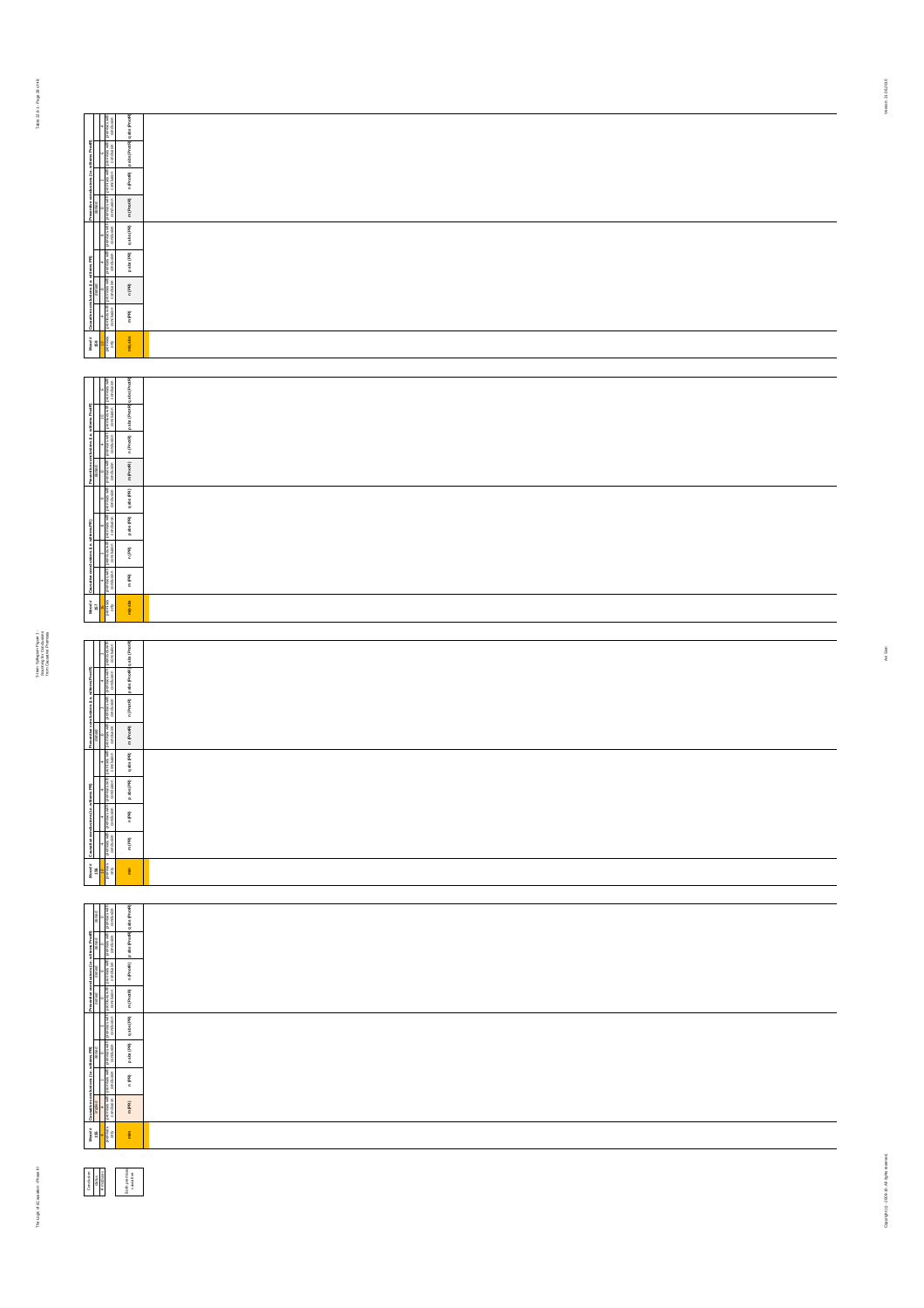Scanning for Conclusions from Causative Premises

3-tem Sylagism Figure 1<br>Samning for Candusions<br>from Causative Premises

The Logic of Economic of Economic of Figure 1 - Phase III 3-Item Sylvan Figure 1 - Phase III 30-Item Sylvan Figure 1 - Phase III 30-Item Sylvan Figure 1 - Phase III 30-Item Sylvan Figure 1 - Phase III 31-Item Sylvan Figure

to Logic of ECausation

| Condusion                 | Mood#            |                            | Causative conclusions (i.e. wiltems PR) |            |                                          | Preventive conclusions               |         |
|---------------------------|------------------|----------------------------|-----------------------------------------|------------|------------------------------------------|--------------------------------------|---------|
| status                    | 155              | mplied                     |                                         | denied     |                                          | dining                               | å       |
| #moduses                  | ë                |                            |                                         | ö          |                                          | ۰                                    | $\circ$ |
|                           | promises<br>only | premises with<br>operation | promises with<br>combision              | candualon  | premises with premises with<br>oondusion | premises with premises<br>oorchasion | conclus |
| soth premises<br>CRUSSING | ł                | m(m)                       | n (PR)                                  | pates (PR) | qabs (PR)                                | $m(p \text{ node})$                  | n(Prot  |
|                           |                  |                            |                                         |            |                                          |                                      |         |
|                           |                  |                            |                                         |            |                                          |                                      |         |
|                           |                  |                            |                                         |            |                                          |                                      |         |
|                           |                  |                            |                                         |            |                                          |                                      |         |

| 4<br>wmses with<br>conclusion<br>a abs (Proof                                                                                                                                                                                                                                                                                                        |  |
|------------------------------------------------------------------------------------------------------------------------------------------------------------------------------------------------------------------------------------------------------------------------------------------------------------------------------------------------------|--|
| pates (ProtR)<br>6<br>promises with                                                                                                                                                                                                                                                                                                                  |  |
| Preventive conclusion s (i.e. witterns Prooft)<br>detect<br>promises with<br>condusion<br>n (ProdR)                                                                                                                                                                                                                                                  |  |
|                                                                                                                                                                                                                                                                                                                                                      |  |
| $p$ abs $(PR)$   q abs $(PR)$   m $(P$ notR)<br>8<br>premises with premises with<br>conduston conclusion                                                                                                                                                                                                                                             |  |
|                                                                                                                                                                                                                                                                                                                                                      |  |
|                                                                                                                                                                                                                                                                                                                                                      |  |
| 0<br>ramises with premises with<br>candusion andusion<br>$n$ (PR)                                                                                                                                                                                                                                                                                    |  |
| Causalive con diusions (i.e. witems PR)<br>detail<br>4<br>promises with<br>conclusion<br>$\frac{60}{\pi}$                                                                                                                                                                                                                                            |  |
| $M \cos \theta$<br>pomises<br>comises<br>m/qabs                                                                                                                                                                                                                                                                                                      |  |
|                                                                                                                                                                                                                                                                                                                                                      |  |
|                                                                                                                                                                                                                                                                                                                                                      |  |
| abs (PnotR) q abs (PnotR<br>4<br>premises with premises with premises with<br>conclusion conclusion conclusion                                                                                                                                                                                                                                       |  |
|                                                                                                                                                                                                                                                                                                                                                      |  |
| Preventive conclusions (i.e. wittems Phot R)<br>denied<br>$n$ (P rooff)                                                                                                                                                                                                                                                                              |  |
| $m(ProotR)$                                                                                                                                                                                                                                                                                                                                          |  |
| 9<br>premises with premises with<br>condusion condusion<br>qabs $\langle \theta R \rangle$                                                                                                                                                                                                                                                           |  |
| p also (PR)                                                                                                                                                                                                                                                                                                                                          |  |
| $\frac{4}{3}$ members with $\frac{3}{10}$ members with $\frac{8}{10}$ members with conclusion<br>rusative conclusions (Le. witems PR)<br>$_{\rm n}$ (PR)                                                                                                                                                                                             |  |
|                                                                                                                                                                                                                                                                                                                                                      |  |
| $\omega$ or $\omega$                                                                                                                                                                                                                                                                                                                                 |  |
| $\begin{array}{c}\n\text{Mod } n \\ \hline\n\text{57}\n\end{array}$<br>ab<br>premises<br>orly<br>m/pates                                                                                                                                                                                                                                             |  |
|                                                                                                                                                                                                                                                                                                                                                      |  |
|                                                                                                                                                                                                                                                                                                                                                      |  |
| promises with<br>conclusion<br>q abs (P notR)                                                                                                                                                                                                                                                                                                        |  |
| a<br>continuem<br>continuem<br>pates (Prooff)                                                                                                                                                                                                                                                                                                        |  |
|                                                                                                                                                                                                                                                                                                                                                      |  |
| $n$ (Pro $\theta\theta$                                                                                                                                                                                                                                                                                                                              |  |
| reventive conclusions (i.e. w/terms Prooft)<br>$m$ (ProofR)                                                                                                                                                                                                                                                                                          |  |
| 4<br>premises with premises with<br>conclusion condusion                                                                                                                                                                                                                                                                                             |  |
| $p$ abs $(PR)$ qabs $(PR)$                                                                                                                                                                                                                                                                                                                           |  |
| $\mathfrak{so}_{\mathfrak{g}}$                                                                                                                                                                                                                                                                                                                       |  |
| $\mathfrak{m}(\mathsf{PR})$                                                                                                                                                                                                                                                                                                                          |  |
| $\frac{g}{4}$                                                                                                                                                                                                                                                                                                                                        |  |
|                                                                                                                                                                                                                                                                                                                                                      |  |
|                                                                                                                                                                                                                                                                                                                                                      |  |
|                                                                                                                                                                                                                                                                                                                                                      |  |
|                                                                                                                                                                                                                                                                                                                                                      |  |
|                                                                                                                                                                                                                                                                                                                                                      |  |
|                                                                                                                                                                                                                                                                                                                                                      |  |
|                                                                                                                                                                                                                                                                                                                                                      |  |
| Mood <mark>Causates concluders (A whens PR)</mark><br>1 <del>98 – The Cause of Principle Maria</del> (A when<br>Pony – Conduism Conduism Conduism Conduism<br>patos (PR) datos (PR) m (ProcR) n (ProcR) patos (ProcR) quibs (Proc                                                                                                                    |  |
| $n$ (PR)                                                                                                                                                                                                                                                                                                                                             |  |
| designatifica anthronou PR)<br>presentation of the control of the control of the control of the control of the control of the control of the<br>control presentation (control of the control of the control of the control of the co<br>usative conductions (i.e. witems PR)<br>Inclind<br>romises with<br>conclusion<br>$\mathfrak{m}(\mathsf{PR})$ |  |

| $\label{eq:10} \sin\theta\,d\theta.$<br>onclu | premises with<br>condusion                                                                                                   | n (ProdR)                    |  |
|-----------------------------------------------|------------------------------------------------------------------------------------------------------------------------------|------------------------------|--|
| Preventive                                    | D<br>promises with<br>corclusion                                                                                             | $m$ (P rooff)                |  |
|                                               | 8<br>promises with<br>condusion                                                                                              | $q$ abs $(PR)$               |  |
| $\frac{8}{3}$<br>š                            | 0<br>premises with premises with<br>candusion condusion                                                                      | pabs (PR)                    |  |
| dusions (i.                                   |                                                                                                                              | $n$ (PR)                     |  |
| Causaire                                      | A<br>promises with                                                                                                           | $\frac{60}{\pi}$             |  |
| Mood R                                        | kuo<br>Listo                                                                                                                 | m/qabs                       |  |
|                                               |                                                                                                                              |                              |  |
|                                               | 6<br>premises with<br>condusion                                                                                              |                              |  |
| ms ProtR)<br>wite                             |                                                                                                                              | p abs (Pn ofR) q abs (PnotR) |  |
| lusions (i.e.                                 |                                                                                                                              | $n$ (P rooff)                |  |
| Preventive                                    | $\frac{0}{\text{pounds with}}$ $\frac{4}{\text{pounds with}}$ $\frac{10}{\text{pounds with}}$<br>$\frac{10}{\text{condust}}$ | $m(Proot R)$                 |  |
|                                               | 9<br>premises with<br>condusion                                                                                              | q alos (PR)                  |  |

Avi Sion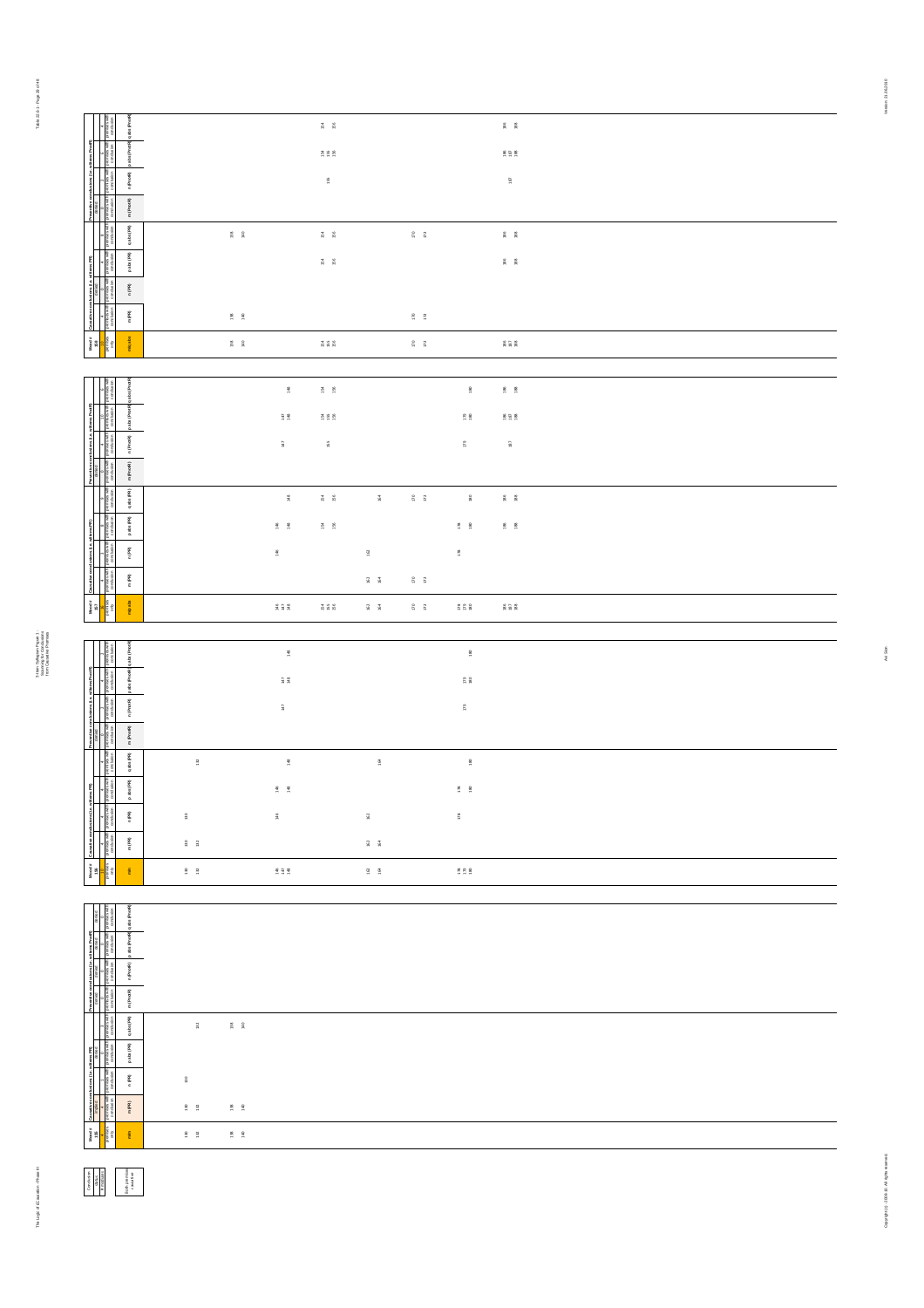|                                                                                            |                                                    |                                             |                                                                                                                                        | $\frac{34}{156}$                         |                                                                                |                                 |                                                               | $\frac{8}{13}$                                                                                                                                                                                                                                                                                                                 |  |  |  |
|--------------------------------------------------------------------------------------------|----------------------------------------------------|---------------------------------------------|----------------------------------------------------------------------------------------------------------------------------------------|------------------------------------------|--------------------------------------------------------------------------------|---------------------------------|---------------------------------------------------------------|--------------------------------------------------------------------------------------------------------------------------------------------------------------------------------------------------------------------------------------------------------------------------------------------------------------------------------|--|--|--|
|                                                                                            |                                                    |                                             |                                                                                                                                        | $\frac{35}{22}$                          |                                                                                |                                 |                                                               | $\begin{array}{c} 8.5 & 8 \\ 3.8 & 3 \end{array}$                                                                                                                                                                                                                                                                              |  |  |  |
|                                                                                            |                                                    |                                             |                                                                                                                                        | $^{55}_\mathrm{32}$                      |                                                                                |                                 |                                                               | $\overline{\mathbf{a}}$                                                                                                                                                                                                                                                                                                        |  |  |  |
|                                                                                            |                                                    |                                             |                                                                                                                                        |                                          |                                                                                |                                 |                                                               |                                                                                                                                                                                                                                                                                                                                |  |  |  |
| $q$ abs (PR)                                                                               |                                                    | $\begin{array}{c} 38 \\ 140 \end{array}$    |                                                                                                                                        | $\frac{3}{2}$ 56                         |                                                                                | $\mathbb{R}^n$                  |                                                               | $\frac{8}{2}$                                                                                                                                                                                                                                                                                                                  |  |  |  |
| pates (PR)<br>폰                                                                            |                                                    |                                             |                                                                                                                                        | $\substack{54 \\ 156}$                   |                                                                                |                                 |                                                               | $\begin{array}{c} 186 \\ 183 \end{array}$                                                                                                                                                                                                                                                                                      |  |  |  |
| n (PR)                                                                                     |                                                    |                                             |                                                                                                                                        |                                          |                                                                                |                                 |                                                               |                                                                                                                                                                                                                                                                                                                                |  |  |  |
| $\frac{60}{10}$                                                                            |                                                    | $\frac{28}{14}$ – $\frac{26}{14}$           |                                                                                                                                        |                                          |                                                                                | $\mathbb{R}=\mathbb{R}$         |                                                               |                                                                                                                                                                                                                                                                                                                                |  |  |  |
| $M_{\rm cool}$ #<br>m/qabs                                                                 |                                                    | $\begin{array}{cc} 38 \\ 340 \end{array}$   |                                                                                                                                        | 388                                      |                                                                                | $\frac{20}{3}$                  |                                                               | 387.38                                                                                                                                                                                                                                                                                                                         |  |  |  |
|                                                                                            |                                                    |                                             |                                                                                                                                        |                                          |                                                                                |                                 |                                                               |                                                                                                                                                                                                                                                                                                                                |  |  |  |
| ă                                                                                          |                                                    |                                             | $\frac{90}{25}$                                                                                                                        | $\frac{\pi}{10}$ – $\frac{\pi}{10}$      |                                                                                |                                 | $\frac{\odot}{31}$                                            | $\frac{9}{21}-\frac{9}{21}$                                                                                                                                                                                                                                                                                                    |  |  |  |
|                                                                                            |                                                    |                                             | $\frac{m}{2}$ if                                                                                                                       | $\frac{35}{12}\frac{16}{21}\frac{8}{21}$ |                                                                                |                                 | $\mathop{\mathbb{R}}\nolimits$ $\mathop{\mathbb{R}}\nolimits$ | $\mathbbmss{8}$ $\mathbbmss{8}$                                                                                                                                                                                                                                                                                                |  |  |  |
|                                                                                            |                                                    |                                             | $\frac{5}{2}$                                                                                                                          | $_{155}^{\circ}$                         |                                                                                |                                 | $\mathbb{R}^n$                                                | $\sim 187$                                                                                                                                                                                                                                                                                                                     |  |  |  |
| m(ProotR)                                                                                  |                                                    |                                             |                                                                                                                                        |                                          |                                                                                |                                 |                                                               |                                                                                                                                                                                                                                                                                                                                |  |  |  |
| qabs $\langle \mathsf{PR} \rangle$                                                         |                                                    |                                             | $\sim 10^{10}$                                                                                                                         | $\frac{\pi}{10}$ – $\frac{\pi}{10}$      | $\frac{\pi}{26}$                                                               | $\frac{8}{10}$ – $\frac{8}{10}$ | $\qquad \qquad \otimes$                                       | $\frac{9}{21}$ – $\frac{9}{21}$                                                                                                                                                                                                                                                                                                |  |  |  |
| p also (PR)                                                                                |                                                    |                                             | $\frac{16}{16}$ – $\frac{16}{16}$                                                                                                      | $\frac{3}{12}-\frac{36}{12}$             |                                                                                |                                 | $\mathbb{R}^n_{\mathbb{R}^n}$                                 | $\frac{18}{14}$ – $\frac{88}{14}$                                                                                                                                                                                                                                                                                              |  |  |  |
| $_{\rm n}$ (PR)                                                                            |                                                    |                                             | $\frac{6}{3}$                                                                                                                          |                                          | $^{\rm 162}$                                                                   |                                 | $\mathbb{R}^n$                                                |                                                                                                                                                                                                                                                                                                                                |  |  |  |
| $\frac{\partial}{\partial \theta}$                                                         |                                                    |                                             |                                                                                                                                        |                                          | $\substack{+0.2 \\ -0.1}$                                                      | $\frac{20}{3}$                  |                                                               |                                                                                                                                                                                                                                                                                                                                |  |  |  |
| m/p abs<br>$\frac{4}{37}$                                                                  |                                                    |                                             | $\stackrel{\scriptscriptstyle{0}}{\mathbf{3}}\stackrel{\scriptscriptstyle{1}}{\mathbf{3}}\stackrel{\scriptscriptstyle{2}}{\mathbf{3}}$ | គឺ ដំ ធំ                                 | $\frac{22}{36}$ – $\frac{27}{36}$                                              | $\mathbb{S}-\mathbb{S}$         |                                                               | $\begin{matrix} 0 & 0 & 0 & 0 \\ 0 & 0 & 0 & 0 \\ 0 & 0 & 0 & 0 \\ 0 & 0 & 0 & 0 \\ 0 & 0 & 0 & 0 \\ 0 & 0 & 0 & 0 \\ 0 & 0 & 0 & 0 \\ 0 & 0 & 0 & 0 \\ 0 & 0 & 0 & 0 \\ 0 & 0 & 0 & 0 \\ 0 & 0 & 0 & 0 \\ 0 & 0 & 0 & 0 & 0 \\ 0 & 0 & 0 & 0 & 0 \\ 0 & 0 & 0 & 0 & 0 \\ 0 & 0 & 0 & 0 & 0 \\ 0 & 0 & 0 & 0 & 0 \\ 0 & 0 & 0$ |  |  |  |
|                                                                                            |                                                    |                                             |                                                                                                                                        |                                          |                                                                                |                                 |                                                               |                                                                                                                                                                                                                                                                                                                                |  |  |  |
|                                                                                            |                                                    |                                             |                                                                                                                                        |                                          |                                                                                |                                 |                                                               |                                                                                                                                                                                                                                                                                                                                |  |  |  |
|                                                                                            |                                                    |                                             | $\frac{3}{2}$                                                                                                                          |                                          |                                                                                |                                 | $-80$                                                         |                                                                                                                                                                                                                                                                                                                                |  |  |  |
|                                                                                            |                                                    |                                             | $\frac{5}{3} \frac{8}{3}$                                                                                                              |                                          |                                                                                |                                 | $^{29}_{180}$                                                 |                                                                                                                                                                                                                                                                                                                                |  |  |  |
|                                                                                            |                                                    |                                             | $\frac{5}{2}$                                                                                                                          |                                          |                                                                                |                                 | $\frac{29}{24}$                                               |                                                                                                                                                                                                                                                                                                                                |  |  |  |
|                                                                                            |                                                    |                                             |                                                                                                                                        |                                          |                                                                                |                                 |                                                               |                                                                                                                                                                                                                                                                                                                                |  |  |  |
| $q$ ab s $(P\,R)$                                                                          | $\Xi$                                              |                                             | $\frac{3}{2}$                                                                                                                          |                                          | $\frac{35}{16}$                                                                |                                 | $\frac{1}{2}$                                                 |                                                                                                                                                                                                                                                                                                                                |  |  |  |
| $p$ abs $(PR)$                                                                             |                                                    |                                             | $\frac{46}{148}$                                                                                                                       |                                          |                                                                                |                                 | $\begin{array}{cc} 78 \\ 180 \end{array}$                     |                                                                                                                                                                                                                                                                                                                                |  |  |  |
| <b>Roms PR)</b><br>usions (i.e.<br>n (PR)                                                  | $\mathop{\mathrm{sa}}$                             |                                             | $\frac{6}{34}$                                                                                                                         |                                          | $\mathbbmss{z}$                                                                |                                 | $_{\rm m}$                                                    |                                                                                                                                                                                                                                                                                                                                |  |  |  |
| $\mathfrak{m}(\mathsf{PR})$                                                                | $\mathbb{R}^m$                                     |                                             |                                                                                                                                        |                                          | $\begin{array}{cc} \boxtimes & \boxtimes \\ \boxtimes & \boxtimes \end{array}$ |                                 |                                                               |                                                                                                                                                                                                                                                                                                                                |  |  |  |
| $\frac{M_{\odot}}{156}$<br>$\mathbf{f}$                                                    | $\begin{array}{cc} 33 & 22 \\ 32 & 33 \end{array}$ |                                             | 管理器                                                                                                                                    |                                          | $\underset{n}{\boxtimes} \quad \  \  \underset{n}{\boxtimes}$                  |                                 | 2822                                                          |                                                                                                                                                                                                                                                                                                                                |  |  |  |
|                                                                                            |                                                    |                                             |                                                                                                                                        |                                          |                                                                                |                                 |                                                               |                                                                                                                                                                                                                                                                                                                                |  |  |  |
| 1abs(Pr                                                                                    |                                                    |                                             |                                                                                                                                        |                                          |                                                                                |                                 |                                                               |                                                                                                                                                                                                                                                                                                                                |  |  |  |
| abs (Prot                                                                                  |                                                    |                                             |                                                                                                                                        |                                          |                                                                                |                                 |                                                               |                                                                                                                                                                                                                                                                                                                                |  |  |  |
| n (ProdR)                                                                                  |                                                    |                                             |                                                                                                                                        |                                          |                                                                                |                                 |                                                               |                                                                                                                                                                                                                                                                                                                                |  |  |  |
| Pavantive conclusions (i.e. witters Prooft)<br>Othiod Ontold Cartoo<br>$m(p \text{ node})$ |                                                    |                                             |                                                                                                                                        |                                          |                                                                                |                                 |                                                               |                                                                                                                                                                                                                                                                                                                                |  |  |  |
| qabs (PR)                                                                                  | $\overline{\bf 32}$                                | $\frac{33}{140}$                            |                                                                                                                                        |                                          |                                                                                |                                 |                                                               |                                                                                                                                                                                                                                                                                                                                |  |  |  |
| pates (PR)                                                                                 |                                                    |                                             |                                                                                                                                        |                                          |                                                                                |                                 |                                                               |                                                                                                                                                                                                                                                                                                                                |  |  |  |
| sions (i.e. willenss PR)<br>$\frac{6}{n}$                                                  | $\frac{3}{n}$                                      |                                             |                                                                                                                                        |                                          |                                                                                |                                 |                                                               |                                                                                                                                                                                                                                                                                                                                |  |  |  |
| ausalve conduit<br>$\mathfrak{m}(\mathsf{PR})$                                             | $\frac{9}{13}$                                     | $\begin{array}{cc} 3.8 \\ 2.40 \end{array}$ |                                                                                                                                        |                                          |                                                                                |                                 |                                                               |                                                                                                                                                                                                                                                                                                                                |  |  |  |

Table 22.6-1 - Page 29 of 48

Page 29 of 48 He22.61-

Conclusion status # moduses causative Both premises

Copyright (c) - 2008-10. All rights reserved. Avi Sion Version: 21.06.2010

Son

Ξ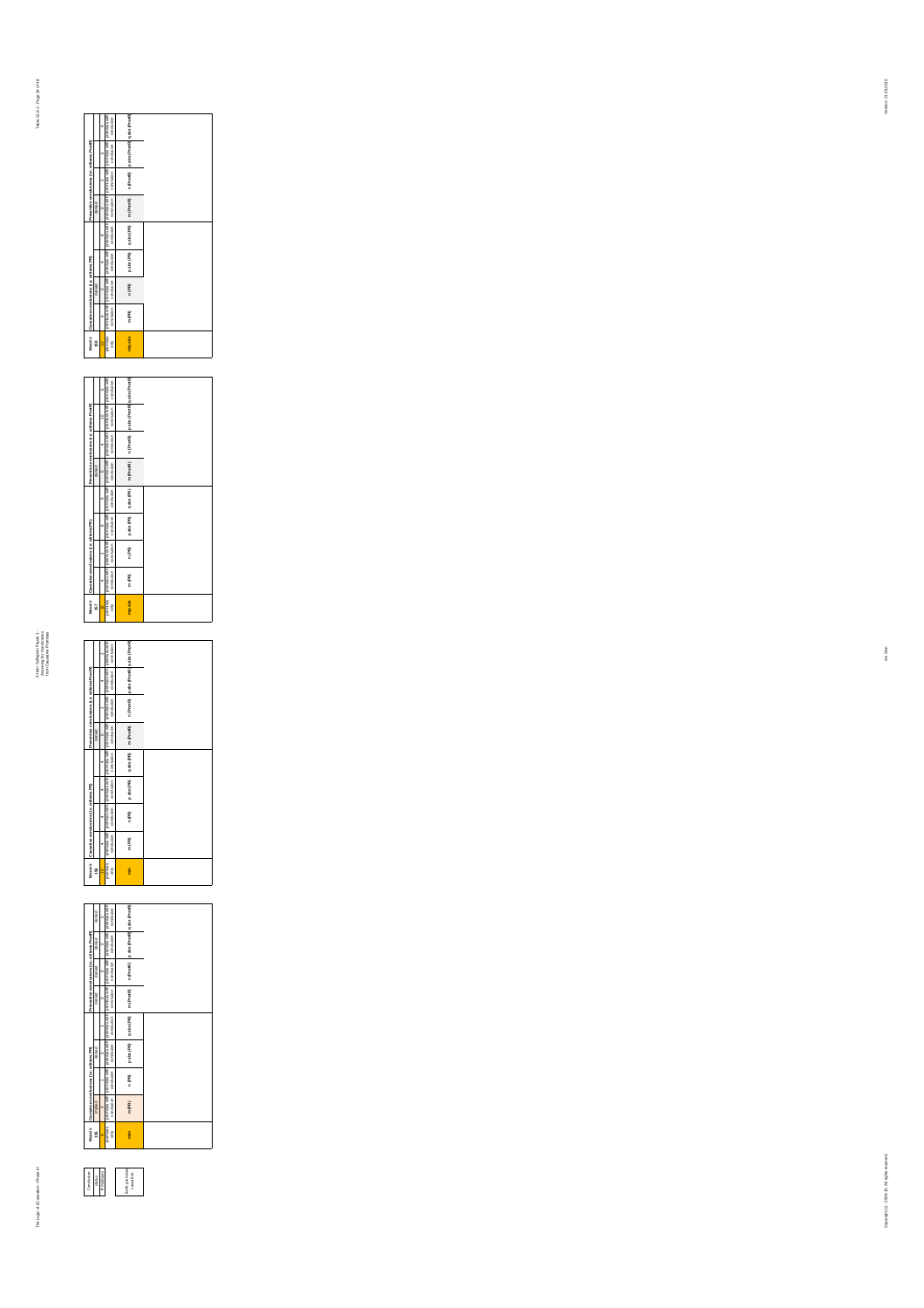Scanning for Conclusions from Causative Premises

3-lam Sylogian Figure 1<br>Saaming for Conduisons<br>from Causalé Remises

|                                               |         |           | oondusion                                                                                       | pabs (Priot R)                                                                    |  |
|-----------------------------------------------|---------|-----------|-------------------------------------------------------------------------------------------------|-----------------------------------------------------------------------------------|--|
| Preventive conclusions (i.e. wilterns Proof?) |         |           | promises with promises with premises with<br>canduaso                                           | n (Proofs)                                                                        |  |
|                                               | dened   |           | operation                                                                                       | pate (PR) qate (PR) m (ProfR)                                                     |  |
|                                               |         |           | premises with premises with<br>oprobasion                                                       |                                                                                   |  |
|                                               |         |           | oondusion                                                                                       |                                                                                   |  |
|                                               | dened   |           | promises with<br>candusion                                                                      | n (PR)                                                                            |  |
| Causative conclusions (i.e. wiltems PR)       |         |           | onm ses with<br>operation                                                                       | m(PR)                                                                             |  |
| Mood#                                         | 153     | 9         | D/0/11905<br>only                                                                               | m/q abs                                                                           |  |
|                                               |         |           |                                                                                                 |                                                                                   |  |
|                                               |         |           | cremises with 1 or emises with cremises with<br>oondusion                                       |                                                                                   |  |
|                                               |         | $\approx$ | condusion                                                                                       |                                                                                   |  |
| Preventive conclusions (i.e. wiltems ProtR)   |         |           | operation                                                                                       | m (PriotR) in (PriotR) patis (PhotR) qabs (PriotR)                                |  |
|                                               | denied  |           | premises with premises with<br>oondusion                                                        |                                                                                   |  |
|                                               |         |           | candusion                                                                                       | p atos (PR) q alos (PR)                                                           |  |
|                                               |         |           | premises with<br>conclusion                                                                     |                                                                                   |  |
| Causative conclusions (i.e., witems PR)       |         |           | Dream ses with<br>oprobasion                                                                    | n(pR)                                                                             |  |
|                                               |         |           | compass with<br>oondusion                                                                       | m(PR)                                                                             |  |
| Mood#                                         | 187     | ś         | òψ<br>premises                                                                                  | m/p abs                                                                           |  |
|                                               |         |           |                                                                                                 |                                                                                   |  |
|                                               |         |           | Dremises with<br>conclusion                                                                     |                                                                                   |  |
|                                               |         |           | operchasines                                                                                    |                                                                                   |  |
| Preventive conclusions (i.e. w/ltems PnotR)   |         |           | oondusion                                                                                       |                                                                                   |  |
|                                               | dened   |           | comises with premises with premises with premises with premises with premises with<br>candusion | pabs (PR) qubs (PR)   m (ProdR)   n (ProdR)   pabs (ProdR) q abs (ProdR)          |  |
|                                               |         |           | operation                                                                                       |                                                                                   |  |
|                                               |         |           | oondusion                                                                                       |                                                                                   |  |
| conclusions (i.e. w/tems PR)                  |         |           | oondusion                                                                                       | n (PR)                                                                            |  |
| Causative                                     |         |           | condusion<br>with<br>promises                                                                   | m (PR)                                                                            |  |
| Mood #                                        | \$      | 9         | promises<br>only                                                                                | ł                                                                                 |  |
|                                               |         |           |                                                                                                 |                                                                                   |  |
|                                               | dining  |           | DYRTTIBRIS WET<br>operation                                                                     | patra (PR)   qabs (PR)   m (Prooft)   n (Prooft)   patra (Prooft)   qubs (Prooft) |  |
| Preventive conclusions (i.e. witems ProtR)    | denied  |           | premises with premises with premises with<br>condusion                                          |                                                                                   |  |
|                                               | denied  |           | conclusion conclusion                                                                           |                                                                                   |  |
|                                               | denied  |           |                                                                                                 |                                                                                   |  |
|                                               |         |           | premises with premises with<br>oondusion                                                        |                                                                                   |  |
|                                               | denied  |           | candualon                                                                                       |                                                                                   |  |
| Causalive condusions (i.e. wiltems PR)        |         |           | conclusion<br>DYOTH SOS WITH                                                                    | n(PR)                                                                             |  |
|                                               | implied |           | oprehasion<br>Yom ses with                                                                      | m(pR)                                                                             |  |
| Mood#                                         | 155     |           | posimbos<br>γlν                                                                                 | ł                                                                                 |  |
|                                               |         |           |                                                                                                 |                                                                                   |  |

Conclusion status # moduses causative Both premises

he Lagic of £Causation

|                                              |                   |                | premises with                             | operation  |                                                    |  |
|----------------------------------------------|-------------------|----------------|-------------------------------------------|------------|----------------------------------------------------|--|
|                                              |                   |                | premises with                             | oondusion  |                                                    |  |
|                                              |                   |                | promises with                             | condusion  | n (Prooft) pabs (Protit) ass (Prooft)              |  |
| Preventive conclusions (i.e., witems Profit) | dened             |                | promises with                             | conclusion |                                                    |  |
|                                              |                   |                | Dreamises with                            | oonduston  | pates (PR) qabs (PR) m (ProdR)                     |  |
|                                              |                   |                | premises with                             | oondusion  |                                                    |  |
|                                              | dened             |                | pright sea with                           | candusion  | n(PR)                                              |  |
| ausaive condusions (i.e. wiltems PR)         |                   |                | com ses with                              | operation  | m(PR)                                              |  |
| <b>Accord</b>                                | 158               | g              | D/01/11 905                               | only       | m/g abs                                            |  |
|                                              |                   |                |                                           |            |                                                    |  |
|                                              |                   |                | premises with                             | oondusion  |                                                    |  |
|                                              |                   | $\overline{a}$ |                                           | condusion  |                                                    |  |
|                                              |                   |                | premises with premises with               | operation  |                                                    |  |
| Preventive conclusions (i.e. witems PhotR)   | denied            |                | premises with                             | oondusion  | m (PhotR) n (PhotR) pabs (PhotR) q abs (PhotR)     |  |
|                                              |                   |                |                                           | condusson  | qabs (PR)                                          |  |
|                                              |                   |                |                                           | conclusion | p atos (PR)                                        |  |
|                                              |                   |                | premises with premises with premises with | oprehasion | n (PR)                                             |  |
| Causative conclusions (Le. wiltems PR)       |                   |                | comises with                              | oondusion  | m (PR)                                             |  |
| Mood #                                       | 187               | 2              | premises                                  | ğ          | m/p abs                                            |  |
|                                              |                   |                |                                           |            |                                                    |  |
|                                              |                   |                | promises with                             | conclusion |                                                    |  |
| Preventive con dusions (i.e. w/lems PnotR)   |                   |                | DYRITTI SIG WITH                          | operation  |                                                    |  |
|                                              |                   |                | premises with                             | oondusion  |                                                    |  |
|                                              | dened             |                | promises with                             | candusion  | m (PriodR) in (PriodR) pubs (PriodR) qubs (PriodR) |  |
|                                              |                   |                | promises with                             | operation  | qabs (PR)                                          |  |
| 0.e. w/kems PR)                              |                   |                | Dremlees with                             | oondusion  | pabs (PR)                                          |  |
|                                              |                   |                | premises with premises with               | oondusion  | n@R                                                |  |
| Causative conclusions                        |                   |                |                                           | condusion  | m (PR)                                             |  |
| Mood#                                        | \$                | s              | promises                                  | only       | ł                                                  |  |
|                                              |                   |                |                                           |            |                                                    |  |
|                                              | diciero<br>denied |                | premises with                             | condusion  | m (P notR) n (P notR) p abs (PnotR) q abs (P notR) |  |
|                                              |                   |                |                                           | candusion  |                                                    |  |
| Preventive conclusions (i.e. wilterns Proof) | denied            |                | premises with premises with premises with | conclusion |                                                    |  |
|                                              | dining            |                |                                           | oprobasion |                                                    |  |
|                                              |                   |                | promises with                             | oondusion  | qabs (PR)                                          |  |
|                                              | denied            |                | promises with premises with               | condusion  | pate (PR)                                          |  |
| ausalve condusions (i.e. witems PR)          |                   |                |                                           | conclusion | n (PR)                                             |  |
|                                              | implied           |                | Dream sea with                            | operation  | m(m)                                               |  |
| $\frac{1}{8}$                                | 155               |                | mises                                     | š          | ł                                                  |  |

|                                             |        |           | oped                              | 종                                     |  |
|---------------------------------------------|--------|-----------|-----------------------------------|---------------------------------------|--|
|                                             | dened  |           | promises with premis<br>candusion | n (PR)                                |  |
| Causaire conclusions (i.e. willems)         |        |           | premises with<br>conclusion       | $\frac{m(PR)}{E}$                     |  |
| Mood#                                       | 153    | g         | premises<br>ğ                     | m/q abs                               |  |
|                                             |        |           |                                   |                                       |  |
|                                             |        |           | premises with<br>oondusion        |                                       |  |
| Preventive conclusions (i.e. witems Pnot R) |        | $\approx$ | promises with<br>condusion        | n (Prooft) pabs (Pnott) qabs (Pnot R) |  |
|                                             |        |           | premises with<br>conclusion       |                                       |  |
|                                             | denied | ö         | premises with<br>oondusion        | m(Proof R)                            |  |
|                                             |        | ò         | promises with<br>candusion        | qabs (PR)                             |  |

| ŧ  |            | Causaive condusions (i.e. wiltems PR) |                                                                      |           |                             | Preventive conclusions (i.e. witems Prooff) |                                         |                            |
|----|------------|---------------------------------------|----------------------------------------------------------------------|-----------|-----------------------------|---------------------------------------------|-----------------------------------------|----------------------------|
|    |            | dened                                 |                                                                      |           | dened                       |                                             |                                         |                            |
|    |            |                                       |                                                                      | $\infty$  |                             |                                             |                                         |                            |
| Is | conclusion | candusion                             | premises with premises with premises with premises with<br>oondusion | opnousion | promises with<br>conclusion | premises with premises with<br>candusion    | oondusion                               | premises with<br>operation |
| É  | m(PR)      | n (PR)                                | pabs (PR)                                                            | qabs (PR) | $m(P \text{ nodeR})$        |                                             | n (Prooft) pabs (Prot R) q abs (Prooft) |                            |
|    |            |                                       |                                                                      |           |                             |                                             |                                         |                            |

2106.2010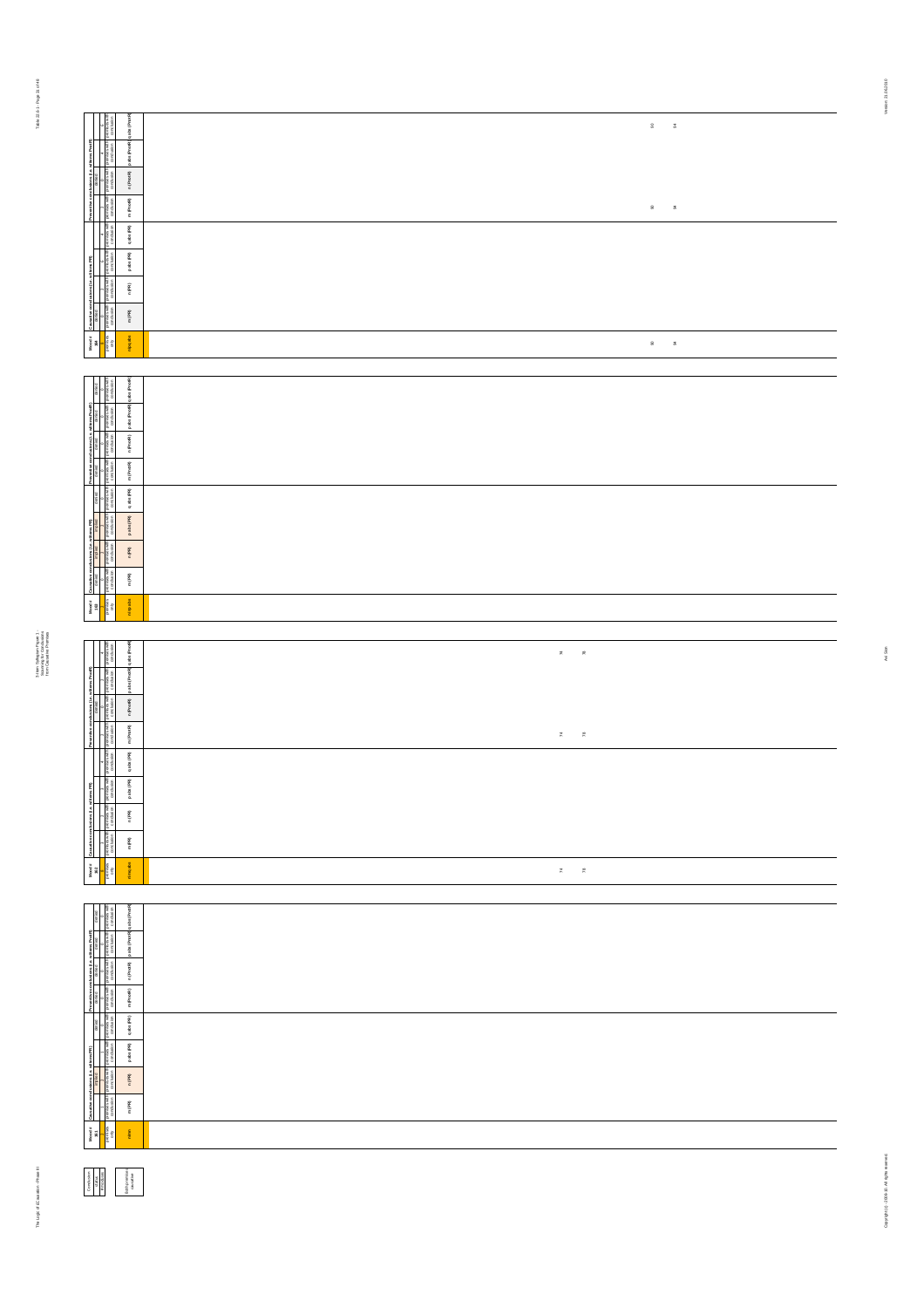| $\mathsf{S}$<br>$\overline{\mathfrak{F}}$                                       |
|---------------------------------------------------------------------------------|
|                                                                                 |
| $\,$ 8 $\,$ $\,$ 3.                                                             |
|                                                                                 |
|                                                                                 |
|                                                                                 |
| $\begin{array}{ccc} \circ & \circ & \circ \\ \circ & \circ & \circ \end{array}$ |
|                                                                                 |
|                                                                                 |
|                                                                                 |
|                                                                                 |
|                                                                                 |
|                                                                                 |
|                                                                                 |
|                                                                                 |
| $\boldsymbol{\pi}$<br>$\approx$                                                 |
|                                                                                 |
|                                                                                 |
| $\mathbb{R}^n \subset \mathbb{R}^n$                                             |
|                                                                                 |
|                                                                                 |
|                                                                                 |
| $\mathbb R$<br>$\approx$                                                        |
|                                                                                 |
|                                                                                 |
|                                                                                 |
|                                                                                 |
|                                                                                 |
|                                                                                 |
|                                                                                 |
|                                                                                 |
|                                                                                 |

Conclusion status # moduses causative Both premises

Avi Sion

Version: 21.06.2010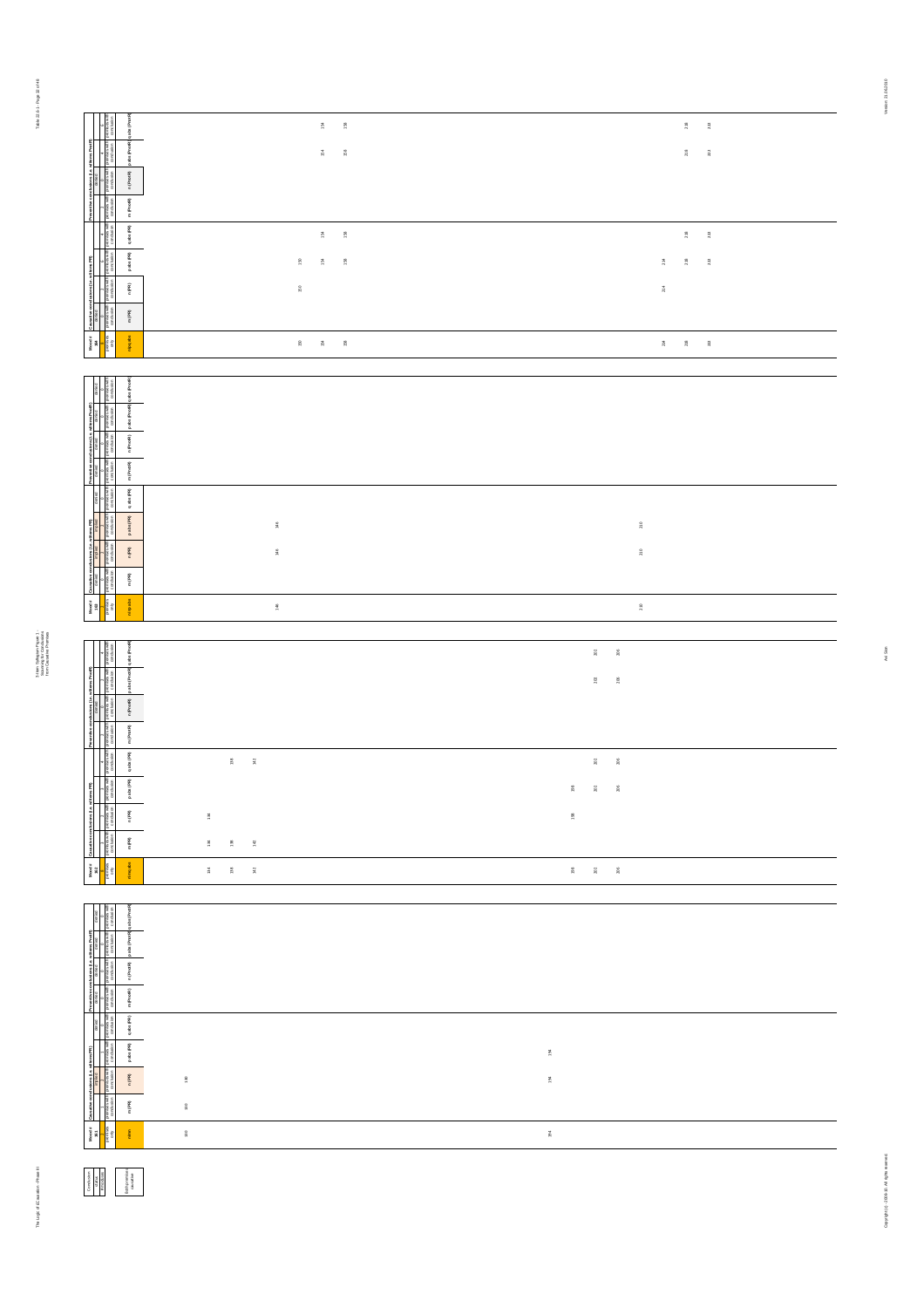|                                    |  | promises with<br>conclusion |                                |  |
|------------------------------------|--|-----------------------------|--------------------------------|--|
|                                    |  | conclusion<br>promesso wy   | pates (P notR) q alss (P notR) |  |
| re con dusions (i.e. witems ProdR) |  | premisies with<br>oondusion | n (Pn ofR)                     |  |
|                                    |  | fi<br>š                     | ĝ                              |  |

Table 22.6-1 - Page 32 of 48

de22.6-1- Page 32 of 48

|                                                                                                                                                                                                                                      |                    |                                                   | $\frac{\pi}{2}$ – $\frac{\pi}{2}$                                                                                    | $\frac{38}{2}$<br>$\overline{\bf n}$                                                                                                                                                                                                                                                                                                                                                                                                         |
|--------------------------------------------------------------------------------------------------------------------------------------------------------------------------------------------------------------------------------------|--------------------|---------------------------------------------------|----------------------------------------------------------------------------------------------------------------------|----------------------------------------------------------------------------------------------------------------------------------------------------------------------------------------------------------------------------------------------------------------------------------------------------------------------------------------------------------------------------------------------------------------------------------------------|
| xns (i.e. wiltems Prooff                                                                                                                                                                                                             |                    |                                                   | $\frac{\pi}{10}$ – $\frac{\pi}{10}$                                                                                  | $\overline{\mathbf{a}}$ , $\overline{\mathbf{a}}$                                                                                                                                                                                                                                                                                                                                                                                            |
|                                                                                                                                                                                                                                      |                    |                                                   |                                                                                                                      |                                                                                                                                                                                                                                                                                                                                                                                                                                              |
|                                                                                                                                                                                                                                      |                    | $m(p \mod 8)$                                     |                                                                                                                      |                                                                                                                                                                                                                                                                                                                                                                                                                                              |
|                                                                                                                                                                                                                                      |                    | $q$ at $\theta$ (PR)                              | $\mathbb{R}^{\mathbb{N}}$ .                                                                                          | $\mathbb{R}^{\mathbb{N}}$ .                                                                                                                                                                                                                                                                                                                                                                                                                  |
|                                                                                                                                                                                                                                      |                    |                                                   |                                                                                                                      |                                                                                                                                                                                                                                                                                                                                                                                                                                              |
| iusions (i.e. w/tems PR)                                                                                                                                                                                                             |                    | $p$ abs (PR)                                      | $\substack{50\\40}$<br>$\frac{3}{12}$ – $\frac{3}{12}$                                                               | $\begin{array}{ccccc} \pi & \quad & \pi & \quad & \pi \end{array}$                                                                                                                                                                                                                                                                                                                                                                           |
|                                                                                                                                                                                                                                      |                    | n (PR)                                            | $\frac{9}{10}$                                                                                                       | $\vec{n}$                                                                                                                                                                                                                                                                                                                                                                                                                                    |
|                                                                                                                                                                                                                                      |                    | $m(\theta R)$                                     |                                                                                                                      |                                                                                                                                                                                                                                                                                                                                                                                                                                              |
| Mood #                                                                                                                                                                                                                               | premises           | n/pqabs                                           | $\begin{array}{ccc} 50 & \phantom{0}51 & \phantom{0}52 \\ \phantom{0}51 & \phantom{0}52 & \phantom{0}53 \end{array}$ | $\begin{array}{ccc} \overline{11} & \phantom{11} & \phantom{11} & \phantom{11} \\ \phantom{11} & \phantom{11} & \phantom{11} & \phantom{11} \\ \phantom{11} & \phantom{11} & \phantom{11} & \phantom{11} \\ \phantom{11} & \phantom{11} & \phantom{11} & \phantom{11} \\ \phantom{11} & \phantom{11} & \phantom{11} & \phantom{11} \\ \phantom{11} & \phantom{11} & \phantom{11} & \phantom{11} \\ \phantom{11} & \phantom{11} & \phantom{1$ |
|                                                                                                                                                                                                                                      |                    |                                                   |                                                                                                                      |                                                                                                                                                                                                                                                                                                                                                                                                                                              |
|                                                                                                                                                                                                                                      |                    |                                                   |                                                                                                                      |                                                                                                                                                                                                                                                                                                                                                                                                                                              |
| ons (Le. wiltems ProcR)<br>ariad (Stried                                                                                                                                                                                             |                    |                                                   |                                                                                                                      |                                                                                                                                                                                                                                                                                                                                                                                                                                              |
|                                                                                                                                                                                                                                      |                    |                                                   |                                                                                                                      |                                                                                                                                                                                                                                                                                                                                                                                                                                              |
|                                                                                                                                                                                                                                      |                    | è                                                 |                                                                                                                      |                                                                                                                                                                                                                                                                                                                                                                                                                                              |
|                                                                                                                                                                                                                                      |                    | q abs (PR)                                        |                                                                                                                      |                                                                                                                                                                                                                                                                                                                                                                                                                                              |
|                                                                                                                                                                                                                                      |                    | pats (PR)                                         | $\frac{9}{26}$                                                                                                       | $_{\rm 20}$                                                                                                                                                                                                                                                                                                                                                                                                                                  |
|                                                                                                                                                                                                                                      |                    | $_{\rm n}$ (PR)                                   | $\frac{36}{14}$                                                                                                      | $\mathop{\rm s}_i$                                                                                                                                                                                                                                                                                                                                                                                                                           |
| usative conclusion s (i.e. willems PR)<br>direited in place in implied                                                                                                                                                               |                    | $\frac{\partial \mathbf{F}}{\partial \mathbf{r}}$ |                                                                                                                      |                                                                                                                                                                                                                                                                                                                                                                                                                                              |
| Mood #<br>163                                                                                                                                                                                                                        |                    | $\frac{3}{4}$                                     | $\frac{9}{24}$                                                                                                       | $_{\rm 210}$                                                                                                                                                                                                                                                                                                                                                                                                                                 |
|                                                                                                                                                                                                                                      |                    |                                                   |                                                                                                                      |                                                                                                                                                                                                                                                                                                                                                                                                                                              |
|                                                                                                                                                                                                                                      |                    |                                                   |                                                                                                                      | $\mathbbmss{R}$                                                                                                                                                                                                                                                                                                                                                                                                                              |
|                                                                                                                                                                                                                                      |                    |                                                   |                                                                                                                      | $\mathbb{S}^n$ , $\mathbb{S}^n$                                                                                                                                                                                                                                                                                                                                                                                                              |
| sices (i.e. wikens Profit)<br>-<br>- 0<br>missa with premissa with p                                                                                                                                                                 |                    |                                                   |                                                                                                                      |                                                                                                                                                                                                                                                                                                                                                                                                                                              |
| eventive con                                                                                                                                                                                                                         |                    | Ŧ<br>e                                            |                                                                                                                      |                                                                                                                                                                                                                                                                                                                                                                                                                                              |
|                                                                                                                                                                                                                                      |                    | ę.                                                |                                                                                                                      |                                                                                                                                                                                                                                                                                                                                                                                                                                              |
|                                                                                                                                                                                                                                      |                    | qabs (PR)                                         | $\begin{array}{ccc} \mathfrak{B} & \mathfrak{B} \\ \mathfrak{B} & \mathfrak{B} \end{array}$                          | $\mathbbmss{R}^3$                                                                                                                                                                                                                                                                                                                                                                                                                            |
|                                                                                                                                                                                                                                      | 3<br>promises with | $p$ abs $\langle \theta   R \rangle$              |                                                                                                                      | $\begin{array}{ccc} \mathfrak{B} & \mathfrak{B} & \mathfrak{B} \\ \mathfrak{B} & \mathfrak{B} & \mathfrak{B} \end{array}$                                                                                                                                                                                                                                                                                                                    |
|                                                                                                                                                                                                                                      |                    | $\frac{1}{n}$ (PR)                                | $\frac{\pi}{m}$                                                                                                      | $^{\rm 98}$                                                                                                                                                                                                                                                                                                                                                                                                                                  |
| Mood # Casaashee conclusions (La wikkens PR)<br>1 Mai - Pannia with penniso with penniso with<br>  penniso = penniso with penniso with penniso with<br>  conclusion = conclusion = conclusion                                        |                    | $\omega$ or $\omega$                              | $\begin{array}{ccccccccc} \pi & & & \pi & & & \pi \\ \pi & & & \pi & & & \pi \end{array}$                            |                                                                                                                                                                                                                                                                                                                                                                                                                                              |
|                                                                                                                                                                                                                                      |                    | hingabs                                           | $\begin{array}{ccccccccc} \mathbb{B} && \mathbb{B} && \mathbb{B} && \mathbb{B} \end{array}$                          | $\begin{matrix} 38 \\ 21 \\ 31 \\ 221 \\ 33 \end{matrix} \qquad \qquad \begin{matrix} 38 \\ 21 \\ 23 \\ 34 \end{matrix}$                                                                                                                                                                                                                                                                                                                     |
|                                                                                                                                                                                                                                      |                    |                                                   |                                                                                                                      |                                                                                                                                                                                                                                                                                                                                                                                                                                              |
|                                                                                                                                                                                                                                      |                    |                                                   |                                                                                                                      |                                                                                                                                                                                                                                                                                                                                                                                                                                              |
|                                                                                                                                                                                                                                      |                    |                                                   |                                                                                                                      |                                                                                                                                                                                                                                                                                                                                                                                                                                              |
|                                                                                                                                                                                                                                      |                    | n (ProdR)                                         |                                                                                                                      |                                                                                                                                                                                                                                                                                                                                                                                                                                              |
|                                                                                                                                                                                                                                      |                    | $m$ (ProofR)                                      |                                                                                                                      |                                                                                                                                                                                                                                                                                                                                                                                                                                              |
| usative conclusions (a.w.Whent PR)<br>- The matrix of the procedure of the conclusion of the conclusions (a.w.Whenter Procedure)<br>- The procedure with permanental permanental permanental permanental permanental permanental per |                    |                                                   |                                                                                                                      |                                                                                                                                                                                                                                                                                                                                                                                                                                              |
|                                                                                                                                                                                                                                      |                    | $p$ also (PR) $q$ also (PR)                       |                                                                                                                      | $\frac{34}{24}$                                                                                                                                                                                                                                                                                                                                                                                                                              |
|                                                                                                                                                                                                                                      |                    | $n$ (PR)                                          | $^{\rm 9}$                                                                                                           | $\frac{4}{30}$                                                                                                                                                                                                                                                                                                                                                                                                                               |
|                                                                                                                                                                                                                                      |                    |                                                   | $\mathop{\mathrm{ss}}$                                                                                               |                                                                                                                                                                                                                                                                                                                                                                                                                                              |
|                                                                                                                                                                                                                                      |                    |                                                   |                                                                                                                      |                                                                                                                                                                                                                                                                                                                                                                                                                                              |
| $\begin{array}{c}\n\text{Model} & \text{M} \\ \text{161} & \text{M} \\ \hline\n\end{array}$                                                                                                                                          | promises with      | $\frac{6}{6}$<br><b>A</b>                         | $\,$ 130 $\,$                                                                                                        | 394                                                                                                                                                                                                                                                                                                                                                                                                                                          |

Copyright (c) - 2008-10. All rights reserved. Avi Sion Version: 21.06.2010

 $M$  Sion

Middle reserve

3-tem Sylogian Figure 1-<br>Samring for Candiulanes<br>from Causative Premises Scanning for Conclusions from Causative Premises

The Logic of Economic of Economic of Figure 1 - Phase III 3-Item Sylvan Figure 1 - Phase III 30-Item Sylvan Figure 1 - Phase III 30-Item Sylvan Figure 1 - Phase III 30-Item Sylvan Figure 1 - Phase III 31-Item Sylvan Figure Logic of ECausation - Phase II

Conclusion status # moduses causative Both premises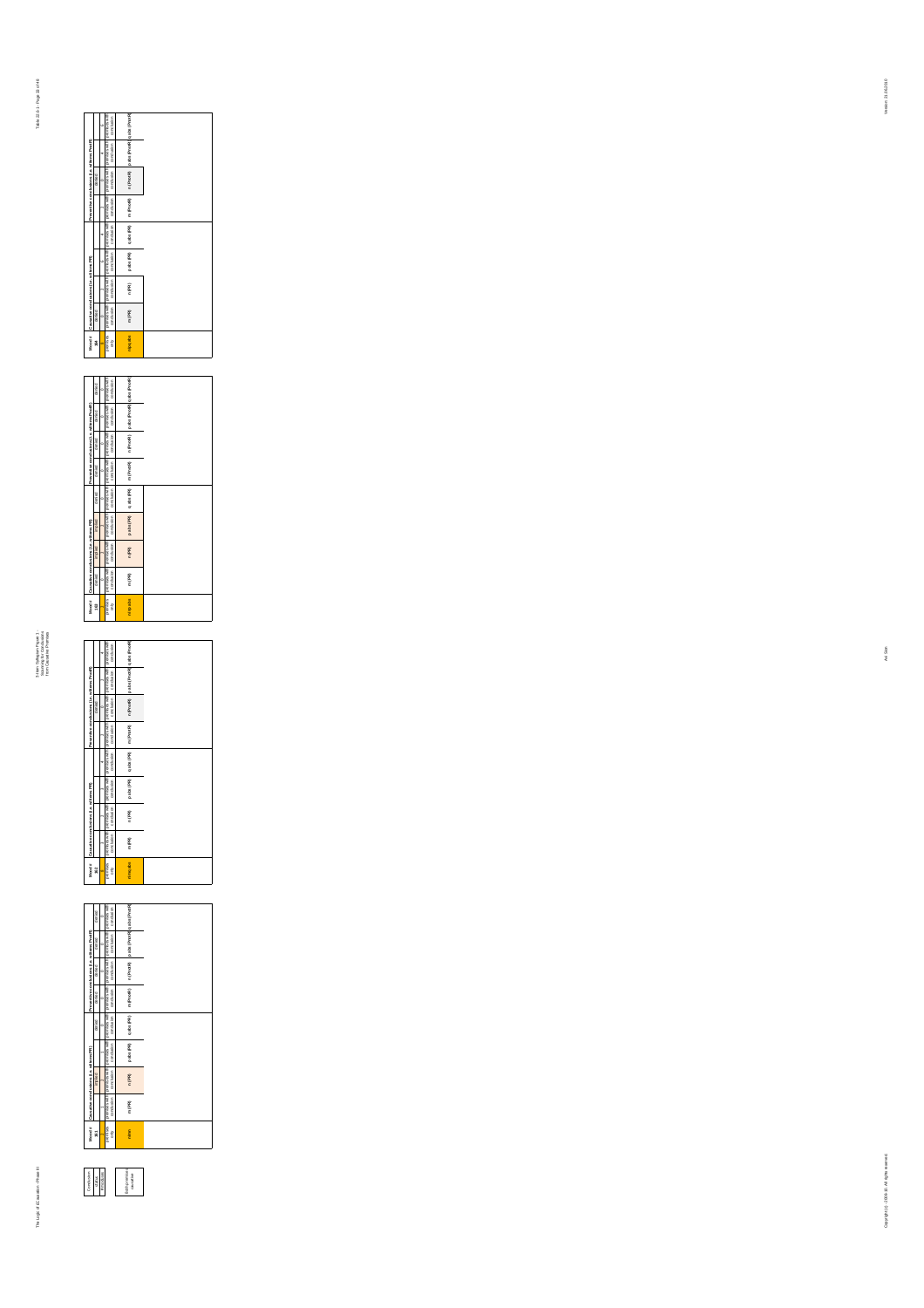| Mood#            |                   | Causative conclusions (i.e. w/ltems PR)                              |           |           |                            | Preventive conclusions (i.e. willems Prooff) |                                 |                            |
|------------------|-------------------|----------------------------------------------------------------------|-----------|-----------|----------------------------|----------------------------------------------|---------------------------------|----------------------------|
| ë                |                   | mpled                                                                |           | dining    | denied                     | denied                                       | denied                          | dining                     |
|                  |                   |                                                                      |           | ۰         | ۰                          | ۰                                            | ۰                               |                            |
| promises<br>only | conclusion        | premises with premises with premises with premises with<br>candualon | oondusion | operation | promises with<br>combision | promises with<br>candualon                   | promises with<br>oondusion      | premises with<br>operation |
| n/mn             | $\frac{m(PR)}{E}$ | n (PR)                                                               | pabs (PR) | qabs (PR) | $m(P \text{ model})$       | n (Prooff)                                   | patos (Priot R) q atos (PriotR) |                            |
|                  |                   |                                                                      |           |           |                            |                                              |                                 |                            |
|                  |                   |                                                                      |           |           |                            |                                              |                                 |                            |
|                  |                   |                                                                      |           |           |                            |                                              |                                 |                            |
|                  |                   |                                                                      |           |           |                            |                                              |                                 |                            |
|                  |                   |                                                                      |           |           |                            |                                              |                                 |                            |

Conclusion status # moduses causative Both premises

|                                              |         | conclusion                                                                         |                                                                                              |  |
|----------------------------------------------|---------|------------------------------------------------------------------------------------|----------------------------------------------------------------------------------------------|--|
|                                              |         | Dremises with Dremises with<br>opricion                                            |                                                                                              |  |
|                                              | denied  | operation                                                                          |                                                                                              |  |
| Preventive conclusions (i.e. wiltems Profit) |         | promises with promises with promises with premises with promises with<br>candusion | pabs (PR)   qabs (PR)   m (PnoR)   n (PnoR)   pabs (PnoR)   qabs (PnoR)                      |  |
|                                              |         | conclusion                                                                         |                                                                                              |  |
|                                              |         | oondusion                                                                          |                                                                                              |  |
| ausative conclusions (i.e. witness PR)       |         | oondusion                                                                          |                                                                                              |  |
|                                              | denied  | or with<br>condusion                                                               | n/pqabs m.(PR) n.(PR)                                                                        |  |
| <b>Aboot</b> #                               | š       | 200 m 905<br>č                                                                     |                                                                                              |  |
|                                              |         |                                                                                    |                                                                                              |  |
|                                              | denied  | promises with prigmises with promises with promises with<br>oondusion              | n (PR)   pabot (PR)   q abot (PR)   m (Prock()   n (Prock()   pabot (Prock()   q ab (Prock() |  |
| Preventive conclusions (i.e. witems Prot R)  | denied  | candusion                                                                          |                                                                                              |  |
|                                              | denied  | conclusion                                                                         |                                                                                              |  |
|                                              | denied  | operation                                                                          |                                                                                              |  |
|                                              | denied  | oondusion                                                                          |                                                                                              |  |
|                                              | implied | comises with premises with coemises with<br>candusion                              |                                                                                              |  |
| Causalive conclusions (i.e. willems PR)      | implied | conclusion                                                                         |                                                                                              |  |
|                                              | denied  | Dreamises with<br>oonduston                                                        | m(PR)                                                                                        |  |
| Mood #                                       | 2       | 200mlses<br>only                                                                   | n/np abs                                                                                     |  |
|                                              |         |                                                                                    |                                                                                              |  |
|                                              |         | promises with priemises with<br>candusion                                          | patis (PR) qaba (PR) m (PhotR) n (PhotR) patis (ProtR) qaba (ProtR)                          |  |
| Preventive conclusions (i.e. wittens Pno tR) |         | oprobasion                                                                         |                                                                                              |  |
|                                              | dining  | Dreamises with<br>opriduation                                                      |                                                                                              |  |
|                                              |         | condusion                                                                          |                                                                                              |  |
|                                              |         | i with premises with premises with premises with<br>condusion                      |                                                                                              |  |
| (i.e. wiltems PR)                            |         | conclusion                                                                         |                                                                                              |  |
|                                              |         | oondusion                                                                          | e<br>S                                                                                       |  |
| Causative conclusions                        |         | premises with premises<br>candusion                                                | mpR                                                                                          |  |
| Mood#                                        | ia      | promises<br>öπ                                                                     | n <i>Ima</i> abs                                                                             |  |
|                                              |         |                                                                                    |                                                                                              |  |
|                                              | dicial  | Dremises with<br>operation                                                         | qabs (PR) = m (P notR) = n (P notR) = p ab s (P not R) q abs (P notR)                        |  |
| Preventive condusions (i.e. wiltems Profit)  | denied  | premises with<br>oondusion                                                         |                                                                                              |  |
|                                              | denied  | promises with premises with<br>candusion                                           |                                                                                              |  |
|                                              | denied  | conclusion                                                                         |                                                                                              |  |
|                                              | denied  | promises with<br>operation                                                         |                                                                                              |  |
| ausative con dusions (i.e. w/ltems PR)       |         | premises with<br>oondusion                                                         | pabs (PR)                                                                                    |  |
|                                              | implied | premises with<br>candusion                                                         | n (PR)                                                                                       |  |
|                                              |         | cremses with<br>conclusion                                                         | $\frac{1}{n}$                                                                                |  |
| 400018                                       | ë       | com ses<br>only                                                                    | n/min                                                                                        |  |

|                             | ausalve conclusions (i.e. wiltems PR) |                            |                            |                            |                             | Preventive conclusions (Le. witems Prot R) |                            |
|-----------------------------|---------------------------------------|----------------------------|----------------------------|----------------------------|-----------------------------|--------------------------------------------|----------------------------|
| denied                      | implied                               | mpled                      | denied                     | dining                     | dened                       | denied                                     | denied                     |
| ö                           |                                       |                            | ö                          |                            |                             |                                            |                            |
| <b>KWMMSSS</b><br>oondusion | promises with<br>conclusion           | promises with<br>candusion | premises with<br>oondusion | premises with<br>operation | promises with<br>conclusion | promises with<br>candualon                 | premises with<br>oondusion |
| m (PR)                      | n (PR)                                | pate (PR)                  | qabs (PR)                  | m (Prot R)                 | n (Prooff)                  | pates (ProfR) q abs (P notR)               |                            |
|                             |                                       |                            |                            |                            |                             |                                            |                            |
|                             |                                       |                            |                            |                            |                             |                                            |                            |
|                             |                                       |                            |                            |                            |                             |                                            |                            |
|                             |                                       |                            |                            |                            |                             |                                            |                            |
|                             |                                       |                            |                            |                            |                             |                                            |                            |
|                             |                                       |                            |                            |                            |                             |                                            |                            |
|                             |                                       |                            |                            |                            |                             |                                            |                            |
|                             |                                       |                            |                            |                            |                             |                                            |                            |

| Mood #        |           | Causative conclusions (i.e. will ems PR)               |           |                             |                            | Preventive conclusions (i.e. willens ProfR) |                                             |                             |
|---------------|-----------|--------------------------------------------------------|-----------|-----------------------------|----------------------------|---------------------------------------------|---------------------------------------------|-----------------------------|
| š             | dened     |                                                        |           |                             |                            | denied                                      |                                             |                             |
| ø             |           |                                                        |           |                             |                            |                                             |                                             |                             |
| premises<br>č | condusion | premises with premises with premises with<br>oondusion | oondusion | premises with<br>conclusion | promises with<br>candusion | promision with<br>oondusion                 | Contractor of the Contractor<br>opriduation | promises with<br>conclusion |
| n/pq abs      | m(PR)     | n (PR)                                                 | pabs (PR) | $q$ abs $(PR)$              | m (Prooft)                 |                                             | n (PhotR)   patra (ProtR) qubs (ProtR)      |                             |
|               |           |                                                        |           |                             |                            |                                             |                                             |                             |
|               |           |                                                        |           |                             |                            |                                             |                                             |                             |
|               |           |                                                        |           |                             |                            |                                             |                                             |                             |
|               |           |                                                        |           |                             |                            |                                             |                                             |                             |
|               |           |                                                        |           |                             |                            |                                             |                                             |                             |
|               |           |                                                        |           |                             |                            |                                             |                                             |                             |
|               |           |                                                        |           |                             |                            |                                             |                                             |                             |
|               |           |                                                        |           |                             |                            |                                             |                                             |                             |

Avi Sion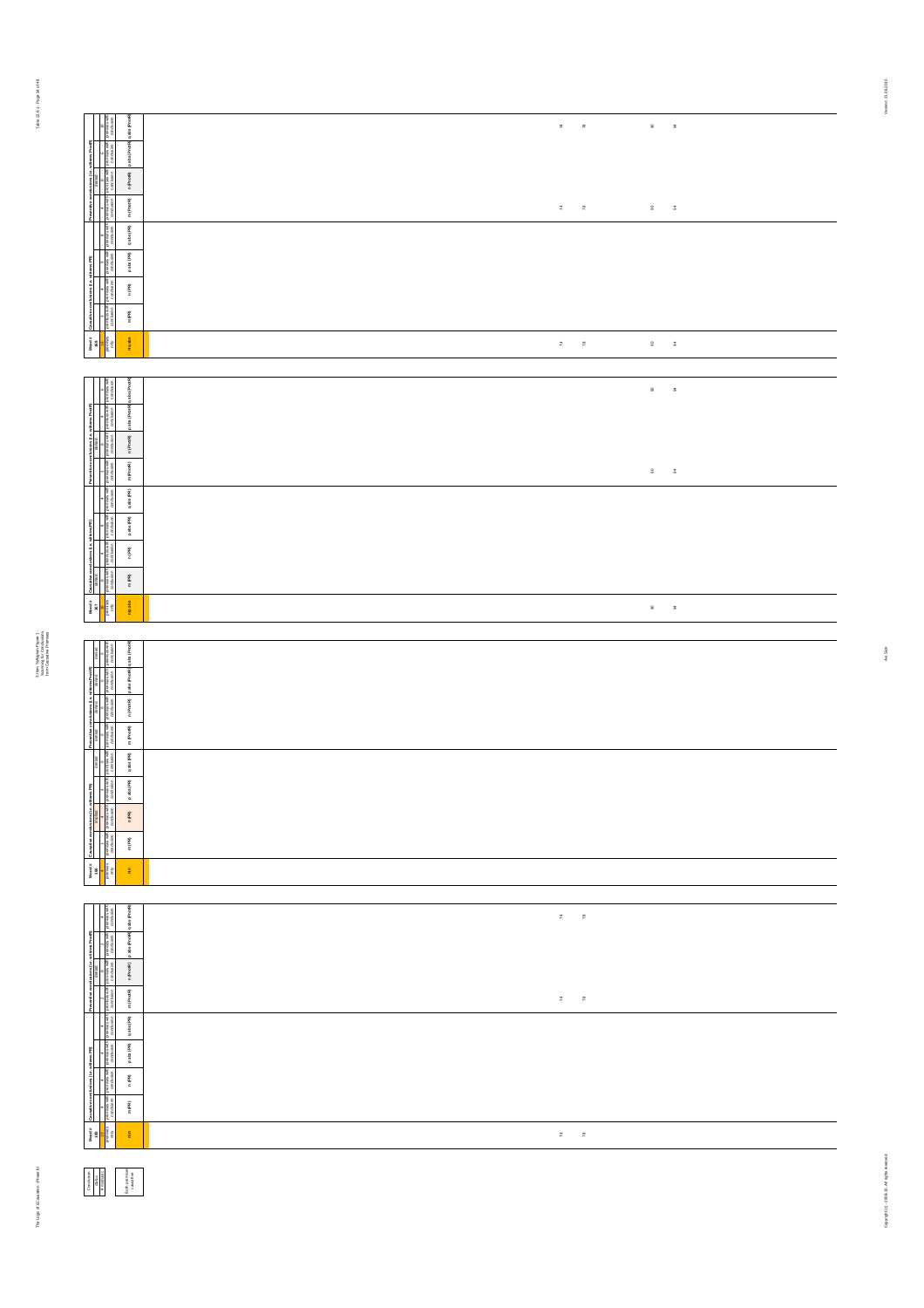|                                                                                   | 10<br>promises with<br>conclusion                                                                                                                                                                                              | q abs (Prooft)                        | $\boldsymbol{\pi}$                                        | $\mathbb R$                                                          | $\mathbb{S}$                                                                                                                                                                                                                                                                                                                    | $\overline{\sigma}$ |
|-----------------------------------------------------------------------------------|--------------------------------------------------------------------------------------------------------------------------------------------------------------------------------------------------------------------------------|---------------------------------------|-----------------------------------------------------------|----------------------------------------------------------------------|---------------------------------------------------------------------------------------------------------------------------------------------------------------------------------------------------------------------------------------------------------------------------------------------------------------------------------|---------------------|
|                                                                                   | premises with<br>condusion                                                                                                                                                                                                     | pates (Prot R)                        |                                                           |                                                                      |                                                                                                                                                                                                                                                                                                                                 |                     |
|                                                                                   |                                                                                                                                                                                                                                | $n$ (ProofR)                          |                                                           |                                                                      |                                                                                                                                                                                                                                                                                                                                 |                     |
| Preventive conclusions (i.e. witterns Prooft)<br>detect                           | $\frac{9}{2}$ promises with promises with promises with condusion condusion.                                                                                                                                                   | $m$ (ProofR)                          |                                                           | $\mathbb{R}^n$ and $\mathbb{R}^n$ . In the set of the $\mathbb{R}^n$ | $\begin{matrix} 0 & 0 & 0 \\ 0 & 0 & 0 \\ 0 & 0 & 0 \\ 0 & 0 & 0 \\ 0 & 0 & 0 \\ 0 & 0 & 0 \\ 0 & 0 & 0 \\ 0 & 0 & 0 \\ 0 & 0 & 0 & 0 \\ 0 & 0 & 0 & 0 \\ 0 & 0 & 0 & 0 \\ 0 & 0 & 0 & 0 \\ 0 & 0 & 0 & 0 & 0 \\ 0 & 0 & 0 & 0 & 0 \\ 0 & 0 & 0 & 0 & 0 \\ 0 & 0 & 0 & 0 & 0 & 0 \\ 0 & 0 & 0 & 0 & 0 & 0 \\ 0 & 0 & 0 & 0 & 0$ |                     |
|                                                                                   |                                                                                                                                                                                                                                | $q$ abs (PR)                          |                                                           |                                                                      |                                                                                                                                                                                                                                                                                                                                 |                     |
|                                                                                   |                                                                                                                                                                                                                                | $p$ abs $\langle \theta R \rangle$    |                                                           |                                                                      |                                                                                                                                                                                                                                                                                                                                 |                     |
|                                                                                   | promises with p<br>condusion                                                                                                                                                                                                   | $_{\rm n}(\rho\,R)$                   |                                                           |                                                                      |                                                                                                                                                                                                                                                                                                                                 |                     |
| Causaire con dusions (i.e. witems PR)                                             | promises with<br>conclusion                                                                                                                                                                                                    | $\frac{\partial R}{\partial t}$       |                                                           |                                                                      |                                                                                                                                                                                                                                                                                                                                 |                     |
| Mood #                                                                            | and and<br>and and                                                                                                                                                                                                             |                                       |                                                           |                                                                      |                                                                                                                                                                                                                                                                                                                                 |                     |
|                                                                                   |                                                                                                                                                                                                                                | n/qabs                                | $\mathcal{R}^{\mathcal{A}}$ , $\mathcal{R}^{\mathcal{A}}$ |                                                                      | $\begin{matrix} 0 & \cdots & 0 \\ 0 & \cdots & 0 \\ 0 & \cdots & 0 \end{matrix}$                                                                                                                                                                                                                                                |                     |
|                                                                                   | promisies with<br>condusion                                                                                                                                                                                                    |                                       |                                                           |                                                                      | $\begin{array}{ccc} \circ & \circ & \circ \\ \circ & \circ & \circ \end{array}$                                                                                                                                                                                                                                                 |                     |
|                                                                                   | promises with                                                                                                                                                                                                                  | abs (Pnoff) q abs (Pnoff)             |                                                           |                                                                      |                                                                                                                                                                                                                                                                                                                                 |                     |
|                                                                                   |                                                                                                                                                                                                                                | $n$ (P notR)                          |                                                           |                                                                      |                                                                                                                                                                                                                                                                                                                                 |                     |
| Preventive conclusions (i.e. willems Prot R)<br>  division                        |                                                                                                                                                                                                                                | $m(\mathrm{Proof}\,R)$                |                                                           |                                                                      | $\begin{matrix} 0 & 0 \\ 0 & 0 \\ 0 & 0 \end{matrix}$                                                                                                                                                                                                                                                                           |                     |
|                                                                                   | $\frac{4}{1}$ permises with permises with $\frac{2}{1}$ permises with conclusion                                                                                                                                               | qabs (PR)                             |                                                           |                                                                      |                                                                                                                                                                                                                                                                                                                                 |                     |
|                                                                                   |                                                                                                                                                                                                                                |                                       |                                                           |                                                                      |                                                                                                                                                                                                                                                                                                                                 |                     |
| Causative conclusions (Le. willems PR)<br>deviat                                  | 4<br>premises with premises with<br>conclusion conclusion                                                                                                                                                                      | p als (PR)                            |                                                           |                                                                      |                                                                                                                                                                                                                                                                                                                                 |                     |
|                                                                                   |                                                                                                                                                                                                                                | $\frac{\partial}{\partial t}$         |                                                           |                                                                      |                                                                                                                                                                                                                                                                                                                                 |                     |
|                                                                                   | semises with p<br>condusion                                                                                                                                                                                                    | $\mathfrak{so}$                       |                                                           |                                                                      |                                                                                                                                                                                                                                                                                                                                 |                     |
| Mood #                                                                            | pomison<br>pomison                                                                                                                                                                                                             | nipabs                                |                                                           |                                                                      | $\,$ 8 $\,$ $\,$ 3.                                                                                                                                                                                                                                                                                                             |                     |
|                                                                                   | premises with<br>conclusion                                                                                                                                                                                                    |                                       |                                                           |                                                                      |                                                                                                                                                                                                                                                                                                                                 |                     |
|                                                                                   |                                                                                                                                                                                                                                |                                       |                                                           |                                                                      |                                                                                                                                                                                                                                                                                                                                 |                     |
|                                                                                   |                                                                                                                                                                                                                                |                                       |                                                           |                                                                      |                                                                                                                                                                                                                                                                                                                                 |                     |
|                                                                                   | premises with<br>conclusion                                                                                                                                                                                                    | p abs (PnotR) q abs (PnotR)           |                                                           |                                                                      |                                                                                                                                                                                                                                                                                                                                 |                     |
|                                                                                   |                                                                                                                                                                                                                                | $n$ (Pro $\theta$ )                   |                                                           |                                                                      |                                                                                                                                                                                                                                                                                                                                 |                     |
| Preventive conditations (i.e. w/learns Proofs)<br>Girlsof Girlsof (Shake Girlsof) |                                                                                                                                                                                                                                | $m$ (ProofR)                          |                                                           |                                                                      |                                                                                                                                                                                                                                                                                                                                 |                     |
|                                                                                   |                                                                                                                                                                                                                                | $q$ ab s $\langle \theta   R \rangle$ |                                                           |                                                                      |                                                                                                                                                                                                                                                                                                                                 |                     |
|                                                                                   |                                                                                                                                                                                                                                | $\mathfrak{psb}(PR)$                  |                                                           |                                                                      |                                                                                                                                                                                                                                                                                                                                 |                     |
|                                                                                   | As whense PR) devised Preventive conduisions (As v<br>with permissions permissions of devised device<br>with permission conclusion conclusion permissions<br>have conclusion conclusion conclusion permissions<br><b>Image</b> | $\mathfrak{so}_{w}$                   |                                                           |                                                                      |                                                                                                                                                                                                                                                                                                                                 |                     |
| Cau sative conclusions                                                            | premises with<br>condusion                                                                                                                                                                                                     | $\mathfrak{m}(\mathsf{PR})$           |                                                           |                                                                      |                                                                                                                                                                                                                                                                                                                                 |                     |
| $\begin{array}{c} \text{Mod } \mathfrak{n} \\ 1 \otimes \end{array}$              | see unos                                                                                                                                                                                                                       | $\epsilon$                            |                                                           |                                                                      |                                                                                                                                                                                                                                                                                                                                 |                     |
|                                                                                   |                                                                                                                                                                                                                                |                                       |                                                           |                                                                      |                                                                                                                                                                                                                                                                                                                                 |                     |
|                                                                                   |                                                                                                                                                                                                                                |                                       | $\overline{n}$                                            | $\mathbb R$                                                          |                                                                                                                                                                                                                                                                                                                                 |                     |
|                                                                                   | pamises with<br>condusion                                                                                                                                                                                                      | p abs (ProtR) q abs (ProoR)           |                                                           |                                                                      |                                                                                                                                                                                                                                                                                                                                 |                     |
|                                                                                   | promises with                                                                                                                                                                                                                  | $n$ (P rooff)                         |                                                           |                                                                      |                                                                                                                                                                                                                                                                                                                                 |                     |
| reventive conclusions (i.e. witems Prodit)                                        |                                                                                                                                                                                                                                | $\mathfrak{m}$ (P rooff)              | $\mathbb R \longrightarrow \mathbb R$                     |                                                                      |                                                                                                                                                                                                                                                                                                                                 |                     |
|                                                                                   | promises with promises with<br>condusion conclusion                                                                                                                                                                            | qabs (PR)                             |                                                           |                                                                      |                                                                                                                                                                                                                                                                                                                                 |                     |
|                                                                                   | premises with                                                                                                                                                                                                                  | pats (PR)                             |                                                           |                                                                      |                                                                                                                                                                                                                                                                                                                                 |                     |
|                                                                                   | promises with<br>conclusion                                                                                                                                                                                                    | $_{\rm n}$ (PR)                       |                                                           |                                                                      |                                                                                                                                                                                                                                                                                                                                 |                     |
| usative condusions (i.e. witems PR)                                               | $\begin{bmatrix} 4 \\ 3 \\ 0 \end{bmatrix}$ continued with                                                                                                                                                                     | $\frac{\partial}{\partial t}$         |                                                           |                                                                      |                                                                                                                                                                                                                                                                                                                                 |                     |

Copyright (c) - 2008-10. All rights reserved. Avi Sion Version: 21.06.2010

Avi Sion

opyright (c) - 2008-10. All rights reser

lenion: 21.06.2010

premises with iclusions (i.e., witems Pnot<br>denied<br>manusco with immitiative conclusion quint (PR) m (Prooft) n (Prooft) pubs (Pro premises with conclusion premises with conclusion  $\bar{n}$  $\overline{z}$ premises with conclusion pats (PR) premises with conclusion  $m(\mathsf{PR}) = \mathsf{CPR}(\mathsf{PR})$ premises with conclusion premises with conclusion Mood #<br>165  $\frac{1}{2}$  $\tilde{n}$  $\ddot{z}$ premises only

Conclusion status # moduses causative Both premises

The Logic of £Causation - Phase III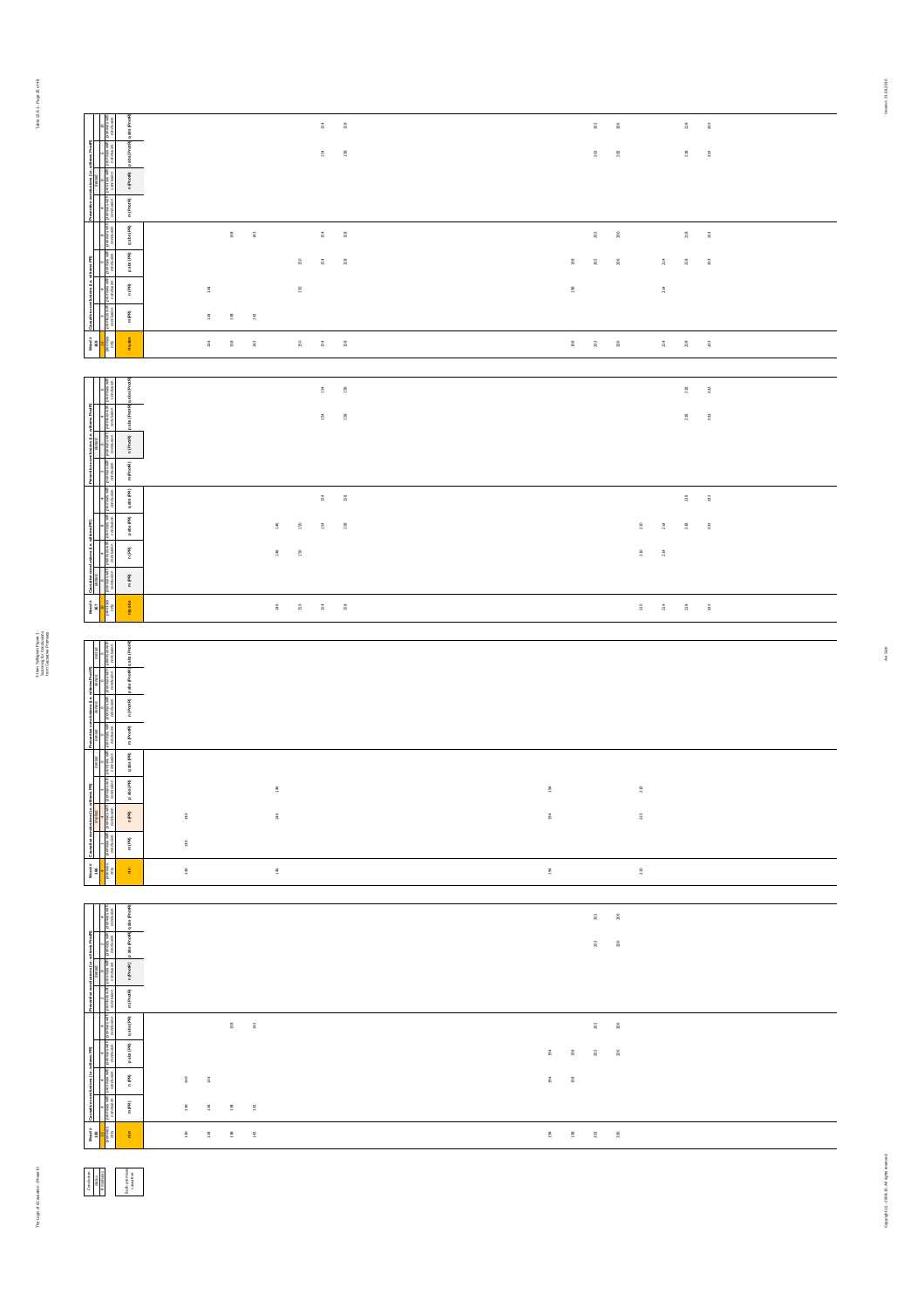|                                                                     |                                |                 |                                                                                                                            |                                                                                                                                                                                                                                  |                 |                  | $\frac{3}{2}$ $\frac{3}{2}$                                                                                                                                                                                                                                                                                                                                                                                                                                                                                                 |                                                |  |  |                  |                    | $202\,$ $206\,$                                                                                                             |                 |              |                                                                                                                                                                                                                                                                                                                                                                                                 | $\begin{array}{cc} 23 & 22 \\ 23 & 23 \end{array}$      |  |  |
|---------------------------------------------------------------------|--------------------------------|-----------------|----------------------------------------------------------------------------------------------------------------------------|----------------------------------------------------------------------------------------------------------------------------------------------------------------------------------------------------------------------------------|-----------------|------------------|-----------------------------------------------------------------------------------------------------------------------------------------------------------------------------------------------------------------------------------------------------------------------------------------------------------------------------------------------------------------------------------------------------------------------------------------------------------------------------------------------------------------------------|------------------------------------------------|--|--|------------------|--------------------|-----------------------------------------------------------------------------------------------------------------------------|-----------------|--------------|-------------------------------------------------------------------------------------------------------------------------------------------------------------------------------------------------------------------------------------------------------------------------------------------------------------------------------------------------------------------------------------------------|---------------------------------------------------------|--|--|
|                                                                     |                                |                 |                                                                                                                            |                                                                                                                                                                                                                                  |                 |                  | $\mathbb{S}^2$ , $\mathbb{S}^2$                                                                                                                                                                                                                                                                                                                                                                                                                                                                                             |                                                |  |  |                  |                    |                                                                                                                             |                 |              | $\begin{array}{ccc} 23 & 26 \\ 23 & 24 \end{array}$                                                                                                                                                                                                                                                                                                                                             |                                                         |  |  |
|                                                                     |                                |                 |                                                                                                                            |                                                                                                                                                                                                                                  |                 |                  |                                                                                                                                                                                                                                                                                                                                                                                                                                                                                                                             |                                                |  |  |                  |                    |                                                                                                                             |                 |              |                                                                                                                                                                                                                                                                                                                                                                                                 |                                                         |  |  |
| $m(p \text{ node})$                                                 |                                |                 |                                                                                                                            |                                                                                                                                                                                                                                  |                 |                  |                                                                                                                                                                                                                                                                                                                                                                                                                                                                                                                             |                                                |  |  |                  |                    |                                                                                                                             |                 |              |                                                                                                                                                                                                                                                                                                                                                                                                 |                                                         |  |  |
| $q$ abs (PR)                                                        |                                |                 |                                                                                                                            | 00 - 2월 12일 - 2월 12일 - 2월 12일 - 2월 12일 - 2월 12일 - 2월 12일 - 2월 12일 - 2월 12일 - 2월 12일 - 2월 12일 - 2월 12일 - 2월 12일<br>대한민국의 대한민국의 대한민국의 대한민국의 대한민국의 대한민국의 대한민국의 대한민국의 대한민국의 대한민국의 대한민국의 대한민국의 대한민국의 대한민국의 대한민국의 대한민국의 대한민국의 대한민국의 대한 |                 |                  |                                                                                                                                                                                                                                                                                                                                                                                                                                                                                                                             |                                                |  |  |                  |                    |                                                                                                                             |                 |              |                                                                                                                                                                                                                                                                                                                                                                                                 |                                                         |  |  |
| $p$ atos (PR)                                                       |                                |                 |                                                                                                                            |                                                                                                                                                                                                                                  |                 |                  | $\begin{matrix} 0 & \ldots & \ldots & \ldots & \ldots \\ \vdots & \vdots & \vdots & \ddots & \vdots \\ \vdots & \vdots & \vdots & \ddots & \vdots \\ \vdots & \vdots & \vdots & \ddots & \vdots \\ \vdots & \vdots & \vdots & \ddots & \vdots \\ \vdots & \vdots & \vdots & \vdots & \vdots \\ \vdots & \vdots & \vdots & \vdots & \vdots \\ \vdots & \vdots & \vdots & \vdots & \vdots \\ \vdots & \vdots & \vdots & \vdots & \vdots \\ \vdots & \vdots & \vdots & \vdots & \vdots \\ \vdots & \vdots & \vdots & \vdots &$ |                                                |  |  |                  |                    |                                                                                                                             |                 |              | $\begin{matrix} 0 & 0 & 0 & 0 \\ 0 & 0 & 0 & 0 \\ 0 & 0 & 0 & 0 \\ 0 & 0 & 0 & 0 \\ 0 & 0 & 0 & 0 \\ 0 & 0 & 0 & 0 \\ 0 & 0 & 0 & 0 \\ 0 & 0 & 0 & 0 \\ 0 & 0 & 0 & 0 \\ 0 & 0 & 0 & 0 \\ 0 & 0 & 0 & 0 \\ 0 & 0 & 0 & 0 & 0 \\ 0 & 0 & 0 & 0 & 0 \\ 0 & 0 & 0 & 0 & 0 \\ 0 & 0 & 0 & 0 & 0 \\ 0 & 0 & 0 & 0 & 0 \\ 0 & 0 & 0$                                                                  |                                                         |  |  |
| $_{\rm n}$ (PR)                                                     |                                | $\frac{\pi}{m}$ |                                                                                                                            |                                                                                                                                                                                                                                  |                 |                  | $\mathbb{S}^2$ . The set of $\mathbb{S}^2$                                                                                                                                                                                                                                                                                                                                                                                                                                                                                  |                                                |  |  |                  |                    |                                                                                                                             |                 |              | $\frac{1}{2}$                                                                                                                                                                                                                                                                                                                                                                                   |                                                         |  |  |
| $\frac{6}{\pi}$                                                     |                                | $\frac{\pi}{m}$ |                                                                                                                            | $\frac{33}{21}$                                                                                                                                                                                                                  |                 |                  |                                                                                                                                                                                                                                                                                                                                                                                                                                                                                                                             |                                                |  |  |                  |                    |                                                                                                                             |                 |              |                                                                                                                                                                                                                                                                                                                                                                                                 |                                                         |  |  |
| $M \odot \odot H$                                                   |                                |                 |                                                                                                                            |                                                                                                                                                                                                                                  |                 |                  |                                                                                                                                                                                                                                                                                                                                                                                                                                                                                                                             |                                                |  |  |                  |                    |                                                                                                                             |                 |              | $\begin{array}{ccccccccccccc} \mathbb{S}^1 & \mathbb{S}^1 & \mathbb{S}^1 & \mathbb{S}^1 & \mathbb{S}^1 & \mathbb{S}^1 & \mathbb{S}^1 & \mathbb{S}^1 & \mathbb{S}^1 & \mathbb{S}^1 & \mathbb{S}^1 & \mathbb{S}^1 & \mathbb{S}^1 & \mathbb{S}^1 & \mathbb{S}^1 & \mathbb{S}^1 & \mathbb{S}^1 & \mathbb{S}^1 & \mathbb{S}^1 & \mathbb{S}^1 & \mathbb{S}^1 & \mathbb{S}^1 & \mathbb{S}^1 & \mathbb$ |                                                         |  |  |
|                                                                     |                                |                 |                                                                                                                            |                                                                                                                                                                                                                                  |                 |                  |                                                                                                                                                                                                                                                                                                                                                                                                                                                                                                                             |                                                |  |  |                  |                    |                                                                                                                             |                 |              |                                                                                                                                                                                                                                                                                                                                                                                                 |                                                         |  |  |
| abs (Prot R)                                                        |                                |                 |                                                                                                                            |                                                                                                                                                                                                                                  |                 |                  | $\frac{\pi}{10}$ – $\frac{\pi}{10}$                                                                                                                                                                                                                                                                                                                                                                                                                                                                                         |                                                |  |  |                  |                    |                                                                                                                             |                 |              |                                                                                                                                                                                                                                                                                                                                                                                                 | $\begin{matrix} 3 & 3 \\ 2 & 3 \end{matrix}$            |  |  |
|                                                                     |                                |                 |                                                                                                                            |                                                                                                                                                                                                                                  |                 |                  |                                                                                                                                                                                                                                                                                                                                                                                                                                                                                                                             | $\frac{3}{12} \qquad \qquad \frac{33}{12}$     |  |  |                  |                    |                                                                                                                             |                 |              |                                                                                                                                                                                                                                                                                                                                                                                                 | $\mathbb{R}^n$ . $\mathbb{R}^n$                         |  |  |
|                                                                     |                                |                 |                                                                                                                            |                                                                                                                                                                                                                                  |                 |                  |                                                                                                                                                                                                                                                                                                                                                                                                                                                                                                                             |                                                |  |  |                  |                    |                                                                                                                             |                 |              |                                                                                                                                                                                                                                                                                                                                                                                                 |                                                         |  |  |
| m(PnotR)                                                            |                                |                 |                                                                                                                            |                                                                                                                                                                                                                                  |                 |                  |                                                                                                                                                                                                                                                                                                                                                                                                                                                                                                                             |                                                |  |  |                  |                    |                                                                                                                             |                 |              |                                                                                                                                                                                                                                                                                                                                                                                                 |                                                         |  |  |
| qabs (PR)                                                           |                                |                 |                                                                                                                            |                                                                                                                                                                                                                                  |                 |                  |                                                                                                                                                                                                                                                                                                                                                                                                                                                                                                                             | $\frac{\pi}{10}$ , $\ldots$ , $\frac{\pi}{10}$ |  |  |                  |                    |                                                                                                                             |                 |              |                                                                                                                                                                                                                                                                                                                                                                                                 | $\qquad \qquad \overline{a} \qquad \qquad \overline{a}$ |  |  |
| p abs (PR)                                                          |                                |                 |                                                                                                                            |                                                                                                                                                                                                                                  | $\frac{36}{14}$ | $\frac{93}{14}$  | $\mathbb{R}^m$ , $\mathbb{R}^m$                                                                                                                                                                                                                                                                                                                                                                                                                                                                                             |                                                |  |  |                  |                    |                                                                                                                             |                 |              | $\begin{array}{cccccccccc} \mathbf{S} & \mathbf{S} & \mathbf{S} & \mathbf{S} & \mathbf{S} & \mathbf{S} \end{array}$                                                                                                                                                                                                                                                                             |                                                         |  |  |
| $_{\rm n}$ (eq.                                                     |                                |                 |                                                                                                                            |                                                                                                                                                                                                                                  |                 | $\frac{46}{150}$ |                                                                                                                                                                                                                                                                                                                                                                                                                                                                                                                             |                                                |  |  |                  |                    |                                                                                                                             |                 |              | $\begin{array}{ccccc}\n\mathbf{3.5} & & \mathbf{3.5} & & \mathbf{1.5} & & \mathbf{1.5} & & \mathbf{1.5} & & \mathbf{1.5} & & \mathbf{1.5} & & \mathbf{1.5} & & \mathbf{1.5} & & \mathbf{1.5} & & \mathbf{1.5} & & \mathbf{1.5} & & \mathbf{1.5} & & \mathbf{1.5} & & \mathbf{1.5} & & \mathbf{1.5} & & \mathbf{1.5} & & \mathbf{1.5} & & \mathbf{1.5} & & \mathbf{1.5} & & \mathbf{1.5} & & \$  |                                                         |  |  |
| $\omega$ or $\omega$                                                |                                |                 |                                                                                                                            |                                                                                                                                                                                                                                  |                 |                  |                                                                                                                                                                                                                                                                                                                                                                                                                                                                                                                             |                                                |  |  |                  |                    |                                                                                                                             |                 |              |                                                                                                                                                                                                                                                                                                                                                                                                 |                                                         |  |  |
| $\begin{array}{c} \text{Mood} \\ \text{W3} \end{array}$<br>죸        |                                |                 |                                                                                                                            |                                                                                                                                                                                                                                  |                 |                  | $\begin{matrix} \frac{\partial}{\partial t} & \cdots & \frac{\partial}{\partial t} & \cdots & \frac{\partial}{\partial t} & \cdots & \frac{\partial}{\partial t} \\ \vdots & \vdots & \vdots & \ddots & \vdots \\ \frac{\partial}{\partial t} & \cdots & \frac{\partial}{\partial t} & \cdots & \frac{\partial}{\partial t} & \cdots & \frac{\partial}{\partial t} \end{matrix}$                                                                                                                                            |                                                |  |  |                  |                    |                                                                                                                             |                 |              |                                                                                                                                                                                                                                                                                                                                                                                                 |                                                         |  |  |
|                                                                     |                                |                 |                                                                                                                            |                                                                                                                                                                                                                                  |                 |                  |                                                                                                                                                                                                                                                                                                                                                                                                                                                                                                                             |                                                |  |  |                  |                    |                                                                                                                             |                 |              |                                                                                                                                                                                                                                                                                                                                                                                                 |                                                         |  |  |
|                                                                     |                                |                 |                                                                                                                            |                                                                                                                                                                                                                                  |                 |                  |                                                                                                                                                                                                                                                                                                                                                                                                                                                                                                                             |                                                |  |  |                  |                    |                                                                                                                             |                 |              |                                                                                                                                                                                                                                                                                                                                                                                                 |                                                         |  |  |
|                                                                     |                                |                 |                                                                                                                            |                                                                                                                                                                                                                                  |                 |                  |                                                                                                                                                                                                                                                                                                                                                                                                                                                                                                                             |                                                |  |  |                  |                    |                                                                                                                             |                 |              |                                                                                                                                                                                                                                                                                                                                                                                                 |                                                         |  |  |
|                                                                     |                                |                 |                                                                                                                            |                                                                                                                                                                                                                                  |                 |                  |                                                                                                                                                                                                                                                                                                                                                                                                                                                                                                                             |                                                |  |  |                  |                    |                                                                                                                             |                 |              |                                                                                                                                                                                                                                                                                                                                                                                                 |                                                         |  |  |
|                                                                     |                                |                 |                                                                                                                            |                                                                                                                                                                                                                                  |                 |                  |                                                                                                                                                                                                                                                                                                                                                                                                                                                                                                                             |                                                |  |  |                  |                    |                                                                                                                             |                 |              |                                                                                                                                                                                                                                                                                                                                                                                                 |                                                         |  |  |
| $q$ abs $\left( \mathsf{PR}\right)$                                 |                                |                 |                                                                                                                            |                                                                                                                                                                                                                                  |                 |                  |                                                                                                                                                                                                                                                                                                                                                                                                                                                                                                                             |                                                |  |  |                  |                    |                                                                                                                             |                 |              |                                                                                                                                                                                                                                                                                                                                                                                                 |                                                         |  |  |
| $p$ abs (PR)                                                        |                                |                 |                                                                                                                            |                                                                                                                                                                                                                                  | $\frac{9}{4}$   |                  |                                                                                                                                                                                                                                                                                                                                                                                                                                                                                                                             |                                                |  |  |                  |                    | 19 <sub>1</sub>                                                                                                             |                 |              |                                                                                                                                                                                                                                                                                                                                                                                                 |                                                         |  |  |
| $_{\rm n}$ psg                                                      | $^{\rm 9}$                     |                 |                                                                                                                            |                                                                                                                                                                                                                                  | $\frac{9}{24}$  |                  |                                                                                                                                                                                                                                                                                                                                                                                                                                                                                                                             |                                                |  |  | $\frac{\pi}{20}$ |                    |                                                                                                                             |                 | $_{\rm 210}$ |                                                                                                                                                                                                                                                                                                                                                                                                 |                                                         |  |  |
| $\mathfrak{m}(\mathsf{PR})$                                         | $\frac{9}{14}$                 |                 |                                                                                                                            |                                                                                                                                                                                                                                  |                 |                  |                                                                                                                                                                                                                                                                                                                                                                                                                                                                                                                             |                                                |  |  |                  |                    |                                                                                                                             |                 |              |                                                                                                                                                                                                                                                                                                                                                                                                 |                                                         |  |  |
| $\begin{array}{c} \text{Mod } n \\ 106 \end{array}$<br>हैं हैं<br>ŧ | $\frac{8}{14}$                 |                 |                                                                                                                            |                                                                                                                                                                                                                                  | $\frac{9}{14}$  |                  |                                                                                                                                                                                                                                                                                                                                                                                                                                                                                                                             |                                                |  |  | $\frac{3}{2}$    |                    |                                                                                                                             |                 | $_{\rm 2.0}$ |                                                                                                                                                                                                                                                                                                                                                                                                 |                                                         |  |  |
|                                                                     |                                |                 |                                                                                                                            |                                                                                                                                                                                                                                  |                 |                  |                                                                                                                                                                                                                                                                                                                                                                                                                                                                                                                             |                                                |  |  |                  |                    |                                                                                                                             |                 |              |                                                                                                                                                                                                                                                                                                                                                                                                 |                                                         |  |  |
| iatos (Pro                                                          |                                |                 |                                                                                                                            |                                                                                                                                                                                                                                  |                 |                  |                                                                                                                                                                                                                                                                                                                                                                                                                                                                                                                             |                                                |  |  |                  |                    | $\overline{\phantom{a}}$                                                                                                    | $_{\rm 206}$    |              |                                                                                                                                                                                                                                                                                                                                                                                                 |                                                         |  |  |
|                                                                     |                                |                 |                                                                                                                            |                                                                                                                                                                                                                                  |                 |                  |                                                                                                                                                                                                                                                                                                                                                                                                                                                                                                                             |                                                |  |  |                  |                    | $\overline{\mathbf{a}}$                                                                                                     | $_{\rm as}$     |              |                                                                                                                                                                                                                                                                                                                                                                                                 |                                                         |  |  |
| e.                                                                  |                                |                 |                                                                                                                            |                                                                                                                                                                                                                                  |                 |                  |                                                                                                                                                                                                                                                                                                                                                                                                                                                                                                                             |                                                |  |  |                  |                    |                                                                                                                             |                 |              |                                                                                                                                                                                                                                                                                                                                                                                                 |                                                         |  |  |
| $m(p \mod 8)$                                                       |                                |                 |                                                                                                                            |                                                                                                                                                                                                                                  |                 |                  |                                                                                                                                                                                                                                                                                                                                                                                                                                                                                                                             |                                                |  |  |                  |                    |                                                                                                                             |                 |              |                                                                                                                                                                                                                                                                                                                                                                                                 |                                                         |  |  |
| qabs $(PR)$                                                         |                                |                 | $\frac{3}{2}$ $\qquad$ $\frac{3}{2}$                                                                                       |                                                                                                                                                                                                                                  |                 |                  |                                                                                                                                                                                                                                                                                                                                                                                                                                                                                                                             |                                                |  |  |                  |                    | $\frac{5}{2}$ – $\frac{3}{2}$                                                                                               |                 |              |                                                                                                                                                                                                                                                                                                                                                                                                 |                                                         |  |  |
| pate (PR)                                                           |                                |                 |                                                                                                                            |                                                                                                                                                                                                                                  |                 |                  |                                                                                                                                                                                                                                                                                                                                                                                                                                                                                                                             |                                                |  |  | $\frac{\pi}{20}$ | $_{\rm g}^{\rm g}$ | $\mathbb{R}^2$                                                                                                              | $\mathbbmss{S}$ |              |                                                                                                                                                                                                                                                                                                                                                                                                 |                                                         |  |  |
| $_{\rm n}$ (PR)                                                     | $\Xi$                          | $\frac{3}{11}$  |                                                                                                                            |                                                                                                                                                                                                                                  |                 |                  |                                                                                                                                                                                                                                                                                                                                                                                                                                                                                                                             |                                                |  |  | $\frac{3}{24}$   | $\frac{98}{14}$    |                                                                                                                             |                 |              |                                                                                                                                                                                                                                                                                                                                                                                                 |                                                         |  |  |
| $\frac{\partial \mathbf{R}}{\partial \mathbf{r}}$                   | 130                            | $\frac{\pi}{m}$ |                                                                                                                            | $\begin{matrix} 33 \\ 14 \end{matrix}$                                                                                                                                                                                           |                 |                  |                                                                                                                                                                                                                                                                                                                                                                                                                                                                                                                             |                                                |  |  |                  |                    |                                                                                                                             |                 |              |                                                                                                                                                                                                                                                                                                                                                                                                 |                                                         |  |  |
| ŧ                                                                   | $\mathop{\mathrm{g}}\nolimits$ |                 | $\begin{array}{ccccccccc} \pi & & & & & & & & & & \pi \\ \pi & & & & & & & & & & \pi \\ & & & & & & & & & \pi \end{array}$ |                                                                                                                                                                                                                                  |                 |                  |                                                                                                                                                                                                                                                                                                                                                                                                                                                                                                                             |                                                |  |  |                  |                    | $\begin{matrix} 3 & 8 \\ 9 & 19 \\ 1 & 10 \end{matrix} \hspace{.7in} \begin{matrix} 3 & 3 \\ 2 & 10 \\ 3 & 10 \end{matrix}$ |                 |              |                                                                                                                                                                                                                                                                                                                                                                                                 |                                                         |  |  |

Conclusion status # moduses causative Both premises

 $\overline{\phantom{a}}$ 

Avi Sion

lenion: 21.06.2010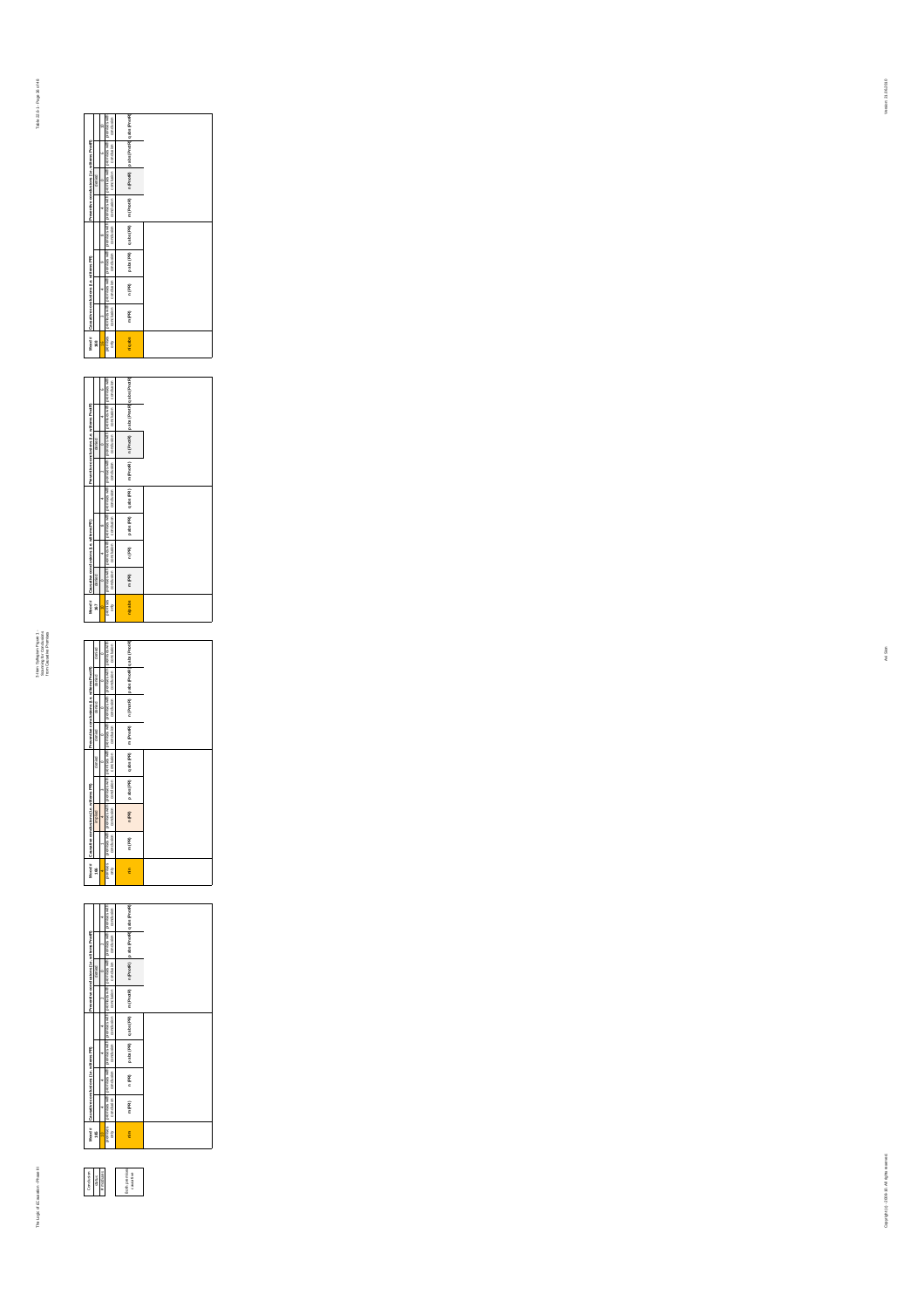The Logic of ECausation - Phase III

Both premises

|                                               |        | $\frac{1}{2}$ | DYNT 905 WET<br>operation                   |                                                        |  |
|-----------------------------------------------|--------|---------------|---------------------------------------------|--------------------------------------------------------|--|
|                                               |        |               | premises with<br>oondusion                  |                                                        |  |
|                                               | dened  |               | premises with<br>condusion                  | n (ProdR) pabs (ProtR) q abs (ProdR)                   |  |
| Preventive conclusions (i.e. witems Prooff)   |        |               | Dreams sea with<br>operation                |                                                        |  |
|                                               |        |               | DYRITTIERS WITH<br>oonduston                |                                                        |  |
|                                               |        |               | oondusion<br>promises with                  | pates (PR) qabs (PR) m (Proof?)                        |  |
|                                               |        |               | promises with<br>condusion                  | $\cdots$ nope) :                                       |  |
| ausaive condusions (i.e. witems PR)           |        |               | com ses with<br>conclusion                  | m(PR)                                                  |  |
| <b>Accord</b>                                 | g      |               | 200 m 905<br>only                           | n/q abs                                                |  |
|                                               |        |               |                                             |                                                        |  |
|                                               |        |               | premises with<br>oondusion                  | m(PriotR) in (PriotR) patis (PriotR) qabs (PriotR)     |  |
|                                               |        |               | Drem ses with promises with<br>condusion 1  |                                                        |  |
| Preventive conclusions (i.e. wiltems Phot R)  | dining |               | conclusion is                               |                                                        |  |
|                                               |        |               | Dremlees with<br>oondusion                  |                                                        |  |
|                                               |        |               | candualon                                   | qabs (PR)                                              |  |
|                                               |        |               | promises with premises with<br>conclusion   | p also (PR)                                            |  |
| Causative conclusions (i.e. wiltems PR)       |        |               | Dream sea with<br>oprehasion                | n (PR)                                                 |  |
|                                               | denied |               | vemises with<br>oondusion                   | m(PR)                                                  |  |
| Mood #                                        | ä      | q             | premises<br>ğ                               | nip abs                                                |  |
|                                               |        |               |                                             |                                                        |  |
|                                               | denied |               | ロマン やらの こになるこ<br>conclusion                 | n (Pho IR) patra (PhotR) qubs (PhotR)                  |  |
|                                               | dinind |               | operation<br>200m ses with                  |                                                        |  |
| Preventive con dusions (i.e. w/ltems ProdR)   | denied |               | <b>Contractor</b><br>oondusion              |                                                        |  |
|                                               | denied |               | promises with<br>canduagon                  | $m$ (Prooff)                                           |  |
|                                               | denied |               | Dromsea with<br>conclusion                  | qabs (PR)                                              |  |
| (i.e. w/tems PR)                              |        |               | a with promises with<br>oondusion           | pabs (PR)                                              |  |
|                                               | imple  |               | oondusion                                   | n@R                                                    |  |
| Causative conclusions                         |        |               | promises with premises<br>condusion         | m (PR)                                                 |  |
| Mood #                                        | g      |               | only<br>promises                            | ş                                                      |  |
|                                               |        |               |                                             |                                                        |  |
|                                               |        |               | promises with<br>condusion                  | m (Prooft)   n (Prooft)   pabs (Prot R) q abs (Prooft) |  |
| Preventive conclusions (i.e., wiltems Profit) |        |               | premises with<br>candusion                  |                                                        |  |
|                                               | dened  |               | premises with premises with<br>conclusion 1 |                                                        |  |
|                                               |        |               | operation                                   |                                                        |  |
|                                               |        |               | premises with<br>oondusion                  | qabs (PR)                                              |  |
|                                               |        |               | promises with premises with<br>condusion    | pates (PR)                                             |  |
| Causalive condusions (Le. wiltems PR)         |        |               | conclusion                                  | n (PR)                                                 |  |
|                                               |        |               | cremises with<br>operchasion                | m (PR)                                                 |  |
| food #                                        | 165    |               | vermisses<br>$\frac{3}{6}$                  | ę                                                      |  |

| Mood#            |                             | Causaive con dusions (i.e. witems PR) |                            |                              |                             | Preventive conclusions (i.e., willems Prooff) |                                      |                            |
|------------------|-----------------------------|---------------------------------------|----------------------------|------------------------------|-----------------------------|-----------------------------------------------|--------------------------------------|----------------------------|
| 168              |                             |                                       |                            |                              |                             | dened                                         |                                      |                            |
| g                |                             |                                       | ö                          | 80                           |                             | ۰                                             | é                                    | $\approx$                  |
| premises<br>cely | premises with<br>oorchasion | promises with<br>candusion            | premises with<br>oondusion | premises with<br>opriduation | promises with<br>oorchasion | promises with<br>candusion                    | premises with<br>oondusion           | DYN R98 TRIAN<br>operation |
| n/qabs           | $\frac{m(PR)}{E}$           | n (PR)                                |                            | pate (PR) qate (PR)          | m (Prooff)                  |                                               | n (PnotR) pabs (PnotR) q abs (PnotR) |                            |
|                  |                             |                                       |                            |                              |                             |                                               |                                      |                            |
|                  |                             |                                       |                            |                              |                             |                                               |                                      |                            |
|                  |                             |                                       |                            |                              |                             |                                               |                                      |                            |
|                  |                             |                                       |                            |                              |                             |                                               |                                      |                            |
|                  |                             |                                       |                            |                              |                             |                                               |                                      |                            |
|                  |                             |                                       |                            |                              |                             |                                               |                                      |                            |
|                  |                             |                                       |                            |                              |                             |                                               |                                      |                            |

Avi Sion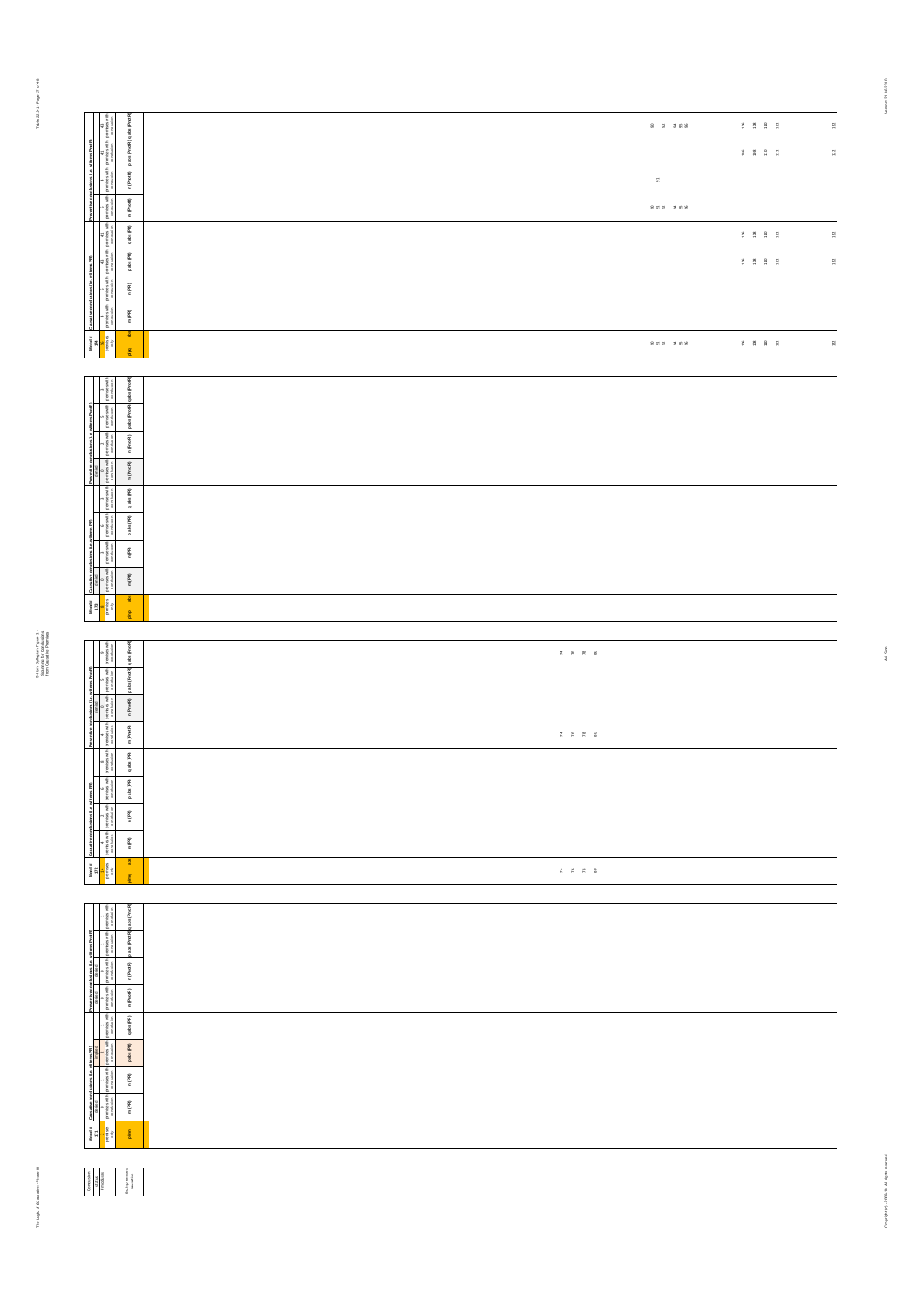| 43<br>promises with<br>corebusion<br>abs (PnoR)                                                                                          |                                                                     |                |                                                                                                                                                                                                                                                                                                                                                                                                                                       |                |
|------------------------------------------------------------------------------------------------------------------------------------------|---------------------------------------------------------------------|----------------|---------------------------------------------------------------------------------------------------------------------------------------------------------------------------------------------------------------------------------------------------------------------------------------------------------------------------------------------------------------------------------------------------------------------------------------|----------------|
| P <sub>rod</sub> R)<br>abs (ProfR)                                                                                                       |                                                                     |                | $\begin{array}{ccccccccccccc} \mathbf{g} & \mathbf{g} & \mathbf{g} & \mathbf{g} & \mathbf{g} & \mathbf{g} & \mathbf{g} & \mathbf{g} & \mathbf{g} & \mathbf{g} & \mathbf{g} & \mathbf{g} & \mathbf{g} & \mathbf{g} & \mathbf{g} & \mathbf{g} & \mathbf{g} & \mathbf{g} & \mathbf{g} & \mathbf{g} & \mathbf{g} & \mathbf{g} & \mathbf{g} & \mathbf{g} & \mathbf{g} & \mathbf{g} & \mathbf{g} & \mathbf{g} & \mathbf{g} & \mathbf{g} &$  |                |
| ions (i.e. wiltems<br>4<br>saswith<br>dusion<br>n (Pn ofR)                                                                               |                                                                     | 5 <sup>n</sup> |                                                                                                                                                                                                                                                                                                                                                                                                                                       |                |
| Preventive con<br>6<br>promises with<br>condusion<br>$\begin{aligned} &\text{m} \left( \text{P} \, \text{node} \right) \\ \end{aligned}$ |                                                                     | $888$ $88$     |                                                                                                                                                                                                                                                                                                                                                                                                                                       |                |
| $q$ at $\langle \rho R \rangle$<br>41<br>promises with<br>conclusion                                                                     |                                                                     |                | $\begin{array}{cccccccccccccc} \mathbf{g} & & \mathbf{g} & & \mathbf{g} & & \mathbf{g} & & \mathbf{g} & & \cdots \end{array}$                                                                                                                                                                                                                                                                                                         | $\mathbb{R}^n$ |
| pabs (PR)<br>43<br>premises with<br>condusion                                                                                            |                                                                     |                | $\begin{array}{cccccccccccccc} \mathbb{S} & \mathbb{S} & \mathbb{S} & \mathbb{S} & \mathbb{S} & \mathbb{S} & \mathbb{S} & \mathbb{S} & \mathbb{S} & \mathbb{S} & \mathbb{S} & \mathbb{S} & \mathbb{S} & \mathbb{S} & \mathbb{S} & \mathbb{S} & \mathbb{S} & \mathbb{S} & \mathbb{S} & \mathbb{S} & \mathbb{S} & \mathbb{S} & \mathbb{S} & \mathbb{S} & \mathbb{S} & \mathbb{S} & \mathbb{S} & \mathbb{S} & \mathbb{S} & \mathbb{S} &$ |                |
| volusions (i.e. w/tems PR)<br> -<br>  poemises with   poemises with<br>  conclusion   conclusion<br>$\frac{1}{n}$                        |                                                                     |                |                                                                                                                                                                                                                                                                                                                                                                                                                                       |                |
| Causative concli<br>promises with<br>condusion<br>$\frac{\partial \widehat{R}}{\partial t}$                                              |                                                                     |                |                                                                                                                                                                                                                                                                                                                                                                                                                                       |                |
| 普<br>Mood #<br>and and an<br>and and and an                                                                                              |                                                                     |                |                                                                                                                                                                                                                                                                                                                                                                                                                                       |                |
|                                                                                                                                          |                                                                     |                |                                                                                                                                                                                                                                                                                                                                                                                                                                       |                |
| abs (Prooft)<br>nemment<br>condusion                                                                                                     |                                                                     |                |                                                                                                                                                                                                                                                                                                                                                                                                                                       |                |
| abs (Proff)                                                                                                                              |                                                                     |                |                                                                                                                                                                                                                                                                                                                                                                                                                                       |                |
| ns (Le. wilems PnotR)<br>premises with<br>canclusian<br>$n$ (P rooff)                                                                    |                                                                     |                |                                                                                                                                                                                                                                                                                                                                                                                                                                       |                |
| $\begin{array}{l} \mathfrak{m} \, \mathfrak{p} \, \mathsf{root} \, \mathsf{R} \end{array}$                                               |                                                                     |                |                                                                                                                                                                                                                                                                                                                                                                                                                                       |                |
| 3<br>premises with<br>condusion<br>qabs (PR)                                                                                             |                                                                     |                |                                                                                                                                                                                                                                                                                                                                                                                                                                       |                |
|                                                                                                                                          |                                                                     |                |                                                                                                                                                                                                                                                                                                                                                                                                                                       |                |
| promises with<br>condusion<br>pate (PR)                                                                                                  |                                                                     |                |                                                                                                                                                                                                                                                                                                                                                                                                                                       |                |
| Causalve conclusions (i.e. willems PR)<br>Orient<br>3<br>promises with<br>conclusion<br>$\frac{1}{n}$ (PR)                               |                                                                     |                |                                                                                                                                                                                                                                                                                                                                                                                                                                       |                |
| $\frac{\widehat{\mathbf{g}}}{\mathbf{g}}$<br>書                                                                                           |                                                                     |                |                                                                                                                                                                                                                                                                                                                                                                                                                                       |                |
| $\frac{M \cos \theta}{173}$<br>remises<br>ł                                                                                              |                                                                     |                |                                                                                                                                                                                                                                                                                                                                                                                                                                       |                |
|                                                                                                                                          |                                                                     |                |                                                                                                                                                                                                                                                                                                                                                                                                                                       |                |
|                                                                                                                                          |                                                                     |                |                                                                                                                                                                                                                                                                                                                                                                                                                                       |                |
| (Pro (R)<br>죸                                                                                                                            | $\mathbb R$ $\mathbb R$ $\mathbb R$ $\mathbb R$                     |                |                                                                                                                                                                                                                                                                                                                                                                                                                                       |                |
| s (La witems Profit)<br>Id<br>죸                                                                                                          |                                                                     |                |                                                                                                                                                                                                                                                                                                                                                                                                                                       |                |
| n (ProtR)                                                                                                                                |                                                                     |                |                                                                                                                                                                                                                                                                                                                                                                                                                                       |                |
| Preventive conclusio<br>-<br>- 01<br>4<br>promises with<br>condusion<br>$m$ (Pn ceR)                                                     | $\begin{array}{cccccccccc} \Xi & \Xi & \Xi & \Xi & \Xi \end{array}$ |                |                                                                                                                                                                                                                                                                                                                                                                                                                                       |                |
| q abs (PR)<br>penissa with<br>condusion                                                                                                  |                                                                     |                |                                                                                                                                                                                                                                                                                                                                                                                                                                       |                |
| $p$ ab s (PR)<br>6<br>premises with<br>ooclusion                                                                                         |                                                                     |                |                                                                                                                                                                                                                                                                                                                                                                                                                                       |                |
| (Le wheens PR)<br>swth promises where<br>sion conclusion<br>$\frac{1}{n}$                                                                |                                                                     |                |                                                                                                                                                                                                                                                                                                                                                                                                                                       |                |
| $\mathfrak{m}$ (PR)<br>Cassatre                                                                                                          |                                                                     |                |                                                                                                                                                                                                                                                                                                                                                                                                                                       |                |
| 普<br>$\frac{u}{m}$<br>premises<br>ofly                                                                                                   | $\mathcal{R}=\mathcal{R}-\mathcal{R}-\mathcal{R}$                   |                |                                                                                                                                                                                                                                                                                                                                                                                                                                       |                |
|                                                                                                                                          |                                                                     |                |                                                                                                                                                                                                                                                                                                                                                                                                                                       |                |
| abs (Pr                                                                                                                                  |                                                                     |                |                                                                                                                                                                                                                                                                                                                                                                                                                                       |                |
| ProofR <sub>.</sub><br>abs(Prot                                                                                                          |                                                                     |                |                                                                                                                                                                                                                                                                                                                                                                                                                                       |                |
| $n$ (P rooff)                                                                                                                            |                                                                     |                |                                                                                                                                                                                                                                                                                                                                                                                                                                       |                |
| overage o<br>$m(p \text{ node})$                                                                                                         |                                                                     |                |                                                                                                                                                                                                                                                                                                                                                                                                                                       |                |
| $\bf q$ abs (PR)                                                                                                                         |                                                                     |                |                                                                                                                                                                                                                                                                                                                                                                                                                                       |                |
| $p$ abs $\langle \mathsf{PR} \rangle$                                                                                                    |                                                                     |                |                                                                                                                                                                                                                                                                                                                                                                                                                                       |                |
| dusions (i.e. w/leams PR)<br>$_{\rm n}$ (PR)                                                                                             |                                                                     |                |                                                                                                                                                                                                                                                                                                                                                                                                                                       |                |
| sative con<br>$\frac{60}{10}$                                                                                                            |                                                                     |                |                                                                                                                                                                                                                                                                                                                                                                                                                                       |                |
| $\begin{array}{c} \text{Mose} \ \text{m} \\ \text{m} \end{array}$<br>egal<br>T                                                           |                                                                     |                |                                                                                                                                                                                                                                                                                                                                                                                                                                       |                |

nsion: 21.06.2010

Copyright (c) - 2008-10. All rights reserved. Avi Sion Version: 21.06.2010

Avi Sion

оруні (к) - 2008-10. АІ пі фіз певе

3-ltem Sylogism Figure 1<br>Scaming for Conduisions<br>from Causative Premises Scanning for Conclusions from Causative Premises

Conclusion status # moduses causative Both premises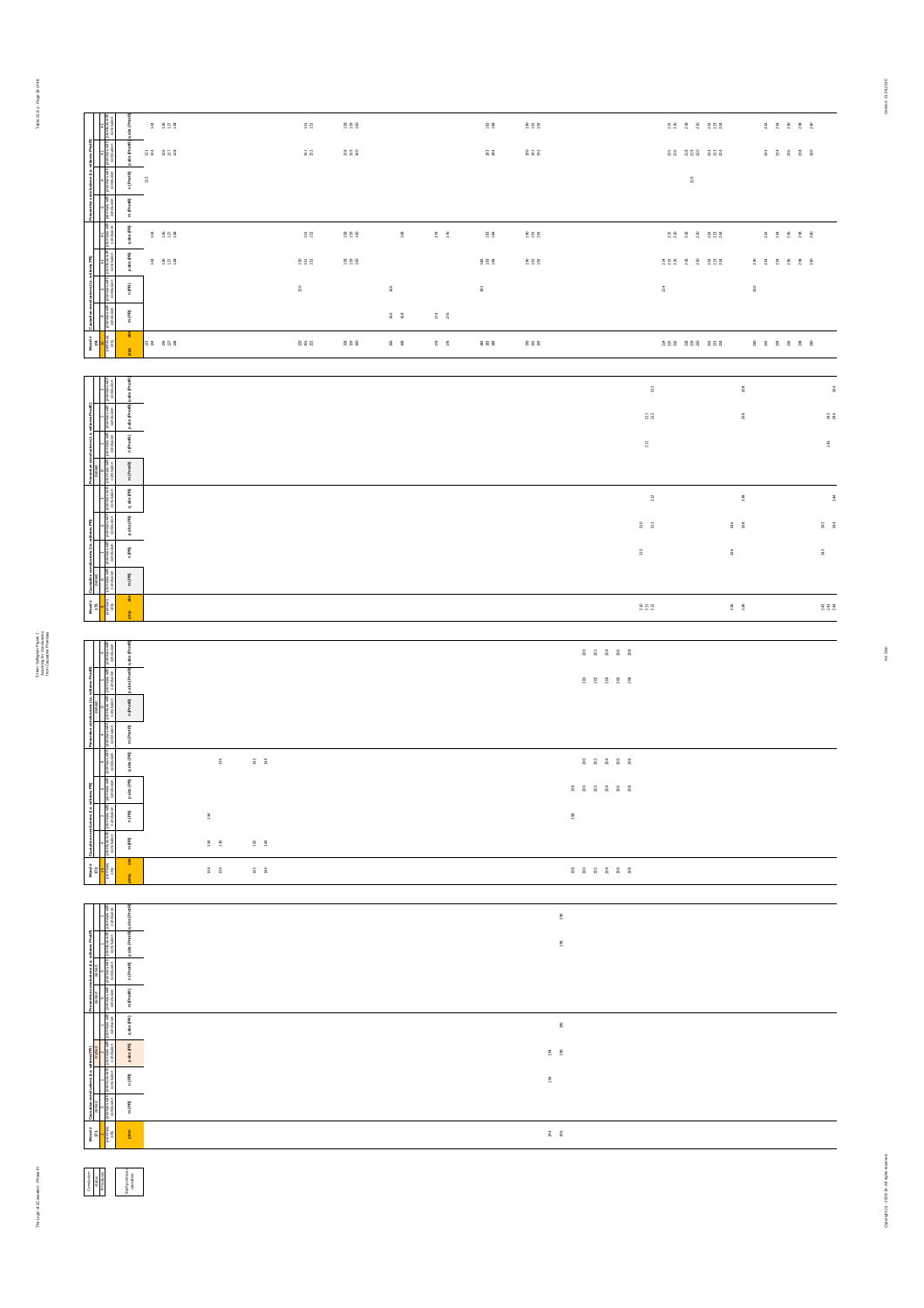|                                                                       |                                            | 3.333                                                                                                                                                |                                             |                                                                                                                                               | SS 53                      | 2.2.2                                                                                    |                                               |                                                               | $\frac{28}{22}$                                  | 858                                       |                                                                                                                                                                                                                                                                                                                                                                                                                                                                                                                                     |                 | 88 8 8 885 |                                          |
|-----------------------------------------------------------------------|--------------------------------------------|------------------------------------------------------------------------------------------------------------------------------------------------------|---------------------------------------------|-----------------------------------------------------------------------------------------------------------------------------------------------|----------------------------|------------------------------------------------------------------------------------------|-----------------------------------------------|---------------------------------------------------------------|--------------------------------------------------|-------------------------------------------|-------------------------------------------------------------------------------------------------------------------------------------------------------------------------------------------------------------------------------------------------------------------------------------------------------------------------------------------------------------------------------------------------------------------------------------------------------------------------------------------------------------------------------------|-----------------|------------|------------------------------------------|
| unfilterme                                                            |                                            | $33$ $322$                                                                                                                                           |                                             |                                                                                                                                               | $\substack{+2.5 \\ -1.52}$ | 3.38                                                                                     |                                               |                                                               | $\substack{23 \\ 23}$                            | 953                                       |                                                                                                                                                                                                                                                                                                                                                                                                                                                                                                                                     |                 |            |                                          |
|                                                                       | n (Pn ofR)                                 | $^{\rm 123}$                                                                                                                                         |                                             |                                                                                                                                               |                            |                                                                                          |                                               |                                                               |                                                  |                                           |                                                                                                                                                                                                                                                                                                                                                                                                                                                                                                                                     |                 | $^{219}$   |                                          |
| å                                                                     | $m(p \text{ node})$                        |                                                                                                                                                      |                                             |                                                                                                                                               |                            |                                                                                          |                                               |                                                               |                                                  |                                           |                                                                                                                                                                                                                                                                                                                                                                                                                                                                                                                                     |                 |            |                                          |
|                                                                       | $\mathbf{q}$ ab s $(\mathsf{PR})$          | 5.888                                                                                                                                                |                                             |                                                                                                                                               | SS 23                      | $\begin{array}{c} 8 \\ 2 \\ 3 \\ 4 \end{array} \begin{array}{c} 8 \\ 3 \\ 4 \end{array}$ | $\mathfrak{A}$                                | $\frac{\mathbf{g}}{\mathbf{n}}=\frac{\mathbf{g}}{\mathbf{n}}$ | $\frac{8}{11}$                                   | 8.8.8                                     |                                                                                                                                                                                                                                                                                                                                                                                                                                                                                                                                     | 88 8 8 883      |            |                                          |
|                                                                       | pabs (PR)                                  | $\begin{array}{cc} \mathbb{R} & \mathbb{R} & \mathbb{R} \\ \mathbb{R} & \mathbb{R} & \mathbb{R} \\ \mathbb{R} & \mathbb{R} & \mathbb{R} \end{array}$ |                                             |                                                                                                                                               | 353                        | 338                                                                                      |                                               |                                                               | $\begin{array}{c} 23 \\ 23 \\ 24 \\ \end{array}$ | $\frac{9}{2}$ $\frac{5}{2}$ $\frac{3}{2}$ |                                                                                                                                                                                                                                                                                                                                                                                                                                                                                                                                     | 333 3 3 3 3 3 4 |            |                                          |
| <b>J.a. w/tems PR)</b>                                                | n@R                                        |                                                                                                                                                      |                                             |                                                                                                                                               | $\frac{\Omega}{\Omega}$    |                                                                                          | $\%$                                          |                                                               | $\widetilde{\mathfrak{m}}$                       |                                           |                                                                                                                                                                                                                                                                                                                                                                                                                                                                                                                                     | $\tilde{n}$     |            |                                          |
|                                                                       | $\mathfrak{m}(\mathsf{PR})$                |                                                                                                                                                      |                                             |                                                                                                                                               |                            |                                                                                          | $\begin{matrix} 8 \\ 2 \\ 1 \end{matrix}$     | $\mathbb{R}=\mathbb{R}$                                       |                                                  |                                           |                                                                                                                                                                                                                                                                                                                                                                                                                                                                                                                                     |                 |            |                                          |
| Mood #                                                                | 죸<br>n<br>€                                | 83 888                                                                                                                                               |                                             |                                                                                                                                               | 252                        | 338                                                                                      | $\begin{matrix} 166 \\ 216 \\ 3 \end{matrix}$ | $\frac{174}{176}$                                             | 223                                              | $\frac{5}{2}$ $\frac{5}{2}$ $\frac{5}{2}$ |                                                                                                                                                                                                                                                                                                                                                                                                                                                                                                                                     | aaa aaa aaa     |            |                                          |
|                                                                       | g                                          |                                                                                                                                                      |                                             |                                                                                                                                               |                            |                                                                                          |                                               |                                                               |                                                  |                                           |                                                                                                                                                                                                                                                                                                                                                                                                                                                                                                                                     |                 |            |                                          |
|                                                                       | iab s (P)                                  |                                                                                                                                                      |                                             |                                                                                                                                               |                            |                                                                                          |                                               |                                                               |                                                  |                                           | $_{\rm 21}^{\rm 22}$                                                                                                                                                                                                                                                                                                                                                                                                                                                                                                                |                 |            | $^{22}$                                  |
| ProotRy                                                               | Ā                                          |                                                                                                                                                      |                                             |                                                                                                                                               |                            |                                                                                          |                                               |                                                               |                                                  |                                           | $\Xi$ $\Xi$                                                                                                                                                                                                                                                                                                                                                                                                                                                                                                                         |                 |            | $_{\rm ns}$                              |
| Ì                                                                     | n (ProfR)                                  |                                                                                                                                                      |                                             |                                                                                                                                               |                            |                                                                                          |                                               |                                                               |                                                  |                                           | $\Xi$                                                                                                                                                                                                                                                                                                                                                                                                                                                                                                                               |                 |            |                                          |
|                                                                       | $m$ (P not R)                              |                                                                                                                                                      |                                             |                                                                                                                                               |                            |                                                                                          |                                               |                                                               |                                                  |                                           |                                                                                                                                                                                                                                                                                                                                                                                                                                                                                                                                     |                 |            |                                          |
|                                                                       | qabs $(\theta R)$                          |                                                                                                                                                      |                                             |                                                                                                                                               |                            |                                                                                          |                                               |                                                               |                                                  |                                           | $^{-1}$ 212 $\,$                                                                                                                                                                                                                                                                                                                                                                                                                                                                                                                    |                 |            | $_{\rm 228}$                             |
| witems PR)                                                            | pates (PR)                                 |                                                                                                                                                      |                                             |                                                                                                                                               |                            |                                                                                          |                                               |                                                               |                                                  |                                           | $_{\rm 21}^{\rm 52}$                                                                                                                                                                                                                                                                                                                                                                                                                                                                                                                |                 |            | $\frac{25}{23}$                          |
|                                                                       | $_{\rm n}$ (PR)                            |                                                                                                                                                      |                                             |                                                                                                                                               |                            |                                                                                          |                                               |                                                               |                                                  |                                           | $\mathbb{S}^2$                                                                                                                                                                                                                                                                                                                                                                                                                                                                                                                      |                 |            | $2.35\,$                                 |
|                                                                       | m (PR)                                     |                                                                                                                                                      |                                             |                                                                                                                                               |                            |                                                                                          |                                               |                                                               |                                                  |                                           |                                                                                                                                                                                                                                                                                                                                                                                                                                                                                                                                     |                 |            |                                          |
| $\begin{array}{c} \mathbf{M} \\ \mathbf{M} \\ \mathbf{M} \end{array}$ | 喜<br>premises<br>only                      |                                                                                                                                                      |                                             |                                                                                                                                               |                            |                                                                                          |                                               |                                                               |                                                  |                                           | $\begin{smallmatrix} 0 & \cdots & 0 \\ \vdots & \vdots & \vdots \\ \vdots & \vdots & \vdots \\ \vdots & \vdots & \vdots \\ \vdots & \vdots & \vdots \\ \vdots & \vdots & \vdots \\ \vdots & \vdots & \vdots \\ \vdots & \vdots & \vdots \\ \vdots & \vdots & \vdots \\ \vdots & \vdots & \vdots \\ \vdots & \vdots & \vdots \\ \vdots & \vdots & \vdots \\ \vdots & \vdots & \vdots \\ \vdots & \vdots & \vdots \\ \vdots & \vdots & \vdots \\ \vdots & \vdots & \vdots \\ \vdots & \vdots & \vdots \\ \vdots & \vdots & \vdots \\$ |                 |            | $\begin{array}{c} 226 \\ 23 \end{array}$ |
|                                                                       | g                                          |                                                                                                                                                      |                                             |                                                                                                                                               |                            |                                                                                          |                                               |                                                               |                                                  |                                           |                                                                                                                                                                                                                                                                                                                                                                                                                                                                                                                                     |                 |            |                                          |
|                                                                       | abs (Prot                                  |                                                                                                                                                      |                                             |                                                                                                                                               |                            |                                                                                          |                                               |                                                               |                                                  |                                           | $\begin{array}{cccccccccc} \text{S} & \text{S} & \text{S} & \text{S} & \text{S} & \text{S} & \text{S} \\ \end{array}$                                                                                                                                                                                                                                                                                                                                                                                                               |                 |            |                                          |
| ons (i.e. w.ltems Pro IR)                                             | 횰                                          |                                                                                                                                                      |                                             |                                                                                                                                               |                            |                                                                                          |                                               |                                                               |                                                  |                                           | $\begin{array}{cccccccccc} \mathbf{8} & \mathbf{8} & \mathbf{8} & \mathbf{8} & \mathbf{8} & \mathbf{8} \\ \mathbf{10} & \mathbf{12} & \mathbf{13} & \mathbf{18} & \mathbf{18} & \mathbf{18} \\ \end{array}$                                                                                                                                                                                                                                                                                                                         |                 |            |                                          |
|                                                                       | n (ProtR)                                  |                                                                                                                                                      |                                             |                                                                                                                                               |                            |                                                                                          |                                               |                                                               |                                                  |                                           |                                                                                                                                                                                                                                                                                                                                                                                                                                                                                                                                     |                 |            |                                          |
|                                                                       | $m(p_{0}$ ofR)                             |                                                                                                                                                      |                                             |                                                                                                                                               |                            |                                                                                          |                                               |                                                               |                                                  |                                           |                                                                                                                                                                                                                                                                                                                                                                                                                                                                                                                                     |                 |            |                                          |
|                                                                       | qabs (PR)                                  |                                                                                                                                                      |                                             | $\begin{array}{lllllllll} \mathbb{R} & \mathbb{R} & \mathbb{R} & \mathbb{R} \\ \mathbb{R} & \mathbb{R} & \mathbb{R} & \mathbb{R} \end{array}$ |                            |                                                                                          |                                               |                                                               |                                                  |                                           |                                                                                                                                                                                                                                                                                                                                                                                                                                                                                                                                     |                 |            |                                          |
| witems <sub>PR)</sub>                                                 | $p$ abs $\langle \mathsf{PR} \rangle$<br>g |                                                                                                                                                      |                                             |                                                                                                                                               |                            |                                                                                          |                                               |                                                               |                                                  |                                           |                                                                                                                                                                                                                                                                                                                                                                                                                                                                                                                                     |                 |            |                                          |
| continuations (i.e.                                                   | $_{\rm n}$ (PR)                            |                                                                                                                                                      | $\frac{\pi}{13}$                            |                                                                                                                                               |                            |                                                                                          |                                               |                                                               |                                                  |                                           | $198\,$                                                                                                                                                                                                                                                                                                                                                                                                                                                                                                                             |                 |            |                                          |
| Cassatre                                                              | $\mathfrak{m}$ (PR)                        |                                                                                                                                                      | $\frac{\pi}{m}$ – $\frac{\pi}{m}$           | - 몇 몇                                                                                                                                         |                            |                                                                                          |                                               |                                                               |                                                  |                                           |                                                                                                                                                                                                                                                                                                                                                                                                                                                                                                                                     |                 |            |                                          |
| Mood #<br>. ??<br>.                                                   | 죜<br>premises                              |                                                                                                                                                      | $\frac{\pi}{\alpha}$ – $\frac{\pi}{\alpha}$ | $\frac{Q}{\alpha}=\frac{q}{\alpha}$                                                                                                           |                            |                                                                                          |                                               |                                                               |                                                  |                                           | $\begin{array}{cccccccccccccc} \mathcal{B} & \mathcal{B} & \mathcal{B} & \mathcal{B} & \mathcal{B} & \mathcal{B} & \mathcal{B} \end{array}$                                                                                                                                                                                                                                                                                                                                                                                         |                 |            |                                          |
|                                                                       |                                            |                                                                                                                                                      |                                             |                                                                                                                                               |                            |                                                                                          |                                               |                                                               |                                                  |                                           |                                                                                                                                                                                                                                                                                                                                                                                                                                                                                                                                     |                 |            |                                          |
|                                                                       | 1 abs (Proof                               |                                                                                                                                                      |                                             |                                                                                                                                               |                            |                                                                                          |                                               |                                                               |                                                  |                                           | $^{\rm 196}$                                                                                                                                                                                                                                                                                                                                                                                                                                                                                                                        |                 |            |                                          |
|                                                                       | abs (P                                     |                                                                                                                                                      |                                             |                                                                                                                                               |                            |                                                                                          |                                               |                                                               |                                                  |                                           | $^{\rm 196}$                                                                                                                                                                                                                                                                                                                                                                                                                                                                                                                        |                 |            |                                          |
| Preventive condusions (i.e. witems PnotR)                             | n (ProfR)                                  |                                                                                                                                                      |                                             |                                                                                                                                               |                            |                                                                                          |                                               |                                                               |                                                  |                                           |                                                                                                                                                                                                                                                                                                                                                                                                                                                                                                                                     |                 |            |                                          |
|                                                                       | $m$ (P notR)                               |                                                                                                                                                      |                                             |                                                                                                                                               |                            |                                                                                          |                                               |                                                               |                                                  |                                           |                                                                                                                                                                                                                                                                                                                                                                                                                                                                                                                                     |                 |            |                                          |
|                                                                       | $q$ abs (PR)                               |                                                                                                                                                      |                                             |                                                                                                                                               |                            |                                                                                          |                                               |                                                               |                                                  |                                           | $^{\rm 196}$                                                                                                                                                                                                                                                                                                                                                                                                                                                                                                                        |                 |            |                                          |
|                                                                       | $p$ abs (PR)                               |                                                                                                                                                      |                                             |                                                                                                                                               |                            |                                                                                          |                                               |                                                               |                                                  |                                           | $\frac{3}{2}$ %                                                                                                                                                                                                                                                                                                                                                                                                                                                                                                                     |                 |            |                                          |
| con dusions (i.e. w/leans PR)                                         | $n$ (PR)                                   |                                                                                                                                                      |                                             |                                                                                                                                               |                            |                                                                                          |                                               |                                                               |                                                  | $\frac{\pi}{20}$                          |                                                                                                                                                                                                                                                                                                                                                                                                                                                                                                                                     |                 |            |                                          |
| sative                                                                | $\mathfrak{m}(\mathsf{PR})$                |                                                                                                                                                      |                                             |                                                                                                                                               |                            |                                                                                          |                                               |                                                               |                                                  |                                           |                                                                                                                                                                                                                                                                                                                                                                                                                                                                                                                                     |                 |            |                                          |
|                                                                       |                                            |                                                                                                                                                      |                                             |                                                                                                                                               |                            |                                                                                          |                                               |                                                               |                                                  |                                           |                                                                                                                                                                                                                                                                                                                                                                                                                                                                                                                                     |                 |            |                                          |

|   | promises                                                                                                                                         |        |                                                   |                               |                                                                                                                                                                                                                                                                                                                                                                                                                                                                     |  |
|---|--------------------------------------------------------------------------------------------------------------------------------------------------|--------|---------------------------------------------------|-------------------------------|---------------------------------------------------------------------------------------------------------------------------------------------------------------------------------------------------------------------------------------------------------------------------------------------------------------------------------------------------------------------------------------------------------------------------------------------------------------------|--|
|   |                                                                                                                                                  |        |                                                   |                               | $\begin{array}{cccccccccc} \mathbf{8} & \mathbf{8} & \mathbf{8} & \mathbf{8} & \mathbf{8} & \mathbf{8} \\ \mathbf{10} & \mathbf{11} & \mathbf{12} & \mathbf{13} & \mathbf{18} & \mathbf{8} \\ \mathbf{11} & \mathbf{12} & \mathbf{13} & \mathbf{14} & \mathbf{15} & \mathbf{16} \\ \mathbf{13} & \mathbf{14} & \mathbf{15} & \mathbf{16} & \mathbf{16} & \mathbf{17} \\ \mathbf{16} & \mathbf{17} & \mathbf{18} & \math$                                            |  |
|   | Preventive conclusions (), a wilcom Pho 65)<br>- Anniso with pombol of the S<br>- pontisoin - operation - conclusion - conclusion - conclusion - | င့်    |                                                   |                               |                                                                                                                                                                                                                                                                                                                                                                                                                                                                     |  |
|   |                                                                                                                                                  |        |                                                   |                               |                                                                                                                                                                                                                                                                                                                                                                                                                                                                     |  |
| Н | premises with<br>condusion                                                                                                                       |        | $\frac{35}{2}$                                    | $\frac{a}{2}$ $\frac{a}{2}$   | $\begin{array}{cccccccccc} \mathbf{8} & \mathbf{8} & \mathbf{8} & \mathbf{8} & \mathbf{8} & \mathbf{8} \\ \mathbf{10} & \mathbf{11} & \mathbf{12} & \mathbf{13} & \mathbf{18} & \mathbf{8} \\ \mathbf{11} & \mathbf{12} & \mathbf{13} & \mathbf{14} & \mathbf{15} & \mathbf{16} \\ \mathbf{13} & \mathbf{14} & \mathbf{15} & \mathbf{16} & \mathbf{16} & \mathbf{17} \\ \mathbf{16} & \mathbf{17} & \mathbf{18} & \math$                                            |  |
|   |                                                                                                                                                  | gada   |                                                   |                               | $\begin{array}{cccccccccccccc} \mathbb{S} & & \mathbb{S} & & \mathbb{S} & & \mathbb{S} & & \mathbb{S} & & \mathbb{S} & & \mathbb{S} & & \mathbb{S} & & \mathbb{S} & & \mathbb{S} & & \mathbb{S} & & \mathbb{S} & & \mathbb{S} & & \mathbb{S} & & \mathbb{S} & & \mathbb{S} & & \mathbb{S} & & \mathbb{S} & & \mathbb{S} & & \mathbb{S} & & \mathbb{S} & & \mathbb{S} & & \mathbb{S} & & \mathbb{S} & & \mathbb{S} & & \mathbb{S} & & \math$                         |  |
|   |                                                                                                                                                  | n (PR) | $\frac{3}{24}$                                    |                               | 198                                                                                                                                                                                                                                                                                                                                                                                                                                                                 |  |
|   | $\begin{array}{c} 4 \\ 4 \\ \text{conditions with} \end{array}$                                                                                  |        | $\overline{\mathbb{B}}$ – $\overline{\mathbb{B}}$ | $\frac{1}{2}$ , $\frac{1}{2}$ |                                                                                                                                                                                                                                                                                                                                                                                                                                                                     |  |
|   | Mood #<br>172<br>promises<br>ofly                                                                                                                |        | $\overline{a}$ . $\overline{a}$                   | - 몇 - 몇                       | $\begin{array}{cccccccccccccc} \mathcal{B} & \mathcal{B} & \mathcal{B} & \mathcal{B} & \mathcal{B} & \mathcal{B} & \mathcal{B} & \mathcal{B} & \mathcal{B} & \mathcal{B} & \mathcal{B} & \mathcal{B} & \mathcal{B} & \mathcal{B} & \mathcal{B} & \mathcal{B} & \mathcal{B} & \mathcal{B} & \mathcal{B} & \mathcal{B} & \mathcal{B} & \mathcal{B} & \mathcal{B} & \mathcal{B} & \mathcal{B} & \mathcal{B} & \mathcal{B} & \mathcal{B} & \mathcal{B} & \mathcal{B} &$ |  |

|                                                   | 1<br>promises with<br>conclusion                                                                                                                                                                              |                       | 196                           |
|---------------------------------------------------|---------------------------------------------------------------------------------------------------------------------------------------------------------------------------------------------------------------|-----------------------|-------------------------------|
|                                                   |                                                                                                                                                                                                               |                       | $\frac{8}{2}$                 |
|                                                   | <b>Preventive conclusions (i.e., witherma Proces)</b><br>- profession premise and profession profession<br>- profession preventive conclusion profession pro<br>- profession conclusion profession profession |                       |                               |
|                                                   | $\frac{6}{3}$                                                                                                                                                                                                 |                       |                               |
|                                                   | one<br>  promisos with promiso<br>  portugion   corch<br>  corchaion                                                                                                                                          | Ê,<br>$\ddot{\sigma}$ | 196                           |
|                                                   | $\begin{array}{ c c }\n\hline\n2 & \\ \hline\n\end{array}$                                                                                                                                                    | @<br>$\bar{a}$        | $\frac{3}{21}$ $\frac{9}{29}$ |
| Causative conclusions (i.e. w/leams PR)<br>denied | 0<br>promises with promises with<br>conclusion condusion                                                                                                                                                      | c                     | $\overline{\mathfrak{A}}$     |
|                                                   |                                                                                                                                                                                                               |                       |                               |
|                                                   | $\begin{array}{c}\n\text{Mod } n \\ \text{if } n \\ \hline\n\end{array}$                                                                                                                                      | g.                    | $\frac{3}{21}$ $\frac{9}{29}$ |

Conclusion status # moduses causative

Both premises

Avi Sion

lenion: 21.08.2010

242 242 242

 $\begin{array}{c} 23 \\ 23 \\ 24 \\ \end{array}$ 

 $\frac{1}{2}$  $\begin{array}{cc} \mathbb{R} & \mathbb{R} \\ \mathbb{R} & \mathbb{R} \end{array}$  $_{\rm 2.0}$ 

 $\frac{1}{2}$  $\ddot{x}$  $_{\rm 243}$ 

230 230 230

 $_{\rm 20}$ 

 $\begin{array}{cccccccccc} \mathbb{H} & \mathbb{H} & \mathbb{H} & \mathbb{H} & \mathbb{H} & \mathbb{H} \end{array}$  $\begin{array}{ccccccccccccc} \mathbf{a} & \mathbf{a} & \mathbf{a} & \mathbf{a} & \mathbf{a} & \mathbf{a} & \mathbf{a} & \mathbf{a} & \mathbf{a} & \mathbf{a} & \mathbf{a} & \mathbf{a} & \mathbf{a} & \mathbf{a} & \mathbf{a} & \mathbf{a} & \mathbf{a} & \mathbf{a} & \mathbf{a} & \mathbf{a} & \mathbf{a} & \mathbf{a} & \mathbf{a} & \mathbf{a} & \mathbf{a} & \mathbf{a} & \mathbf{a} & \mathbf{a} & \mathbf{a} & \mathbf{a} &$ 

 $\begin{array}{cccccccccc} \mathbf{R} & \mathbf{R} & \mathbf{R} & \mathbf{R} & \mathbf{R} & \mathbf{R} \end{array}$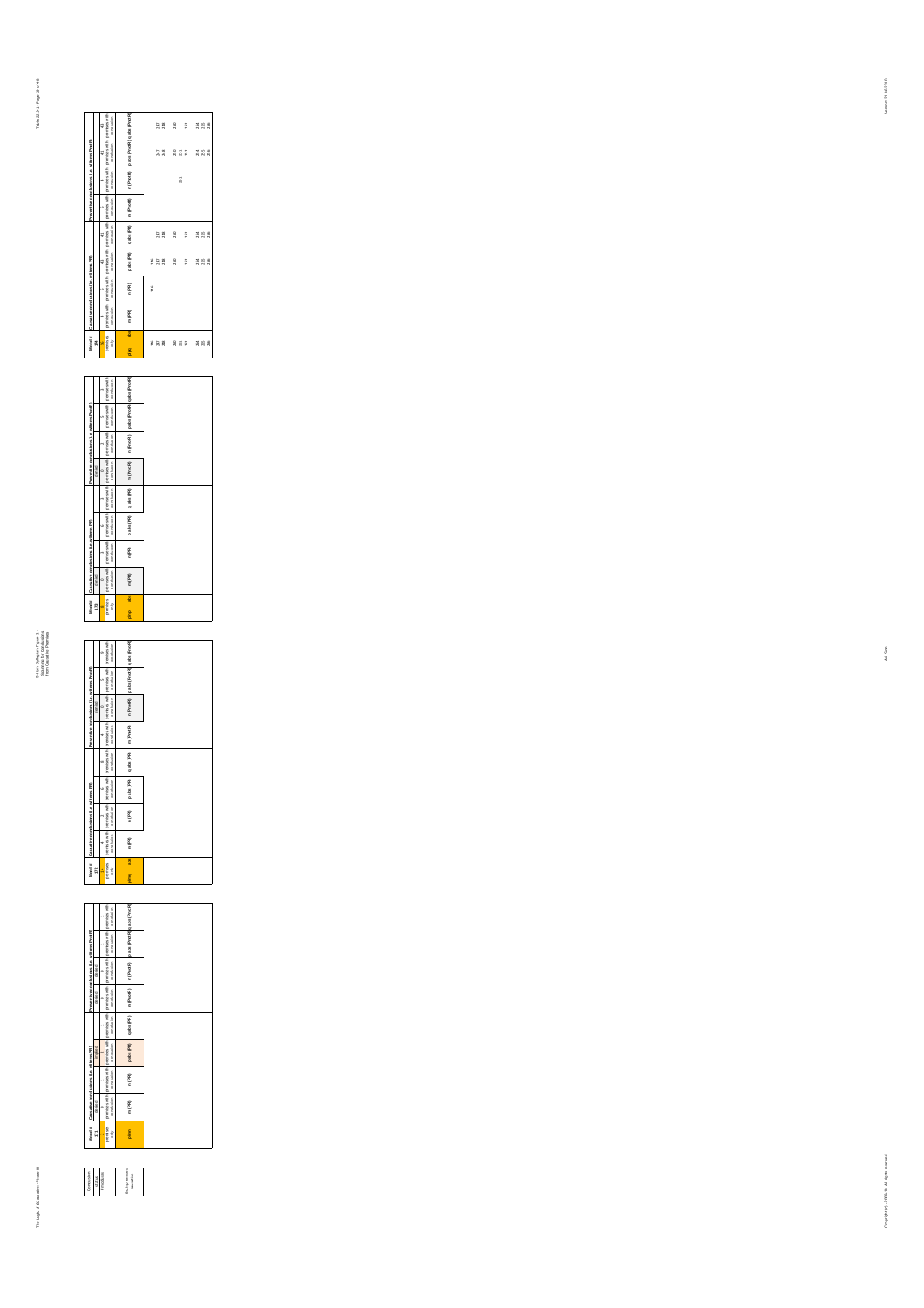| a pos              |                            | Causative conclusions (i.e. witems PR) |                            |                             |                      | Preventive con dusions (i.e. wiltems Proof?) |                            |                             |
|--------------------|----------------------------|----------------------------------------|----------------------------|-----------------------------|----------------------|----------------------------------------------|----------------------------|-----------------------------|
| g                  |                            |                                        |                            |                             |                      |                                              |                            |                             |
| $\frac{96}{10000}$ | ۳                          | é                                      | ş                          | ą                           | é                    | ۰                                            | ş                          | ą                           |
| È                  | promises with<br>condusion | premises with<br>oondusion             | premises with<br>oondusion | premises with<br>conclusion | candusion            | promises with premises with<br>oondusion     | premises with<br>oondusion | promises with<br>conclusion |
| 3 <sub>5</sub>     | m(pR)                      | n (PR)                                 | pabs (PR)                  | $q$ abs $(PR)$              | $m(P \text{ model})$ | n (Pn ofR)                                   | pats (ProtR) qabs (ProtR)  |                             |
| 246                |                            | g                                      | 245                        |                             |                      |                                              |                            |                             |
| $\frac{1}{2}$      |                            |                                        |                            |                             |                      |                                              | ã                          | 247                         |
| 248                |                            |                                        | 248                        | 2 8                         |                      |                                              | 248                        | $\frac{3}{2}$               |
| 250                |                            |                                        | 250                        | 8                           |                      |                                              | 250                        | 8                           |
| ã                  |                            |                                        |                            |                             |                      | 251                                          | 251                        |                             |
| 32                 |                            |                                        | 252                        | 252                         |                      |                                              | 252                        | 32                          |
| 34                 |                            |                                        | 254                        |                             |                      |                                              | 254                        | 254                         |
| 35                 |                            |                                        | 255                        | 38                          |                      |                                              | 255                        | 28                          |
| 36                 |                            |                                        | 256                        | 256                         |                      |                                              | 256                        | 256                         |



Conclusion status # moduses causative Both premises

premises only premises with conclusion premises with conclusion premises with conclusion premises with conclusion premises with conclusion premises with conclusion premises with conclusion premises with conclusion

premises only premises with conclusion premises with conclusion premises with conclusion premises with conclusion premises with conclusion premises with conclusion premises with conclusion premises with conclusion

Mood #

newerkive conclusions (i.e. w.kems Prock)<br>- also - also de also<br>com da uxth : permiso wth : permiso wth : promasa wth

abs (Proff

pats (ProfR)  $n$  (ProotR)  $p$ 

 $p \otimes s(p \otimes) \qquad \hbox{where} \qquad q \otimes s(p \otimes) \qquad \hbox{where} \qquad p \otimes s(p \otimes s) \qquad \hbox{where} \qquad p \otimes s(p \otimes s) \wedge s(p \otimes s) = s(p \otimes s(p \otimes s))$ 

abs (ProtR) q abs (Prot

n (Proff)  $m$  (Prooff)  $\mathtt{q}\text{-abs}\left(\mathsf{PR}\right)$  $p$ abs $\langle \mathsf{PR} \rangle$ 

 $m(PR) = m(PR)$ 

Aw Sion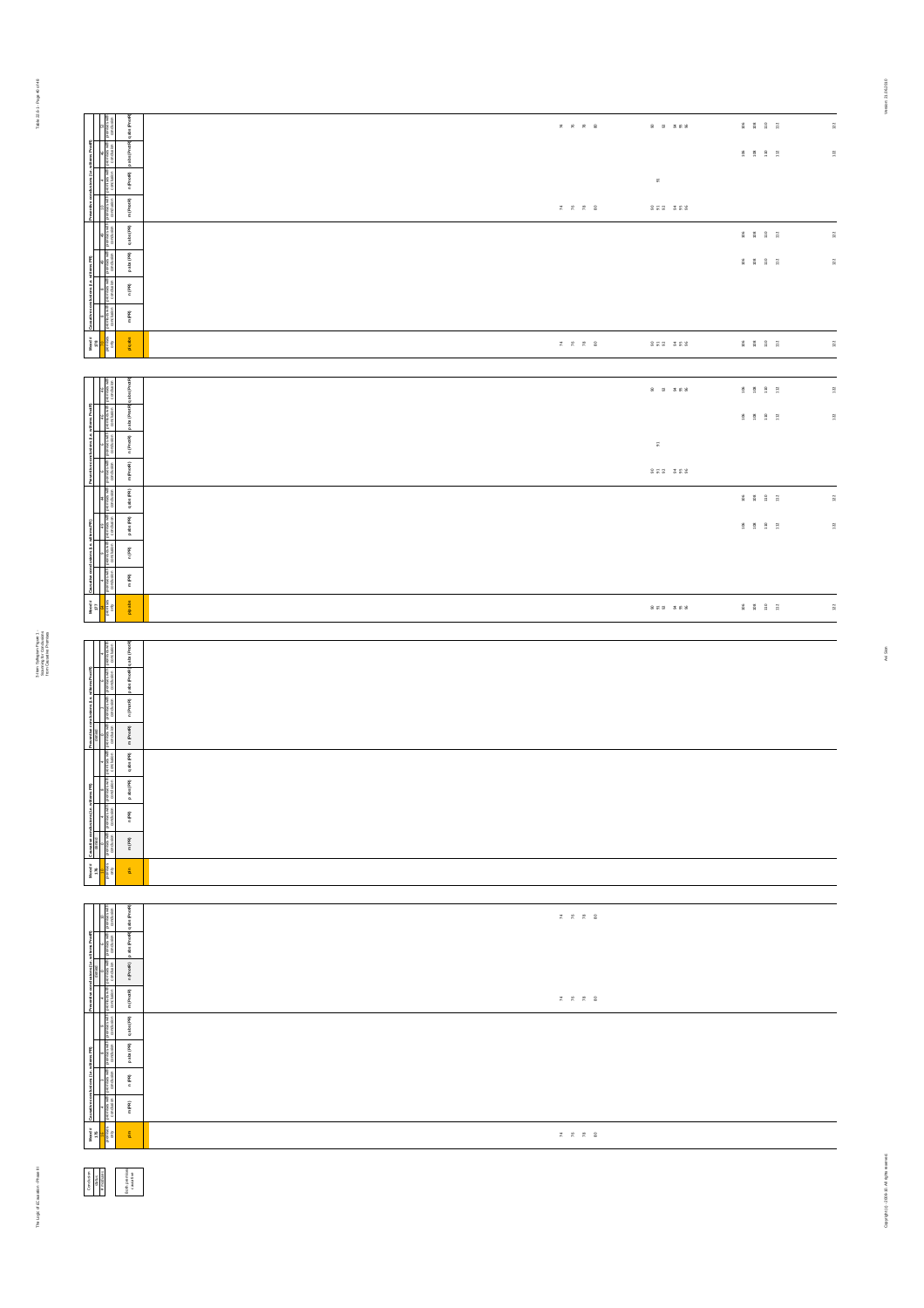|                                                                                                                                                                         | q abs (ProofR)                    |  | $\begin{array}{ccccc} \pi & \hspace{0.1cm}\pi & \hspace{0.1cm}\pi & \hspace{0.1cm} \pi \hspace{0.1cm} \end{array}$ |  |    | $8\quad 8\quad 388$ |
|-------------------------------------------------------------------------------------------------------------------------------------------------------------------------|-----------------------------------|--|--------------------------------------------------------------------------------------------------------------------|--|----|---------------------|
| promises with premises with promises with promises with premises with premises with<br>condusion condusion condusion conclusion condusion condusion condusion condusion | pabs (ProtR)                      |  |                                                                                                                    |  |    |                     |
|                                                                                                                                                                         | $n$ (P notR)                      |  |                                                                                                                    |  | S. |                     |
|                                                                                                                                                                         | $\mathfrak{m}$ (P roofR)          |  | $\begin{array}{cccccccccc} \pi & \pi & \pi & \pi & \pi & \pi \\ \end{array}$                                       |  |    | $853$ $358$         |
|                                                                                                                                                                         | $q$ abs $(PR)$                    |  |                                                                                                                    |  |    |                     |
|                                                                                                                                                                         | p abs (PR)                        |  |                                                                                                                    |  |    |                     |
|                                                                                                                                                                         | $\frac{\partial}{\partial\theta}$ |  |                                                                                                                    |  |    |                     |

|                                                                                                                                                                                                                                                                                                                                                                                                                                                                                                                      | abs (P notR                               |                                                                             |                     |                                                                                                                                                                                                                                                                                                                                                                                                                                       |                            |
|----------------------------------------------------------------------------------------------------------------------------------------------------------------------------------------------------------------------------------------------------------------------------------------------------------------------------------------------------------------------------------------------------------------------------------------------------------------------------------------------------------------------|-------------------------------------------|-----------------------------------------------------------------------------|---------------------|---------------------------------------------------------------------------------------------------------------------------------------------------------------------------------------------------------------------------------------------------------------------------------------------------------------------------------------------------------------------------------------------------------------------------------------|----------------------------|
|                                                                                                                                                                                                                                                                                                                                                                                                                                                                                                                      | abs (Prot R)                              |                                                                             |                     | $\begin{array}{ccccccccccccc} \mathbf{g} & \mathbf{g} & \mathbf{g} & \mathbf{g} & \mathbf{g} & \mathbf{g} & \mathbf{g} & \mathbf{g} & \mathbf{g} & \mathbf{g} & \mathbf{g} & \mathbf{g} & \mathbf{g} & \mathbf{g} & \mathbf{g} & \mathbf{g} & \mathbf{g} & \mathbf{g} & \mathbf{g} & \mathbf{g} & \mathbf{g} & \mathbf{g} & \mathbf{g} & \mathbf{g} & \mathbf{g} & \mathbf{g} & \mathbf{g} & \mathbf{g} & \mathbf{g} & \mathbf{g} &$  |                            |
|                                                                                                                                                                                                                                                                                                                                                                                                                                                                                                                      | $n$ (P notf).                             |                                                                             | $\overline{\infty}$ |                                                                                                                                                                                                                                                                                                                                                                                                                                       |                            |
|                                                                                                                                                                                                                                                                                                                                                                                                                                                                                                                      | $m$ (ProcR)                               |                                                                             |                     |                                                                                                                                                                                                                                                                                                                                                                                                                                       |                            |
|                                                                                                                                                                                                                                                                                                                                                                                                                                                                                                                      | $q$ abs $(P\!R)$                          |                                                                             |                     |                                                                                                                                                                                                                                                                                                                                                                                                                                       | $\mathbb{R}^2$             |
|                                                                                                                                                                                                                                                                                                                                                                                                                                                                                                                      | $\widehat{\mathbf{g}}$<br>$\frac{3}{2}$   |                                                                             |                     | $\begin{array}{cccccccccccccc} \mathbf{g} & \mathbf{g} & \mathbf{g} & \mathbf{g} & \mathbf{g} & \mathbf{g} & \mathbf{g} & \mathbf{g} & \mathbf{g} & \mathbf{g} & \mathbf{g} & \mathbf{g} & \mathbf{g} & \mathbf{g} & \mathbf{g} & \mathbf{g} & \mathbf{g} & \mathbf{g} & \mathbf{g} & \mathbf{g} & \mathbf{g} & \mathbf{g} & \mathbf{g} & \mathbf{g} & \mathbf{g} & \mathbf{g} & \mathbf{g} & \mathbf{g} & \mathbf{g} & \mathbf{g} &$ |                            |
|                                                                                                                                                                                                                                                                                                                                                                                                                                                                                                                      | $_{\rm n}$ (PR)                           |                                                                             |                     |                                                                                                                                                                                                                                                                                                                                                                                                                                       |                            |
|                                                                                                                                                                                                                                                                                                                                                                                                                                                                                                                      | $\frac{\widehat{\mathbf{g}}}{\mathbf{g}}$ |                                                                             |                     |                                                                                                                                                                                                                                                                                                                                                                                                                                       |                            |
| kuou                                                                                                                                                                                                                                                                                                                                                                                                                                                                                                                 | $_{\rm{p}}$                               |                                                                             |                     |                                                                                                                                                                                                                                                                                                                                                                                                                                       |                            |
|                                                                                                                                                                                                                                                                                                                                                                                                                                                                                                                      |                                           |                                                                             |                     |                                                                                                                                                                                                                                                                                                                                                                                                                                       |                            |
|                                                                                                                                                                                                                                                                                                                                                                                                                                                                                                                      | abs (ProtR)                               |                                                                             |                     |                                                                                                                                                                                                                                                                                                                                                                                                                                       | $\qquad \qquad \mathbb{R}$ |
|                                                                                                                                                                                                                                                                                                                                                                                                                                                                                                                      | i (PnotR<br>흨                             |                                                                             |                     | $\begin{array}{ccccccccccccc} \mathbf{B} & \mathbf{B} & \mathbf{B} & \mathbf{B} & \mathbf{C} & \mathbf{A} & \mathbf{A} & \mathbf{B} & \mathbf{B} & \mathbf{A} & \mathbf{B} & \mathbf{A} & \mathbf{A} & \mathbf{A} & \mathbf{A} & \mathbf{A} & \mathbf{A} & \mathbf{A} & \mathbf{A} & \mathbf{A} & \mathbf{A} & \mathbf{A} & \mathbf{A} & \mathbf{A} & \mathbf{A} & \mathbf{A} & \mathbf{A} & \mathbf{A} & \mathbf{A} & \mathbf{A} &$  |                            |
|                                                                                                                                                                                                                                                                                                                                                                                                                                                                                                                      | $n$ (P rooff)                             |                                                                             | $\overline{5}$      |                                                                                                                                                                                                                                                                                                                                                                                                                                       |                            |
|                                                                                                                                                                                                                                                                                                                                                                                                                                                                                                                      | $m(\mathrm{Proof}\,R)$                    |                                                                             | $9.53$ $3.38$       |                                                                                                                                                                                                                                                                                                                                                                                                                                       |                            |
|                                                                                                                                                                                                                                                                                                                                                                                                                                                                                                                      | qabs (PR)                                 |                                                                             |                     |                                                                                                                                                                                                                                                                                                                                                                                                                                       | $\vec{u}$                  |
| rses war<br>clusion                                                                                                                                                                                                                                                                                                                                                                                                                                                                                                  | $\mathbf{g}$<br>$\frac{3}{4}$             |                                                                             |                     | $\begin{array}{cccccccccccccc} \mathbb{S} & \mathbb{S} & \mathbb{S} & \mathbb{S} & \mathbb{S} & \mathbb{S} & \mathbb{S} & \mathbb{S} & \mathbb{S} & \mathbb{S} & \mathbb{S} & \mathbb{S} & \mathbb{S} & \mathbb{S} & \mathbb{S} & \mathbb{S} & \mathbb{S} & \mathbb{S} & \mathbb{S} & \mathbb{S} & \mathbb{S} & \mathbb{S} & \mathbb{S} & \mathbb{S} & \mathbb{S} & \mathbb{S} & \mathbb{S} & \mathbb{S} & \mathbb{S} & \mathbb{S} &$ |                            |
|                                                                                                                                                                                                                                                                                                                                                                                                                                                                                                                      | $\mathop{\mathrm{res}}\limits_n$          |                                                                             |                     |                                                                                                                                                                                                                                                                                                                                                                                                                                       |                            |
|                                                                                                                                                                                                                                                                                                                                                                                                                                                                                                                      | $\frac{1}{2}$                             |                                                                             |                     |                                                                                                                                                                                                                                                                                                                                                                                                                                       |                            |
| ŧ                                                                                                                                                                                                                                                                                                                                                                                                                                                                                                                    | 情                                         |                                                                             |                     |                                                                                                                                                                                                                                                                                                                                                                                                                                       | $\mathbb{R}^2$             |
|                                                                                                                                                                                                                                                                                                                                                                                                                                                                                                                      |                                           |                                                                             |                     |                                                                                                                                                                                                                                                                                                                                                                                                                                       |                            |
|                                                                                                                                                                                                                                                                                                                                                                                                                                                                                                                      | Ã.                                        |                                                                             |                     |                                                                                                                                                                                                                                                                                                                                                                                                                                       |                            |
|                                                                                                                                                                                                                                                                                                                                                                                                                                                                                                                      |                                           |                                                                             |                     |                                                                                                                                                                                                                                                                                                                                                                                                                                       |                            |
| $2$ mises with<br>and usion                                                                                                                                                                                                                                                                                                                                                                                                                                                                                          | $n$ (Pro $\mathfrak{M}$ )                 |                                                                             |                     |                                                                                                                                                                                                                                                                                                                                                                                                                                       |                            |
| $\overline{\phantom{0}}$                                                                                                                                                                                                                                                                                                                                                                                                                                                                                             | $m$ (ProofR)                              |                                                                             |                     |                                                                                                                                                                                                                                                                                                                                                                                                                                       |                            |
|                                                                                                                                                                                                                                                                                                                                                                                                                                                                                                                      | $q$ ab s $\langle \mathsf{PR} \rangle$    |                                                                             |                     |                                                                                                                                                                                                                                                                                                                                                                                                                                       |                            |
|                                                                                                                                                                                                                                                                                                                                                                                                                                                                                                                      | p abs (PR)                                |                                                                             |                     |                                                                                                                                                                                                                                                                                                                                                                                                                                       |                            |
| $4$<br>comision with<br>condusion                                                                                                                                                                                                                                                                                                                                                                                                                                                                                    | $\frac{1}{n}$                             |                                                                             |                     |                                                                                                                                                                                                                                                                                                                                                                                                                                       |                            |
| $\begin{array}{c c c c} \hline \multicolumn{3}{r}{\textbf{free}} & \multicolumn{3}{r}{\textbf{of}} \\ \hline \multicolumn{3}{r}{\textbf{free}} & \multicolumn{3}{r}{\textbf{of}} \\ \hline \multicolumn{3}{r}{\textbf{of}} & \multicolumn{3}{r}{\textbf{of}} \\ \hline \multicolumn{3}{r}{\textbf{of}} & \multicolumn{3}{r}{\textbf{of}} \\ \hline \multicolumn{3}{r}{\textbf{of}} & \multicolumn{3}{r}{\textbf{of}} \\ \hline \multicolumn{3}{r}{\textbf{of}} & \multicolumn{3}{r}{\textbf{$<br>isa<br>Sido<br>Sido | $\mathfrak{m}(\mathsf{PR})$               |                                                                             |                     |                                                                                                                                                                                                                                                                                                                                                                                                                                       |                            |
| ÷<br><b>Second</b>                                                                                                                                                                                                                                                                                                                                                                                                                                                                                                   | 一番                                        |                                                                             |                     |                                                                                                                                                                                                                                                                                                                                                                                                                                       |                            |
|                                                                                                                                                                                                                                                                                                                                                                                                                                                                                                                      |                                           |                                                                             |                     |                                                                                                                                                                                                                                                                                                                                                                                                                                       |                            |
|                                                                                                                                                                                                                                                                                                                                                                                                                                                                                                                      | quick (Proof)                             | $\mathbb R=\mathbb R=\mathbb R=\mathbb R$                                   |                     |                                                                                                                                                                                                                                                                                                                                                                                                                                       |                            |
|                                                                                                                                                                                                                                                                                                                                                                                                                                                                                                                      | abs (ProtR)                               |                                                                             |                     |                                                                                                                                                                                                                                                                                                                                                                                                                                       |                            |
|                                                                                                                                                                                                                                                                                                                                                                                                                                                                                                                      | $n$ (P roofR)                             |                                                                             |                     |                                                                                                                                                                                                                                                                                                                                                                                                                                       |                            |
|                                                                                                                                                                                                                                                                                                                                                                                                                                                                                                                      | m (Prooff)                                | $\begin{array}{cccccccccc} \pi & & \pi & & \pi & & \pi & & \pi \end{array}$ |                     |                                                                                                                                                                                                                                                                                                                                                                                                                                       |                            |
|                                                                                                                                                                                                                                                                                                                                                                                                                                                                                                                      | qabs (PR)                                 |                                                                             |                     |                                                                                                                                                                                                                                                                                                                                                                                                                                       |                            |
|                                                                                                                                                                                                                                                                                                                                                                                                                                                                                                                      | pata (PR)                                 |                                                                             |                     |                                                                                                                                                                                                                                                                                                                                                                                                                                       |                            |
|                                                                                                                                                                                                                                                                                                                                                                                                                                                                                                                      | $\frac{6}{n}$                             |                                                                             |                     |                                                                                                                                                                                                                                                                                                                                                                                                                                       |                            |
|                                                                                                                                                                                                                                                                                                                                                                                                                                                                                                                      | $\mathfrak{m}$ (PR)                       |                                                                             |                     |                                                                                                                                                                                                                                                                                                                                                                                                                                       |                            |
|                                                                                                                                                                                                                                                                                                                                                                                                                                                                                                                      |                                           |                                                                             |                     |                                                                                                                                                                                                                                                                                                                                                                                                                                       |                            |

| abs (ProtR)<br>4b<br>wmises with<br>condusion                                                                                                                                                                                                                                                                                                                              |                                                                                                                    |                | $\begin{array}{cccccccccccccc} 8 & 8 & 9 & 9 & 3 \\ \end{array}$                                                                                                                                                                                                                                                                                                                                                               | $\mathbb{R}^2$           |
|----------------------------------------------------------------------------------------------------------------------------------------------------------------------------------------------------------------------------------------------------------------------------------------------------------------------------------------------------------------------------|--------------------------------------------------------------------------------------------------------------------|----------------|--------------------------------------------------------------------------------------------------------------------------------------------------------------------------------------------------------------------------------------------------------------------------------------------------------------------------------------------------------------------------------------------------------------------------------|--------------------------|
| $n(\mbox{\sf ProoR})$                                                                                                                                                                                                                                                                                                                                                      |                                                                                                                    | $\approx$      |                                                                                                                                                                                                                                                                                                                                                                                                                                |                          |
| 30<br>promises with<br>corclusion<br>m $\langle\ensuremath{\mathsf{Proof}}\xspace\ensuremath{\mathsf{R}}\xspace\rangle$<br>Preventive                                                                                                                                                                                                                                      | $\begin{array}{ccccccccccccc} \mathbb{R} & \mathbb{R} & \mathbb{R} & \mathbb{R} & \mathbb{S} & \cdots \end{array}$ | $953$ $338$    |                                                                                                                                                                                                                                                                                                                                                                                                                                |                          |
| 49<br>remises with<br>condusion<br>qabs (PR)                                                                                                                                                                                                                                                                                                                               |                                                                                                                    |                | $\begin{array}{cccccccccc} \texttt{18} & \texttt{19} & \texttt{19} & \texttt{11} & \texttt{12} & \texttt{13} & \texttt{14} & \texttt{15} & \texttt{16} & \texttt{17} & \texttt{18} & \texttt{19} & \texttt{10} & \texttt{11} & \texttt{12} & \texttt{13} & \texttt{14} & \texttt{15} & \texttt{16} & \texttt{17} & \texttt{18} & \texttt{19} & \texttt{10} & \texttt{10} & \texttt{11} & \texttt{12} & \texttt$                | $_{\rm 12}^{\rm 2}$      |
| p abs (PR)<br>집                                                                                                                                                                                                                                                                                                                                                            |                                                                                                                    |                | $\begin{array}{cccccccccc} \texttt{8} & & \texttt{8} & & \texttt{9} & & \texttt{11} & & \\ & \texttt{18} & & \texttt{19} & & \texttt{11} & & \\ & & \texttt{19} & & \texttt{19} & & \texttt{11} & & \\ & & \texttt{19} & & \texttt{19} & & \texttt{10} & & \\ & & \texttt{19} & & \texttt{19} & & \texttt{10} & & \\ & & \texttt{19} & & \texttt{19} & & \texttt{10} & & \\ & & \texttt{19} & & \texttt{19} & & \texttt{10} &$ | $\mathbb{R}^2$           |
| o<br>ses with<br>dusion<br>$\frac{\partial}{\partial \rho}$                                                                                                                                                                                                                                                                                                                |                                                                                                                    |                |                                                                                                                                                                                                                                                                                                                                                                                                                                |                          |
| $\mathfrak{m}(\mathsf{PR})$                                                                                                                                                                                                                                                                                                                                                |                                                                                                                    |                |                                                                                                                                                                                                                                                                                                                                                                                                                                |                          |
| piqabs<br>$\frac{1}{178}$<br>kuo<br>outo                                                                                                                                                                                                                                                                                                                                   |                                                                                                                    |                |                                                                                                                                                                                                                                                                                                                                                                                                                                | $\Xi$                    |
|                                                                                                                                                                                                                                                                                                                                                                            |                                                                                                                    |                |                                                                                                                                                                                                                                                                                                                                                                                                                                |                          |
| abs (ProtR)                                                                                                                                                                                                                                                                                                                                                                |                                                                                                                    | $8\%$ $3\%$    |                                                                                                                                                                                                                                                                                                                                                                                                                                | $\rm{^{12}}$             |
| $\frac{8}{6}$                                                                                                                                                                                                                                                                                                                                                              |                                                                                                                    |                | $\begin{array}{cccccccccc} \mathbf{g} & & \mathbf{g} & & \mathbf{g} & & \mathbf{g} & & \mathbf{g} \end{array}$                                                                                                                                                                                                                                                                                                                 | $_{\rm 12}$              |
| n (ProdR)                                                                                                                                                                                                                                                                                                                                                                  |                                                                                                                    | 5 <sup>o</sup> |                                                                                                                                                                                                                                                                                                                                                                                                                                |                          |
| $m(Proot R)$<br>b<br>comises with<br>condusion                                                                                                                                                                                                                                                                                                                             |                                                                                                                    | $853$ 382      |                                                                                                                                                                                                                                                                                                                                                                                                                                |                          |
| $\widehat{\mathbf{g}}$<br>qabs                                                                                                                                                                                                                                                                                                                                             |                                                                                                                    |                |                                                                                                                                                                                                                                                                                                                                                                                                                                | $\widetilde{\mathbf{u}}$ |
| p abs (PR)                                                                                                                                                                                                                                                                                                                                                                 |                                                                                                                    |                | $\begin{array}{cccccccccccccc} \mathcal{B} & \mathcal{B} & \mathcal{B} & \mathcal{B} & \mathcal{B} \end{array}$                                                                                                                                                                                                                                                                                                                | $\frac{n}{2}$            |
| $_{\rm n}$ (PR)                                                                                                                                                                                                                                                                                                                                                            |                                                                                                                    |                |                                                                                                                                                                                                                                                                                                                                                                                                                                |                          |
| $\frac{1}{2}$ or                                                                                                                                                                                                                                                                                                                                                           |                                                                                                                    |                |                                                                                                                                                                                                                                                                                                                                                                                                                                |                          |
| $\begin{picture}(180,10) \put(0,0){\line(1,0){15}} \put(0,0){\line(1,0){15}} \put(0,0){\line(1,0){15}} \put(0,0){\line(1,0){15}} \put(0,0){\line(1,0){15}} \put(0,0){\line(1,0){15}} \put(0,0){\line(1,0){15}} \put(0,0){\line(1,0){15}} \put(0,0){\line(1,0){15}} \put(0,0){\line(1,0){15}} \put(0,0){\line(1,0){15}} \put(0,0){\line(1,0){15}} \put(0$<br>$\frac{8}{10}$ |                                                                                                                    |                |                                                                                                                                                                                                                                                                                                                                                                                                                                | $\widetilde{\mathbf{u}}$ |
|                                                                                                                                                                                                                                                                                                                                                                            |                                                                                                                    |                |                                                                                                                                                                                                                                                                                                                                                                                                                                |                          |
| abs (P                                                                                                                                                                                                                                                                                                                                                                     |                                                                                                                    |                |                                                                                                                                                                                                                                                                                                                                                                                                                                |                          |
| 星                                                                                                                                                                                                                                                                                                                                                                          |                                                                                                                    |                |                                                                                                                                                                                                                                                                                                                                                                                                                                |                          |
| $n$ (Pro $\theta$ )                                                                                                                                                                                                                                                                                                                                                        |                                                                                                                    |                |                                                                                                                                                                                                                                                                                                                                                                                                                                |                          |
| $m$ (ProofR)                                                                                                                                                                                                                                                                                                                                                               |                                                                                                                    |                |                                                                                                                                                                                                                                                                                                                                                                                                                                |                          |
| qabs $(\mathsf{PR})$                                                                                                                                                                                                                                                                                                                                                       |                                                                                                                    |                |                                                                                                                                                                                                                                                                                                                                                                                                                                |                          |
| pabs (PR)                                                                                                                                                                                                                                                                                                                                                                  |                                                                                                                    |                |                                                                                                                                                                                                                                                                                                                                                                                                                                |                          |
| n@R                                                                                                                                                                                                                                                                                                                                                                        |                                                                                                                    |                |                                                                                                                                                                                                                                                                                                                                                                                                                                |                          |
| $\begin{tabular}{ c c } \hline \textbf{Caustive coordinates} \\ \hline \textbf{of} \\ \hline \textbf{of} \\ \textbf{of} \\ \textbf{of} \\ \textbf{cond} \\ \hline \end{tabular}$<br>$\mathfrak{m}(\mathsf{PR})$                                                                                                                                                            |                                                                                                                    |                |                                                                                                                                                                                                                                                                                                                                                                                                                                |                          |
| $\frac{476}{176}$<br><b>Rumide</b><br>$\mathbf{g}$                                                                                                                                                                                                                                                                                                                         |                                                                                                                    |                |                                                                                                                                                                                                                                                                                                                                                                                                                                |                          |
| iabs (Pro                                                                                                                                                                                                                                                                                                                                                                  | $\mathbb{R}=\mathbb{R}=\mathbb{R}=\mathbb{Q}$                                                                      |                |                                                                                                                                                                                                                                                                                                                                                                                                                                |                          |
| abs (ProtR)                                                                                                                                                                                                                                                                                                                                                                |                                                                                                                    |                |                                                                                                                                                                                                                                                                                                                                                                                                                                |                          |
| $n$ (P roofR)                                                                                                                                                                                                                                                                                                                                                              |                                                                                                                    |                |                                                                                                                                                                                                                                                                                                                                                                                                                                |                          |
| $m(p \mod 8)$                                                                                                                                                                                                                                                                                                                                                              | $\mathbb{R}=\mathbb{R}=\mathbb{R}=\mathbb{Q}$                                                                      |                |                                                                                                                                                                                                                                                                                                                                                                                                                                |                          |
| qabs (PR)                                                                                                                                                                                                                                                                                                                                                                  |                                                                                                                    |                |                                                                                                                                                                                                                                                                                                                                                                                                                                |                          |
| pate (PR)<br>æ                                                                                                                                                                                                                                                                                                                                                             |                                                                                                                    |                |                                                                                                                                                                                                                                                                                                                                                                                                                                |                          |
| $\frac{1}{n}$ (PR)                                                                                                                                                                                                                                                                                                                                                         |                                                                                                                    |                |                                                                                                                                                                                                                                                                                                                                                                                                                                |                          |
| $\frac{\partial}{\partial t}$                                                                                                                                                                                                                                                                                                                                              |                                                                                                                    |                |                                                                                                                                                                                                                                                                                                                                                                                                                                |                          |
| $\frac{3}{175}$<br><b>Research</b><br>톻                                                                                                                                                                                                                                                                                                                                    | $\mathbb{R}=\mathbb{R}=\mathbb{R}=\mathbb{S}$                                                                      |                |                                                                                                                                                                                                                                                                                                                                                                                                                                |                          |
|                                                                                                                                                                                                                                                                                                                                                                            |                                                                                                                    |                |                                                                                                                                                                                                                                                                                                                                                                                                                                |                          |

|                                        |                                  |                           | $\begin{array}{ccccc} \pi & \hspace{0.1cm}\mathbb{R} & \hspace{0.1cm}\mathbb{R} & \hspace{0.1cm}\mathbb{R} & \hspace{0.1cm}\mathbb{S} \end{array}$ |
|----------------------------------------|----------------------------------|---------------------------|----------------------------------------------------------------------------------------------------------------------------------------------------|
|                                        |                                  | $\mathbf{r}$<br>e,        |                                                                                                                                                    |
| ons (le. witems Prooft)<br>Inted       | 18.                              |                           |                                                                                                                                                    |
|                                        | $\mathbb{E}$                     | e.<br>ę.                  |                                                                                                                                                    |
| Preventive conclusive                  | with promise<br>ton occulu       | ē<br>$\frac{a}{\epsilon}$ | $\begin{array}{ccccc} \pi & \hspace{0.1cm}\mathbb{R} & \hspace{0.1cm}\mathbb{R} & \hspace{0.1cm}\mathbb{R} & \hspace{0.1cm}\mathbb{S} \end{array}$ |
| НĚ                                     |                                  | $\frac{1}{6}$<br>÷        |                                                                                                                                                    |
|                                        |                                  | $\bullet$ 0.6<br>ã        |                                                                                                                                                    |
|                                        | promi                            | $_{\rm n}$ (PR)           |                                                                                                                                                    |
| Causalive conditions (i.e. wilease PR) | 4<br>promises with<br>conclusion | $\frac{1}{n}$             |                                                                                                                                                    |
| Mood #                                 | anisos<br>omisos                 | 董                         | $\begin{array}{cccccccccc} \Xi & \quad \Xi & \quad \Xi & \quad \Xi & \quad \Xi \end{array}$                                                        |

w Lagic of ECar

Conclusion status # moduses causative Both premises

 $M$  Sion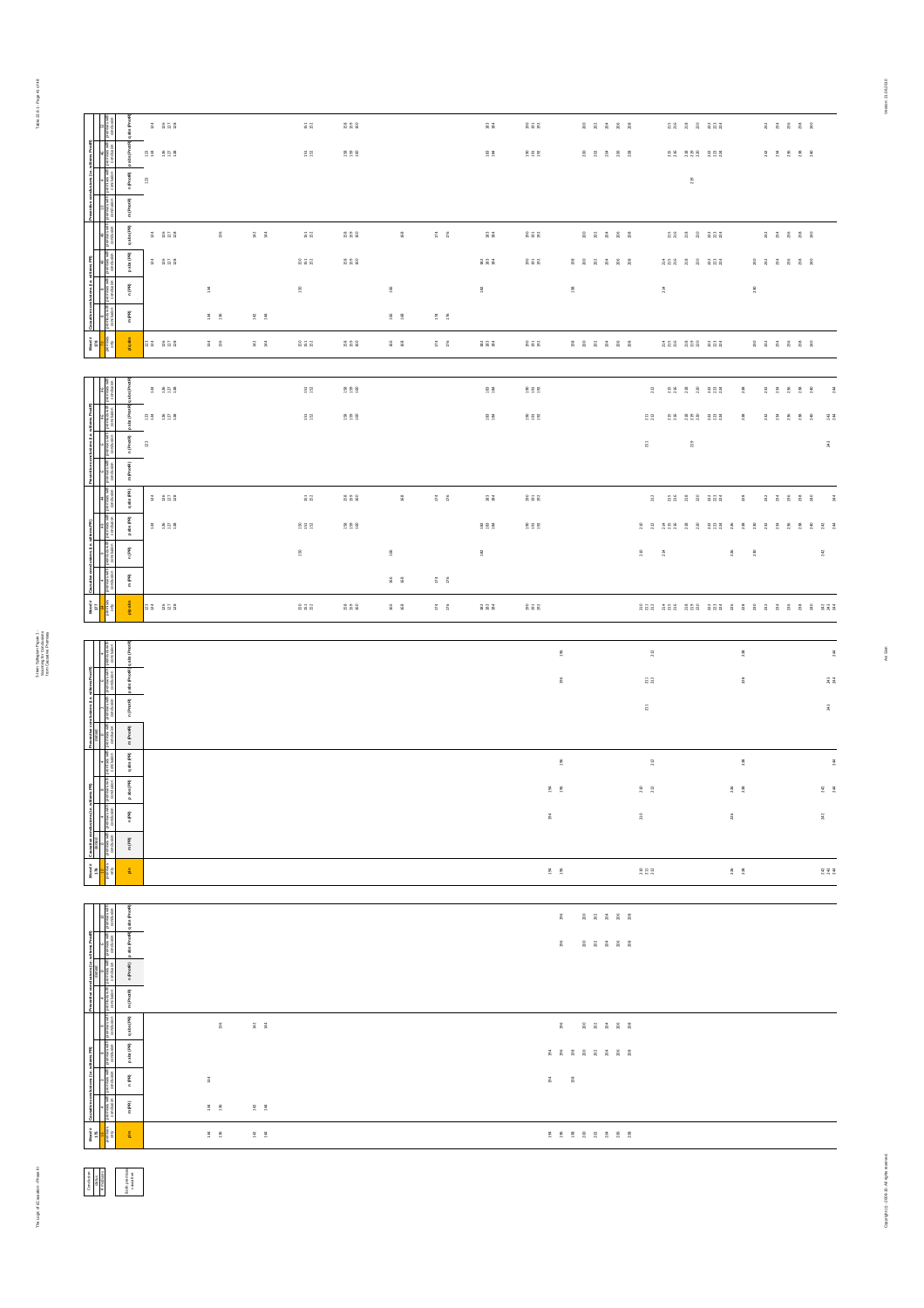|        |                | $\begin{array}{cc} 3 & 3 & 3 \\ 3 & 3 & 3 \\ 1 & 3 & 3 \end{array}$                                         |                                                                    |                                                                           | $\frac{51}{15}$                                | 339                                                                                            |                                                |                                                                                                                     | $\frac{23}{23}$               | 553                            | $\begin{array}{ccccccccccccc} \mathbb{S} & \mathbb{S} & \mathbb{S} & \mathbb{S} & \mathbb{S} & \mathbb{S} & \mathbb{S} & \mathbb{S} & \mathbb{S} & \mathbb{S} & \mathbb{S} & \mathbb{S} & \mathbb{S} & \mathbb{S} & \mathbb{S} & \mathbb{S} & \mathbb{S} & \mathbb{S} & \mathbb{S} & \mathbb{S} & \mathbb{S} & \mathbb{S} & \mathbb{S} & \mathbb{S} & \mathbb{S} & \mathbb{S} & \mathbb{S} & \mathbb{S} & \mathbb{S} & \mathbb{S} &$                                                                        |                        | <b>AA</b> AA AA                                                                         |                                          | $\begin{array}{cccccccccc} \Xi & \Xi & \Xi & \Xi & \Xi & \Xi \end{array}$ |                          |
|--------|----------------|-------------------------------------------------------------------------------------------------------------|--------------------------------------------------------------------|---------------------------------------------------------------------------|------------------------------------------------|------------------------------------------------------------------------------------------------|------------------------------------------------|---------------------------------------------------------------------------------------------------------------------|-------------------------------|--------------------------------|-------------------------------------------------------------------------------------------------------------------------------------------------------------------------------------------------------------------------------------------------------------------------------------------------------------------------------------------------------------------------------------------------------------------------------------------------------------------------------------------------------------|------------------------|-----------------------------------------------------------------------------------------|------------------------------------------|---------------------------------------------------------------------------|--------------------------|
|        |                | 83 888                                                                                                      |                                                                    |                                                                           | $\frac{51}{252}$                               | 338                                                                                            |                                                |                                                                                                                     | 334                           | 953                            | $\begin{matrix} 8 & 8 & 8 & 8 \\ 9 & 1 & 8 & 8 \\ 1 & 1 & 1 & 1 \end{matrix} \hspace{.2in} \begin{matrix} 1 & 1 & 1 & 1 & 1 \\ 1 & 1 & 1 & 1 & 1 \\ 1 & 1 & 1 & 1 & 1 \end{matrix} \hspace{.2in} \begin{matrix} 1 & 1 & 1 & 1 \\ 1 & 1 & 1 & 1 \\ 1 & 1 & 1 & 1 \end{matrix}$                                                                                                                                                                                                                               |                        |                                                                                         |                                          |                                                                           |                          |
|        |                |                                                                                                             |                                                                    |                                                                           |                                                |                                                                                                |                                                |                                                                                                                     |                               |                                |                                                                                                                                                                                                                                                                                                                                                                                                                                                                                                             |                        | $_{\rm 219}$                                                                            |                                          |                                                                           |                          |
|        |                |                                                                                                             |                                                                    |                                                                           |                                                |                                                                                                |                                                |                                                                                                                     |                               |                                |                                                                                                                                                                                                                                                                                                                                                                                                                                                                                                             |                        |                                                                                         |                                          |                                                                           |                          |
|        |                | $\frac{3}{2}$ $\frac{8}{2}$ $\frac{5}{2}$                                                                   | 136                                                                | $\Xi$ – $\Xi$                                                             | 15.2                                           | 338                                                                                            |                                                | $168$ $77$ $176$                                                                                                    | $\frac{23}{23}$               | 953                            | $\begin{matrix} \circ & \circ & \circ & \circ & \circ \\ \circ & \circ & \circ & \circ & \circ \\ \circ & \circ & \circ & \circ & \circ \end{matrix} \qquad \qquad \begin{matrix} \circ & \circ & \circ & \circ \\ \circ & \circ & \circ & \circ \\ \circ & \circ & \circ & \circ \\ \circ & \circ & \circ & \circ \end{matrix} \qquad \qquad \begin{matrix} \circ & \circ & \circ & \circ \\ \circ & \circ & \circ & \circ \\ \circ & \circ & \circ & \circ \\ \circ & \circ & \circ & \circ \end{matrix}$ |                        |                                                                                         |                                          |                                                                           |                          |
|        |                | 3.333                                                                                                       |                                                                    |                                                                           | $\frac{5}{2}$ $\frac{7}{2}$ $\frac{3}{2}$      | 338                                                                                            |                                                |                                                                                                                     | <b>BBB</b>                    | 953                            |                                                                                                                                                                                                                                                                                                                                                                                                                                                                                                             |                        | aaa a aaaa                                                                              |                                          |                                                                           |                          |
|        |                |                                                                                                             | $\frac{\pi}{m}$                                                    |                                                                           | $\mathbb{S}^0$                                 |                                                                                                | $\%$                                           |                                                                                                                     | $\overline{\mathfrak{M}}$     |                                | $\qquad \qquad \text{or} \qquad \qquad \text{or} \qquad \qquad \text{or} \qquad \qquad \text{or} \qquad \text{or} \qquad \text{or} \qquad \text{or} \qquad \text{or} \qquad \text{or} \qquad \text{or} \qquad \text{or} \qquad \text{or} \qquad \text{or} \qquad \text{or} \qquad \text{or} \qquad \text{or} \qquad \text{or} \qquad \text{or} \qquad \text{or} \qquad \text{or} \qquad \text{or} \qquad \text{or} \qquad \text{or} \qquad \text{or} \qquad \text{or} \qquad \text{or}$                     |                        |                                                                                         |                                          |                                                                           |                          |
|        | m(PR)          |                                                                                                             | $\overline{\mathfrak{A}}$ .                                        | $\frac{a}{2}$ $\frac{a}{2}$                                               |                                                |                                                                                                | $\frac{8}{14}$ $\frac{8}{14}$                  | $\begin{array}{cc} \Xi & \Xi \end{array}$                                                                           |                               |                                |                                                                                                                                                                                                                                                                                                                                                                                                                                                                                                             |                        |                                                                                         |                                          |                                                                           |                          |
|        |                | 33 333                                                                                                      | $\frac{3}{2}$ $\frac{9}{2}$                                        | $\frac{a}{2}$ $\frac{a}{2}$                                               | នីដូន                                          | 338                                                                                            | $166$<br>$168$                                 | $\frac{1}{2}$ 76                                                                                                    | 22.2                          | 553                            | $\begin{array}{ccccccccccccc} \mathbb{B} & \mathbb{B} & \mathbb{B} & \mathbb{B} & \mathbb{B} & \mathbb{B} & \mathbb{B} & \mathbb{B} & \mathbb{B} & \mathbb{B} & \mathbb{B} & \mathbb{B} & \mathbb{B} & \mathbb{B} & \mathbb{B} & \mathbb{B} & \mathbb{B} & \mathbb{B} & \mathbb{B} & \mathbb{B} & \mathbb{B} & \mathbb{B} & \mathbb{B} & \mathbb{B} & \mathbb{B} & \mathbb{B} & \mathbb{B} & \mathbb{B} & \mathbb{B} & \mathbb{B} &$                                                                        |                        |                                                                                         |                                          | a a a a a a                                                               |                          |
|        |                |                                                                                                             |                                                                    |                                                                           |                                                |                                                                                                |                                                |                                                                                                                     |                               |                                |                                                                                                                                                                                                                                                                                                                                                                                                                                                                                                             |                        |                                                                                         |                                          |                                                                           |                          |
|        |                | $\begin{array}{cc} \pi & \pi \otimes \pi \\ \pi \otimes \pi \otimes \pi \end{array}$                        |                                                                    |                                                                           | រី វិ                                          | នីនិនី                                                                                         |                                                |                                                                                                                     | $\frac{73}{28}$               | 853                            |                                                                                                                                                                                                                                                                                                                                                                                                                                                                                                             |                        | $\ddot{a}$ $\ddot{a}$ $\ddot{a}$ $\ddot{a}$ $\ddot{a}$ $\ddot{a}$ $\ddot{a}$ $\ddot{a}$ | $_{\rm 23}$                              |                                                                           |                          |
|        |                | 88 898                                                                                                      |                                                                    |                                                                           | SS 53                                          | $\begin{array}{c} 8 \\ 2 \\ 3 \\ 4 \\ \end{array} \begin{array}{c} 8 \\ 3 \\ 4 \\ \end{array}$ |                                                |                                                                                                                     | $\frac{23}{13}$               | 8.8.81                         |                                                                                                                                                                                                                                                                                                                                                                                                                                                                                                             |                        | <b>HH HA MAA HAA</b>                                                                    |                                          |                                                                           |                          |
|        |                |                                                                                                             |                                                                    |                                                                           |                                                |                                                                                                |                                                |                                                                                                                     |                               |                                |                                                                                                                                                                                                                                                                                                                                                                                                                                                                                                             |                        | $\frac{1}{2}$                                                                           |                                          |                                                                           | $\frac{3}{2}$            |
|        |                |                                                                                                             |                                                                    |                                                                           |                                                |                                                                                                |                                                |                                                                                                                     |                               |                                |                                                                                                                                                                                                                                                                                                                                                                                                                                                                                                             |                        |                                                                                         |                                          |                                                                           |                          |
|        |                | $\begin{array}{cc} \overline{\Omega} & \quad \Omega & \Omega \\ \Omega & \quad \Omega & \Omega \end{array}$ |                                                                    |                                                                           | ទី <b>អ៊</b>                                   | 388                                                                                            |                                                | $\begin{array}{ccc}\n\mathbf{38} & \mathbf{5} & \mathbf{6} \\ \mathbf{50} & \mathbf{60} & \mathbf{60}\n\end{array}$ | $\frac{1}{26}$ $\frac{1}{26}$ | $\frac{8}{30}$ $\frac{73}{30}$ |                                                                                                                                                                                                                                                                                                                                                                                                                                                                                                             |                        |                                                                                         |                                          |                                                                           |                          |
|        |                | 5 585                                                                                                       |                                                                    |                                                                           | $\begin{array}{c} 8\  \, 5\  \, 6 \end{array}$ | 333                                                                                            |                                                |                                                                                                                     | 日常茶                           | 888                            |                                                                                                                                                                                                                                                                                                                                                                                                                                                                                                             |                        |                                                                                         |                                          |                                                                           |                          |
|        | Ê              |                                                                                                             |                                                                    |                                                                           | $\frac{9}{20}$                                 |                                                                                                | $166$                                          |                                                                                                                     | $^{\rm 182}$                  |                                |                                                                                                                                                                                                                                                                                                                                                                                                                                                                                                             |                        | $\mathbf{a}$ and $\mathbf{a}$ and $\mathbf{a}$ and $\mathbf{a}$ and $\mathbf{a}$        |                                          |                                                                           | $\frac{3}{2}$            |
|        | m (PR)         |                                                                                                             |                                                                    |                                                                           |                                                |                                                                                                | $166$<br>$163$                                 | $\frac{74}{176}$                                                                                                    |                               |                                |                                                                                                                                                                                                                                                                                                                                                                                                                                                                                                             |                        |                                                                                         |                                          |                                                                           |                          |
|        |                | ដឹង ដឹង                                                                                                     |                                                                    |                                                                           | និនីនី                                         | នីនិនី                                                                                         | $\begin{array}{cc} 8 & 3 \\ 8 & 3 \end{array}$ | $\overline{\mathrm{D}}$ . If $\overline{\mathrm{D}}$                                                                | $\Xi$ $\Xi$ $\Xi$             | <b>858</b>                     |                                                                                                                                                                                                                                                                                                                                                                                                                                                                                                             |                        | 888 888 888 888 888 8888 8888                                                           |                                          |                                                                           |                          |
|        |                |                                                                                                             |                                                                    |                                                                           |                                                |                                                                                                |                                                |                                                                                                                     |                               |                                |                                                                                                                                                                                                                                                                                                                                                                                                                                                                                                             |                        |                                                                                         |                                          |                                                                           |                          |
|        |                |                                                                                                             |                                                                    |                                                                           |                                                |                                                                                                |                                                |                                                                                                                     |                               |                                | $\frac{8}{14}$                                                                                                                                                                                                                                                                                                                                                                                                                                                                                              | $\frac{21}{21}$        |                                                                                         | $_{\rm 2.23}$                            |                                                                           | $\frac{3}{24}$           |
|        |                |                                                                                                             |                                                                    |                                                                           |                                                |                                                                                                |                                                |                                                                                                                     |                               |                                | $_{\rm 196}$                                                                                                                                                                                                                                                                                                                                                                                                                                                                                                | $\Xi$ $\Xi$            |                                                                                         | $_{\rm 223}$                             |                                                                           | $\frac{23}{244}$         |
|        |                |                                                                                                             |                                                                    |                                                                           |                                                |                                                                                                |                                                |                                                                                                                     |                               |                                |                                                                                                                                                                                                                                                                                                                                                                                                                                                                                                             |                        |                                                                                         |                                          |                                                                           | $_{\rm 243}$             |
|        |                |                                                                                                             |                                                                    |                                                                           |                                                |                                                                                                |                                                |                                                                                                                     |                               |                                |                                                                                                                                                                                                                                                                                                                                                                                                                                                                                                             | $\Xi^-$                |                                                                                         |                                          |                                                                           |                          |
|        |                |                                                                                                             |                                                                    |                                                                           |                                                |                                                                                                |                                                |                                                                                                                     |                               |                                |                                                                                                                                                                                                                                                                                                                                                                                                                                                                                                             |                        |                                                                                         |                                          |                                                                           |                          |
|        |                |                                                                                                             |                                                                    |                                                                           |                                                |                                                                                                |                                                |                                                                                                                     |                               | $\frac{36}{25}$                |                                                                                                                                                                                                                                                                                                                                                                                                                                                                                                             | $\frac{1}{2}$          |                                                                                         | $\sim$ 228                               |                                                                           | $\frac{3}{2}$            |
|        | 1468(PR)       |                                                                                                             |                                                                    |                                                                           |                                                |                                                                                                |                                                |                                                                                                                     |                               | $34$ 36                        |                                                                                                                                                                                                                                                                                                                                                                                                                                                                                                             | $\overset{\circ}{\pi}$ |                                                                                         | $\begin{array}{c} 226 \\ 23 \end{array}$ |                                                                           |                          |
|        |                |                                                                                                             |                                                                    |                                                                           |                                                |                                                                                                |                                                |                                                                                                                     |                               |                                |                                                                                                                                                                                                                                                                                                                                                                                                                                                                                                             |                        |                                                                                         |                                          |                                                                           | $\frac{24}{244}$         |
|        | n (PR)         |                                                                                                             |                                                                    |                                                                           |                                                |                                                                                                |                                                |                                                                                                                     |                               | $\frac{\partial}{\partial t}$  |                                                                                                                                                                                                                                                                                                                                                                                                                                                                                                             | $$\tt{m}$$             |                                                                                         | $$\tt m$                                 |                                                                           | $\widetilde{\mathbf{z}}$ |
|        | £.             |                                                                                                             |                                                                    |                                                                           |                                                |                                                                                                |                                                |                                                                                                                     |                               |                                |                                                                                                                                                                                                                                                                                                                                                                                                                                                                                                             |                        |                                                                                         |                                          |                                                                           |                          |
| Mood # |                |                                                                                                             |                                                                    |                                                                           |                                                |                                                                                                |                                                |                                                                                                                     |                               | $\frac{3}{21}$ $\frac{9}{21}$  |                                                                                                                                                                                                                                                                                                                                                                                                                                                                                                             | <b>SER</b>             |                                                                                         | $^{25}$ $\,$ $^{23}$                     |                                                                           | 222                      |
|        |                |                                                                                                             |                                                                    |                                                                           |                                                |                                                                                                |                                                |                                                                                                                     |                               |                                | $\begin{array}{ccc} \circ & \circ & \circ & \circ \\ \circ & \circ & \circ & \circ \\ \circ & \circ & \circ & \circ \end{array} \qquad \begin{array}{ccc} \circ & \circ & \circ & \circ \\ \circ & \circ & \circ & \circ \\ \circ & \circ & \circ & \circ \end{array}$                                                                                                                                                                                                                                      |                        |                                                                                         |                                          |                                                                           |                          |
|        |                |                                                                                                             |                                                                    |                                                                           |                                                |                                                                                                |                                                |                                                                                                                     |                               |                                | $\begin{matrix} 8 & & 8 & 8 & 7 & 8 & 8 \\ 18 & & 18 & 18 & 18 & 18 \\ 18 & & 18 & 18 & 18 & 18 \\ 18 & & 18 & 18 & 18 & 18 \\ 18 & & 18 & 18 & 18 & 18 \\ 18 & & 18 & 18 & 18 & 18 \\ 18 & & 18 & 18 & 18 & 18 \\ 18 & & 18 & 18 & 18 & 18 \\ 18 & & 18 & 18 & 18 & 18 \\ 18 & & 18 & 18 & 18 & 18 \\ 18 & & 1$                                                                                                                                                                                            |                        |                                                                                         |                                          |                                                                           |                          |
|        |                |                                                                                                             |                                                                    |                                                                           |                                                |                                                                                                |                                                |                                                                                                                     |                               |                                |                                                                                                                                                                                                                                                                                                                                                                                                                                                                                                             |                        |                                                                                         |                                          |                                                                           |                          |
|        |                |                                                                                                             |                                                                    |                                                                           |                                                |                                                                                                |                                                |                                                                                                                     |                               |                                |                                                                                                                                                                                                                                                                                                                                                                                                                                                                                                             |                        |                                                                                         |                                          |                                                                           |                          |
|        | Ê              |                                                                                                             |                                                                    | $\begin{array}{lllllllll} \Xi & \Xi & \Xi \\ \Xi & \Xi & \Xi \end{array}$ |                                                |                                                                                                |                                                |                                                                                                                     |                               |                                | $\begin{array}{ccccccccccccc} g & & & g & & g & & g & & g & & g \\ & & & g & & g & & g & & g & & g \\ \end{array}$                                                                                                                                                                                                                                                                                                                                                                                          |                        |                                                                                         |                                          |                                                                           |                          |
|        | ąabs<br>置      |                                                                                                             |                                                                    |                                                                           |                                                |                                                                                                |                                                |                                                                                                                     |                               |                                |                                                                                                                                                                                                                                                                                                                                                                                                                                                                                                             |                        |                                                                                         |                                          |                                                                           |                          |
|        |                |                                                                                                             |                                                                    |                                                                           |                                                |                                                                                                |                                                |                                                                                                                     |                               |                                | <b>KK K A A A A A</b>                                                                                                                                                                                                                                                                                                                                                                                                                                                                                       |                        |                                                                                         |                                          |                                                                           |                          |
|        | n (PR)         |                                                                                                             | $\frac{\pi}{m}$                                                    |                                                                           |                                                |                                                                                                |                                                |                                                                                                                     |                               |                                | <u>계약</u>                                                                                                                                                                                                                                                                                                                                                                                                                                                                                                   |                        |                                                                                         |                                          |                                                                           |                          |
|        | $\frac{60}{6}$ |                                                                                                             | $\frac{\pi}{12}$ – $\frac{\pi}{12}$<br>$\frac{3}{2}$ $\frac{9}{2}$ | $\frac{2}{3}$ $\frac{3}{3}$<br>$\frac{1}{2}$ – $\frac{3}{2}$              |                                                |                                                                                                |                                                |                                                                                                                     |                               |                                |                                                                                                                                                                                                                                                                                                                                                                                                                                                                                                             |                        |                                                                                         |                                          |                                                                           |                          |

Copyright (c) - 2008-10. All rights reserved. Avi Sion Version: 21.06.2010

Avi Sion

 $-2008 - 10$ 

eral on: 21.06.2010

|                                                         | $+8$ |         |                 |                                                                           |                                                                                                                                                                                                                                                                                                                                                                                                                                       |
|---------------------------------------------------------|------|---------|-----------------|---------------------------------------------------------------------------|---------------------------------------------------------------------------------------------------------------------------------------------------------------------------------------------------------------------------------------------------------------------------------------------------------------------------------------------------------------------------------------------------------------------------------------|
|                                                         |      |         |                 | $\frac{36}{2}$ $\frac{3}{2}$ $\frac{3}{2}$                                | $\begin{array}{ccc} \circ & \circ & \circ & \circ \\ \circ & \circ & \circ & \circ \\ \circ & \circ & \circ & \circ \end{array} \qquad \begin{array}{ccc} \circ & \circ & \circ & \circ \\ \circ & \circ & \circ & \circ \\ \circ & \circ & \circ & \circ \\ \circ & \circ & \circ & \circ \end{array}$                                                                                                                               |
| 뢻                                                       |      |         |                 |                                                                           | $\begin{array}{cccccccccccccc} \mathbb{X} & \mathbb{X} & \mathbb{X} & \mathbb{X} & \mathbb{X} & \mathbb{X} & \mathbb{X} & \mathbb{X} & \mathbb{X} & \mathbb{X} & \mathbb{X} & \mathbb{X} & \mathbb{X} & \mathbb{X} & \mathbb{X} & \mathbb{X} & \mathbb{X} & \mathbb{X} & \mathbb{X} & \mathbb{X} & \mathbb{X} & \mathbb{X} & \mathbb{X} & \mathbb{X} & \mathbb{X} & \mathbb{X} & \mathbb{X} & \mathbb{X} & \mathbb{X} & \mathbb{X} &$ |
|                                                         |      | æ<br>ε. | $\frac{\pi}{2}$ |                                                                           | 품 음                                                                                                                                                                                                                                                                                                                                                                                                                                   |
|                                                         |      |         |                 | $\begin{array}{cccccccccc} \Xi & \Xi & \Xi & \Xi & \Xi & \Xi \end{array}$ |                                                                                                                                                                                                                                                                                                                                                                                                                                       |
| $\begin{array}{c}\n\text{Model } n \\ 175\n\end{array}$ |      |         |                 |                                                                           |                                                                                                                                                                                                                                                                                                                                                                                                                                       |

Conclusion status # moduses causative

The Lagic of ECausation

Both premises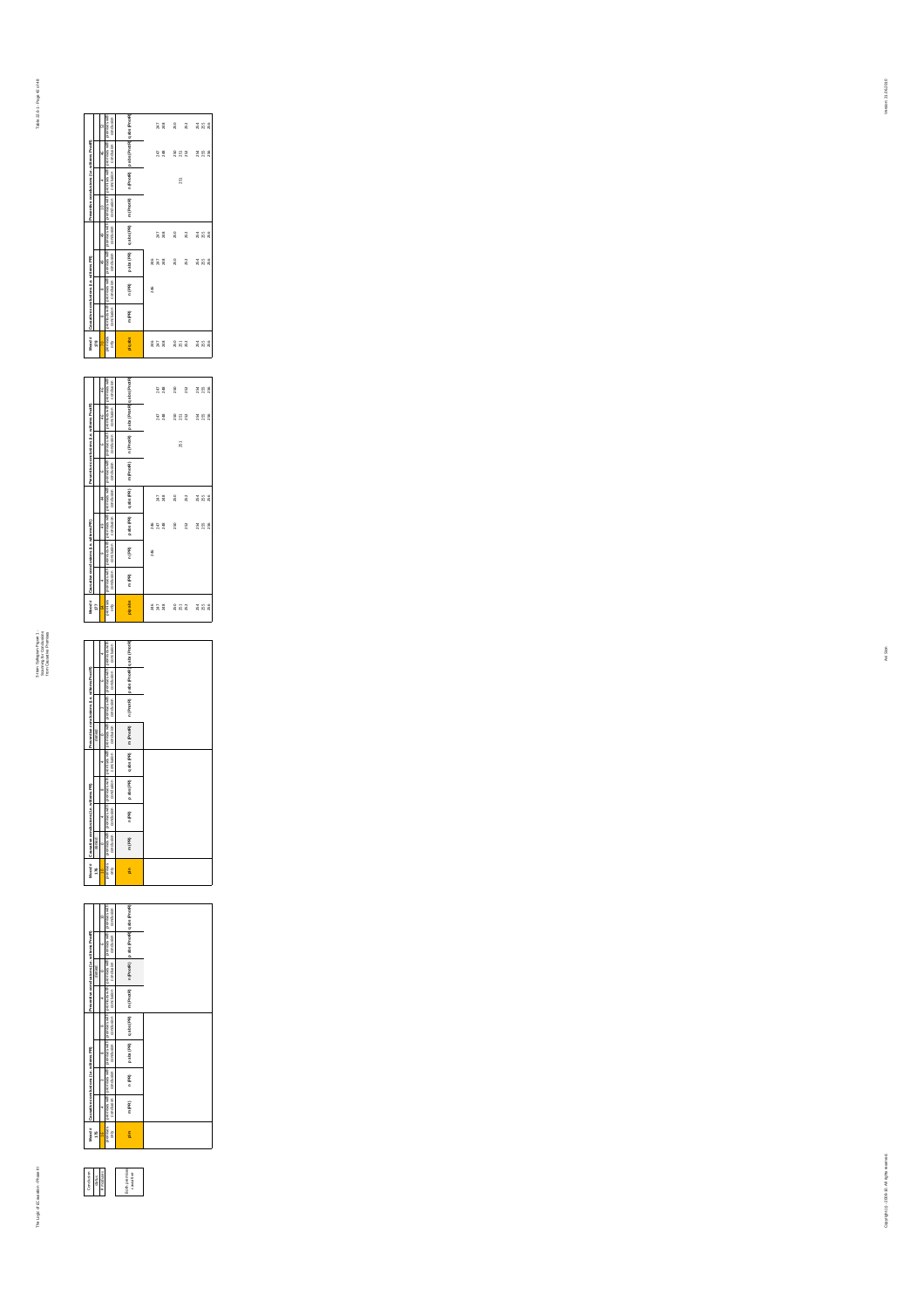Table 22.6-1 - Page 42 of 48

Table 22.6-1-

Page 42 of 48

|                                               |            | $\approx$ | DOOTTI SOS WITH<br>oorchasion                                                                                              | Proot R) a abs (P notR)                | I X          | 250                    | 252        | 528             |  |
|-----------------------------------------------|------------|-----------|----------------------------------------------------------------------------------------------------------------------------|----------------------------------------|--------------|------------------------|------------|-----------------|--|
| Preventive conclusion site, willems Prooff.   |            | Ş         | vemises with<br>oondusion                                                                                                  | pated                                  | 247          | 248<br>25 <sub>1</sub> | 252        | 525             |  |
|                                               |            |           | promises with<br>candusion                                                                                                 | n (ProtR)                              |              |                        | ä          |                 |  |
|                                               |            | 9         | DOM: BOB HUDO<br>conclusion                                                                                                | m (ProtR)                              |              |                        |            |                 |  |
|                                               |            | 9         | DYN BRITISH<br>oondusion                                                                                                   | (PR)<br>qabs                           | 247<br>248   | 250                    | 252        | 55              |  |
|                                               |            | 9         | premises with<br>oondusion                                                                                                 | pabs (PR)                              | 245          | 250<br>248             | 252        | 388             |  |
| Causaive condusions (i.e. wiltems PR)         |            |           | premises with<br>candusion                                                                                                 | n (PR)                                 | 346          |                        |            |                 |  |
|                                               |            |           | com ses with<br>operation                                                                                                  | $\frac{m(PR)}{E}$                      |              |                        |            |                 |  |
| Mood#                                         | ę          | g         | D/01/11 905<br>ğ                                                                                                           | prig abs                               | <b>A 5 A</b> |                        | <b>SS3</b> | 55              |  |
|                                               |            | \$        | promises with<br>oondusion                                                                                                 | pates (Pn ofR) q alss (PnotR)          | à g          | 20                     | 32         | ងី គី គី        |  |
|                                               |            | \$        | promises with<br>condusion                                                                                                 |                                        | g            | 248<br>8               | 251<br>252 | 528             |  |
| Preventive conclusions (i.e. wiltems ProtR)   |            |           | promises with<br>conclusion                                                                                                | n (ProtR)                              |              |                        | š          |                 |  |
|                                               |            |           | promises with<br>opriduation                                                                                               | m (PriotR)                             |              |                        |            |                 |  |
|                                               |            | 4         | promises with<br>candusion                                                                                                 | qabs (PR)                              | à g          | 20                     | 32         | <b>ភូ</b> ភូ ភូ |  |
|                                               |            | 9         | promises with<br>conclusion                                                                                                | p abs (PR)                             | 2.47         | 290<br>$\frac{3}{2}$   | 32         | 588             |  |
| Causative conclusions (i.e. wiltems PR)       |            |           | DYNTH SAS WITH<br>operation                                                                                                | n (PR)                                 | 246          |                        |            |                 |  |
|                                               |            |           | comises with<br>oondusion                                                                                                  | m (PR)                                 |              |                        |            |                 |  |
| Mood #                                        | ţ          | I         | premises<br>$\frac{3}{5}$                                                                                                  | p/p abs                                | និនិនី       |                        | គី គី គី   | ងី គី គី        |  |
|                                               |            |           | DOWN 2013<br>oonclusion                                                                                                    | pates (ProofR) q alss (ProofR)         |              |                        |            |                 |  |
|                                               |            |           | Dream ses with<br>operation                                                                                                |                                        |              |                        |            |                 |  |
| Preventive con dusions (i.e. w/lears Profit   |            |           | premises with<br>oondusion                                                                                                 | n (Pro (R)                             |              |                        |            |                 |  |
|                                               | dened      |           | promises with<br>candualon                                                                                                 | m (Prooft)                             |              |                        |            |                 |  |
|                                               |            |           | promises with<br>conclusion                                                                                                | $q$ at $s$ $(PR)$<br>(PR)              |              |                        |            |                 |  |
| $n$ /k ems $PR$ )                             |            |           | premises with<br>oondusion                                                                                                 | pate                                   |              |                        |            |                 |  |
| Causative conclusions (i.e.                   |            |           | or emises with premises with<br>oondusion                                                                                  | n (PR)                                 |              |                        |            |                 |  |
| Mood #                                        | dened<br>g | g         | condusion<br>promises                                                                                                      | m(PR)                                  |              |                        |            |                 |  |
|                                               |            |           | only                                                                                                                       | £                                      |              |                        |            |                 |  |
|                                               |            |           | oondusion                                                                                                                  |                                        |              |                        |            |                 |  |
|                                               |            |           | candusion                                                                                                                  | n (Prooff) pabs (Prot R) qabs (Prooff) |              |                        |            |                 |  |
| Preventive conclusions (i.e., willems Prooff) | dened      |           | canclusian                                                                                                                 |                                        |              |                        |            |                 |  |
|                                               |            |           | operation                                                                                                                  | m (ProtR)                              |              |                        |            |                 |  |
|                                               |            |           | promises with [ premises with [ promises with ] promises with [ promises with   promises with   promises with<br>oondusion | qabs (PR)                              |              |                        |            |                 |  |
|                                               |            |           | candusion                                                                                                                  | pate (PR)                              |              |                        |            |                 |  |
| Causative conclusions (i.e. wiltems PR)       |            |           | conclusion                                                                                                                 | n (PR)                                 |              |                        |            |                 |  |
|                                               |            |           | orem sea with<br>conclusion                                                                                                | m (PR)                                 |              |                        |            |                 |  |
| <b>Tool</b>                                   | 175        |           | vamitees<br>ă                                                                                                              | £                                      |              |                        |            |                 |  |

Phase III The Logic of ECausation -

| Å                                           | <b>Experts</b> |               | ĝ                              | ğ                             | $\frac{3}{40}$ | ã   | $\frac{3}{48}$ | ă | នី និ  |     | ដី ដំ |  |
|---------------------------------------------|----------------|---------------|--------------------------------|-------------------------------|----------------|-----|----------------|---|--------|-----|-------|--|
|                                             |                |               |                                |                               |                |     |                |   |        |     |       |  |
|                                             |                | ś             | premises with<br>oondusion     | pabs (PnotR) qabs (PnotR)     |                | à g |                | å |        | 32  | ធី និ |  |
|                                             |                | Ş             | premises with<br>condusion     |                               |                | 2.8 |                |   | 858    |     | 38    |  |
|                                             |                |               | DYRITTI SIG WITH<br>conclusion | n (ProfR)                     |                |     |                |   | 251    |     |       |  |
| Preventive conclusions (i.e. witems Pnot R) |                |               | premises with<br>oondusion     | m (ProofR)                    |                |     |                |   |        |     |       |  |
|                                             |                | 4             | promises with<br>candusion     | qabs (PR)                     |                | à å |                | å |        | 32  | ងី និ |  |
|                                             |                | 9             | promises with<br>conclusion    | p abs (PR)                    |                | 黑黑黑 |                | 8 |        | 252 | 38    |  |
|                                             |                |               | DYNTH SAS WITH<br>operation    | n (PR)                        | 246            |     |                |   |        |     |       |  |
| Causative conclusions (i.e. wiltems PR)     |                |               | <b>KWMMMMMM</b><br>oondusion   | m (PR)                        |                |     |                |   |        |     |       |  |
| Mood#                                       | Þ              | z             | 20 pluos<br>orly               | p/p abs                       |                | 222 |                |   | និគីនី |     | ងី ដំ |  |
|                                             |                |               |                                |                               |                |     |                |   |        |     |       |  |
|                                             |                |               | promises with<br>conclusion    |                               |                |     |                |   |        |     |       |  |
| Preventive con dusions (i.e. w/ltems PnotR) |                |               | promises with<br>operation     | patra (PriceR) quite (PriceR) |                |     |                |   |        |     |       |  |
|                                             |                |               | premises with<br>oondusion     | n (Pro (R)                    |                |     |                |   |        |     |       |  |
|                                             | deried         | $\circ$       | fi s<br>candusion<br>D'OTH 505 | m (P root R)                  |                |     |                |   |        |     |       |  |
|                                             |                |               | 200m ses with<br>conclusion    | qabs (PR)                     |                |     |                |   |        |     |       |  |
|                                             |                |               | DYRITTIERS WITH<br>oondusion   | pabs (PR)                     |                |     |                |   |        |     |       |  |
|                                             |                |               | promises with<br>oondusion     | n (PR)                        |                |     |                |   |        |     |       |  |
| Causative conclusions (i.e. witems PR)      | dened          | $\circ$       | promises with<br>condusion     | m (PR)                        |                |     |                |   |        |     |       |  |
| Mood #                                      | g              | 9             | promises<br>only               | £                             |                |     |                |   |        |     |       |  |
|                                             |                |               |                                |                               |                |     |                |   |        |     |       |  |
|                                             |                | $\frac{1}{2}$ | ţ<br>oondusion<br>premises     |                               |                |     |                |   |        |     |       |  |
|                                             |                |               | premises with<br>candusion     | pabs (PnotR) qabs (PnotR)     |                |     |                |   |        |     |       |  |
|                                             | Senied         | 0             | promises with<br>conclusion    | n (ProtR)                     |                |     |                |   |        |     |       |  |
| Preventive conclusions (Le, witems ProfR)   |                |               | Dream ses with<br>operation    | m (ProtR)                     |                |     |                |   |        |     |       |  |
|                                             |                |               | promises with<br>oondusion     | qabs (PR)                     |                |     |                |   |        |     |       |  |
|                                             |                |               | promises with<br>candusion     | pate (PR)                     |                |     |                |   |        |     |       |  |
| Causalve condusions (i.e. witems PR)        |                |               | promises with<br>conclusion    | n (PR)                        |                |     |                |   |        |     |       |  |
|                                             |                |               | Dream sessivery<br>operation   | m (PR)                        |                |     |                |   |        |     |       |  |
| $\frac{1}{2}$                               | 12             | ě             | Tites<br>à                     | Ę                             |                |     |                |   |        |     |       |  |

Avi Sion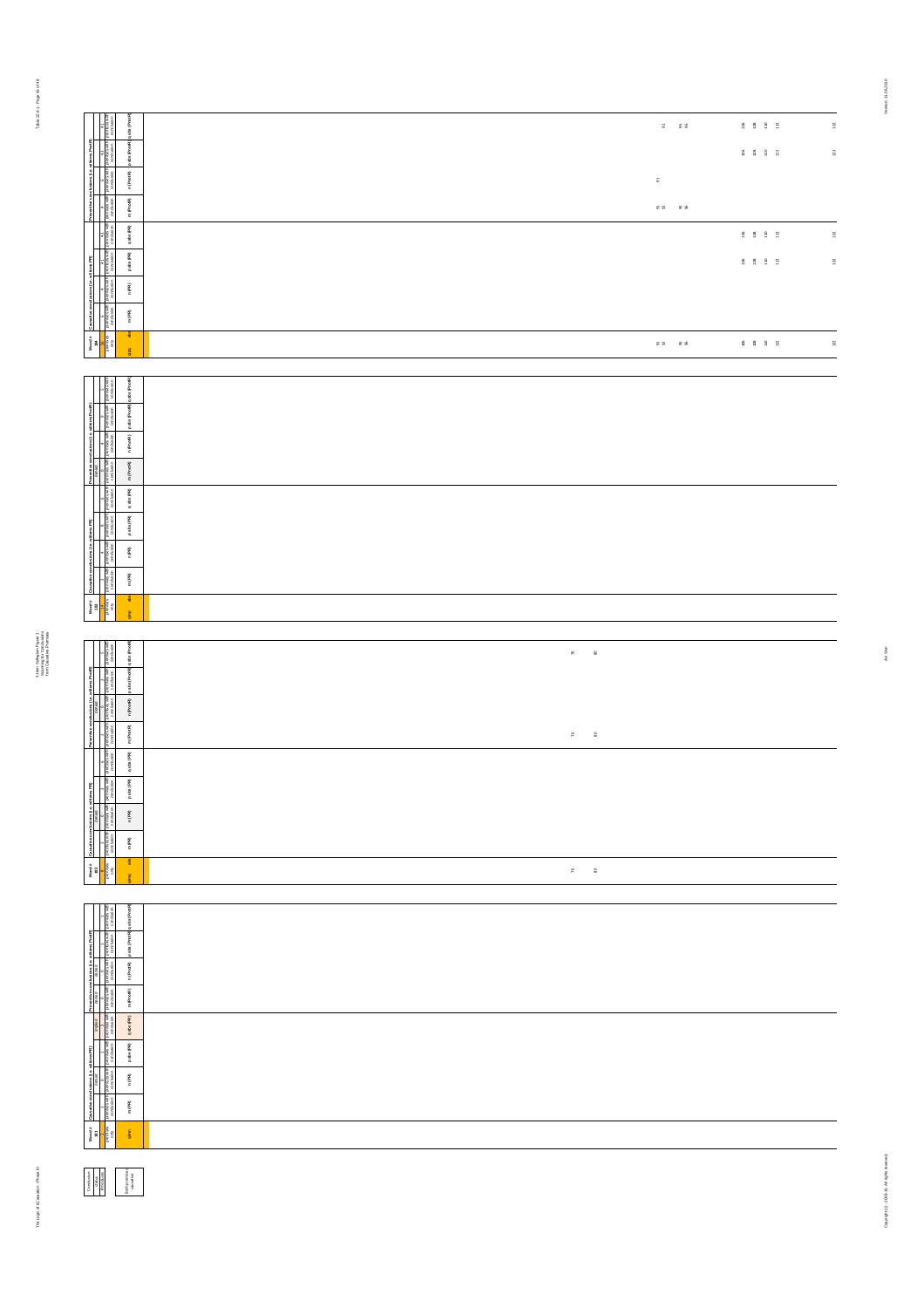| qabs (PnotR)<br>41<br>nomi ses with<br>conclusion                                       |                             | $\mathbb{S} \qquad \mathbb{S} \; \mathbb{S}$                                                                                                                                                                                                                                            | $\begin{array}{cccccccccc} \mathbf{g} & & \mathbf{g} & & \mathbf{g} & & \mathbf{g} & & \mathbf{g} \end{array}$    |
|-----------------------------------------------------------------------------------------|-----------------------------|-----------------------------------------------------------------------------------------------------------------------------------------------------------------------------------------------------------------------------------------------------------------------------------------|-------------------------------------------------------------------------------------------------------------------|
| Preventive conclusions (i.e. wiltems PnotR)<br>pates (Prooft                            |                             |                                                                                                                                                                                                                                                                                         | $\begin{array}{cccccccccc} \mathbf{g} & & \mathbf{g} & & \mathbf{g} & & \mathbf{g} & & \mathbf{g} \\ \end{array}$ |
| n (Pnoff)                                                                               |                             | $\overline{\circ}$                                                                                                                                                                                                                                                                      |                                                                                                                   |
| $m(p \mod 8)$                                                                           |                             | $\begin{array}{lll} \hbox{\tt s} & \hbox{\tt s} & \hbox{\tt s} \end{array}$                                                                                                                                                                                                             |                                                                                                                   |
| $q$ as $\langle PR \rangle$                                                             |                             |                                                                                                                                                                                                                                                                                         | $\begin{array}{cccccccccc} \mathbf{g} & & \mathbf{g} & & \mathbf{g} & & \mathbf{g} & & \mathbf{g} \end{array}$    |
| $\mathsf{p}$ abs (PR)<br>Causative conclusions (i.e. w/tems PR)                         |                             |                                                                                                                                                                                                                                                                                         | $\begin{array}{cccccccccc} \mathbf{g} & & \mathbf{g} & & \mathbf{g} & & \mathbf{g} & & \mathbf{g} \\ \end{array}$ |
| n (PR)                                                                                  |                             |                                                                                                                                                                                                                                                                                         |                                                                                                                   |
| $\mathfrak{m}(\mathsf{PR})$<br>$\frac{3}{4}$                                            |                             |                                                                                                                                                                                                                                                                                         |                                                                                                                   |
| Mood #<br><b>CONTRACTOR</b><br>g.                                                       |                             | $\begin{array}{ccc} 0.75 & 0.75 & 0.75 \\ 0.75 & 0.75 & 0.75 \\ 0.75 & 0.75 & 0.75 \\ 0.75 & 0.75 & 0.75 \\ 0.75 & 0.75 & 0.75 \\ 0.75 & 0.75 & 0.75 \\ 0.75 & 0.75 & 0.75 \\ 0.75 & 0.75 & 0.75 \\ 0.75 & 0.75 & 0.75 \\ 0.75 & 0.75 & 0.75 \\ 0.75 & 0.75 & 0.75 \\ 0.75 & 0.75 & 0.$ | $\begin{array}{cccccccccc} \mathbf{g} & \mathbf{g} & \mathbf{g} & \mathbf{g} & \mathbf{g} \end{array}$            |
| qabs (Prooft)                                                                           |                             |                                                                                                                                                                                                                                                                                         |                                                                                                                   |
| abs (ProfR)                                                                             |                             |                                                                                                                                                                                                                                                                                         |                                                                                                                   |
| Proventive conclusions (i.e., witems Protif)<br>drived<br>n (Proff)                     |                             |                                                                                                                                                                                                                                                                                         |                                                                                                                   |
| $m(p \mod R)$                                                                           |                             |                                                                                                                                                                                                                                                                                         |                                                                                                                   |
| q abs (PR)                                                                              |                             |                                                                                                                                                                                                                                                                                         |                                                                                                                   |
| p abs $\langle \mathsf{PR} \rangle$                                                     |                             |                                                                                                                                                                                                                                                                                         |                                                                                                                   |
| $_{\rm n}$ (PR)                                                                         |                             |                                                                                                                                                                                                                                                                                         |                                                                                                                   |
| Causative conclusions (i.e. witems PR)<br>$\frac{6}{6}$                                 |                             |                                                                                                                                                                                                                                                                                         |                                                                                                                   |
| $\frac{3}{4}$<br>$M \sim 183$<br>imises<br>only<br>g.                                   |                             |                                                                                                                                                                                                                                                                                         |                                                                                                                   |
|                                                                                         |                             |                                                                                                                                                                                                                                                                                         |                                                                                                                   |
| qabs (ProtR)<br>Ş                                                                       | $\mathbb R$ — $\mathbb R$   |                                                                                                                                                                                                                                                                                         |                                                                                                                   |
| pate (P)<br>n (ProotR)                                                                  |                             |                                                                                                                                                                                                                                                                                         |                                                                                                                   |
| Preventive conclusions (i.e. wittens Pro R)<br>$m$ (Pn ofR)                             | $\mathbb{R}$ – $\mathbb{S}$ |                                                                                                                                                                                                                                                                                         |                                                                                                                   |
| rains with<br>dusion<br>qabs (PR)                                                       |                             |                                                                                                                                                                                                                                                                                         |                                                                                                                   |
| $p$ at $\left( P\,R\right)$<br>premises with<br>conclusion                              |                             |                                                                                                                                                                                                                                                                                         |                                                                                                                   |
| s (Le whomes PR)<br>ed (<br>swth promises with<br>ason conclusion<br>$\frac{1}{n}$ (PR) |                             |                                                                                                                                                                                                                                                                                         |                                                                                                                   |
| Causative conclusions (<br>m (P R)                                                      |                             |                                                                                                                                                                                                                                                                                         |                                                                                                                   |
| $\frac{1}{2}$<br>Mood#<br>182<br>atius<br>Line<br>Ţ                                     | $\aleph$<br>$^{\circ}$      |                                                                                                                                                                                                                                                                                         |                                                                                                                   |
|                                                                                         |                             |                                                                                                                                                                                                                                                                                         |                                                                                                                   |
| q abs (Pnot                                                                             |                             |                                                                                                                                                                                                                                                                                         |                                                                                                                   |
| Preventive condusions (i.e. willems Prodit)<br>derival<br>pabs (ProtR)                  |                             |                                                                                                                                                                                                                                                                                         |                                                                                                                   |
| $\mathfrak{n}$ (ProofR)                                                                 |                             |                                                                                                                                                                                                                                                                                         |                                                                                                                   |
| $\mathfrak{m}$ (P rooff)                                                                |                             |                                                                                                                                                                                                                                                                                         |                                                                                                                   |
| $q$ abs $(PR)$<br><b>Distant</b>                                                        |                             |                                                                                                                                                                                                                                                                                         |                                                                                                                   |
| $p$ abs (PR)                                                                            |                             |                                                                                                                                                                                                                                                                                         |                                                                                                                   |
| Causative conclusions (i.e. w/learns PR)<br>$n$ (PR)                                    |                             |                                                                                                                                                                                                                                                                                         |                                                                                                                   |
| $\frac{6}{6}$                                                                           |                             |                                                                                                                                                                                                                                                                                         |                                                                                                                   |
| $\frac{4}{101}$<br>comises<br>only<br>Į                                                 |                             |                                                                                                                                                                                                                                                                                         |                                                                                                                   |

Conclusion status # moduses causative Both premises

nsion: 21.06.2010

 $^{\rm 12}$  $^{\rm 122}$ 

 $\begin{tabular}{|c|c|c|c|} \hline \quad \quad & \quad \quad & \quad \quad \\ \hline \quad \quad & \quad \quad & \quad \quad \\ \hline \quad \quad & \quad \quad & \quad \quad \\ \hline \quad \quad & \quad \quad & \quad \quad \\ \hline \quad \quad & \quad \quad & \quad \quad \\ \hline \quad \quad & \quad \quad & \quad \quad \\ \hline \end{tabular}$ 

 $\Xi$ 

 $^{\rm 122}$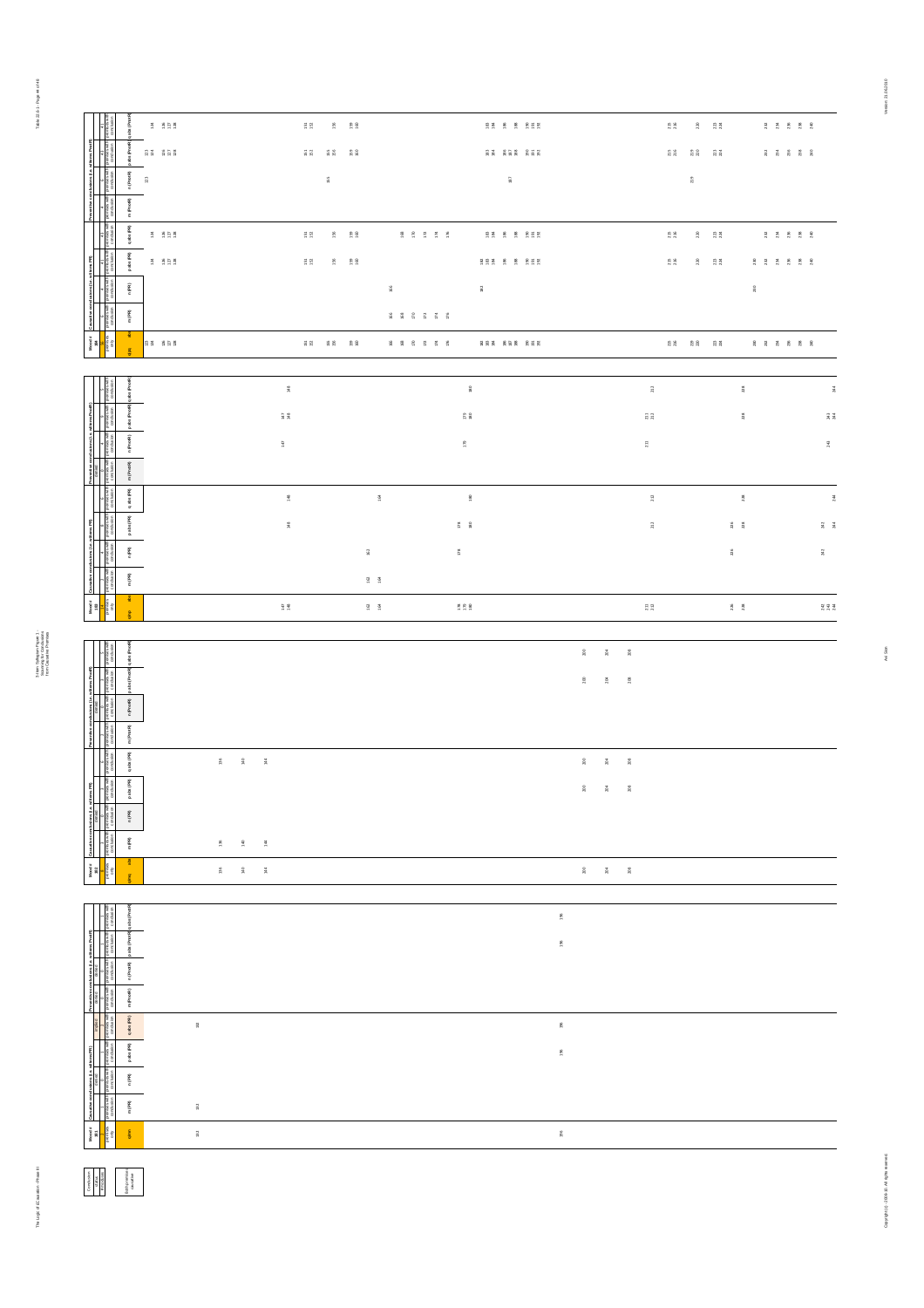|                                           |                                                   | 3.88                                                                                                                                                 |                 |                                                                                                                     |                                 |                                | $\begin{array}{cc} 53 & 52 \\ 32 & 54 \end{array}$ |          | 8.88              |                  |               |                                                                                                                                                           |                                                               |                            |     |                                                                                                                                                                                                                                                                                                                                                                                                                                                                   |                |                                                                                                                        |                             | $\substack{25 \\ -25}$ |                                                                                                           | $\begin{matrix} R & R \\ R & \end{matrix}$     |                                          |                                                                                                                                                                                                                                 | $\begin{array}{cccccccccc} R & \bar{R} & \bar{R} & \bar{R} & \bar{R} & R \\ \end{array}$ |                              |
|-------------------------------------------|---------------------------------------------------|------------------------------------------------------------------------------------------------------------------------------------------------------|-----------------|---------------------------------------------------------------------------------------------------------------------|---------------------------------|--------------------------------|----------------------------------------------------|----------|-------------------|------------------|---------------|-----------------------------------------------------------------------------------------------------------------------------------------------------------|---------------------------------------------------------------|----------------------------|-----|-------------------------------------------------------------------------------------------------------------------------------------------------------------------------------------------------------------------------------------------------------------------------------------------------------------------------------------------------------------------------------------------------------------------------------------------------------------------|----------------|------------------------------------------------------------------------------------------------------------------------|-----------------------------|------------------------|-----------------------------------------------------------------------------------------------------------|------------------------------------------------|------------------------------------------|---------------------------------------------------------------------------------------------------------------------------------------------------------------------------------------------------------------------------------|------------------------------------------------------------------------------------------|------------------------------|
|                                           |                                                   | $33$ $333$                                                                                                                                           |                 |                                                                                                                     |                                 |                                |                                                    | 53 55 59 |                   |                  |               |                                                                                                                                                           |                                                               |                            |     | <b>BA BRA BRA</b>                                                                                                                                                                                                                                                                                                                                                                                                                                                 |                |                                                                                                                        |                             |                        | $\begin{array}{ccc}\n\text{11} & \text{12} & \text{13} \\ \text{13} & \text{14} & \text{15}\n\end{array}$ |                                                |                                          |                                                                                                                                                                                                                                 | $\begin{array}{cccccccccc} \Xi & \Xi & \Xi & \Xi & \Xi & \Xi \end{array}$                |                              |
|                                           | $_{\rm 123}$                                      |                                                                                                                                                      |                 |                                                                                                                     |                                 |                                |                                                    | 155      |                   |                  |               |                                                                                                                                                           |                                                               |                            | 187 |                                                                                                                                                                                                                                                                                                                                                                                                                                                                   |                |                                                                                                                        |                             |                        | $^{219}$                                                                                                  |                                                |                                          |                                                                                                                                                                                                                                 |                                                                                          |                              |
|                                           |                                                   |                                                                                                                                                      |                 |                                                                                                                     |                                 |                                |                                                    |          |                   |                  |               |                                                                                                                                                           |                                                               |                            |     |                                                                                                                                                                                                                                                                                                                                                                                                                                                                   |                |                                                                                                                        |                             |                        |                                                                                                           |                                                |                                          |                                                                                                                                                                                                                                 |                                                                                          |                              |
|                                           | $q$ abs $\langle PR \rangle$                      | 5 888                                                                                                                                                |                 |                                                                                                                     |                                 |                                | $\frac{53}{22}$                                    |          | 99.99             |                  |               |                                                                                                                                                           |                                                               |                            |     |                                                                                                                                                                                                                                                                                                                                                                                                                                                                   |                |                                                                                                                        |                             | $\frac{15}{23}$        |                                                                                                           |                                                |                                          | $\begin{matrix} \mathbf{A} & \mathbf{B} & \mathbf{B} & \mathbf{B} & \mathbf{B} & \mathbf{B} & \mathbf{B} & \mathbf{B} \\ \mathbf{B} & \mathbf{B} & \mathbf{B} & \mathbf{B} & \mathbf{B} & \mathbf{B} & \mathbf{B} \end{matrix}$ |                                                                                          |                              |
|                                           | $s$ abs (PR)                                      | $\begin{array}{cc} \mathbf{3} & \mathbf{3} & \mathbf{3} \\ \mathbf{3} & \mathbf{3} & \mathbf{3} \\ \mathbf{3} & \mathbf{3} & \mathbf{3} \end{array}$ |                 |                                                                                                                     |                                 |                                | $\frac{51}{152}$                                   |          | 156<br>159<br>160 |                  |               |                                                                                                                                                           |                                                               |                            |     | $\begin{tabular}{ccccccccc} \multicolumn{4}{c }{\multicolumn{4}{c }{\multicolumn{4}{c }{\multicolumn{4}{c }{\multicolumn{4}{c }{\multicolumn{4}{c }{\multicolumn{4}{c }{\multicolumn{4}{c }{\multicolumn{4}{c }{\multicolumn{4}{c }{\multicolumn{4}{c }{\multicolumn{4}{c }{\multicolumn{4}{c }{\multicolumn{4}{c }{\multicolumn{4}{c }{\multicolumn{4}{c }{\multicolumn{4}{c }{\multicolumn{4}{c }{\multicolumn{4}{c }{\multicolumn{4}{c }{\multicolumn{4}{c }{$ |                |                                                                                                                        |                             | 215                    |                                                                                                           | $\begin{array}{cc} 23 \\ 23 \\ 34 \end{array}$ |                                          | <b>BBBBBB</b>                                                                                                                                                                                                                   |                                                                                          |                              |
|                                           | n (PR)                                            |                                                                                                                                                      |                 |                                                                                                                     |                                 |                                |                                                    |          |                   |                  | $\mathcal{L}$ |                                                                                                                                                           |                                                               | $\widetilde{\mathfrak{M}}$ |     |                                                                                                                                                                                                                                                                                                                                                                                                                                                                   |                |                                                                                                                        |                             |                        |                                                                                                           |                                                |                                          | $_{\rm 20}$                                                                                                                                                                                                                     |                                                                                          |                              |
|                                           |                                                   |                                                                                                                                                      |                 |                                                                                                                     |                                 |                                |                                                    |          |                   |                  |               |                                                                                                                                                           |                                                               |                            |     |                                                                                                                                                                                                                                                                                                                                                                                                                                                                   |                |                                                                                                                        |                             |                        |                                                                                                           |                                                |                                          |                                                                                                                                                                                                                                 |                                                                                          |                              |
|                                           | $\mathfrak{g}_{\mathfrak{m}}$                     |                                                                                                                                                      |                 |                                                                                                                     |                                 |                                |                                                    |          |                   |                  |               | $\begin{array}{cccccccccccccc} \mathcal{B} & \mathcal{B} & \mathcal{B} & \mathcal{B} & \mathcal{B} & \mathcal{B} & \mathcal{B} & \mathcal{B} \end{array}$ |                                                               |                            |     |                                                                                                                                                                                                                                                                                                                                                                                                                                                                   |                |                                                                                                                        |                             |                        |                                                                                                           |                                                |                                          |                                                                                                                                                                                                                                 |                                                                                          |                              |
| Mood #                                    |                                                   | na sha                                                                                                                                               |                 |                                                                                                                     |                                 |                                |                                                    |          | 55 55 58          |                  |               |                                                                                                                                                           |                                                               |                            |     |                                                                                                                                                                                                                                                                                                                                                                                                                                                                   |                |                                                                                                                        |                             |                        | an an an an an an a                                                                                       |                                                |                                          |                                                                                                                                                                                                                                 |                                                                                          |                              |
|                                           |                                                   |                                                                                                                                                      |                 |                                                                                                                     |                                 | 148                            |                                                    |          |                   |                  |               |                                                                                                                                                           | $\frac{5}{2}$                                                 |                            |     |                                                                                                                                                                                                                                                                                                                                                                                                                                                                   |                |                                                                                                                        | $\overline{z}$              |                        |                                                                                                           |                                                | $_{\rm 228}$                             |                                                                                                                                                                                                                                 |                                                                                          |                              |
|                                           |                                                   |                                                                                                                                                      |                 |                                                                                                                     |                                 |                                |                                                    |          |                   |                  |               |                                                                                                                                                           |                                                               |                            |     |                                                                                                                                                                                                                                                                                                                                                                                                                                                                   |                |                                                                                                                        |                             |                        |                                                                                                           |                                                |                                          |                                                                                                                                                                                                                                 |                                                                                          |                              |
|                                           |                                                   |                                                                                                                                                      |                 |                                                                                                                     |                                 | $\frac{5}{36}$ $\frac{90}{36}$ |                                                    |          |                   |                  |               |                                                                                                                                                           | $\mathop{\mathbb{R}}\nolimits$ $\mathop{\mathbb{R}}\nolimits$ |                            |     |                                                                                                                                                                                                                                                                                                                                                                                                                                                                   |                |                                                                                                                        | $\frac{1}{n}$ $\frac{1}{n}$ |                        |                                                                                                           |                                                | $_{\rm 28}$                              |                                                                                                                                                                                                                                 |                                                                                          | $\tilde{z}$                  |
|                                           |                                                   |                                                                                                                                                      |                 |                                                                                                                     |                                 | $\frac{m}{2}$                  |                                                    |          |                   |                  |               |                                                                                                                                                           | $\frac{2}{n}$                                                 |                            |     |                                                                                                                                                                                                                                                                                                                                                                                                                                                                   |                |                                                                                                                        | $\rm zn$                    |                        |                                                                                                           |                                                |                                          |                                                                                                                                                                                                                                 |                                                                                          | $_{\rm 3}$                   |
|                                           |                                                   |                                                                                                                                                      |                 |                                                                                                                     |                                 |                                |                                                    |          |                   |                  |               |                                                                                                                                                           |                                                               |                            |     |                                                                                                                                                                                                                                                                                                                                                                                                                                                                   |                |                                                                                                                        |                             |                        |                                                                                                           |                                                |                                          |                                                                                                                                                                                                                                 |                                                                                          |                              |
|                                           | qabs (PR)                                         |                                                                                                                                                      |                 |                                                                                                                     |                                 | $\frac{90}{24}$                |                                                    |          |                   | $\frac{3}{22}$   |               |                                                                                                                                                           |                                                               |                            |     |                                                                                                                                                                                                                                                                                                                                                                                                                                                                   |                |                                                                                                                        | $\mathbb{R}^2$              |                        | $\frac{1}{2}$                                                                                             |                                                |                                          |                                                                                                                                                                                                                                 |                                                                                          |                              |
|                                           | ies)<br>pabs                                      |                                                                                                                                                      |                 |                                                                                                                     |                                 | $\frac{\infty}{24}$            |                                                    |          |                   |                  |               |                                                                                                                                                           | $\mathbb{R}$ – $\mathbb{R}$                                   |                            |     |                                                                                                                                                                                                                                                                                                                                                                                                                                                                   |                |                                                                                                                        | $\overline{\bf n}$          |                        |                                                                                                           |                                                | $\mathbbm{2}^6$                          |                                                                                                                                                                                                                                 |                                                                                          | $\Xi$                        |
|                                           | $_{\rm n}$ (PR)                                   |                                                                                                                                                      |                 |                                                                                                                     |                                 |                                |                                                    |          |                   | 162              |               |                                                                                                                                                           | $\frac{1}{n}$                                                 |                            |     |                                                                                                                                                                                                                                                                                                                                                                                                                                                                   |                |                                                                                                                        |                             |                        |                                                                                                           |                                                | $\mathbf{z}$                             |                                                                                                                                                                                                                                 |                                                                                          | $_{\rm 20}$                  |
|                                           | $\frac{\partial \mathbf{R}}{\partial \mathbf{r}}$ |                                                                                                                                                      |                 |                                                                                                                     |                                 |                                |                                                    |          |                   | $\frac{52}{164}$ |               |                                                                                                                                                           |                                                               |                            |     |                                                                                                                                                                                                                                                                                                                                                                                                                                                                   |                |                                                                                                                        |                             |                        |                                                                                                           |                                                |                                          |                                                                                                                                                                                                                                 |                                                                                          |                              |
| Mood #                                    | 죸                                                 |                                                                                                                                                      |                 |                                                                                                                     |                                 | $\frac{17}{3}$ %               |                                                    |          |                   | 162              |               |                                                                                                                                                           | 77.80                                                         |                            |     |                                                                                                                                                                                                                                                                                                                                                                                                                                                                   |                |                                                                                                                        | $\Xi$ $\Xi$                 |                        |                                                                                                           |                                                | $\begin{array}{c} 256 \\ 23 \end{array}$ |                                                                                                                                                                                                                                 |                                                                                          | $\substack{24 \\ 24 \\ 243}$ |
|                                           |                                                   |                                                                                                                                                      |                 |                                                                                                                     |                                 |                                |                                                    |          |                   |                  |               |                                                                                                                                                           |                                                               |                            |     |                                                                                                                                                                                                                                                                                                                                                                                                                                                                   |                |                                                                                                                        |                             |                        |                                                                                                           |                                                |                                          |                                                                                                                                                                                                                                 |                                                                                          |                              |
|                                           |                                                   |                                                                                                                                                      |                 |                                                                                                                     |                                 |                                |                                                    |          |                   |                  |               |                                                                                                                                                           |                                                               |                            |     |                                                                                                                                                                                                                                                                                                                                                                                                                                                                   |                | $\begin{matrix} 2 & 3 & 3 \\ 3 & 4 & 3 \\ 3 & 3 & 3 \end{matrix}$                                                      |                             |                        |                                                                                                           |                                                |                                          |                                                                                                                                                                                                                                 |                                                                                          |                              |
|                                           |                                                   |                                                                                                                                                      |                 |                                                                                                                     |                                 |                                |                                                    |          |                   |                  |               |                                                                                                                                                           |                                                               |                            |     |                                                                                                                                                                                                                                                                                                                                                                                                                                                                   |                | $\begin{matrix} 8 \\ 2 \\ 3 \\ 1 \end{matrix} \qquad \quad \begin{matrix} 8 \\ 3 \\ 2 \\ 3 \\ 1 \end{matrix}$          |                             |                        |                                                                                                           |                                                |                                          |                                                                                                                                                                                                                                 |                                                                                          |                              |
|                                           |                                                   |                                                                                                                                                      |                 |                                                                                                                     |                                 |                                |                                                    |          |                   |                  |               |                                                                                                                                                           |                                                               |                            |     |                                                                                                                                                                                                                                                                                                                                                                                                                                                                   |                |                                                                                                                        |                             |                        |                                                                                                           |                                                |                                          |                                                                                                                                                                                                                                 |                                                                                          |                              |
|                                           |                                                   |                                                                                                                                                      |                 |                                                                                                                     |                                 |                                |                                                    |          |                   |                  |               |                                                                                                                                                           |                                                               |                            |     |                                                                                                                                                                                                                                                                                                                                                                                                                                                                   |                |                                                                                                                        |                             |                        |                                                                                                           |                                                |                                          |                                                                                                                                                                                                                                 |                                                                                          |                              |
|                                           | $\frac{\mathcal{C}}{\mathcal{C}}$<br>qabs         |                                                                                                                                                      |                 | $\mathbf{B}^{\text{H}}_{\text{H}} = \mathbf{B}^{\text{H}}_{\text{H}} = \mathbf{B}^{\text{H}}_{\text{H}}$            |                                 |                                |                                                    |          |                   |                  |               |                                                                                                                                                           |                                                               |                            |     |                                                                                                                                                                                                                                                                                                                                                                                                                                                                   |                | $\begin{matrix} \mathfrak{A} & \mathfrak{A} & \mathfrak{A} \\ \mathfrak{A} & \mathfrak{A} & \mathfrak{A} \end{matrix}$ |                             |                        |                                                                                                           |                                                |                                          |                                                                                                                                                                                                                                 |                                                                                          |                              |
|                                           | $p$ abs $\left( \mathsf{PR}\right)$               |                                                                                                                                                      |                 |                                                                                                                     |                                 |                                |                                                    |          |                   |                  |               |                                                                                                                                                           |                                                               |                            |     |                                                                                                                                                                                                                                                                                                                                                                                                                                                                   |                | $\begin{matrix} \mathfrak{A} & \mathfrak{A} & \mathfrak{A} \\ \mathfrak{A} & \mathfrak{A} & \mathfrak{A} \end{matrix}$ |                             |                        |                                                                                                           |                                                |                                          |                                                                                                                                                                                                                                 |                                                                                          |                              |
|                                           | $_{\rm n}$ (PR)                                   |                                                                                                                                                      |                 |                                                                                                                     |                                 |                                |                                                    |          |                   |                  |               |                                                                                                                                                           |                                                               |                            |     |                                                                                                                                                                                                                                                                                                                                                                                                                                                                   |                |                                                                                                                        |                             |                        |                                                                                                           |                                                |                                          |                                                                                                                                                                                                                                 |                                                                                          |                              |
| Causative conclusions (i.e.               | $\mathfrak{m}$ (PR)                               |                                                                                                                                                      |                 | B                                                                                                                   | $\frac{9}{26}$ – $\frac{4}{26}$ |                                |                                                    |          |                   |                  |               |                                                                                                                                                           |                                                               |                            |     |                                                                                                                                                                                                                                                                                                                                                                                                                                                                   |                |                                                                                                                        |                             |                        |                                                                                                           |                                                |                                          |                                                                                                                                                                                                                                 |                                                                                          |                              |
| Mood#<br>182                              | 콬                                                 |                                                                                                                                                      |                 | $\begin{array}{cccccccccc} \mathbf{B} & \mathbf{B} & \mathbf{B} & \mathbf{B} & \mathbf{B} & \mathbf{B} \end{array}$ |                                 |                                |                                                    |          |                   |                  |               |                                                                                                                                                           |                                                               |                            |     |                                                                                                                                                                                                                                                                                                                                                                                                                                                                   |                | $\begin{matrix} \mathfrak{g} & \mathfrak{g} & \mathfrak{g} \\ & \mathfrak{h} & \mathfrak{g} \end{matrix}$              |                             |                        |                                                                                                           |                                                |                                          |                                                                                                                                                                                                                                 |                                                                                          |                              |
|                                           |                                                   |                                                                                                                                                      |                 |                                                                                                                     |                                 |                                |                                                    |          |                   |                  |               |                                                                                                                                                           |                                                               |                            |     |                                                                                                                                                                                                                                                                                                                                                                                                                                                                   |                |                                                                                                                        |                             |                        |                                                                                                           |                                                |                                          |                                                                                                                                                                                                                                 |                                                                                          |                              |
|                                           | abs (Pr                                           |                                                                                                                                                      |                 |                                                                                                                     |                                 |                                |                                                    |          |                   |                  |               |                                                                                                                                                           |                                                               |                            |     |                                                                                                                                                                                                                                                                                                                                                                                                                                                                   | $_{\rm 196}$   |                                                                                                                        |                             |                        |                                                                                                           |                                                |                                          |                                                                                                                                                                                                                                 |                                                                                          |                              |
|                                           |                                                   |                                                                                                                                                      |                 |                                                                                                                     |                                 |                                |                                                    |          |                   |                  |               |                                                                                                                                                           |                                                               |                            |     |                                                                                                                                                                                                                                                                                                                                                                                                                                                                   | $_{\rm 196}$   |                                                                                                                        |                             |                        |                                                                                                           |                                                |                                          |                                                                                                                                                                                                                                 |                                                                                          |                              |
| Preventive condusions (i.e. witems Pnoti) | $n$ (P notR)                                      |                                                                                                                                                      |                 |                                                                                                                     |                                 |                                |                                                    |          |                   |                  |               |                                                                                                                                                           |                                                               |                            |     |                                                                                                                                                                                                                                                                                                                                                                                                                                                                   |                |                                                                                                                        |                             |                        |                                                                                                           |                                                |                                          |                                                                                                                                                                                                                                 |                                                                                          |                              |
|                                           | $m$ (ProofR)                                      |                                                                                                                                                      |                 |                                                                                                                     |                                 |                                |                                                    |          |                   |                  |               |                                                                                                                                                           |                                                               |                            |     |                                                                                                                                                                                                                                                                                                                                                                                                                                                                   |                |                                                                                                                        |                             |                        |                                                                                                           |                                                |                                          |                                                                                                                                                                                                                                 |                                                                                          |                              |
|                                           |                                                   |                                                                                                                                                      |                 |                                                                                                                     |                                 |                                |                                                    |          |                   |                  |               |                                                                                                                                                           |                                                               |                            |     |                                                                                                                                                                                                                                                                                                                                                                                                                                                                   |                |                                                                                                                        |                             |                        |                                                                                                           |                                                |                                          |                                                                                                                                                                                                                                 |                                                                                          |                              |
|                                           | $q$ abs $(PR)$                                    |                                                                                                                                                      | $^{\rm 32}$     |                                                                                                                     |                                 |                                |                                                    |          |                   |                  |               |                                                                                                                                                           |                                                               |                            |     |                                                                                                                                                                                                                                                                                                                                                                                                                                                                   | $_{\rm 196}$   |                                                                                                                        |                             |                        |                                                                                                           |                                                |                                          |                                                                                                                                                                                                                                 |                                                                                          |                              |
| Causative con dusions (i.e. w/lonns PR)   | pates (PR)                                        |                                                                                                                                                      |                 |                                                                                                                     |                                 |                                |                                                    |          |                   |                  |               |                                                                                                                                                           |                                                               |                            |     |                                                                                                                                                                                                                                                                                                                                                                                                                                                                   | $^{\rm 196}$   |                                                                                                                        |                             |                        |                                                                                                           |                                                |                                          |                                                                                                                                                                                                                                 |                                                                                          |                              |
|                                           | $_{\rm n}$ (PR)                                   |                                                                                                                                                      |                 |                                                                                                                     |                                 |                                |                                                    |          |                   |                  |               |                                                                                                                                                           |                                                               |                            |     |                                                                                                                                                                                                                                                                                                                                                                                                                                                                   |                |                                                                                                                        |                             |                        |                                                                                                           |                                                |                                          |                                                                                                                                                                                                                                 |                                                                                          |                              |
|                                           | $\frac{m}{n}$                                     |                                                                                                                                                      | $\frac{22}{14}$ |                                                                                                                     |                                 |                                |                                                    |          |                   |                  |               |                                                                                                                                                           |                                                               |                            |     |                                                                                                                                                                                                                                                                                                                                                                                                                                                                   |                |                                                                                                                        |                             |                        |                                                                                                           |                                                |                                          |                                                                                                                                                                                                                                 |                                                                                          |                              |
| $\frac{1}{10}$                            |                                                   |                                                                                                                                                      | $^{\rm 132}$    |                                                                                                                     |                                 |                                |                                                    |          |                   |                  |               |                                                                                                                                                           |                                                               |                            |     |                                                                                                                                                                                                                                                                                                                                                                                                                                                                   | $\frac{96}{2}$ |                                                                                                                        |                             |                        |                                                                                                           |                                                |                                          |                                                                                                                                                                                                                                 |                                                                                          |                              |

The Logic of Economic of Economic of Figure 1 - Phase III 3-Item Sylvan Figure 1 - Phase III 30-Item Sylvan Figure 1 - Phase III 30-Item Sylvan Figure 1 - Phase III 30-Item Sylvan Figure 1 - Phase III 31-Item Sylvan Figure

Scanning for Conclusions from Causative Premises

3-ltem Syltogism Figure 1-<br>Scaming for Conduisons<br>from Causative Premises

 $\frac{1}{181}$ premises  $\mathfrak g$ only Both premises Conclusion status # moduses causative

Copyright (c) - 2008-10. All rights reserved. Avi Sion Version: 21.06.2010Avi Sion

All rights re

tight (c) - 2008-10

 $\begin{array}{r} 242 \\ 243 \\ 243 \\ 244 \end{array}$ 

 $\frac{3}{24}$  $\begin{array}{cc} \mathbb{R} & \mathbb{R} \\ \mathbb{R} & \mathbb{R} \end{array}$  $_{\rm 24}$ 

 $\frac{3}{2}$  $\ddot{x}$  $_{\rm 24}$ 

lenion: 21.08.2010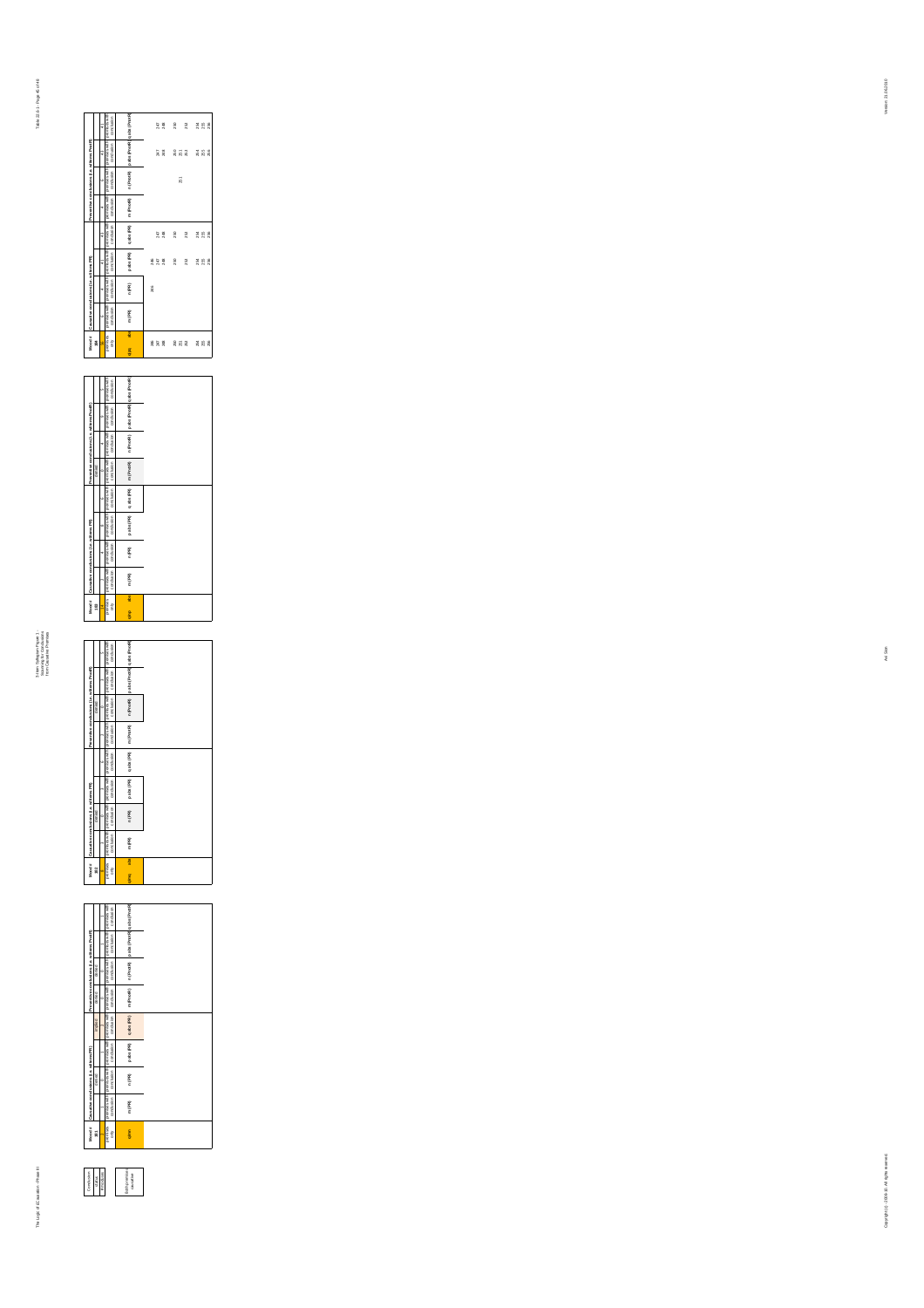| a pos          |                            | Causative conclusions (i.e. witems PR) |                            |                             |                            |                            | Preventive con dusions (i.e. wiltems Proof?) |                             |
|----------------|----------------------------|----------------------------------------|----------------------------|-----------------------------|----------------------------|----------------------------|----------------------------------------------|-----------------------------|
| š              |                            |                                        |                            |                             |                            |                            |                                              |                             |
| 8              | é                          | ۰                                      | ş                          | ą                           | ۰                          | é                          | ş                                            | ą                           |
| im ses<br>È    | premises with<br>condusion | premises with<br>oondusion             | premises with<br>oondusion | premises with<br>oorchasion | premises with<br>candusion | premises with<br>oondusion | premises with<br>oondusion                   | premises with<br>conclusion |
| 3 <sub>5</sub> | m (PR)                     | n (PR)                                 | pabs (PR)                  | $q$ abs $(PR)$              | m (ProtR)                  | n (PhoeR)                  | pates (P notR) q alss (P notR)               |                             |
| 246            |                            | g                                      |                            |                             |                            |                            |                                              |                             |
| $\frac{1}{2}$  |                            |                                        | 245                        |                             |                            |                            | ã                                            | 247                         |
| 248            |                            |                                        | 248                        | 2 8                         |                            |                            | 248                                          | $\frac{3}{2}$               |
| 250            |                            |                                        | 250                        | 8                           |                            |                            | 250                                          | 8                           |
| ã              |                            |                                        |                            |                             |                            | 251                        | 251                                          |                             |
| 32             |                            |                                        | 252                        | 32                          |                            |                            | 252                                          | 32                          |
| 34             |                            |                                        | 254                        | 254                         |                            |                            | 254                                          | 254                         |
| 35             |                            |                                        | 255                        | 28                          |                            |                            | 255                                          | 28                          |
| 36             |                            |                                        | 256                        | 256                         |                            |                            | 256                                          | 256                         |





Conclusion status # moduses causative Both premises

premises only premises with conclusion premises with conclusion premises with conclusion premises with conclusion premises with conclusion premises with conclusion premises with conclusion premises with conclusion

premises only premises with conclusion premises with conclusion premises with conclusion premises with conclusion premises with conclusion premises with conclusion premises with conclusion premises with conclusion

Mood #

reventive conclusions (i.e. w.kems Pno18)<br>- and - and - and - and - and - and - and - and - and - and - and - and - and - and - and - and - and - and -

abs (Proff

pabs (PnoR) q  $n$  (ProotR)  $p$ 

and and m(PR) n(PR) pass(PR) q also (PR) m(PhotP)

abs (Prock) q abs (Prock

n (Prodit)  $m$  (Prooff) q abs (PR)

 $m(\mathsf{PR}) \qquad n(\mathsf{PR}) \qquad \text{p also } (\mathsf{PR})$ 

q/mn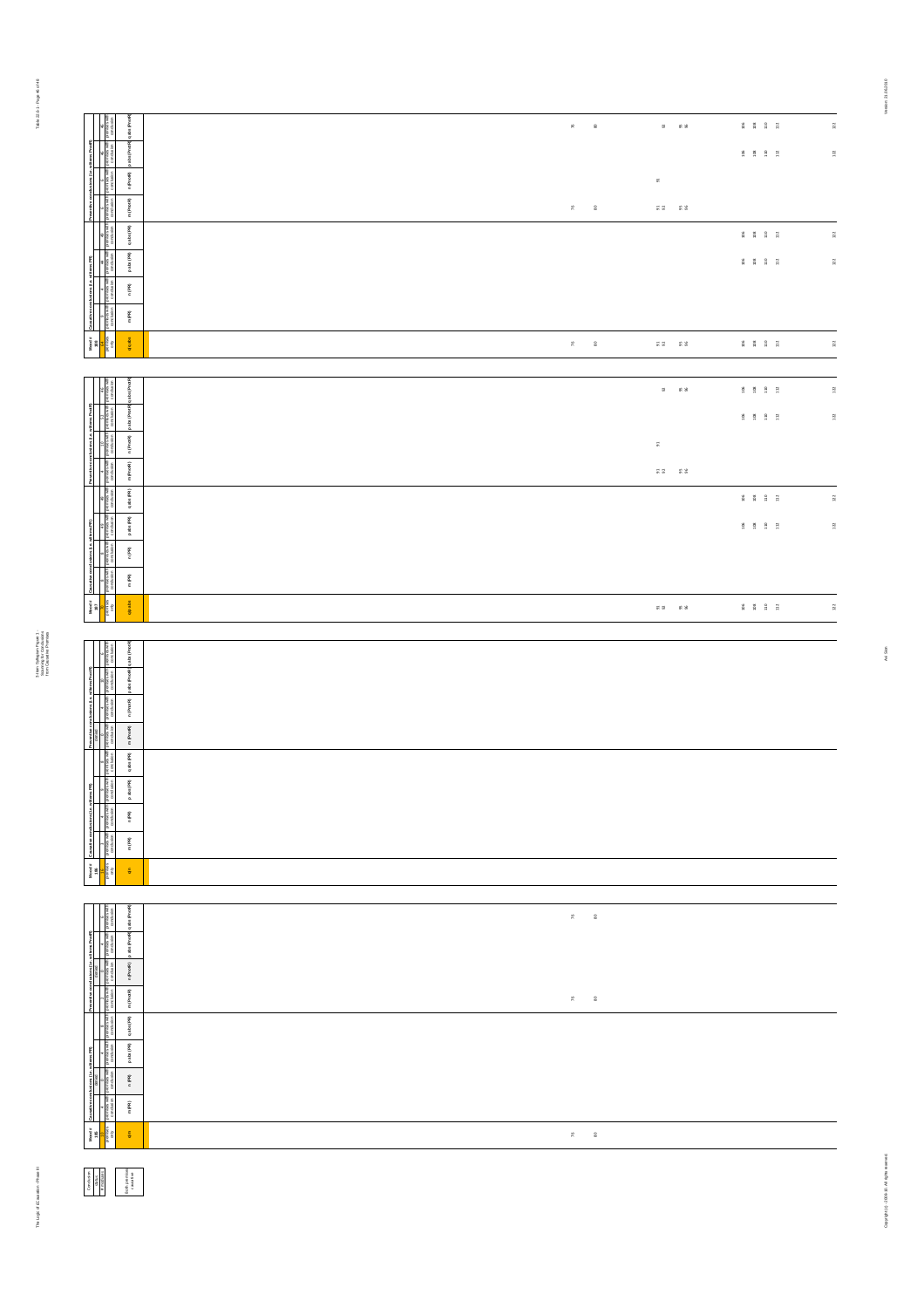| 8<br>ö       | q also (ProofR)                    | $\approx$     | $\mathbb{S}$ |
|--------------|------------------------------------|---------------|--------------|
| ٤            | pabs (ProtR)                       |               |              |
|              | n (ProfR)                          |               |              |
| å<br>2<br>8. | $m(p \text{ node})$                | $\mathcal{R}$ | $\mathbb{S}$ |
| š            | $\mathbf{q}$ abs (PR)              |               |              |
| 匍            | $p$ abs $\langle \theta R \rangle$ |               |              |
| 8            | $_{\rm n}(\rho\,R)$                |               |              |

| atos (Prooff<br>46<br>mmaas with<br>corebasion                                                                                                                                                              | $\begin{matrix} \mathfrak{L} & \cdots & \mathfrak{L} \\ \mathfrak{L} & \cdots & \mathfrak{L} \\ \end{matrix}$                                                                                                                                                                                                                   | $\begin{array}{ccc} \mathbb{S}^1 & \mathbb{S}^1 \mathbb{S}^1 \\ \mathbb{S}^1 & \mathbb{S}^1 \mathbb{S}^1 \end{array}$                                                                                                                                                                                                                                                                                                                         | $\begin{array}{cccccccccc} 18 & 18 & 19 & 19 & 19 \\ 18 & 19 & 19 & 19 & 19 \\ 19 & 19 & 19 & 19 & 19 \\ \end{array}$ | $\mathbb{R}^2$           |
|-------------------------------------------------------------------------------------------------------------------------------------------------------------------------------------------------------------|---------------------------------------------------------------------------------------------------------------------------------------------------------------------------------------------------------------------------------------------------------------------------------------------------------------------------------|-----------------------------------------------------------------------------------------------------------------------------------------------------------------------------------------------------------------------------------------------------------------------------------------------------------------------------------------------------------------------------------------------------------------------------------------------|-----------------------------------------------------------------------------------------------------------------------|--------------------------|
| abs (ProtR)                                                                                                                                                                                                 |                                                                                                                                                                                                                                                                                                                                 |                                                                                                                                                                                                                                                                                                                                                                                                                                               | $\begin{array}{cccccccccc} \mathbf{g} & & \mathbf{g} & & \mathbf{g} & & \mathbf{g} & & \mathbf{g} \\ \end{array}$     | $\mathbb{R}^2$           |
| Preventive conclusions (i.e. witems Profit<br>n (ProfR)                                                                                                                                                     |                                                                                                                                                                                                                                                                                                                                 | $\mathbbm{S}$                                                                                                                                                                                                                                                                                                                                                                                                                                 |                                                                                                                       |                          |
| $m$ (P roofR)                                                                                                                                                                                               | $\begin{matrix} 1 & 0 & 0 \\ 0 & 0 & 0 \\ 0 & 0 & 0 \\ 0 & 0 & 0 \\ 0 & 0 & 0 \\ 0 & 0 & 0 \\ 0 & 0 & 0 \\ 0 & 0 & 0 \\ 0 & 0 & 0 & 0 \\ 0 & 0 & 0 & 0 \\ 0 & 0 & 0 & 0 \\ 0 & 0 & 0 & 0 \\ 0 & 0 & 0 & 0 & 0 \\ 0 & 0 & 0 & 0 & 0 \\ 0 & 0 & 0 & 0 & 0 \\ 0 & 0 & 0 & 0 & 0 & 0 \\ 0 & 0 & 0 & 0 & 0 & 0 \\ 0 & 0 & 0 & 0 & 0$ | $53$ $53$                                                                                                                                                                                                                                                                                                                                                                                                                                     |                                                                                                                       |                          |
| 49<br>remises with<br>condusion<br>$q$ abs (PR)                                                                                                                                                             |                                                                                                                                                                                                                                                                                                                                 |                                                                                                                                                                                                                                                                                                                                                                                                                                               | $\begin{array}{cccccccccc} \mathcal{B} & \mathcal{B} & \mathcal{B} & \mathcal{B} & \mathcal{B} & \end{array}$         | $\widetilde{\mathbb{H}}$ |
|                                                                                                                                                                                                             |                                                                                                                                                                                                                                                                                                                                 |                                                                                                                                                                                                                                                                                                                                                                                                                                               |                                                                                                                       |                          |
| 44<br>remises with<br>oondusion<br>p abs $(\mathsf{PR})$                                                                                                                                                    |                                                                                                                                                                                                                                                                                                                                 |                                                                                                                                                                                                                                                                                                                                                                                                                                               | $\begin{array}{cccccccccc} \mathbf{g} & & \mathbf{g} & & \mathbf{g} & & \mathbf{g} & & \mathbf{g} \\ \end{array}$     | $\mathbb{R}^2$           |
| usative condusions (i.e. witems PR)<br>n (PR)                                                                                                                                                               |                                                                                                                                                                                                                                                                                                                                 |                                                                                                                                                                                                                                                                                                                                                                                                                                               |                                                                                                                       |                          |
| $\frac{60}{10}$                                                                                                                                                                                             |                                                                                                                                                                                                                                                                                                                                 |                                                                                                                                                                                                                                                                                                                                                                                                                                               |                                                                                                                       |                          |
| $\begin{array}{r}\n\text{Mod } n \\ \hline\n\text{183} \\ \hline\n\text{pounds} \\ \hline\n\text{pounds}\n\end{array}$<br>qiqabs                                                                            |                                                                                                                                                                                                                                                                                                                                 | $\begin{array}{cccccccccccccc} \varphi & \quad & \  \  &\otimes & \  \  &\circ & \  \  &\circ & \  \  &\circ & \  \  &\circ & \  \  &\circ & \  \  &\circ & \  \  &\circ & \  \  &\circ & \  \  &\circ & \  \  &\circ & \  \  &\circ & \  \  &\circ & \  \  &\circ & \  \  &\circ & \  \  &\circ & \  \  &\circ & \  \  &\circ & \  \  &\circ & \  \  &\circ & \  \  &\circ & \  \  &\circ & \  \  &\circ & \  \  &\circ & \  \  &\circ & \ $ | $\begin{array}{cccccccccccccc} 8 & 8 & 9 & 9 & 3 \\ \end{array}$                                                      | $\mathbb{R}^2$           |
|                                                                                                                                                                                                             |                                                                                                                                                                                                                                                                                                                                 |                                                                                                                                                                                                                                                                                                                                                                                                                                               |                                                                                                                       |                          |
| pates (ProotR)                                                                                                                                                                                              |                                                                                                                                                                                                                                                                                                                                 | $\begin{tabular}{lllllll} \multicolumn{2}{l}{{\bf S} & {\bf S} & {\bf S} \\ & {\bf S} & {\bf S} & {\bf S} \\ \end{tabular}$                                                                                                                                                                                                                                                                                                                   | $\begin{array}{cccccccccc} \mathbf{g} & \mathbf{g} & \mathbf{g} & \mathbf{g} & \mathbf{g} \end{array}$                | $\widetilde{\mathbf{u}}$ |
| ions (i.e. wiltems ProtR)<br>i (PnotR)<br>죸                                                                                                                                                                 |                                                                                                                                                                                                                                                                                                                                 |                                                                                                                                                                                                                                                                                                                                                                                                                                               | $\begin{array}{cccccccccc} \mathbf{g} & & \mathbf{g} & & \mathbf{g} & & \mathbf{g} & & \mathbf{g} \end{array}$        | $\Xi$                    |
| $n$ (P rooff)                                                                                                                                                                                               |                                                                                                                                                                                                                                                                                                                                 | $\overline{\circ}$                                                                                                                                                                                                                                                                                                                                                                                                                            |                                                                                                                       |                          |
| Preventive cor<br>$m(Proot R)$                                                                                                                                                                              |                                                                                                                                                                                                                                                                                                                                 | $\begin{array}{ccc} 5 & 3 & & 3 & 3 \\ 5 & 6 & & & 3 & 3 \end{array}$                                                                                                                                                                                                                                                                                                                                                                         |                                                                                                                       |                          |
| 49<br>pomissa with<br>condusion<br>qabs (PR)                                                                                                                                                                |                                                                                                                                                                                                                                                                                                                                 |                                                                                                                                                                                                                                                                                                                                                                                                                                               | $\begin{array}{cccccccccc} \texttt{8} & \texttt{8} & \texttt{9} & \texttt{9} & \texttt{1} \end{array}$                | $\widetilde{\mathbf{a}}$ |
| 49<br>promises with<br>conclusion<br>$p$ abs $\langle \mathsf{PR} \rangle$                                                                                                                                  |                                                                                                                                                                                                                                                                                                                                 |                                                                                                                                                                                                                                                                                                                                                                                                                                               | $\begin{array}{cccccccccc} \mathbf{g} & & \mathbf{g} & & \mathbf{g} & & \mathbf{g} & & \mathbf{g} \end{array}$        | $\Xi$                    |
|                                                                                                                                                                                                             |                                                                                                                                                                                                                                                                                                                                 |                                                                                                                                                                                                                                                                                                                                                                                                                                               |                                                                                                                       |                          |
| usative conclusions (i.e. wiltems PR)<br>$_{\rm n}$ (PR)                                                                                                                                                    |                                                                                                                                                                                                                                                                                                                                 |                                                                                                                                                                                                                                                                                                                                                                                                                                               |                                                                                                                       |                          |
| $\omega$ or $\omega$                                                                                                                                                                                        |                                                                                                                                                                                                                                                                                                                                 |                                                                                                                                                                                                                                                                                                                                                                                                                                               |                                                                                                                       |                          |
| $\begin{array}{c} \text{Mose} \\ \text{M.} \end{array}$<br>pomisos<br>orty<br>opata                                                                                                                         |                                                                                                                                                                                                                                                                                                                                 | $88$ $88$                                                                                                                                                                                                                                                                                                                                                                                                                                     |                                                                                                                       | $\mathbb{R}^2$           |
|                                                                                                                                                                                                             |                                                                                                                                                                                                                                                                                                                                 |                                                                                                                                                                                                                                                                                                                                                                                                                                               |                                                                                                                       |                          |
| 흨                                                                                                                                                                                                           |                                                                                                                                                                                                                                                                                                                                 |                                                                                                                                                                                                                                                                                                                                                                                                                                               |                                                                                                                       |                          |
| 흌                                                                                                                                                                                                           |                                                                                                                                                                                                                                                                                                                                 |                                                                                                                                                                                                                                                                                                                                                                                                                                               |                                                                                                                       |                          |
| n (Proff)                                                                                                                                                                                                   |                                                                                                                                                                                                                                                                                                                                 |                                                                                                                                                                                                                                                                                                                                                                                                                                               |                                                                                                                       |                          |
| Preventive conclusions (i.e. witheres Proces)<br>- derived<br>- promise with premise with premise with pre<br>- conclusion - conclusion - conclusion - c<br>u<br>promises with<br>candusion<br>$m$ (Prooff) |                                                                                                                                                                                                                                                                                                                                 |                                                                                                                                                                                                                                                                                                                                                                                                                                               |                                                                                                                       |                          |
| $q$ abs $\langle \mathsf{PR} \rangle$<br>3<br>comissa with<br>corclusion                                                                                                                                    |                                                                                                                                                                                                                                                                                                                                 |                                                                                                                                                                                                                                                                                                                                                                                                                                               |                                                                                                                       |                          |
| $p$ abs (PR)                                                                                                                                                                                                |                                                                                                                                                                                                                                                                                                                                 |                                                                                                                                                                                                                                                                                                                                                                                                                                               |                                                                                                                       |                          |
| $\frac{6}{5}$                                                                                                                                                                                               |                                                                                                                                                                                                                                                                                                                                 |                                                                                                                                                                                                                                                                                                                                                                                                                                               |                                                                                                                       |                          |
| $\mathfrak{m}(\mathsf{PR})$                                                                                                                                                                                 |                                                                                                                                                                                                                                                                                                                                 |                                                                                                                                                                                                                                                                                                                                                                                                                                               |                                                                                                                       |                          |
| Mood <mark>Causates conclusions (Le Witems PR)</mark><br>1966 – primate unit pormista unit pommate unit<br>portuga – primate unit portugalen – conclusion<br>chy econolism – conclusion – conclusion        |                                                                                                                                                                                                                                                                                                                                 |                                                                                                                                                                                                                                                                                                                                                                                                                                               |                                                                                                                       |                          |
| $\frac{g}{\sigma}$                                                                                                                                                                                          |                                                                                                                                                                                                                                                                                                                                 |                                                                                                                                                                                                                                                                                                                                                                                                                                               |                                                                                                                       |                          |
|                                                                                                                                                                                                             |                                                                                                                                                                                                                                                                                                                                 |                                                                                                                                                                                                                                                                                                                                                                                                                                               |                                                                                                                       |                          |
|                                                                                                                                                                                                             |                                                                                                                                                                                                                                                                                                                                 |                                                                                                                                                                                                                                                                                                                                                                                                                                               |                                                                                                                       |                          |
| quisipho                                                                                                                                                                                                    | $\mathbf{S}$<br>$\approx$                                                                                                                                                                                                                                                                                                       |                                                                                                                                                                                                                                                                                                                                                                                                                                               |                                                                                                                       |                          |
| p abs (ProtR)<br>4<br>smises with<br>condusion                                                                                                                                                              |                                                                                                                                                                                                                                                                                                                                 |                                                                                                                                                                                                                                                                                                                                                                                                                                               |                                                                                                                       |                          |
| n (ProdR)                                                                                                                                                                                                   |                                                                                                                                                                                                                                                                                                                                 |                                                                                                                                                                                                                                                                                                                                                                                                                                               |                                                                                                                       |                          |
| reventive conclusions (i.e., witems PnoR)<br>$m$ (P rooff)                                                                                                                                                  | $\stackrel{\scriptscriptstyle \times}{\phantom{}_{\sim}}$ . $\stackrel{\scriptscriptstyle \times}{\phantom{}_{\sim}}$                                                                                                                                                                                                           |                                                                                                                                                                                                                                                                                                                                                                                                                                               |                                                                                                                       |                          |
| 8<br>comises with premises with<br>condusion conclusion<br>q abs (PR)                                                                                                                                       |                                                                                                                                                                                                                                                                                                                                 |                                                                                                                                                                                                                                                                                                                                                                                                                                               |                                                                                                                       |                          |
|                                                                                                                                                                                                             |                                                                                                                                                                                                                                                                                                                                 |                                                                                                                                                                                                                                                                                                                                                                                                                                               |                                                                                                                       |                          |
| p abs $\varphi$ R)<br>$_{\rm n}$ (PR)                                                                                                                                                                       |                                                                                                                                                                                                                                                                                                                                 |                                                                                                                                                                                                                                                                                                                                                                                                                                               |                                                                                                                       |                          |
| sative condusions (i.e. witems PR)<br>  derival<br>$\frac{\partial R}{\partial t}$                                                                                                                          |                                                                                                                                                                                                                                                                                                                                 |                                                                                                                                                                                                                                                                                                                                                                                                                                               |                                                                                                                       |                          |

| witerns Proof?<br>46<br>comises with<br>condusion<br>p abs (Prot R)                                                                   |  |                                                                                                                                                                                                                                                                                                                                                                                                                                                                   |                    | $\begin{array}{cccccccccc} 8 & 8 & 9 & 3 & 3 \\ 1 & 1 & 1 & 1 & 1 \\ 1 & 1 & 1 & 1 & 1 \\ 1 & 1 & 1 & 1 & 1 \\ 1 & 1 & 1 & 1 & 1 \\ 1 & 1 & 1 & 1 & 1 \\ 1 & 1 & 1 & 1 & 1 \\ 1 & 1 & 1 & 1 & 1 \\ 1 & 1 & 1 & 1 & 1 \\ 1 & 1 & 1 & 1 & 1 \\ 1 & 1 & 1 & 1 & 1 \\ 1 & 1 & 1 & 1 & 1 \\ 1 & 1 & 1 & 1 & 1 \\ 1 & 1 & 1 & 1 & 1 \\ $ | $\mathbb{R}^2$           |
|---------------------------------------------------------------------------------------------------------------------------------------|--|-------------------------------------------------------------------------------------------------------------------------------------------------------------------------------------------------------------------------------------------------------------------------------------------------------------------------------------------------------------------------------------------------------------------------------------------------------------------|--------------------|------------------------------------------------------------------------------------------------------------------------------------------------------------------------------------------------------------------------------------------------------------------------------------------------------------------------------------|--------------------------|
| $n$ (P rooff)                                                                                                                         |  |                                                                                                                                                                                                                                                                                                                                                                                                                                                                   | $\mathbf{g}$       |                                                                                                                                                                                                                                                                                                                                    |                          |
| Preventive conclusions (i.e.<br>6<br>promises with<br>conclusion<br>$m$ (P rooff)                                                     |  | $\begin{picture}(20,20) \put(0,0){\vector(1,0){10}} \put(15,0){\vector(1,0){10}} \put(15,0){\vector(1,0){10}} \put(15,0){\vector(1,0){10}} \put(15,0){\vector(1,0){10}} \put(15,0){\vector(1,0){10}} \put(15,0){\vector(1,0){10}} \put(15,0){\vector(1,0){10}} \put(15,0){\vector(1,0){10}} \put(15,0){\vector(1,0){10}} \put(15,0){\vector(1,0){10}} \put(15,0){\vector(1$                                                                                       | $53$ $38$          |                                                                                                                                                                                                                                                                                                                                    |                          |
| 49<br>remises with<br>condusion<br>$q$ abs (PR)                                                                                       |  |                                                                                                                                                                                                                                                                                                                                                                                                                                                                   |                    | $\begin{array}{cccccccccc} 8 & 8 & 9 & 9 & 3 \\ 10 & 10 & 10 & 10 \\ 11 & 11 & 11 & 10 \\ 12 & 12 & 12 & 10 \\ 13 & 13 & 14 & 10 \\ 14 & 15 & 12 & 10 \\ 16 & 15 & 12 & 10 \\ 17 & 16 & 10 & 10 \\ 18 & 10 & 10 & 10 \\ 19 & 10 & 10 & 10 \\ 11 & 10 & 10 & 10 \\ 13 & 10 & 10 & 10 \\ 14 & 10 & 10 & 10 \\ 15 &$                  | $^{\rm 12}$              |
| 44<br>premises with<br>condusion<br>pabs (PR)                                                                                         |  |                                                                                                                                                                                                                                                                                                                                                                                                                                                                   |                    | $\begin{array}{cccccccccccccc} 8 & 8 & 9 & 9 & 3 \\ \end{array}$                                                                                                                                                                                                                                                                   | $\mathbb{R}^2$           |
| ilons (i.e. wiltems PR)<br>4<br>promises with<br>condusion<br>$_{\rm n}(\rho\,R)$                                                     |  |                                                                                                                                                                                                                                                                                                                                                                                                                                                                   |                    |                                                                                                                                                                                                                                                                                                                                    |                          |
| Causative con di<br>romises with<br>conclusion<br>$\mathfrak{m}(\mathsf{PR})$                                                         |  |                                                                                                                                                                                                                                                                                                                                                                                                                                                                   |                    |                                                                                                                                                                                                                                                                                                                                    |                          |
| $M_{\odot}$<br>qiqabs<br>huo<br>bound                                                                                                 |  | $\begin{array}{ccc} \mathcal{B} & \mathcal{B} & \mathcal{B} & \mathcal{B} & \mathcal{B} & \mathcal{B} & \mathcal{B} & \mathcal{B} & \mathcal{B} & \mathcal{B} & \mathcal{B} & \mathcal{B} & \mathcal{B} & \mathcal{B} & \mathcal{B} & \mathcal{B} & \mathcal{B} & \mathcal{B} & \mathcal{B} & \mathcal{B} & \mathcal{B} & \mathcal{B} & \mathcal{B} & \mathcal{B} & \mathcal{B} & \mathcal{B} & \mathcal{B} & \mathcal{B} & \mathcal{B} & \mathcal{B} & \mathcal$ |                    |                                                                                                                                                                                                                                                                                                                                    | $\mathbb{R}^2$           |
|                                                                                                                                       |  |                                                                                                                                                                                                                                                                                                                                                                                                                                                                   |                    |                                                                                                                                                                                                                                                                                                                                    |                          |
| a abs (Proot R)                                                                                                                       |  |                                                                                                                                                                                                                                                                                                                                                                                                                                                                   | $5 \t 3 \t 9$      | $\begin{array}{cccccccccc} \mathbf{g} & \mathbf{g} & \mathbf{g} & \mathbf{g} & \mathbf{g} \end{array}$                                                                                                                                                                                                                             | $\widetilde{\mathbf{u}}$ |
| sions (i.e. witems ProtR)<br>sabs (PnotR)                                                                                             |  |                                                                                                                                                                                                                                                                                                                                                                                                                                                                   |                    | $\begin{array}{cccccccccc} \mathbf{g} & & \mathbf{g} & & \mathbf{g} & & \mathbf{g} & & \mathbf{g} \end{array}$                                                                                                                                                                                                                     | $_{\rm 12}$              |
| $n$ (P rooff)<br>no jest and a<br>use and and an                                                                                      |  |                                                                                                                                                                                                                                                                                                                                                                                                                                                                   | $\overline{\circ}$ |                                                                                                                                                                                                                                                                                                                                    |                          |
| Preventive conclu<br>4<br>premises with<br>condusion<br>$m(\mbox{Proof R})$                                                           |  |                                                                                                                                                                                                                                                                                                                                                                                                                                                                   | $53 - 53$          |                                                                                                                                                                                                                                                                                                                                    |                          |
| $\begin{array}{c}\n 49 \\  49 \\  1000\n\end{array}$<br>qabs (PR)                                                                     |  |                                                                                                                                                                                                                                                                                                                                                                                                                                                                   |                    | $\begin{array}{cccccccccccccc} 8 & & 8 & & 8 & & 8 & & 8 & & 7 \\ \end{array}$                                                                                                                                                                                                                                                     | $\widetilde{\mathbf{a}}$ |
| 49<br>promises with<br>conclusion<br>p also (PR)<br>witems PR)                                                                        |  |                                                                                                                                                                                                                                                                                                                                                                                                                                                                   |                    | $\begin{array}{cccccccccc} \Xi & \Xi & \Xi & \Xi & \Xi \end{array}$                                                                                                                                                                                                                                                                | $^{\rm 12}$              |
| remises with<br>conclusion<br>sions (ie.<br>$\frac{1}{n}$                                                                             |  |                                                                                                                                                                                                                                                                                                                                                                                                                                                                   |                    |                                                                                                                                                                                                                                                                                                                                    |                          |
| amises with<br>condusion<br>$\frac{1}{2}$ or                                                                                          |  |                                                                                                                                                                                                                                                                                                                                                                                                                                                                   |                    |                                                                                                                                                                                                                                                                                                                                    |                          |
| <b>Particular</b><br>$M_{\odot}$<br>qipabs                                                                                            |  |                                                                                                                                                                                                                                                                                                                                                                                                                                                                   | 88                 | $\begin{array}{cccccccccccccc} 8 & & 8 & & 8 & & 8 & & 8 & & 7 \\ \end{array}$                                                                                                                                                                                                                                                     | $\widetilde{\mathbf{u}}$ |
|                                                                                                                                       |  |                                                                                                                                                                                                                                                                                                                                                                                                                                                                   |                    |                                                                                                                                                                                                                                                                                                                                    |                          |
| ata (Pre                                                                                                                              |  |                                                                                                                                                                                                                                                                                                                                                                                                                                                                   |                    |                                                                                                                                                                                                                                                                                                                                    |                          |
| ns (i.e. w/litems Prooff)<br>utes (Prooft)                                                                                            |  |                                                                                                                                                                                                                                                                                                                                                                                                                                                                   |                    |                                                                                                                                                                                                                                                                                                                                    |                          |
| $\mathfrak{n}$ (Pro IR)                                                                                                               |  |                                                                                                                                                                                                                                                                                                                                                                                                                                                                   |                    |                                                                                                                                                                                                                                                                                                                                    |                          |
| $m$ (P rooff)<br>Preventive                                                                                                           |  |                                                                                                                                                                                                                                                                                                                                                                                                                                                                   |                    |                                                                                                                                                                                                                                                                                                                                    |                          |
| $q$ at $\left( P R \right)$<br>omises with<br>corclusion                                                                              |  |                                                                                                                                                                                                                                                                                                                                                                                                                                                                   |                    |                                                                                                                                                                                                                                                                                                                                    |                          |
| p abs (PR)<br>Causable conclusions (i.e. witness PR)<br>Persian and with promise and promise with<br>Persian and provident conclusion |  |                                                                                                                                                                                                                                                                                                                                                                                                                                                                   |                    |                                                                                                                                                                                                                                                                                                                                    |                          |
| $\alpha\phi$ eg                                                                                                                       |  |                                                                                                                                                                                                                                                                                                                                                                                                                                                                   |                    |                                                                                                                                                                                                                                                                                                                                    |                          |
| $\frac{\partial}{\partial t}$                                                                                                         |  |                                                                                                                                                                                                                                                                                                                                                                                                                                                                   |                    |                                                                                                                                                                                                                                                                                                                                    |                          |
| $\begin{array}{c} \mathbf{M}_0 \text{ of } \mathbf{B} \\ \mathbf{B} \end{array}$<br>premises<br>only<br>$\epsilon$                    |  |                                                                                                                                                                                                                                                                                                                                                                                                                                                                   |                    |                                                                                                                                                                                                                                                                                                                                    |                          |
|                                                                                                                                       |  |                                                                                                                                                                                                                                                                                                                                                                                                                                                                   |                    |                                                                                                                                                                                                                                                                                                                                    |                          |
| gas (Prod<br>$P_{\text{ROOR}}$                                                                                                        |  | $\mathbb{R}$ – $\mathbb{S}$                                                                                                                                                                                                                                                                                                                                                                                                                                       |                    |                                                                                                                                                                                                                                                                                                                                    |                          |
| abs (ProtR)<br>witems                                                                                                                 |  |                                                                                                                                                                                                                                                                                                                                                                                                                                                                   |                    |                                                                                                                                                                                                                                                                                                                                    |                          |
| Preventive conclusions (i.e.<br>n (ProdR)<br>igas<br>Sta                                                                              |  |                                                                                                                                                                                                                                                                                                                                                                                                                                                                   |                    |                                                                                                                                                                                                                                                                                                                                    |                          |
| 2<br>wmises with<br>conclusion<br>$m$ (ProofR)                                                                                        |  | $\mathbb R$ – $\mathbb R$                                                                                                                                                                                                                                                                                                                                                                                                                                         |                    |                                                                                                                                                                                                                                                                                                                                    |                          |
| a<br>missa with<br>ondusion<br>qabs $\langle \rm PR \rangle$                                                                          |  |                                                                                                                                                                                                                                                                                                                                                                                                                                                                   |                    |                                                                                                                                                                                                                                                                                                                                    |                          |
| remises with<br>condusion<br>pats (PR)                                                                                                |  |                                                                                                                                                                                                                                                                                                                                                                                                                                                                   |                    |                                                                                                                                                                                                                                                                                                                                    |                          |
| usative condusions (i.e. witems PR)<br>$_{\rm n}$ (PR)                                                                                |  |                                                                                                                                                                                                                                                                                                                                                                                                                                                                   |                    |                                                                                                                                                                                                                                                                                                                                    |                          |
| remises with<br>conclusion<br>$\frac{60}{6}$                                                                                          |  |                                                                                                                                                                                                                                                                                                                                                                                                                                                                   |                    |                                                                                                                                                                                                                                                                                                                                    |                          |
| Mood #<br>185<br>vius<br>oriy<br>톻                                                                                                    |  | $\mathbb{R}$ – $\mathbb{S}$                                                                                                                                                                                                                                                                                                                                                                                                                                       |                    |                                                                                                                                                                                                                                                                                                                                    |                          |

| g                                                                                                                                                                                         | $\mathbf{r}$                                     | 76<br>$\mathbb{S}$ |
|-------------------------------------------------------------------------------------------------------------------------------------------------------------------------------------------|--------------------------------------------------|--------------------|
|                                                                                                                                                                                           | $\overline{\boldsymbol{x}}$<br>€<br>$\mathbf{a}$ |                    |
|                                                                                                                                                                                           | $\widehat{\alpha}$<br>ို့                        |                    |
| Revenue of the Property of the Construction of the Material Professor<br>Common with performance of the Construction of the Professor<br>Constalaton Constalaton Constalaton Construction | æ<br>နို                                         | $\%$ $\qquad$ $\%$ |
|                                                                                                                                                                                           | $\widehat{\mathsf{g}}$<br>qabs                   |                    |
| is with<br>points<br>conc                                                                                                                                                                 | $\mathfrak{g}_\mathfrak{g}$<br>$\bullet$<br>ã    |                    |
| premises with<br>conclusion                                                                                                                                                               | $\frac{1}{n}$ (PR)                               |                    |
| Causalve conduisions (i.e. wilems PR)<br>Causalve conduisions (i.e. wilems PR)<br>promises with<br>maximage                                                                               | Ê<br>ε                                           |                    |
| Mood #<br>185<br>mises<br>xiy<br>톥                                                                                                                                                        | 善                                                | $\mathbb R$ 80     |
|                                                                                                                                                                                           |                                                  |                    |

he Lagic of ECausation

Conclusion status # moduses causative Both premises

 $M$  Sion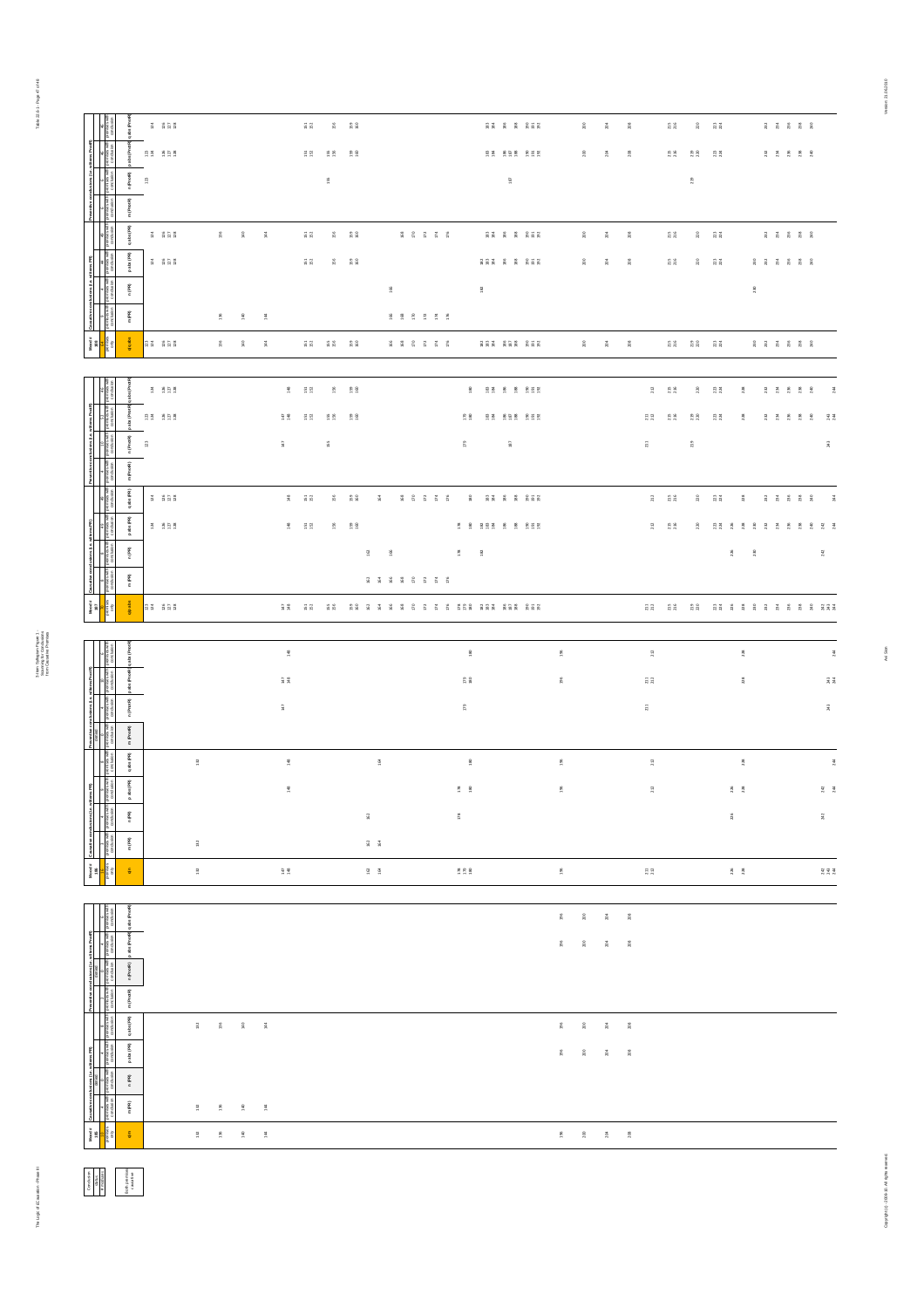|        |     | $\frac{3}{2}$ $\frac{8}{2}$ $\frac{5}{2}$                                         |                 |                                                                                                                                  |                  | 53 3 59         |                                                                                                                                                                                                                                                                                                                                                                                                                                          |                                                             |                                                                                                                                                                                                                                                                                                                                                                                                            |                     | 물품 볼 홀 울름줄                                                       |                |                                                                                                                                                                                                                                                                                                                                                                                                    |                |               |     |                                          | $\begin{matrix} 8 & \textcolor{red}{\check{8}} & \textcolor{red}{\check{8}} & \textcolor{red}{\check{8}} & \textcolor{red}{\check{12}} & \textcolor{red}{\check{12}} & \textcolor{red}{\check{12}} & \textcolor{red}{\check{12}} & \textcolor{red}{\check{12}} & \textcolor{red}{\check{12}} & \textcolor{red}{\check{12}} & \textcolor{red}{\check{12}} & \textcolor{red}{\check{12}} & \textcolor{red}{\check{12}} & \textcolor{red}{\check{12}} & \textcolor{red}{\check{12}} & \textcolor{red}{\check{12}} & \textcolor{red}{\$ |                                                                                                                                                                                                                                                                                               |
|--------|-----|-----------------------------------------------------------------------------------|-----------------|----------------------------------------------------------------------------------------------------------------------------------|------------------|-----------------|------------------------------------------------------------------------------------------------------------------------------------------------------------------------------------------------------------------------------------------------------------------------------------------------------------------------------------------------------------------------------------------------------------------------------------------|-------------------------------------------------------------|------------------------------------------------------------------------------------------------------------------------------------------------------------------------------------------------------------------------------------------------------------------------------------------------------------------------------------------------------------------------------------------------------------|---------------------|------------------------------------------------------------------|----------------|----------------------------------------------------------------------------------------------------------------------------------------------------------------------------------------------------------------------------------------------------------------------------------------------------------------------------------------------------------------------------------------------------|----------------|---------------|-----|------------------------------------------|-------------------------------------------------------------------------------------------------------------------------------------------------------------------------------------------------------------------------------------------------------------------------------------------------------------------------------------------------------------------------------------------------------------------------------------------------------------------------------------------------------------------------------------|-----------------------------------------------------------------------------------------------------------------------------------------------------------------------------------------------------------------------------------------------------------------------------------------------|
|        |     | 85 858                                                                            |                 |                                                                                                                                  |                  |                 | 53 53 59                                                                                                                                                                                                                                                                                                                                                                                                                                 |                                                             |                                                                                                                                                                                                                                                                                                                                                                                                            |                     | - 음품 음품을 읽으려면 유민이는 유민이는 유민이 유민이는 유민이 유민이 없다.                     |                |                                                                                                                                                                                                                                                                                                                                                                                                    |                |               |     |                                          |                                                                                                                                                                                                                                                                                                                                                                                                                                                                                                                                     |                                                                                                                                                                                                                                                                                               |
|        |     |                                                                                   |                 |                                                                                                                                  |                  | $\frac{1}{100}$ |                                                                                                                                                                                                                                                                                                                                                                                                                                          |                                                             |                                                                                                                                                                                                                                                                                                                                                                                                            |                     |                                                                  |                |                                                                                                                                                                                                                                                                                                                                                                                                    |                |               | 219 |                                          |                                                                                                                                                                                                                                                                                                                                                                                                                                                                                                                                     |                                                                                                                                                                                                                                                                                               |
|        |     |                                                                                   |                 |                                                                                                                                  |                  |                 |                                                                                                                                                                                                                                                                                                                                                                                                                                          |                                                             |                                                                                                                                                                                                                                                                                                                                                                                                            |                     |                                                                  |                |                                                                                                                                                                                                                                                                                                                                                                                                    |                |               |     |                                          |                                                                                                                                                                                                                                                                                                                                                                                                                                                                                                                                     |                                                                                                                                                                                                                                                                                               |
|        |     |                                                                                   |                 |                                                                                                                                  |                  |                 |                                                                                                                                                                                                                                                                                                                                                                                                                                          |                                                             |                                                                                                                                                                                                                                                                                                                                                                                                            |                     |                                                                  |                |                                                                                                                                                                                                                                                                                                                                                                                                    |                |               |     |                                          |                                                                                                                                                                                                                                                                                                                                                                                                                                                                                                                                     |                                                                                                                                                                                                                                                                                               |
|        |     | $\frac{3}{2}$ $\frac{8}{2}$ $\frac{5}{2}$                                         |                 |                                                                                                                                  |                  |                 |                                                                                                                                                                                                                                                                                                                                                                                                                                          |                                                             |                                                                                                                                                                                                                                                                                                                                                                                                            |                     |                                                                  |                |                                                                                                                                                                                                                                                                                                                                                                                                    |                |               |     |                                          | <b>ANA</b> ANA A                                                                                                                                                                                                                                                                                                                                                                                                                                                                                                                    |                                                                                                                                                                                                                                                                                               |
|        |     |                                                                                   |                 |                                                                                                                                  |                  |                 |                                                                                                                                                                                                                                                                                                                                                                                                                                          |                                                             | $\begin{array}{ccc}\n\mathbf{32} & \mathbf{12} & \mathbf{13} & \mathbf{14} & \mathbf{15} & \mathbf{16} & \mathbf{17} & \mathbf{18} & \mathbf{18} & \mathbf{18} & \mathbf{19} & \mathbf{19} & \mathbf{19} & \mathbf{19} & \mathbf{19} & \mathbf{19} & \mathbf{19} & \mathbf{19} & \mathbf{19} & \mathbf{19} & \mathbf{19} & \mathbf{19} & \mathbf{19} & \mathbf{19} & \mathbf{19} & \mathbf{19} & \mathbf{$ |                     |                                                                  |                |                                                                                                                                                                                                                                                                                                                                                                                                    |                |               |     |                                          | $\overline{\mathbf{a}}$                                                                                                                                                                                                                                                                                                                                                                                                                                                                                                             |                                                                                                                                                                                                                                                                                               |
|        |     |                                                                                   |                 | $\begin{array}{ccccccccccccc} \mathbb{R} & & \mathbb{R} & & \mathbb{R} & & \mathbb{R} & & \end{array}$                           |                  |                 |                                                                                                                                                                                                                                                                                                                                                                                                                                          |                                                             |                                                                                                                                                                                                                                                                                                                                                                                                            |                     |                                                                  |                |                                                                                                                                                                                                                                                                                                                                                                                                    |                |               |     |                                          |                                                                                                                                                                                                                                                                                                                                                                                                                                                                                                                                     |                                                                                                                                                                                                                                                                                               |
|        |     | $B\bar{A}$ $B\bar{B}$                                                             |                 |                                                                                                                                  |                  |                 |                                                                                                                                                                                                                                                                                                                                                                                                                                          |                                                             |                                                                                                                                                                                                                                                                                                                                                                                                            |                     |                                                                  |                |                                                                                                                                                                                                                                                                                                                                                                                                    |                |               |     |                                          |                                                                                                                                                                                                                                                                                                                                                                                                                                                                                                                                     |                                                                                                                                                                                                                                                                                               |
|        |     |                                                                                   |                 |                                                                                                                                  |                  |                 |                                                                                                                                                                                                                                                                                                                                                                                                                                          |                                                             |                                                                                                                                                                                                                                                                                                                                                                                                            |                     |                                                                  |                |                                                                                                                                                                                                                                                                                                                                                                                                    |                |               |     |                                          |                                                                                                                                                                                                                                                                                                                                                                                                                                                                                                                                     |                                                                                                                                                                                                                                                                                               |
|        |     | $\overline{a}$ $\overline{a}$ $\overline{a}$ $\overline{a}$                       |                 |                                                                                                                                  |                  |                 | $\begin{array}{ccccccccccccc} \mathfrak{B} & & \mathfrak{B} & \mathfrak{B} & & \mathfrak{B} & & \mathfrak{B} & \mathfrak{B} & \mathfrak{B} & \mathfrak{B} & \mathfrak{B} & \mathfrak{B} & \mathfrak{B} & \mathfrak{B} & \mathfrak{B} & \mathfrak{B} & \mathfrak{B} & \mathfrak{B} & \mathfrak{B} & \mathfrak{B} & \mathfrak{B} & \mathfrak{B} & \mathfrak{B} & \mathfrak{B} & \mathfrak{B} & \mathfrak{B} & \mathfrak{B} & \mathfrak{B}$ |                                                             |                                                                                                                                                                                                                                                                                                                                                                                                            |                     |                                                                  |                |                                                                                                                                                                                                                                                                                                                                                                                                    |                |               |     | 23                                       |                                                                                                                                                                                                                                                                                                                                                                                                                                                                                                                                     |                                                                                                                                                                                                                                                                                               |
|        |     | 88 888                                                                            |                 |                                                                                                                                  |                  |                 | 늦을 끓여 봐봐 화요                                                                                                                                                                                                                                                                                                                                                                                                                              |                                                             |                                                                                                                                                                                                                                                                                                                                                                                                            |                     | 음을 통증 음을을 움을                                                     |                |                                                                                                                                                                                                                                                                                                                                                                                                    |                |               |     |                                          |                                                                                                                                                                                                                                                                                                                                                                                                                                                                                                                                     |                                                                                                                                                                                                                                                                                               |
|        |     |                                                                                   |                 |                                                                                                                                  |                  | $147$ $15$      |                                                                                                                                                                                                                                                                                                                                                                                                                                          |                                                             |                                                                                                                                                                                                                                                                                                                                                                                                            |                     | $\begin{array}{ccc}\n 3.73 & 3.73 \\  3.87 & 3.87\n \end{array}$ |                |                                                                                                                                                                                                                                                                                                                                                                                                    |                | $\frac{1}{2}$ |     |                                          |                                                                                                                                                                                                                                                                                                                                                                                                                                                                                                                                     | 243                                                                                                                                                                                                                                                                                           |
|        |     |                                                                                   |                 |                                                                                                                                  |                  |                 |                                                                                                                                                                                                                                                                                                                                                                                                                                          |                                                             |                                                                                                                                                                                                                                                                                                                                                                                                            |                     |                                                                  |                |                                                                                                                                                                                                                                                                                                                                                                                                    |                |               |     |                                          |                                                                                                                                                                                                                                                                                                                                                                                                                                                                                                                                     |                                                                                                                                                                                                                                                                                               |
|        |     | $\overline{\mathfrak{a}}$ = $\overline{\mathfrak{a}}$ = $\overline{\mathfrak{a}}$ |                 |                                                                                                                                  |                  |                 |                                                                                                                                                                                                                                                                                                                                                                                                                                          |                                                             |                                                                                                                                                                                                                                                                                                                                                                                                            |                     |                                                                  |                |                                                                                                                                                                                                                                                                                                                                                                                                    |                |               |     |                                          |                                                                                                                                                                                                                                                                                                                                                                                                                                                                                                                                     |                                                                                                                                                                                                                                                                                               |
|        |     | 5 888                                                                             |                 |                                                                                                                                  |                  |                 |                                                                                                                                                                                                                                                                                                                                                                                                                                          | 몇 점점 12월 26일                                                |                                                                                                                                                                                                                                                                                                                                                                                                            |                     |                                                                  |                |                                                                                                                                                                                                                                                                                                                                                                                                    |                |               |     |                                          |                                                                                                                                                                                                                                                                                                                                                                                                                                                                                                                                     | R AN A AA A A A A A A A A A A                                                                                                                                                                                                                                                                 |
|        |     |                                                                                   |                 |                                                                                                                                  |                  |                 |                                                                                                                                                                                                                                                                                                                                                                                                                                          | <u>. 이 번 보기 때문에 대한 사람들은 이 번 하지 않고 있다. 그는 어디에 대한 것이 없다.</u>  |                                                                                                                                                                                                                                                                                                                                                                                                            |                     |                                                                  |                |                                                                                                                                                                                                                                                                                                                                                                                                    |                |               |     |                                          |                                                                                                                                                                                                                                                                                                                                                                                                                                                                                                                                     | $\frac{1}{2}$ and $\frac{1}{2}$ and $\frac{1}{2}$ and $\frac{1}{2}$ and $\frac{1}{2}$ and $\frac{1}{2}$ and $\frac{1}{2}$ and $\frac{1}{2}$ and $\frac{1}{2}$ and $\frac{1}{2}$ and $\frac{1}{2}$ and $\frac{1}{2}$ and $\frac{1}{2}$ and $\frac{1}{2}$ and $\frac{1}{2}$ and $\frac{1}{2}$ a |
|        |     |                                                                                   |                 |                                                                                                                                  |                  |                 |                                                                                                                                                                                                                                                                                                                                                                                                                                          |                                                             |                                                                                                                                                                                                                                                                                                                                                                                                            |                     |                                                                  |                |                                                                                                                                                                                                                                                                                                                                                                                                    |                |               |     |                                          |                                                                                                                                                                                                                                                                                                                                                                                                                                                                                                                                     |                                                                                                                                                                                                                                                                                               |
|        |     |                                                                                   |                 |                                                                                                                                  |                  |                 |                                                                                                                                                                                                                                                                                                                                                                                                                                          |                                                             |                                                                                                                                                                                                                                                                                                                                                                                                            |                     |                                                                  |                |                                                                                                                                                                                                                                                                                                                                                                                                    |                |               |     |                                          |                                                                                                                                                                                                                                                                                                                                                                                                                                                                                                                                     |                                                                                                                                                                                                                                                                                               |
|        |     | គត គតត                                                                            |                 |                                                                                                                                  |                  |                 |                                                                                                                                                                                                                                                                                                                                                                                                                                          | 33 GG 66 69 9 9 3 3 3 4 5 6 6 6 6 6 6 9 9 9 9 9 9 9 0 9 0 1 |                                                                                                                                                                                                                                                                                                                                                                                                            |                     |                                                                  |                |                                                                                                                                                                                                                                                                                                                                                                                                    |                |               |     |                                          |                                                                                                                                                                                                                                                                                                                                                                                                                                                                                                                                     | a a a a a a a a a a a a a a a a                                                                                                                                                                                                                                                               |
|        |     |                                                                                   |                 |                                                                                                                                  | $\frac{22}{24}$  |                 |                                                                                                                                                                                                                                                                                                                                                                                                                                          |                                                             |                                                                                                                                                                                                                                                                                                                                                                                                            | $\frac{8}{18}$      |                                                                  | $\frac{8}{10}$ |                                                                                                                                                                                                                                                                                                                                                                                                    | $\mathbb{R}$   |               |     | $22\!\!3$                                |                                                                                                                                                                                                                                                                                                                                                                                                                                                                                                                                     | $\frac{3}{24}$                                                                                                                                                                                                                                                                                |
|        |     |                                                                                   |                 |                                                                                                                                  | $\frac{17}{348}$ |                 |                                                                                                                                                                                                                                                                                                                                                                                                                                          |                                                             |                                                                                                                                                                                                                                                                                                                                                                                                            | 580                 |                                                                  |                |                                                                                                                                                                                                                                                                                                                                                                                                    | $\Xi$ $\Xi$    |               |     |                                          | 23 <sup>o</sup>                                                                                                                                                                                                                                                                                                                                                                                                                                                                                                                     | $\frac{23}{244}$                                                                                                                                                                                                                                                                              |
|        |     |                                                                                   |                 |                                                                                                                                  | $\frac{1}{2}$    |                 |                                                                                                                                                                                                                                                                                                                                                                                                                                          |                                                             |                                                                                                                                                                                                                                                                                                                                                                                                            | $\frac{29}{2}$      |                                                                  |                |                                                                                                                                                                                                                                                                                                                                                                                                    | $\overline{z}$ |               |     |                                          |                                                                                                                                                                                                                                                                                                                                                                                                                                                                                                                                     | $\frac{m}{2}$                                                                                                                                                                                                                                                                                 |
|        |     |                                                                                   |                 |                                                                                                                                  |                  |                 |                                                                                                                                                                                                                                                                                                                                                                                                                                          |                                                             |                                                                                                                                                                                                                                                                                                                                                                                                            |                     |                                                                  |                |                                                                                                                                                                                                                                                                                                                                                                                                    |                |               |     |                                          |                                                                                                                                                                                                                                                                                                                                                                                                                                                                                                                                     |                                                                                                                                                                                                                                                                                               |
|        |     |                                                                                   | $\frac{1}{2}$   |                                                                                                                                  | 豊                |                 |                                                                                                                                                                                                                                                                                                                                                                                                                                          | <u>이 대표를 통해 보이는 것이 없는 것이 없다.</u>                            |                                                                                                                                                                                                                                                                                                                                                                                                            |                     |                                                                  | $\frac{1}{2}$  |                                                                                                                                                                                                                                                                                                                                                                                                    |                |               |     | 223                                      |                                                                                                                                                                                                                                                                                                                                                                                                                                                                                                                                     |                                                                                                                                                                                                                                                                                               |
|        |     |                                                                                   |                 |                                                                                                                                  |                  |                 |                                                                                                                                                                                                                                                                                                                                                                                                                                          |                                                             |                                                                                                                                                                                                                                                                                                                                                                                                            |                     |                                                                  |                |                                                                                                                                                                                                                                                                                                                                                                                                    | $\mathbb{R}^n$ |               |     |                                          |                                                                                                                                                                                                                                                                                                                                                                                                                                                                                                                                     | $\frac{3}{2}$                                                                                                                                                                                                                                                                                 |
|        |     |                                                                                   |                 |                                                                                                                                  | $\frac{9}{14}$   |                 |                                                                                                                                                                                                                                                                                                                                                                                                                                          |                                                             |                                                                                                                                                                                                                                                                                                                                                                                                            | 778                 |                                                                  | 36             |                                                                                                                                                                                                                                                                                                                                                                                                    | $\overline{z}$ |               |     | $\begin{array}{c} 226 \\ 23 \end{array}$ |                                                                                                                                                                                                                                                                                                                                                                                                                                                                                                                                     | $\Xi$ = $\Xi$                                                                                                                                                                                                                                                                                 |
|        | npp |                                                                                   |                 |                                                                                                                                  |                  |                 |                                                                                                                                                                                                                                                                                                                                                                                                                                          | $\%$                                                        |                                                                                                                                                                                                                                                                                                                                                                                                            | $\Box$<br>If $\Box$ |                                                                  |                |                                                                                                                                                                                                                                                                                                                                                                                                    |                |               |     | $_{\rm 25}$                              |                                                                                                                                                                                                                                                                                                                                                                                                                                                                                                                                     | $\widetilde{\mathbf{x}}$                                                                                                                                                                                                                                                                      |
|        |     |                                                                                   | $\Xi$           |                                                                                                                                  |                  |                 |                                                                                                                                                                                                                                                                                                                                                                                                                                          | $\begin{array}{cc} \Xi & \Xi \end{array}$                   |                                                                                                                                                                                                                                                                                                                                                                                                            |                     |                                                                  |                |                                                                                                                                                                                                                                                                                                                                                                                                    |                |               |     |                                          |                                                                                                                                                                                                                                                                                                                                                                                                                                                                                                                                     |                                                                                                                                                                                                                                                                                               |
| Mood # |     |                                                                                   | $\frac{22}{11}$ |                                                                                                                                  | $\frac{m}{2}$ if |                 |                                                                                                                                                                                                                                                                                                                                                                                                                                          | $9 - 5$                                                     |                                                                                                                                                                                                                                                                                                                                                                                                            | 28.8                |                                                                  | 396            |                                                                                                                                                                                                                                                                                                                                                                                                    | $\mathbb{Z}^m$ |               |     | $2.35\,$ $2.33\,$                        |                                                                                                                                                                                                                                                                                                                                                                                                                                                                                                                                     | 222                                                                                                                                                                                                                                                                                           |
|        |     |                                                                                   |                 |                                                                                                                                  |                  |                 |                                                                                                                                                                                                                                                                                                                                                                                                                                          |                                                             |                                                                                                                                                                                                                                                                                                                                                                                                            |                     |                                                                  |                | $\begin{matrix} 9 & & & \\ & 9 & & \\ & 10 & & \\ & & 10 & \\ & & 10 & \\ & & 10 & \\ & & 10 & \\ & & 10 & \\ & & 10 & \\ & & 10 & \\ & & 10 & \\ & & 10 & \\ & & 10 & \\ & & 10 & \\ & & 10 & \\ & & 10 & \\ & & 10 & \\ & & 10 & \\ & & 10 & \\ & & 10 & \\ & & 10 & \\ & & 10 & \\ & & 10 & \\ & & 10 & \\ & & 10 & \\ & & 10 & \\ & & 10 & \\ & & 10 & \\ & & 10 & \\ & & 10 & \\ & & 10 & \\$ |                |               |     |                                          |                                                                                                                                                                                                                                                                                                                                                                                                                                                                                                                                     |                                                                                                                                                                                                                                                                                               |
|        |     |                                                                                   |                 |                                                                                                                                  |                  |                 |                                                                                                                                                                                                                                                                                                                                                                                                                                          |                                                             |                                                                                                                                                                                                                                                                                                                                                                                                            |                     |                                                                  |                |                                                                                                                                                                                                                                                                                                                                                                                                    |                |               |     |                                          |                                                                                                                                                                                                                                                                                                                                                                                                                                                                                                                                     |                                                                                                                                                                                                                                                                                               |
|        |     |                                                                                   |                 |                                                                                                                                  |                  |                 |                                                                                                                                                                                                                                                                                                                                                                                                                                          |                                                             |                                                                                                                                                                                                                                                                                                                                                                                                            |                     |                                                                  |                | $\begin{matrix} 0 & 0 & 0 \\ 0 & 0 & 0 \\ 0 & 0 & 0 \\ 0 & 0 & 0 \\ 0 & 0 & 0 \\ 0 & 0 & 0 \\ 0 & 0 & 0 \\ 0 & 0 & 0 \\ 0 & 0 & 0 \\ 0 & 0 & 0 & 0 \\ 0 & 0 & 0 & 0 \\ 0 & 0 & 0 & 0 \\ 0 & 0 & 0 & 0 & 0 \\ 0 & 0 & 0 & 0 & 0 \\ 0 & 0 & 0 & 0 & 0 \\ 0 & 0 & 0 & 0 & 0 & 0 \\ 0 & 0 & 0 & 0 & 0 & 0 \\ 0 & 0 & 0 & 0 & 0 & 0$                                                                    |                |               |     |                                          |                                                                                                                                                                                                                                                                                                                                                                                                                                                                                                                                     |                                                                                                                                                                                                                                                                                               |
|        |     |                                                                                   |                 |                                                                                                                                  |                  |                 |                                                                                                                                                                                                                                                                                                                                                                                                                                          |                                                             |                                                                                                                                                                                                                                                                                                                                                                                                            |                     |                                                                  |                |                                                                                                                                                                                                                                                                                                                                                                                                    |                |               |     |                                          |                                                                                                                                                                                                                                                                                                                                                                                                                                                                                                                                     |                                                                                                                                                                                                                                                                                               |
|        | ĝ   |                                                                                   |                 |                                                                                                                                  |                  |                 |                                                                                                                                                                                                                                                                                                                                                                                                                                          |                                                             |                                                                                                                                                                                                                                                                                                                                                                                                            |                     |                                                                  |                |                                                                                                                                                                                                                                                                                                                                                                                                    |                |               |     |                                          |                                                                                                                                                                                                                                                                                                                                                                                                                                                                                                                                     |                                                                                                                                                                                                                                                                                               |
|        |     |                                                                                   |                 | $\begin{array}{cccccccccc} \mathbf{B} & \mathbf{B} & \mathbf{B} & \mathbf{B} & \mathbf{B} & \mathbf{B} & \mathbf{B} \end{array}$ |                  |                 |                                                                                                                                                                                                                                                                                                                                                                                                                                          |                                                             |                                                                                                                                                                                                                                                                                                                                                                                                            |                     |                                                                  |                | $\begin{matrix} 0 & 0 & 0 \\ 0 & 0 & 0 \\ 0 & 0 & 0 \\ 0 & 0 & 0 \\ 0 & 0 & 0 \\ 0 & 0 & 0 \\ 0 & 0 & 0 \\ 0 & 0 & 0 \\ 0 & 0 & 0 \\ 0 & 0 & 0 & 0 \\ 0 & 0 & 0 & 0 \\ 0 & 0 & 0 & 0 \\ 0 & 0 & 0 & 0 \\ 0 & 0 & 0 & 0 & 0 \\ 0 & 0 & 0 & 0 & 0 \\ 0 & 0 & 0 & 0 & 0 \\ 0 & 0 & 0 & 0 & 0 & 0 \\ 0 & 0 & 0 & 0 & 0 & 0 \\ 0 & 0$                                                                   |                |               |     |                                          |                                                                                                                                                                                                                                                                                                                                                                                                                                                                                                                                     |                                                                                                                                                                                                                                                                                               |
|        |     |                                                                                   |                 |                                                                                                                                  |                  |                 |                                                                                                                                                                                                                                                                                                                                                                                                                                          |                                                             |                                                                                                                                                                                                                                                                                                                                                                                                            |                     |                                                                  | $\frac{6}{20}$ | $\begin{matrix} \ddot{R} & \ddot{R} & \ddot{R} \\ \ddot{R} & \ddot{R} & \ddot{R} \end{matrix}$                                                                                                                                                                                                                                                                                                     |                |               |     |                                          |                                                                                                                                                                                                                                                                                                                                                                                                                                                                                                                                     |                                                                                                                                                                                                                                                                                               |
|        |     |                                                                                   |                 |                                                                                                                                  |                  |                 |                                                                                                                                                                                                                                                                                                                                                                                                                                          |                                                             |                                                                                                                                                                                                                                                                                                                                                                                                            |                     |                                                                  |                |                                                                                                                                                                                                                                                                                                                                                                                                    |                |               |     |                                          |                                                                                                                                                                                                                                                                                                                                                                                                                                                                                                                                     |                                                                                                                                                                                                                                                                                               |
|        |     |                                                                                   |                 |                                                                                                                                  |                  |                 |                                                                                                                                                                                                                                                                                                                                                                                                                                          |                                                             |                                                                                                                                                                                                                                                                                                                                                                                                            |                     |                                                                  |                |                                                                                                                                                                                                                                                                                                                                                                                                    |                |               |     |                                          |                                                                                                                                                                                                                                                                                                                                                                                                                                                                                                                                     |                                                                                                                                                                                                                                                                                               |
|        |     |                                                                                   | 32              | $\frac{16}{14}$                                                                                                                  |                  |                 |                                                                                                                                                                                                                                                                                                                                                                                                                                          |                                                             |                                                                                                                                                                                                                                                                                                                                                                                                            |                     |                                                                  |                | $\begin{matrix} 0 & 0 & 0 \\ 0 & 0 & 0 \\ 0 & 0 & 0 \\ 0 & 0 & 0 \\ 0 & 0 & 0 \\ 0 & 0 & 0 \\ 0 & 0 & 0 \\ 0 & 0 & 0 \\ 0 & 0 & 0 \\ 0 & 0 & 0 \\ 0 & 0 & 0 \\ 0 & 0 & 0 \\ 0 & 0 & 0 \\ 0 & 0 & 0 & 0 \\ 0 & 0 & 0 & 0 \\ 0 & 0 & 0 & 0 \\ 0 & 0 & 0 & 0 & 0 \\ 0 & 0 & 0 & 0 & 0 \\ 0 & 0 & 0 & 0 & 0 \\ 0 & 0 & 0 & 0 & 0 & 0$                                                                  |                |               |     |                                          |                                                                                                                                                                                                                                                                                                                                                                                                                                                                                                                                     |                                                                                                                                                                                                                                                                                               |

Copyright (c) - 2008-10. All rights reserved. Avi Sion Version: 21.06.2010

 $rac{6}{3}$ 

Table 22.6-1 - Page 47 of 48

3-tem Sytogian Figure 1<br>Scaming for Conduisons<br>from Causative Premises Scanning for Conclusions from Causative Premises

The Logic of Economic of Economic of Figure 1 - Phase III 3-Item Sylvan Figure 1 - Phase III 30-Item Sylvan Figure 1 - Phase III 30-Item Sylvan Figure 1 - Phase III 30-Item Sylvan Figure 1 - Phase III 31-Item Sylvan Figure

Conclusion status # moduses causative Both premises